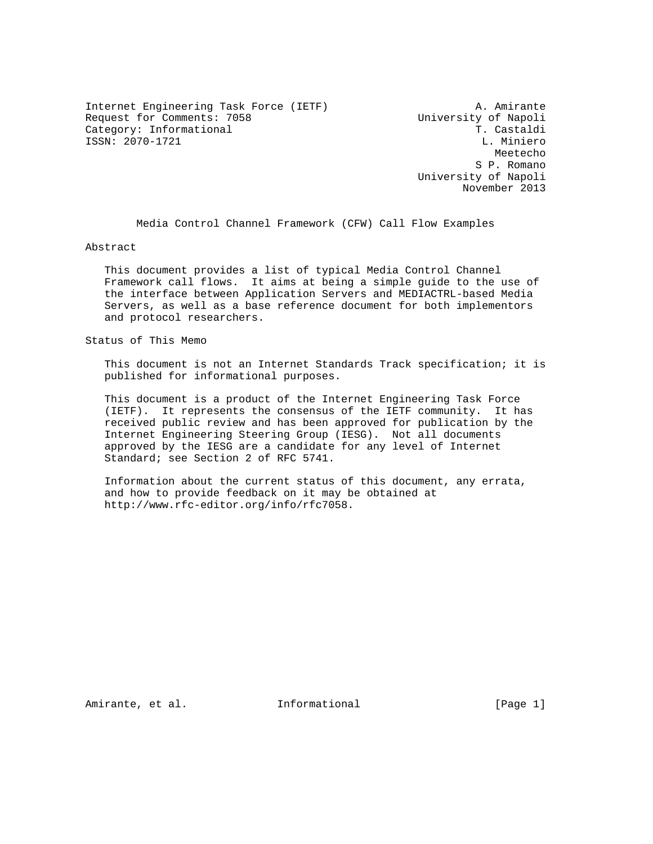Internet Engineering Task Force (IETF) A. Amirante Request for Comments: 7058 University of Napoli<br>Category: Informational Category: Informational T. Castaldi Category: Informational ISSN: 2070-1721 L. Miniero

Meetecho and the state of the state of the state of the state of the state of the state of the state of the state of the state of the state of the state of the state of the state of the state of the state of the state of t S P. Romano University of Napoli November 2013

Media Control Channel Framework (CFW) Call Flow Examples

Abstract

 This document provides a list of typical Media Control Channel Framework call flows. It aims at being a simple guide to the use of the interface between Application Servers and MEDIACTRL-based Media Servers, as well as a base reference document for both implementors and protocol researchers.

Status of This Memo

 This document is not an Internet Standards Track specification; it is published for informational purposes.

 This document is a product of the Internet Engineering Task Force (IETF). It represents the consensus of the IETF community. It has received public review and has been approved for publication by the Internet Engineering Steering Group (IESG). Not all documents approved by the IESG are a candidate for any level of Internet Standard; see Section 2 of RFC 5741.

 Information about the current status of this document, any errata, and how to provide feedback on it may be obtained at http://www.rfc-editor.org/info/rfc7058.

Amirante, et al. 1nformational [Page 1]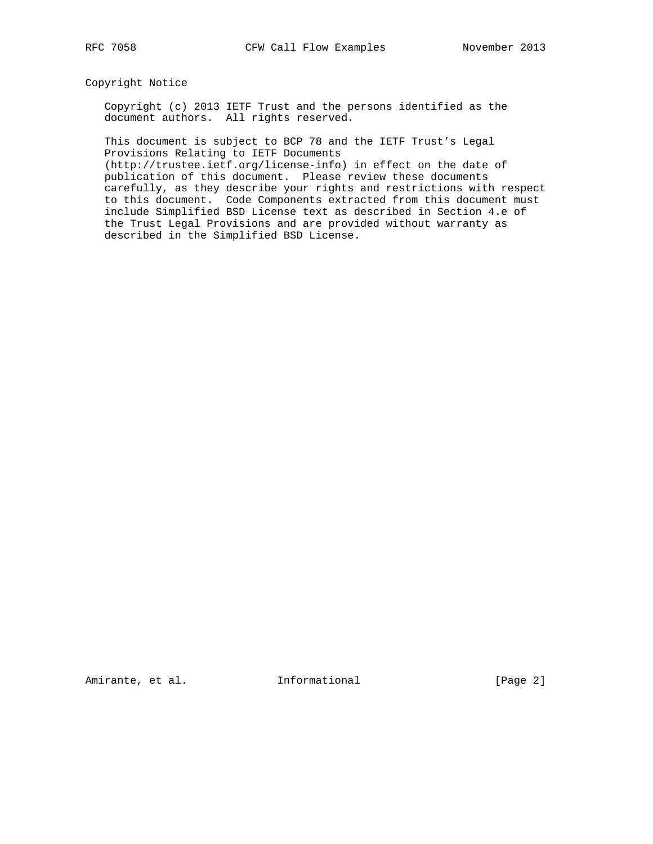### Copyright Notice

 Copyright (c) 2013 IETF Trust and the persons identified as the document authors. All rights reserved.

 This document is subject to BCP 78 and the IETF Trust's Legal Provisions Relating to IETF Documents

 (http://trustee.ietf.org/license-info) in effect on the date of publication of this document. Please review these documents carefully, as they describe your rights and restrictions with respect to this document. Code Components extracted from this document must include Simplified BSD License text as described in Section 4.e of the Trust Legal Provisions and are provided without warranty as described in the Simplified BSD License.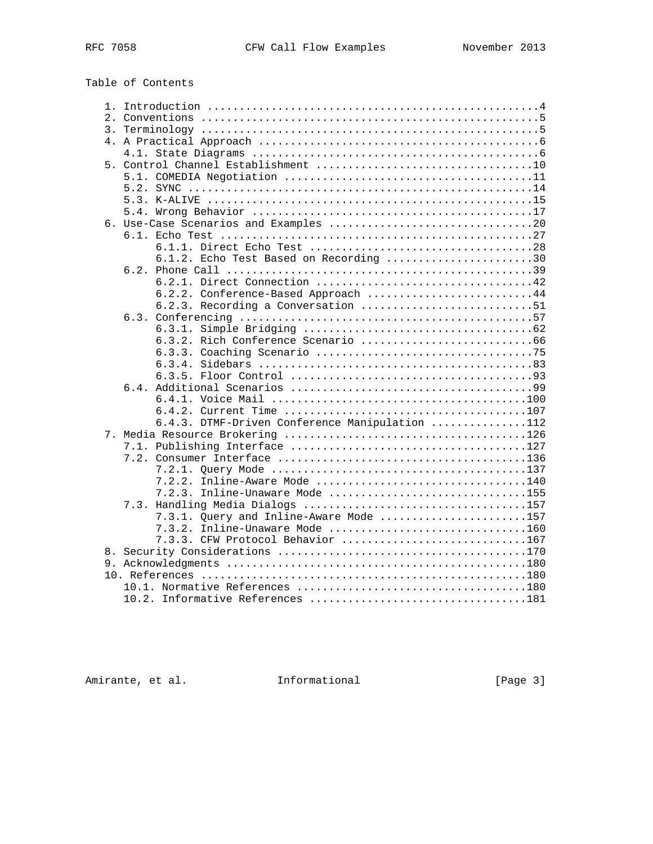# Table of Contents

| 1.                                             |
|------------------------------------------------|
| 2.                                             |
| 3.                                             |
|                                                |
|                                                |
|                                                |
|                                                |
| 5.2.                                           |
|                                                |
|                                                |
|                                                |
|                                                |
|                                                |
| 6.1.2. Echo Test Based on Recording 30         |
|                                                |
|                                                |
| 6.2.2. Conference-Based Approach 44            |
| 6.2.3. Recording a Conversation 51             |
|                                                |
|                                                |
|                                                |
|                                                |
|                                                |
|                                                |
|                                                |
|                                                |
|                                                |
| 6.4.3. DTMF-Driven Conference Manipulation 112 |
|                                                |
|                                                |
|                                                |
|                                                |
| 7.2.2. Inline-Aware Mode 140                   |
| 7.2.3. Inline-Unaware Mode 155                 |
|                                                |
| 7.3.1. Query and Inline-Aware Mode 157         |
| 7.3.2. Inline-Unaware Mode 160                 |
| 7.3.3. CFW Protocol Behavior 167               |
|                                                |
|                                                |
|                                                |
|                                                |
| 10.2. Informative References 181               |

Amirante, et al. 1nformational 1999 [Page 3]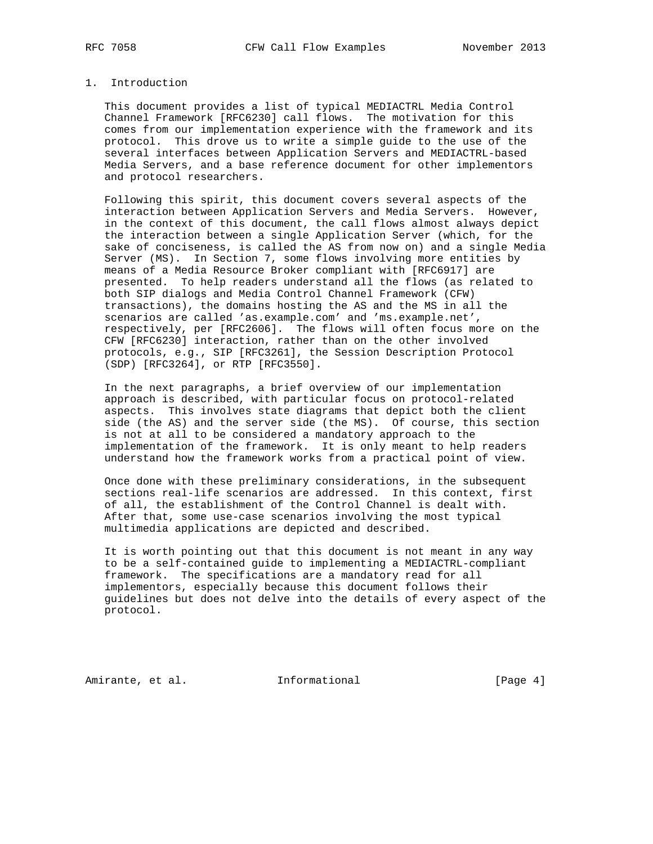### 1. Introduction

 This document provides a list of typical MEDIACTRL Media Control Channel Framework [RFC6230] call flows. The motivation for this comes from our implementation experience with the framework and its protocol. This drove us to write a simple guide to the use of the several interfaces between Application Servers and MEDIACTRL-based Media Servers, and a base reference document for other implementors and protocol researchers.

 Following this spirit, this document covers several aspects of the interaction between Application Servers and Media Servers. However, in the context of this document, the call flows almost always depict the interaction between a single Application Server (which, for the sake of conciseness, is called the AS from now on) and a single Media Server (MS). In Section 7, some flows involving more entities by means of a Media Resource Broker compliant with [RFC6917] are presented. To help readers understand all the flows (as related to both SIP dialogs and Media Control Channel Framework (CFW) transactions), the domains hosting the AS and the MS in all the scenarios are called 'as.example.com' and 'ms.example.net', respectively, per [RFC2606]. The flows will often focus more on the CFW [RFC6230] interaction, rather than on the other involved protocols, e.g., SIP [RFC3261], the Session Description Protocol (SDP) [RFC3264], or RTP [RFC3550].

 In the next paragraphs, a brief overview of our implementation approach is described, with particular focus on protocol-related aspects. This involves state diagrams that depict both the client side (the AS) and the server side (the MS). Of course, this section is not at all to be considered a mandatory approach to the implementation of the framework. It is only meant to help readers understand how the framework works from a practical point of view.

 Once done with these preliminary considerations, in the subsequent sections real-life scenarios are addressed. In this context, first of all, the establishment of the Control Channel is dealt with. After that, some use-case scenarios involving the most typical multimedia applications are depicted and described.

 It is worth pointing out that this document is not meant in any way to be a self-contained guide to implementing a MEDIACTRL-compliant framework. The specifications are a mandatory read for all implementors, especially because this document follows their guidelines but does not delve into the details of every aspect of the protocol.

Amirante, et al. 1nformational 1999 [Page 4]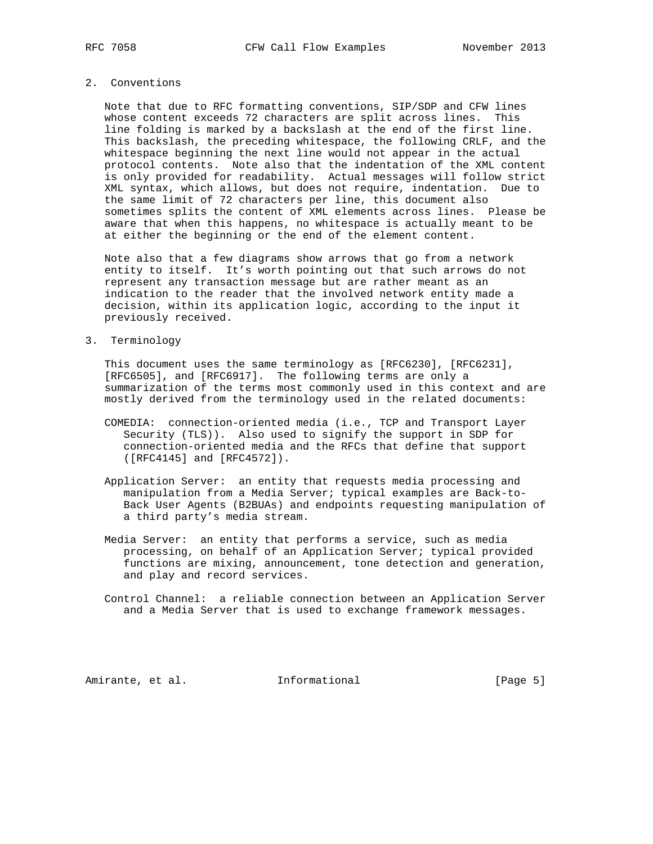#### 2. Conventions

 Note that due to RFC formatting conventions, SIP/SDP and CFW lines whose content exceeds 72 characters are split across lines. This line folding is marked by a backslash at the end of the first line. This backslash, the preceding whitespace, the following CRLF, and the whitespace beginning the next line would not appear in the actual protocol contents. Note also that the indentation of the XML content is only provided for readability. Actual messages will follow strict XML syntax, which allows, but does not require, indentation. Due to the same limit of 72 characters per line, this document also sometimes splits the content of XML elements across lines. Please be aware that when this happens, no whitespace is actually meant to be at either the beginning or the end of the element content.

 Note also that a few diagrams show arrows that go from a network entity to itself. It's worth pointing out that such arrows do not represent any transaction message but are rather meant as an indication to the reader that the involved network entity made a decision, within its application logic, according to the input it previously received.

3. Terminology

 This document uses the same terminology as [RFC6230], [RFC6231], [RFC6505], and [RFC6917]. The following terms are only a summarization of the terms most commonly used in this context and are mostly derived from the terminology used in the related documents:

- COMEDIA: connection-oriented media (i.e., TCP and Transport Layer Security (TLS)). Also used to signify the support in SDP for connection-oriented media and the RFCs that define that support ([RFC4145] and [RFC4572]).
- Application Server: an entity that requests media processing and manipulation from a Media Server; typical examples are Back-to- Back User Agents (B2BUAs) and endpoints requesting manipulation of a third party's media stream.
- Media Server: an entity that performs a service, such as media processing, on behalf of an Application Server; typical provided functions are mixing, announcement, tone detection and generation, and play and record services.
- Control Channel: a reliable connection between an Application Server and a Media Server that is used to exchange framework messages.

Amirante, et al. 1nformational 1999 [Page 5]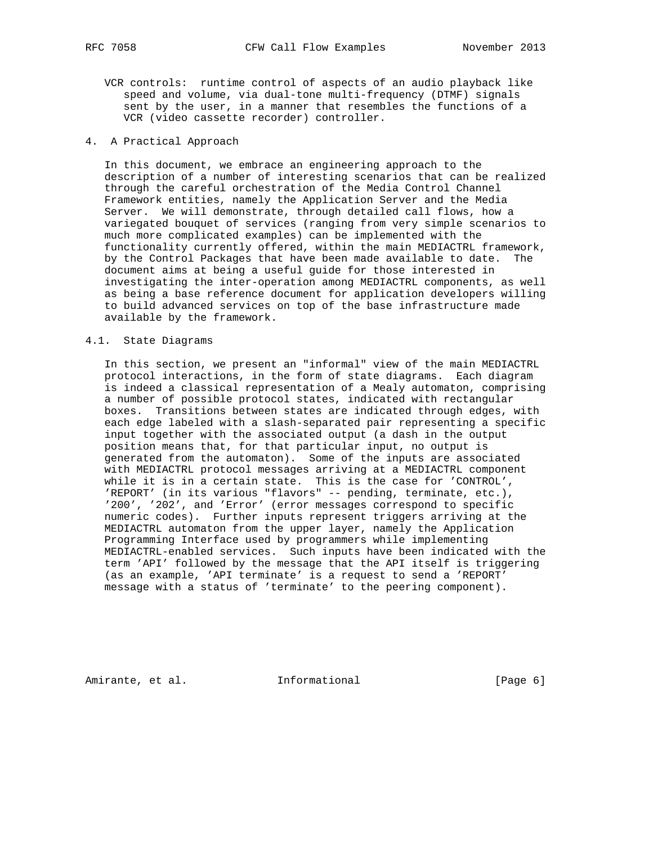VCR controls: runtime control of aspects of an audio playback like speed and volume, via dual-tone multi-frequency (DTMF) signals sent by the user, in a manner that resembles the functions of a VCR (video cassette recorder) controller.

### 4. A Practical Approach

 In this document, we embrace an engineering approach to the description of a number of interesting scenarios that can be realized through the careful orchestration of the Media Control Channel Framework entities, namely the Application Server and the Media Server. We will demonstrate, through detailed call flows, how a variegated bouquet of services (ranging from very simple scenarios to much more complicated examples) can be implemented with the functionality currently offered, within the main MEDIACTRL framework, by the Control Packages that have been made available to date. The document aims at being a useful guide for those interested in investigating the inter-operation among MEDIACTRL components, as well as being a base reference document for application developers willing to build advanced services on top of the base infrastructure made available by the framework.

#### 4.1. State Diagrams

 In this section, we present an "informal" view of the main MEDIACTRL protocol interactions, in the form of state diagrams. Each diagram is indeed a classical representation of a Mealy automaton, comprising a number of possible protocol states, indicated with rectangular boxes. Transitions between states are indicated through edges, with each edge labeled with a slash-separated pair representing a specific input together with the associated output (a dash in the output position means that, for that particular input, no output is generated from the automaton). Some of the inputs are associated with MEDIACTRL protocol messages arriving at a MEDIACTRL component while it is in a certain state. This is the case for 'CONTROL', 'REPORT' (in its various "flavors" -- pending, terminate, etc.), '200', '202', and 'Error' (error messages correspond to specific numeric codes). Further inputs represent triggers arriving at the MEDIACTRL automaton from the upper layer, namely the Application Programming Interface used by programmers while implementing MEDIACTRL-enabled services. Such inputs have been indicated with the term 'API' followed by the message that the API itself is triggering (as an example, 'API terminate' is a request to send a 'REPORT' message with a status of 'terminate' to the peering component).

Amirante, et al. 1nformational 1999 [Page 6]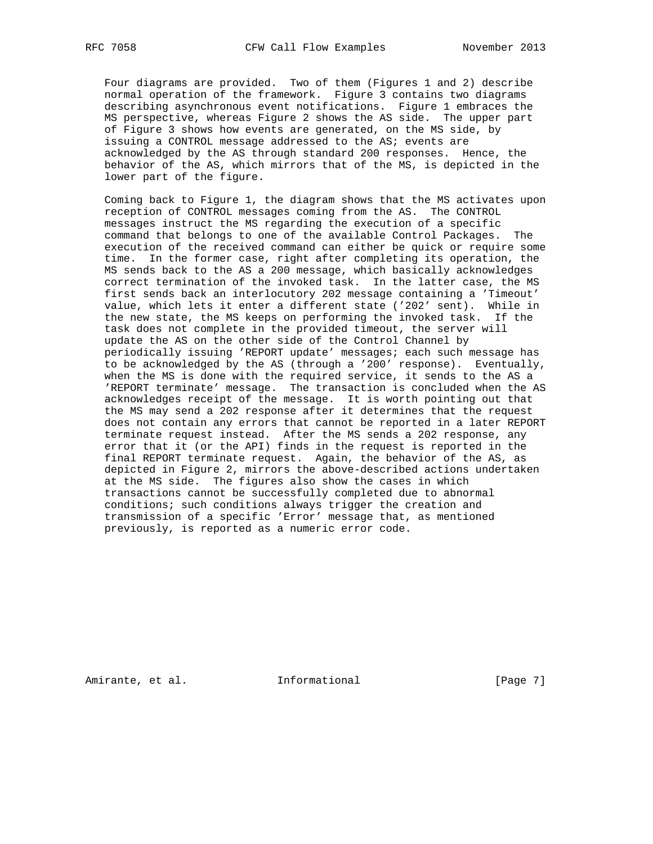Four diagrams are provided. Two of them (Figures 1 and 2) describe normal operation of the framework. Figure 3 contains two diagrams describing asynchronous event notifications. Figure 1 embraces the MS perspective, whereas Figure 2 shows the AS side. The upper part of Figure 3 shows how events are generated, on the MS side, by issuing a CONTROL message addressed to the AS; events are acknowledged by the AS through standard 200 responses. Hence, the behavior of the AS, which mirrors that of the MS, is depicted in the lower part of the figure.

 Coming back to Figure 1, the diagram shows that the MS activates upon reception of CONTROL messages coming from the AS. The CONTROL messages instruct the MS regarding the execution of a specific command that belongs to one of the available Control Packages. The execution of the received command can either be quick or require some time. In the former case, right after completing its operation, the MS sends back to the AS a 200 message, which basically acknowledges correct termination of the invoked task. In the latter case, the MS first sends back an interlocutory 202 message containing a 'Timeout' value, which lets it enter a different state ('202' sent). While in the new state, the MS keeps on performing the invoked task. If the task does not complete in the provided timeout, the server will update the AS on the other side of the Control Channel by periodically issuing 'REPORT update' messages; each such message has to be acknowledged by the AS (through a '200' response). Eventually, when the MS is done with the required service, it sends to the AS a 'REPORT terminate' message. The transaction is concluded when the AS acknowledges receipt of the message. It is worth pointing out that the MS may send a 202 response after it determines that the request does not contain any errors that cannot be reported in a later REPORT terminate request instead. After the MS sends a 202 response, any error that it (or the API) finds in the request is reported in the final REPORT terminate request. Again, the behavior of the AS, as depicted in Figure 2, mirrors the above-described actions undertaken at the MS side. The figures also show the cases in which transactions cannot be successfully completed due to abnormal conditions; such conditions always trigger the creation and transmission of a specific 'Error' message that, as mentioned previously, is reported as a numeric error code.

Amirante, et al. 1nformational 1999 [Page 7]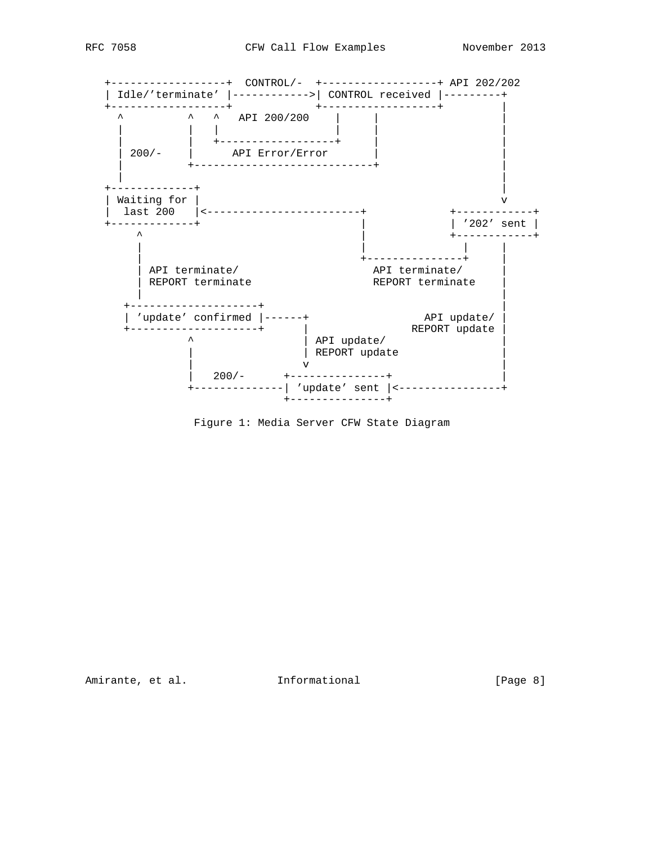



Figure 1: Media Server CFW State Diagram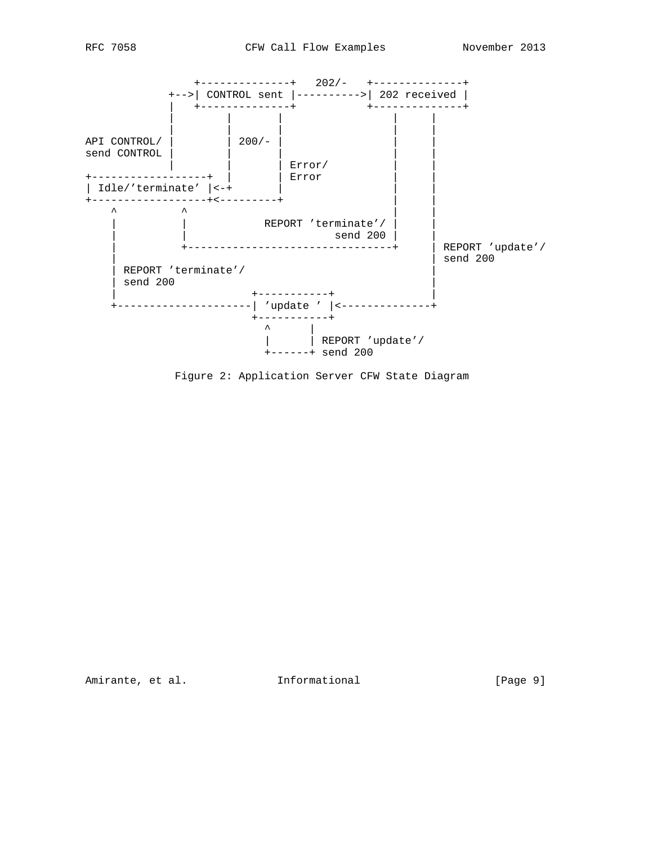



Figure 2: Application Server CFW State Diagram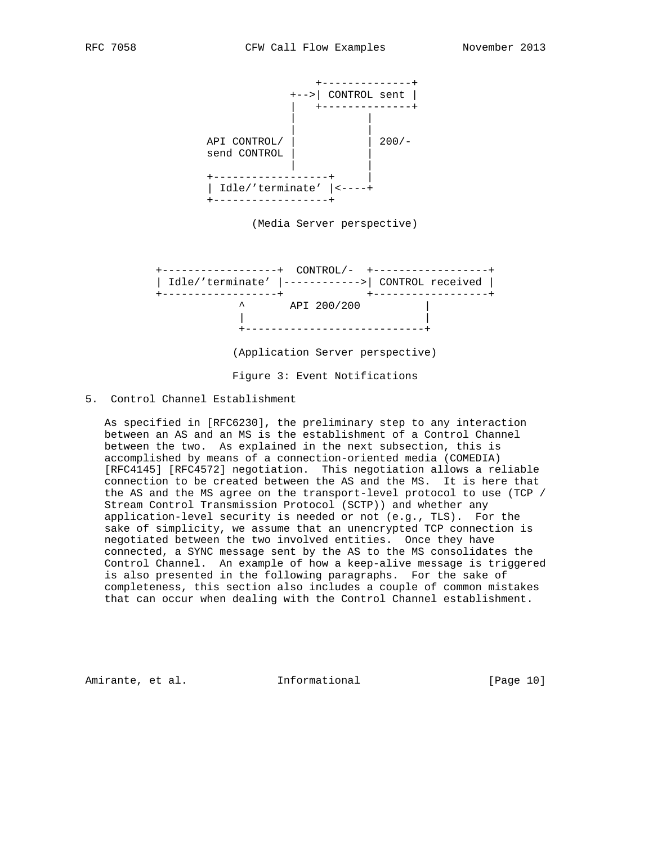

(Media Server perspective)



#### 5. Control Channel Establishment

 As specified in [RFC6230], the preliminary step to any interaction between an AS and an MS is the establishment of a Control Channel between the two. As explained in the next subsection, this is accomplished by means of a connection-oriented media (COMEDIA) [RFC4145] [RFC4572] negotiation. This negotiation allows a reliable connection to be created between the AS and the MS. It is here that the AS and the MS agree on the transport-level protocol to use (TCP / Stream Control Transmission Protocol (SCTP)) and whether any application-level security is needed or not (e.g., TLS). For the sake of simplicity, we assume that an unencrypted TCP connection is negotiated between the two involved entities. Once they have connected, a SYNC message sent by the AS to the MS consolidates the Control Channel. An example of how a keep-alive message is triggered is also presented in the following paragraphs. For the sake of completeness, this section also includes a couple of common mistakes that can occur when dealing with the Control Channel establishment.

Amirante, et al. 1nformational [Page 10]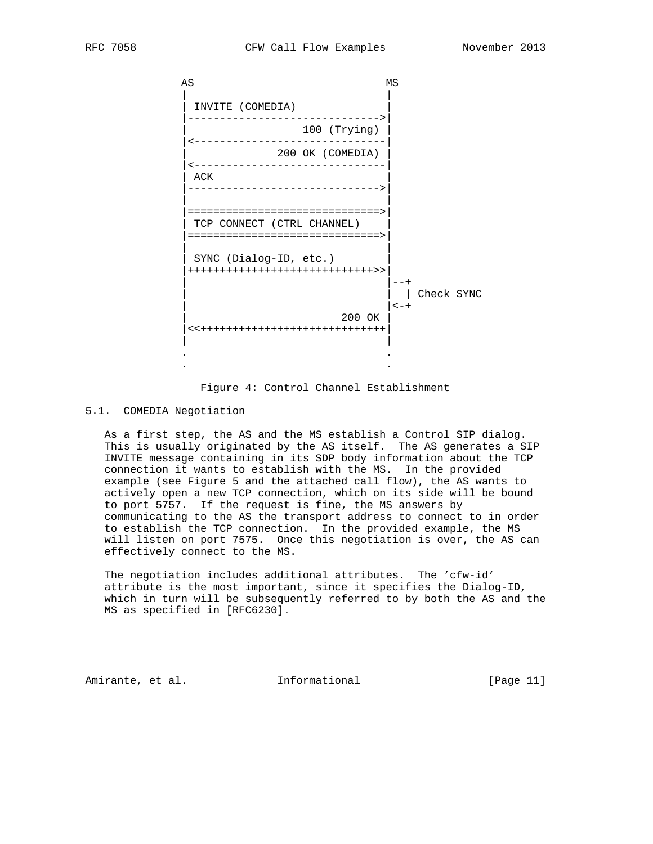

Figure 4: Control Channel Establishment

#### 5.1. COMEDIA Negotiation

 As a first step, the AS and the MS establish a Control SIP dialog. This is usually originated by the AS itself. The AS generates a SIP INVITE message containing in its SDP body information about the TCP connection it wants to establish with the MS. In the provided example (see Figure 5 and the attached call flow), the AS wants to actively open a new TCP connection, which on its side will be bound to port 5757. If the request is fine, the MS answers by communicating to the AS the transport address to connect to in order to establish the TCP connection. In the provided example, the MS will listen on port 7575. Once this negotiation is over, the AS can effectively connect to the MS.

 The negotiation includes additional attributes. The 'cfw-id' attribute is the most important, since it specifies the Dialog-ID, which in turn will be subsequently referred to by both the AS and the MS as specified in [RFC6230].

Amirante, et al. 1nformational 1999 [Page 11]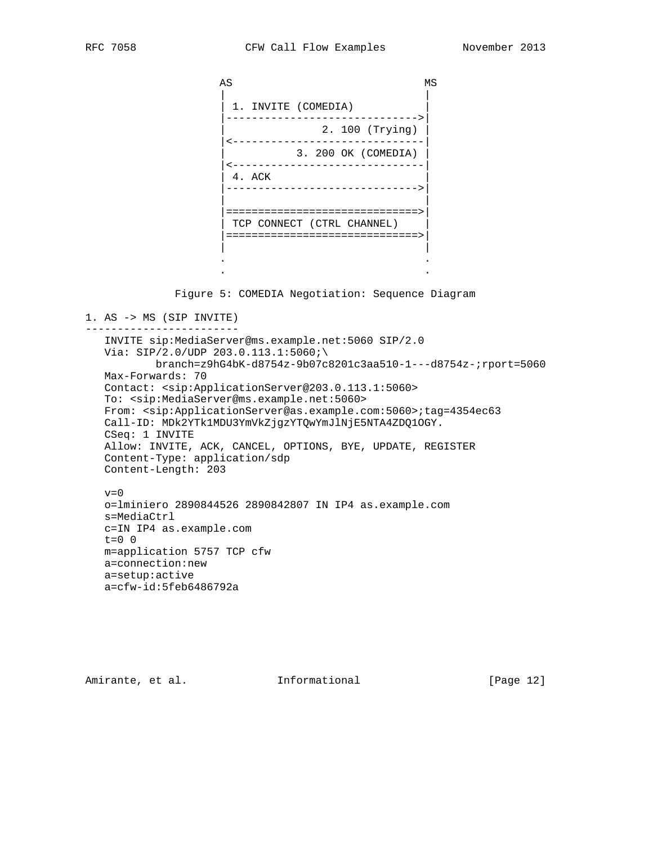



```
1. AS -> MS (SIP INVITE)
------------------------
   INVITE sip:MediaServer@ms.example.net:5060 SIP/2.0
   Via: SIP/2.0/UDP 203.0.113.1:5060;\
           branch=z9hG4bK-d8754z-9b07c8201c3aa510-1---d8754z-;rport=5060
   Max-Forwards: 70
   Contact: <sip:ApplicationServer@203.0.113.1:5060>
   To: <sip:MediaServer@ms.example.net:5060>
   From: <sip:ApplicationServer@as.example.com:5060>;tag=4354ec63
   Call-ID: MDk2YTk1MDU3YmVkZjgzYTQwYmJlNjE5NTA4ZDQ1OGY.
   CSeq: 1 INVITE
   Allow: INVITE, ACK, CANCEL, OPTIONS, BYE, UPDATE, REGISTER
   Content-Type: application/sdp
   Content-Length: 203
  v=0 o=lminiero 2890844526 2890842807 IN IP4 as.example.com
   s=MediaCtrl
   c=IN IP4 as.example.com
   t=0 0
```

```
Amirante, et al. 1nformational 1999 [Page 12]
```
m=application 5757 TCP cfw

 a=connection:new a=setup:active

a=cfw-id:5feb6486792a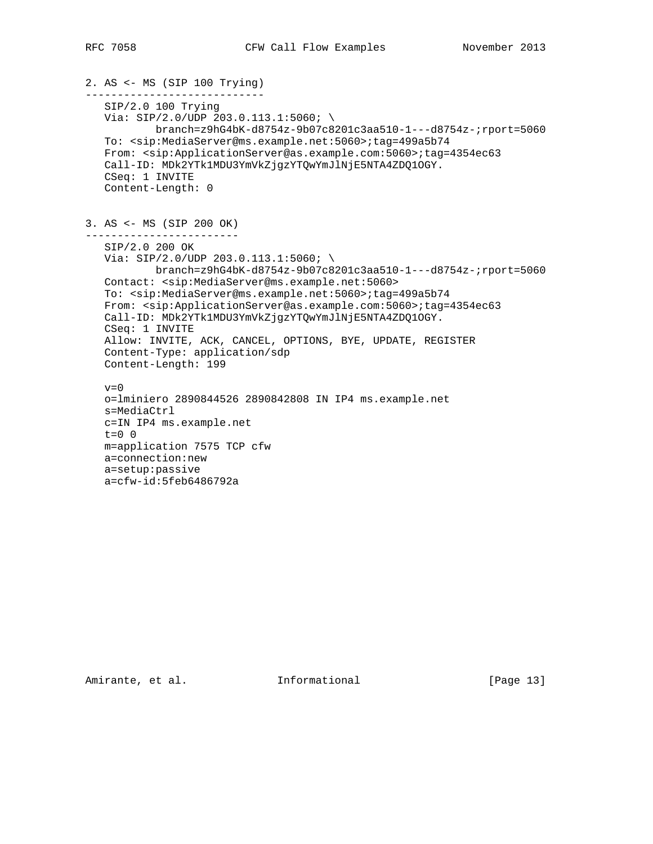```
2. AS <- MS (SIP 100 Trying)
  ----------------------------
   SIP/2.0 100 Trying
  Via: SIP/2.0/UDP 203.0.113.1:5060; \
            branch=z9hG4bK-d8754z-9b07c8201c3aa510-1---d8754z-;rport=5060
   To: <sip:MediaServer@ms.example.net:5060>;tag=499a5b74
   From: <sip:ApplicationServer@as.example.com:5060>;tag=4354ec63
   Call-ID: MDk2YTk1MDU3YmVkZjgzYTQwYmJlNjE5NTA4ZDQ1OGY.
   CSeq: 1 INVITE
   Content-Length: 0
3. AS <- MS (SIP 200 OK)
------------------------
   SIP/2.0 200 OK
  Via: SIP/2.0/UDP 203.0.113.1:5060; \
           branch=z9hG4bK-d8754z-9b07c8201c3aa510-1---d8754z-;rport=5060
   Contact: <sip:MediaServer@ms.example.net:5060>
   To: <sip:MediaServer@ms.example.net:5060>;tag=499a5b74
   From: <sip:ApplicationServer@as.example.com:5060>;tag=4354ec63
   Call-ID: MDk2YTk1MDU3YmVkZjgzYTQwYmJlNjE5NTA4ZDQ1OGY.
   CSeq: 1 INVITE
   Allow: INVITE, ACK, CANCEL, OPTIONS, BYE, UPDATE, REGISTER
   Content-Type: application/sdp
   Content-Length: 199
  v=0 o=lminiero 2890844526 2890842808 IN IP4 ms.example.net
   s=MediaCtrl
   c=IN IP4 ms.example.net
   t=0 0
   m=application 7575 TCP cfw
   a=connection:new
   a=setup:passive
   a=cfw-id:5feb6486792a
```
Amirante, et al. 1nformational 1999 [Page 13]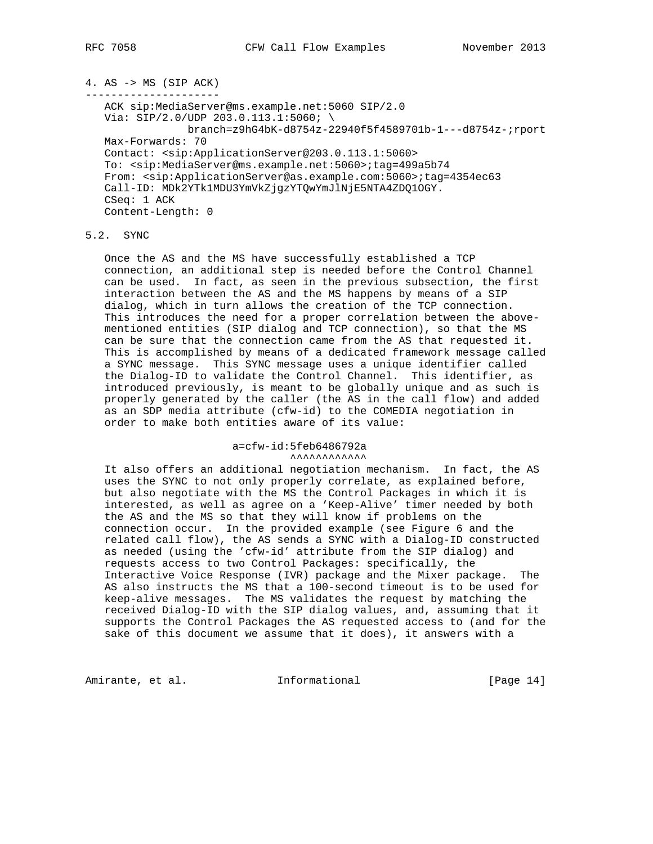4. AS -> MS (SIP ACK)

--------------------- ACK sip:MediaServer@ms.example.net:5060 SIP/2.0 Via: SIP/2.0/UDP 203.0.113.1:5060; \ branch=z9hG4bK-d8754z-22940f5f4589701b-1---d8754z-;rport Max-Forwards: 70 Contact: <sip:ApplicationServer@203.0.113.1:5060> To: <sip:MediaServer@ms.example.net:5060>;tag=499a5b74 From: <sip:ApplicationServer@as.example.com:5060>;tag=4354ec63 Call-ID: MDk2YTk1MDU3YmVkZjgzYTQwYmJlNjE5NTA4ZDQ1OGY. CSeq: 1 ACK Content-Length: 0

## 5.2. SYNC

 Once the AS and the MS have successfully established a TCP connection, an additional step is needed before the Control Channel can be used. In fact, as seen in the previous subsection, the first interaction between the AS and the MS happens by means of a SIP dialog, which in turn allows the creation of the TCP connection. This introduces the need for a proper correlation between the above mentioned entities (SIP dialog and TCP connection), so that the MS can be sure that the connection came from the AS that requested it. This is accomplished by means of a dedicated framework message called a SYNC message. This SYNC message uses a unique identifier called the Dialog-ID to validate the Control Channel. This identifier, as introduced previously, is meant to be globally unique and as such is properly generated by the caller (the AS in the call flow) and added as an SDP media attribute (cfw-id) to the COMEDIA negotiation in order to make both entities aware of its value:

#### a=cfw-id:5feb6486792a  $\lambda$

 It also offers an additional negotiation mechanism. In fact, the AS uses the SYNC to not only properly correlate, as explained before, but also negotiate with the MS the Control Packages in which it is interested, as well as agree on a 'Keep-Alive' timer needed by both the AS and the MS so that they will know if problems on the connection occur. In the provided example (see Figure 6 and the related call flow), the AS sends a SYNC with a Dialog-ID constructed as needed (using the 'cfw-id' attribute from the SIP dialog) and requests access to two Control Packages: specifically, the Interactive Voice Response (IVR) package and the Mixer package. The AS also instructs the MS that a 100-second timeout is to be used for keep-alive messages. The MS validates the request by matching the received Dialog-ID with the SIP dialog values, and, assuming that it supports the Control Packages the AS requested access to (and for the sake of this document we assume that it does), it answers with a

Amirante, et al. 1nformational [Page 14]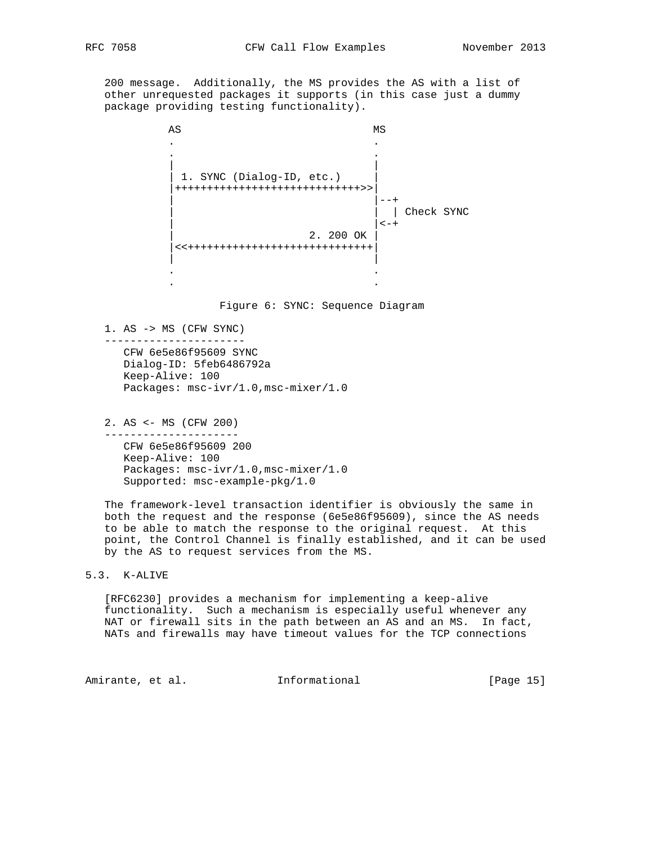200 message. Additionally, the MS provides the AS with a list of other unrequested packages it supports (in this case just a dummy package providing testing functionality).



Figure 6: SYNC: Sequence Diagram

1. AS -> MS (CFW SYNC)

 ---------------------- CFW 6e5e86f95609 SYNC Dialog-ID: 5feb6486792a Keep-Alive: 100 Packages: msc-ivr/1.0,msc-mixer/1.0

2. AS <- MS (CFW 200)

 --------------------- CFW 6e5e86f95609 200 Keep-Alive: 100 Packages: msc-ivr/1.0,msc-mixer/1.0 Supported: msc-example-pkg/1.0

 The framework-level transaction identifier is obviously the same in both the request and the response (6e5e86f95609), since the AS needs to be able to match the response to the original request. At this point, the Control Channel is finally established, and it can be used by the AS to request services from the MS.

5.3. K-ALIVE

 [RFC6230] provides a mechanism for implementing a keep-alive functionality. Such a mechanism is especially useful whenever any NAT or firewall sits in the path between an AS and an MS. In fact, NATs and firewalls may have timeout values for the TCP connections

Amirante, et al. 1nformational [Page 15]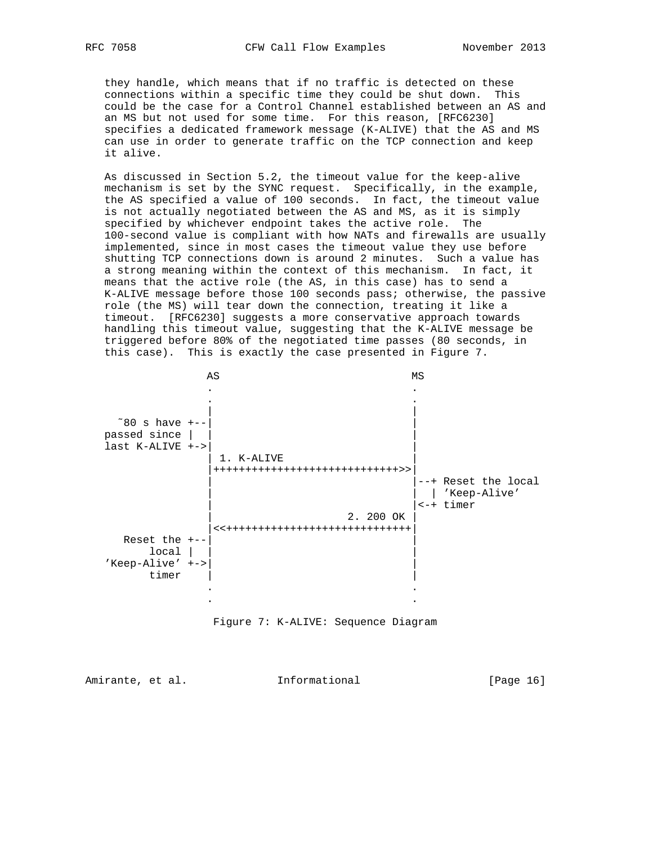they handle, which means that if no traffic is detected on these connections within a specific time they could be shut down. This could be the case for a Control Channel established between an AS and an MS but not used for some time. For this reason, [RFC6230] specifies a dedicated framework message (K-ALIVE) that the AS and MS can use in order to generate traffic on the TCP connection and keep it alive.

 As discussed in Section 5.2, the timeout value for the keep-alive mechanism is set by the SYNC request. Specifically, in the example, the AS specified a value of 100 seconds. In fact, the timeout value is not actually negotiated between the AS and MS, as it is simply specified by whichever endpoint takes the active role. The 100-second value is compliant with how NATs and firewalls are usually implemented, since in most cases the timeout value they use before shutting TCP connections down is around 2 minutes. Such a value has a strong meaning within the context of this mechanism. In fact, it means that the active role (the AS, in this case) has to send a K-ALIVE message before those 100 seconds pass; otherwise, the passive role (the MS) will tear down the connection, treating it like a timeout. [RFC6230] suggests a more conservative approach towards handling this timeout value, suggesting that the K-ALIVE message be triggered before 80% of the negotiated time passes (80 seconds, in this case). This is exactly the case presented in Figure 7.



Figure 7: K-ALIVE: Sequence Diagram

Amirante, et al. 1nformational [Page 16]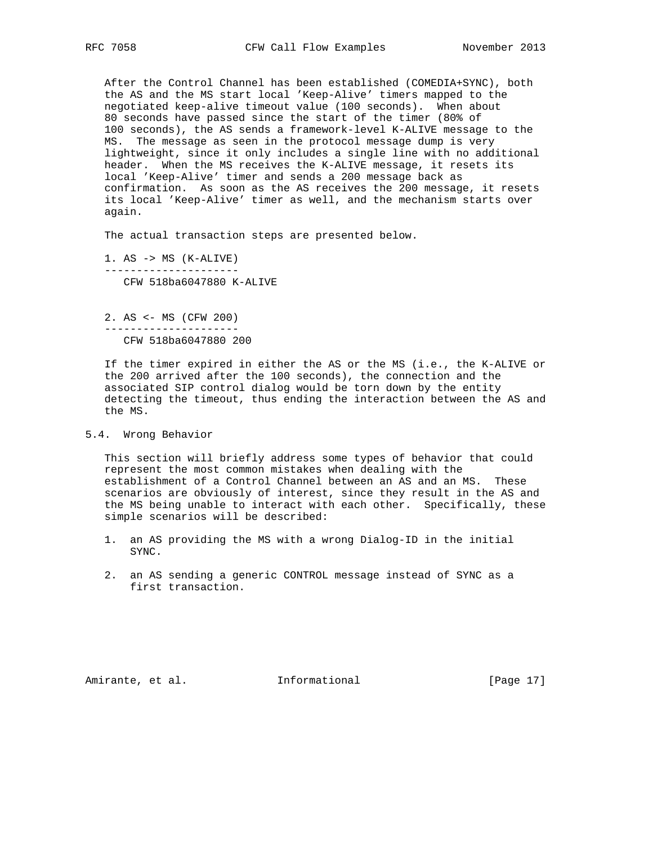After the Control Channel has been established (COMEDIA+SYNC), both the AS and the MS start local 'Keep-Alive' timers mapped to the negotiated keep-alive timeout value (100 seconds). When about 80 seconds have passed since the start of the timer (80% of 100 seconds), the AS sends a framework-level K-ALIVE message to the MS. The message as seen in the protocol message dump is very lightweight, since it only includes a single line with no additional header. When the MS receives the K-ALIVE message, it resets its local 'Keep-Alive' timer and sends a 200 message back as confirmation. As soon as the AS receives the 200 message, it resets its local 'Keep-Alive' timer as well, and the mechanism starts over again.

The actual transaction steps are presented below.

 1. AS -> MS (K-ALIVE) --------------------- CFW 518ba6047880 K-ALIVE

 2. AS <- MS (CFW 200) --------------------- CFW 518ba6047880 200

 If the timer expired in either the AS or the MS (i.e., the K-ALIVE or the 200 arrived after the 100 seconds), the connection and the associated SIP control dialog would be torn down by the entity detecting the timeout, thus ending the interaction between the AS and the MS.

#### 5.4. Wrong Behavior

 This section will briefly address some types of behavior that could represent the most common mistakes when dealing with the establishment of a Control Channel between an AS and an MS. These scenarios are obviously of interest, since they result in the AS and the MS being unable to interact with each other. Specifically, these simple scenarios will be described:

- 1. an AS providing the MS with a wrong Dialog-ID in the initial SYNC.
- 2. an AS sending a generic CONTROL message instead of SYNC as a first transaction.

Amirante, et al. 1nformational 1999 [Page 17]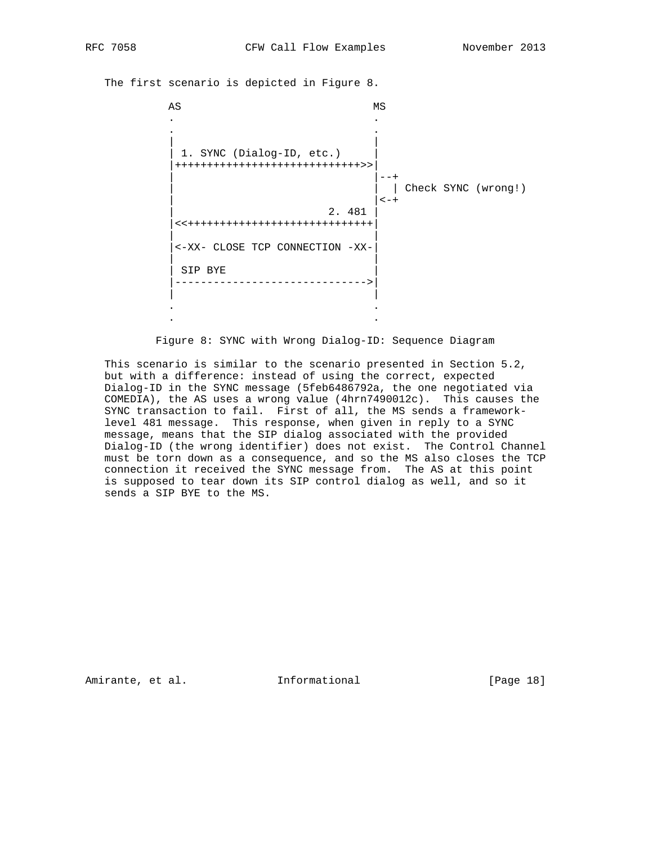The first scenario is depicted in Figure 8.



Figure 8: SYNC with Wrong Dialog-ID: Sequence Diagram

 This scenario is similar to the scenario presented in Section 5.2, but with a difference: instead of using the correct, expected Dialog-ID in the SYNC message (5feb6486792a, the one negotiated via COMEDIA), the AS uses a wrong value (4hrn7490012c). This causes the SYNC transaction to fail. First of all, the MS sends a framework level 481 message. This response, when given in reply to a SYNC message, means that the SIP dialog associated with the provided Dialog-ID (the wrong identifier) does not exist. The Control Channel must be torn down as a consequence, and so the MS also closes the TCP connection it received the SYNC message from. The AS at this point is supposed to tear down its SIP control dialog as well, and so it sends a SIP BYE to the MS.

Amirante, et al. 1nformational [Page 18]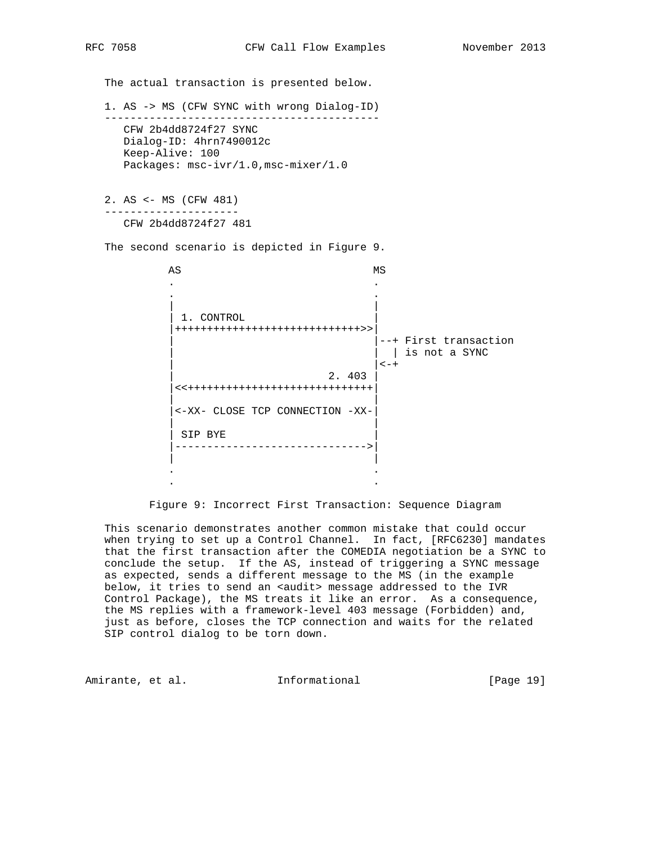The actual transaction is presented below.

```
 1. AS -> MS (CFW SYNC with wrong Dialog-ID)
 -------------------------------------------
    CFW 2b4dd8724f27 SYNC
   Dialog-ID: 4hrn7490012c
   Keep-Alive: 100
   Packages: msc-ivr/1.0,msc-mixer/1.0
```
 2. AS <- MS (CFW 481) --------------------- CFW 2b4dd8724f27 481

The second scenario is depicted in Figure 9.



Figure 9: Incorrect First Transaction: Sequence Diagram

 This scenario demonstrates another common mistake that could occur when trying to set up a Control Channel. In fact, [RFC6230] mandates that the first transaction after the COMEDIA negotiation be a SYNC to conclude the setup. If the AS, instead of triggering a SYNC message as expected, sends a different message to the MS (in the example below, it tries to send an <audit> message addressed to the IVR Control Package), the MS treats it like an error. As a consequence, the MS replies with a framework-level 403 message (Forbidden) and, just as before, closes the TCP connection and waits for the related SIP control dialog to be torn down.

Amirante, et al. 1nformational 1917 [Page 19]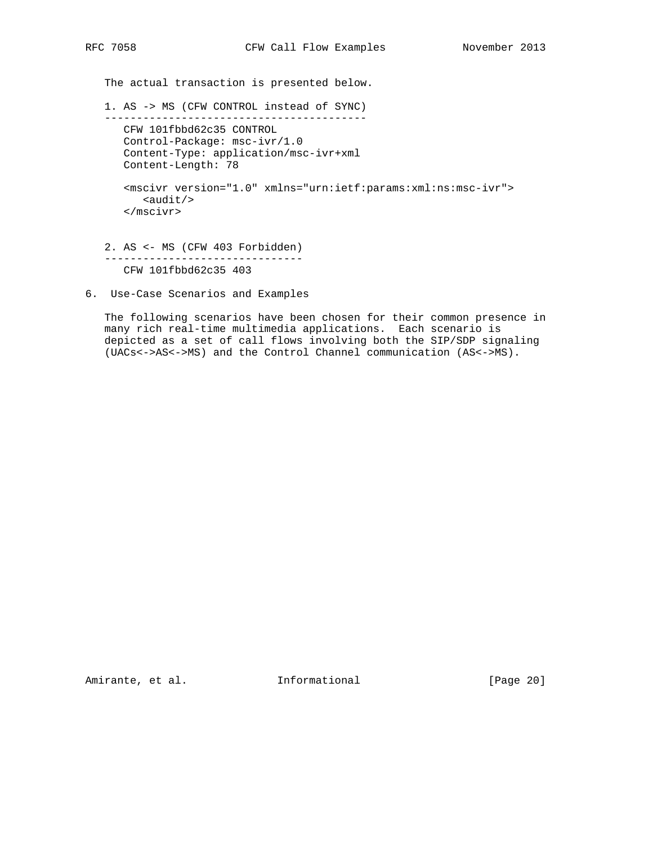The actual transaction is presented below. 1. AS -> MS (CFW CONTROL instead of SYNC) ----------------------------------------- CFW 101fbbd62c35 CONTROL Control-Package: msc-ivr/1.0 Content-Type: application/msc-ivr+xml Content-Length: 78 <mscivr version="1.0" xmlns="urn:ietf:params:xml:ns:msc-ivr"> <audit/> </mscivr> 2. AS <- MS (CFW 403 Forbidden) ------------------------------- CFW 101fbbd62c35 403

6. Use-Case Scenarios and Examples

 The following scenarios have been chosen for their common presence in many rich real-time multimedia applications. Each scenario is depicted as a set of call flows involving both the SIP/SDP signaling (UACs<->AS<->MS) and the Control Channel communication (AS<->MS).

Amirante, et al. 1nformational [Page 20]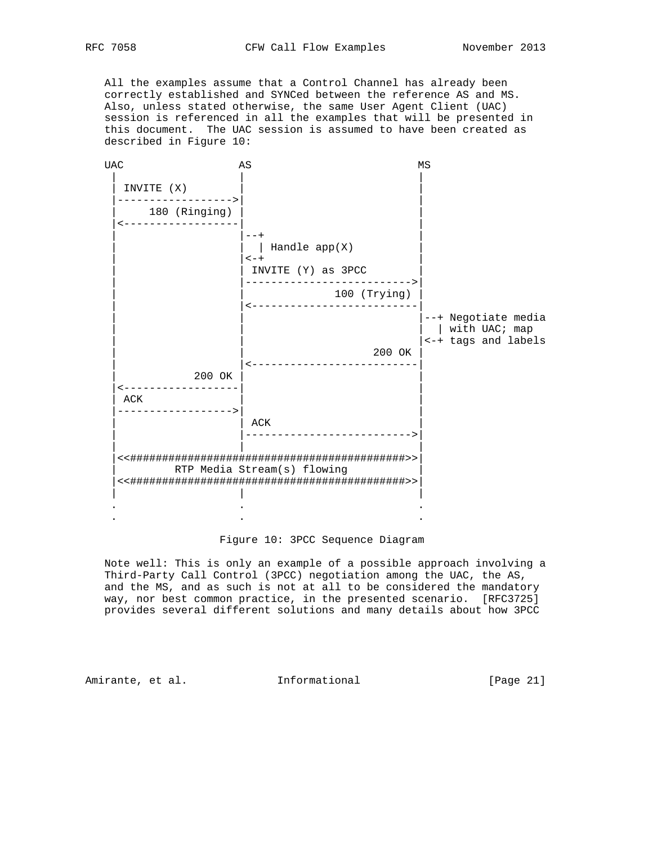All the examples assume that a Control Channel has already been correctly established and SYNCed between the reference AS and MS. Also, unless stated otherwise, the same User Agent Client (UAC) session is referenced in all the examples that will be presented in this document. The UAC session is assumed to have been created as described in Figure 10:



#### Figure 10: 3PCC Sequence Diagram

 Note well: This is only an example of a possible approach involving a Third-Party Call Control (3PCC) negotiation among the UAC, the AS, and the MS, and as such is not at all to be considered the mandatory way, nor best common practice, in the presented scenario. [RFC3725] provides several different solutions and many details about how 3PCC

Amirante, et al. 1nformational [Page 21]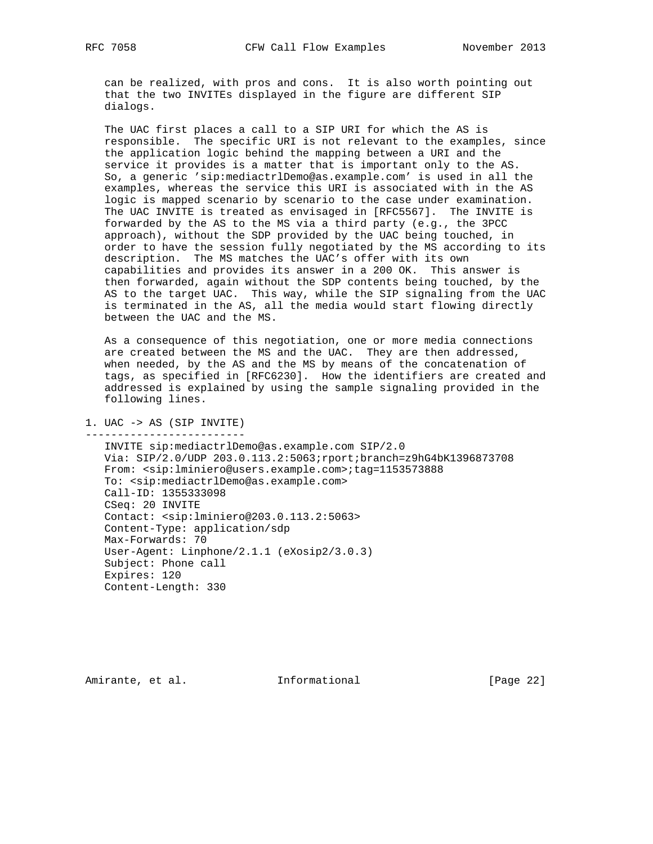can be realized, with pros and cons. It is also worth pointing out that the two INVITEs displayed in the figure are different SIP dialogs.

 The UAC first places a call to a SIP URI for which the AS is responsible. The specific URI is not relevant to the examples, since the application logic behind the mapping between a URI and the service it provides is a matter that is important only to the AS. So, a generic 'sip:mediactrlDemo@as.example.com' is used in all the examples, whereas the service this URI is associated with in the AS logic is mapped scenario by scenario to the case under examination. The UAC INVITE is treated as envisaged in [RFC5567]. The INVITE is forwarded by the AS to the MS via a third party (e.g., the 3PCC approach), without the SDP provided by the UAC being touched, in order to have the session fully negotiated by the MS according to its description. The MS matches the UAC's offer with its own capabilities and provides its answer in a 200 OK. This answer is then forwarded, again without the SDP contents being touched, by the AS to the target UAC. This way, while the SIP signaling from the UAC is terminated in the AS, all the media would start flowing directly between the UAC and the MS.

 As a consequence of this negotiation, one or more media connections are created between the MS and the UAC. They are then addressed, when needed, by the AS and the MS by means of the concatenation of tags, as specified in [RFC6230]. How the identifiers are created and addressed is explained by using the sample signaling provided in the following lines.

1. UAC -> AS (SIP INVITE) -------------------------

> INVITE sip:mediactrlDemo@as.example.com SIP/2.0 Via: SIP/2.0/UDP 203.0.113.2:5063;rport;branch=z9hG4bK1396873708 From: <sip:lminiero@users.example.com>;tag=1153573888 To: <sip:mediactrlDemo@as.example.com> Call-ID: 1355333098 CSeq: 20 INVITE Contact: <sip:lminiero@203.0.113.2:5063> Content-Type: application/sdp Max-Forwards: 70 User-Agent: Linphone/2.1.1 (eXosip2/3.0.3) Subject: Phone call Expires: 120 Content-Length: 330

Amirante, et al. 1nformational 1999 [Page 22]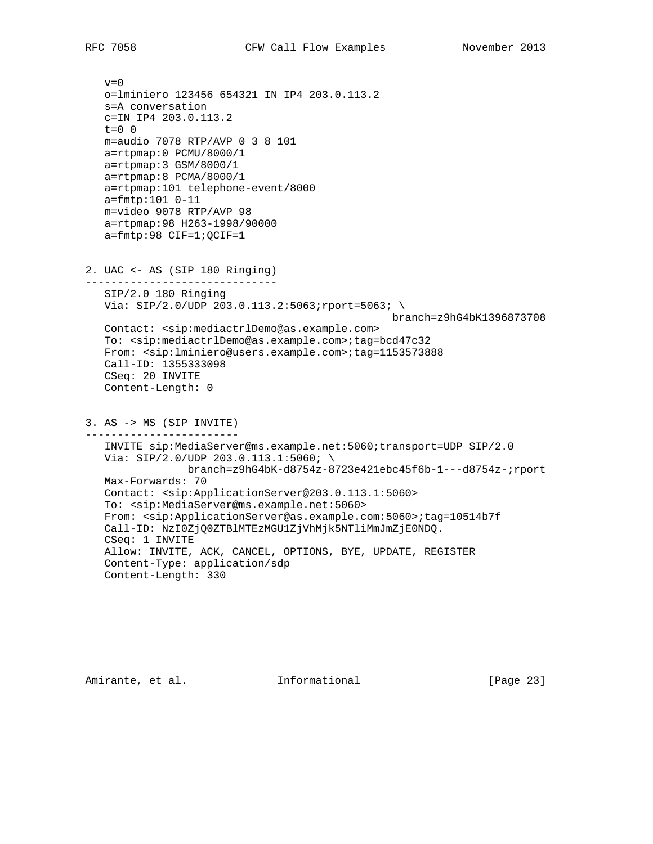```
v=0 o=lminiero 123456 654321 IN IP4 203.0.113.2
   s=A conversation
   c=IN IP4 203.0.113.2
   t=0 0
   m=audio 7078 RTP/AVP 0 3 8 101
   a=rtpmap:0 PCMU/8000/1
   a=rtpmap:3 GSM/8000/1
   a=rtpmap:8 PCMA/8000/1
   a=rtpmap:101 telephone-event/8000
   a=fmtp:101 0-11
   m=video 9078 RTP/AVP 98
   a=rtpmap:98 H263-1998/90000
   a=fmtp:98 CIF=1;QCIF=1
2. UAC <- AS (SIP 180 Ringing)
------------------------------
   SIP/2.0 180 Ringing
  Via: SIP/2.0/UDP 203.0.113.2:5063;rport=5063; \
                                                  branch=z9hG4bK1396873708
   Contact: <sip:mediactrlDemo@as.example.com>
   To: <sip:mediactrlDemo@as.example.com>;tag=bcd47c32
```
 From: <sip:lminiero@users.example.com>;tag=1153573888 Call-ID: 1355333098 CSeq: 20 INVITE Content-Length: 0

3. AS -> MS (SIP INVITE)

------------------------ INVITE sip:MediaServer@ms.example.net:5060;transport=UDP SIP/2.0 Via: SIP/2.0/UDP 203.0.113.1:5060; \ branch=z9hG4bK-d8754z-8723e421ebc45f6b-1---d8754z-;rport Max-Forwards: 70 Contact: <sip:ApplicationServer@203.0.113.1:5060> To: <sip:MediaServer@ms.example.net:5060> From: <sip:ApplicationServer@as.example.com:5060>;tag=10514b7f Call-ID: NzI0ZjQ0ZTBlMTEzMGU1ZjVhMjk5NTliMmJmZjE0NDQ. CSeq: 1 INVITE Allow: INVITE, ACK, CANCEL, OPTIONS, BYE, UPDATE, REGISTER Content-Type: application/sdp Content-Length: 330

Amirante, et al. 1nformational [Page 23]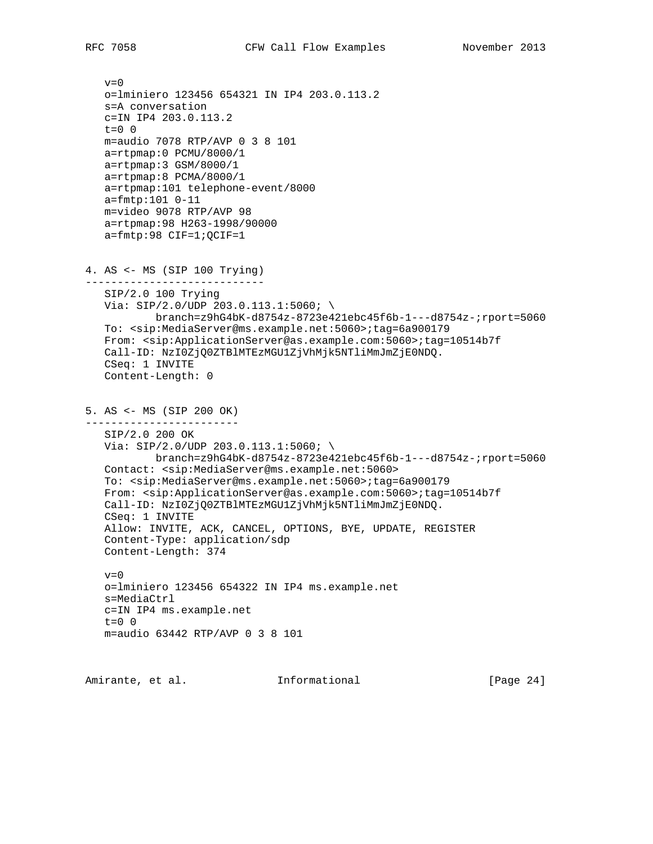```
v=0 o=lminiero 123456 654321 IN IP4 203.0.113.2
   s=A conversation
   c=IN IP4 203.0.113.2
   t=0 0
   m=audio 7078 RTP/AVP 0 3 8 101
   a=rtpmap:0 PCMU/8000/1
   a=rtpmap:3 GSM/8000/1
   a=rtpmap:8 PCMA/8000/1
   a=rtpmap:101 telephone-event/8000
   a=fmtp:101 0-11
   m=video 9078 RTP/AVP 98
   a=rtpmap:98 H263-1998/90000
   a=fmtp:98 CIF=1;QCIF=1
4. AS <- MS (SIP 100 Trying)
----------------------------
   SIP/2.0 100 Trying
  Via: SIP/2.0/UDP 203.0.113.1:5060; \
            branch=z9hG4bK-d8754z-8723e421ebc45f6b-1---d8754z-;rport=5060
   To: <sip:MediaServer@ms.example.net:5060>;tag=6a900179
   From: <sip:ApplicationServer@as.example.com:5060>;tag=10514b7f
   Call-ID: NzI0ZjQ0ZTBlMTEzMGU1ZjVhMjk5NTliMmJmZjE0NDQ.
   CSeq: 1 INVITE
   Content-Length: 0
5. AS <- MS (SIP 200 OK)
   ------------------------
   SIP/2.0 200 OK
  Via: SIP/2.0/UDP 203.0.113.1:5060; \
            branch=z9hG4bK-d8754z-8723e421ebc45f6b-1---d8754z-;rport=5060
   Contact: <sip:MediaServer@ms.example.net:5060>
   To: <sip:MediaServer@ms.example.net:5060>;tag=6a900179
   From: <sip:ApplicationServer@as.example.com:5060>;tag=10514b7f
   Call-ID: NzI0ZjQ0ZTBlMTEzMGU1ZjVhMjk5NTliMmJmZjE0NDQ.
    CSeq: 1 INVITE
   Allow: INVITE, ACK, CANCEL, OPTIONS, BYE, UPDATE, REGISTER
   Content-Type: application/sdp
   Content-Length: 374
  v=0 o=lminiero 123456 654322 IN IP4 ms.example.net
   s=MediaCtrl
   c=IN IP4 ms.example.net
   t=0 0
   m=audio 63442 RTP/AVP 0 3 8 101
```
Amirante, et al. 1nformational [Page 24]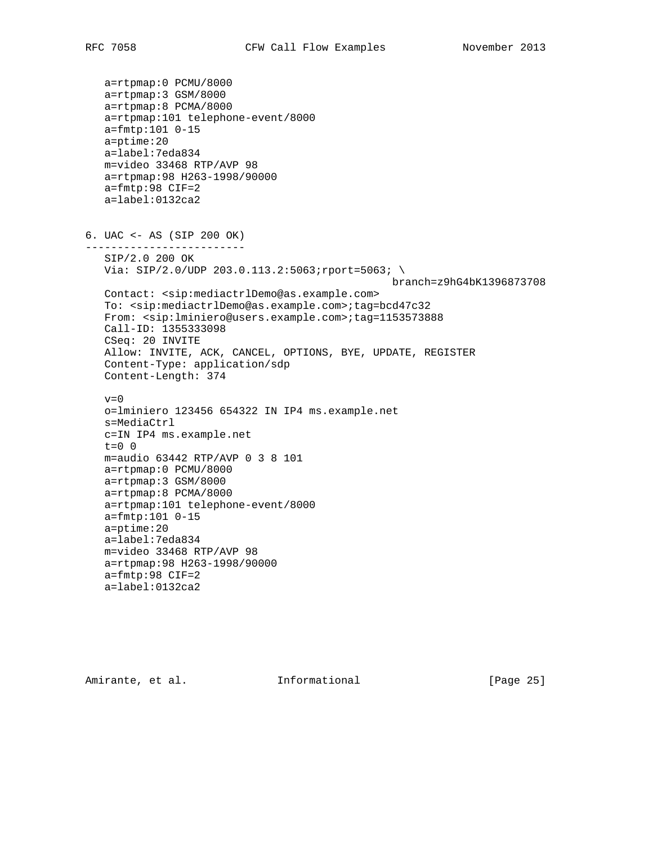```
 a=rtpmap:0 PCMU/8000
   a=rtpmap:3 GSM/8000
   a=rtpmap:8 PCMA/8000
   a=rtpmap:101 telephone-event/8000
   a=fmtp:101 0-15
   a=ptime:20
   a=label:7eda834
   m=video 33468 RTP/AVP 98
   a=rtpmap:98 H263-1998/90000
   a=fmtp:98 CIF=2
   a=label:0132ca2
6. UAC <- AS (SIP 200 OK)
-------------------------
   SIP/2.0 200 OK
  Via: SIP/2.0/UDP 203.0.113.2:5063;rport=5063; \
                                                  branch=z9hG4bK1396873708
   Contact: <sip:mediactrlDemo@as.example.com>
   To: <sip:mediactrlDemo@as.example.com>;tag=bcd47c32
   From: <sip:lminiero@users.example.com>;tag=1153573888
   Call-ID: 1355333098
   CSeq: 20 INVITE
   Allow: INVITE, ACK, CANCEL, OPTIONS, BYE, UPDATE, REGISTER
   Content-Type: application/sdp
   Content-Length: 374
   v=0 o=lminiero 123456 654322 IN IP4 ms.example.net
   s=MediaCtrl
   c=IN IP4 ms.example.net
   t=0 0
   m=audio 63442 RTP/AVP 0 3 8 101
   a=rtpmap:0 PCMU/8000
   a=rtpmap:3 GSM/8000
   a=rtpmap:8 PCMA/8000
   a=rtpmap:101 telephone-event/8000
   a=fmtp:101 0-15
   a=ptime:20
    a=label:7eda834
   m=video 33468 RTP/AVP 98
   a=rtpmap:98 H263-1998/90000
   a=fmtp:98 CIF=2
   a=label:0132ca2
```
Amirante, et al. 1nformational [Page 25]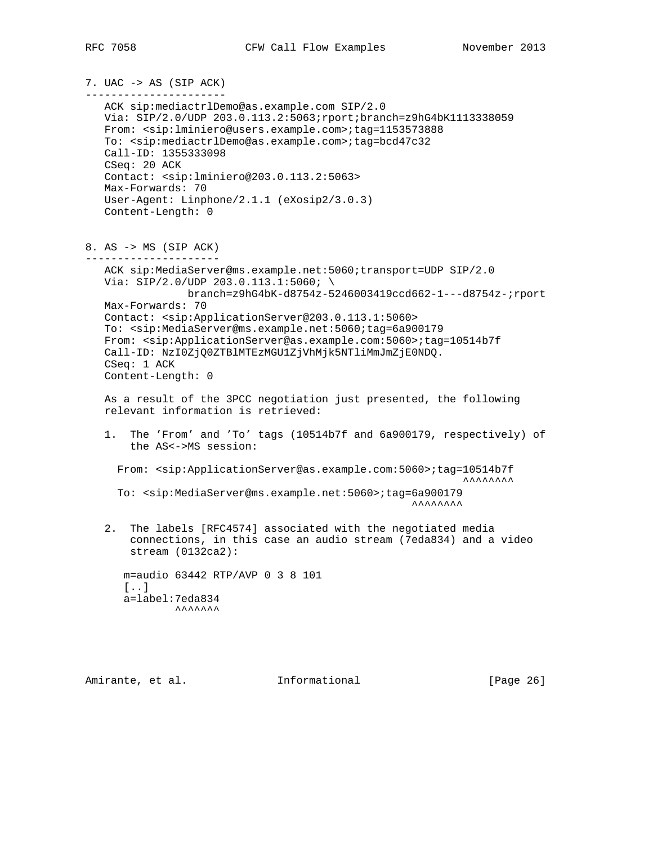```
7. UAC -> AS (SIP ACK)
  ----------------------
   ACK sip:mediactrlDemo@as.example.com SIP/2.0
   Via: SIP/2.0/UDP 203.0.113.2:5063;rport;branch=z9hG4bK1113338059
   From: <sip:lminiero@users.example.com>;tag=1153573888
   To: <sip:mediactrlDemo@as.example.com>;tag=bcd47c32
   Call-ID: 1355333098
   CSeq: 20 ACK
   Contact: <sip:lminiero@203.0.113.2:5063>
   Max-Forwards: 70
   User-Agent: Linphone/2.1.1 (eXosip2/3.0.3)
   Content-Length: 0
8. AS -> MS (SIP ACK)
---------------------
   ACK sip:MediaServer@ms.example.net:5060;transport=UDP SIP/2.0
   Via: SIP/2.0/UDP 203.0.113.1:5060; \
                branch=z9hG4bK-d8754z-5246003419ccd662-1---d8754z-;rport
   Max-Forwards: 70
   Contact: <sip:ApplicationServer@203.0.113.1:5060>
   To: <sip:MediaServer@ms.example.net:5060;tag=6a900179
   From: <sip:ApplicationServer@as.example.com:5060>;tag=10514b7f
   Call-ID: NzI0ZjQ0ZTBlMTEzMGU1ZjVhMjk5NTliMmJmZjE0NDQ.
   CSeq: 1 ACK
   Content-Length: 0
   As a result of the 3PCC negotiation just presented, the following
   relevant information is retrieved:
   1. The 'From' and 'To' tags (10514b7f and 6a900179, respectively) of
       the AS<->MS session:
     From: <sip:ApplicationServer@as.example.com:5060>;tag=10514b7f
 ^^^^^^^^
     To: <sip:MediaServer@ms.example.net:5060>;tag=6a900179
 ^^^^^^^^
   2. The labels [RFC4574] associated with the negotiated media
       connections, in this case an audio stream (7eda834) and a video
       stream (0132ca2):
      m=audio 63442 RTP/AVP 0 3 8 101
      [..]
      a=label:7eda834
             \lambda\lambda\lambda\lambda\lambda\lambda\lambda
```
Amirante, et al. 1nformational [Page 26]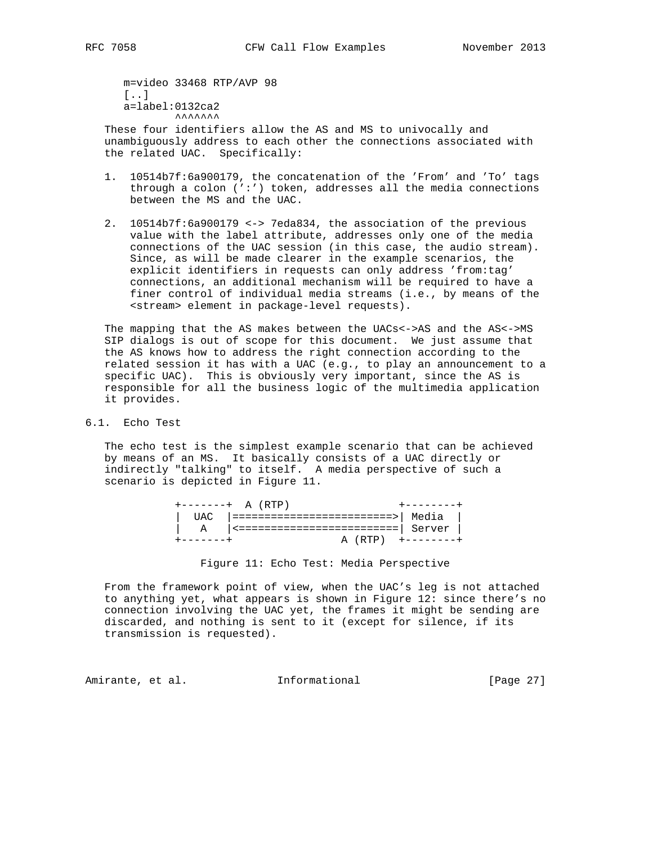m=video 33468 RTP/AVP 98 [..] a=label:0132ca2  $\lambda$ 

 These four identifiers allow the AS and MS to univocally and unambiguously address to each other the connections associated with the related UAC. Specifically:

- 1. 10514b7f:6a900179, the concatenation of the 'From' and 'To' tags through a colon (':') token, addresses all the media connections between the MS and the UAC.
- 2. 10514b7f:6a900179 <-> 7eda834, the association of the previous value with the label attribute, addresses only one of the media connections of the UAC session (in this case, the audio stream). Since, as will be made clearer in the example scenarios, the explicit identifiers in requests can only address 'from:tag' connections, an additional mechanism will be required to have a finer control of individual media streams (i.e., by means of the <stream> element in package-level requests).

 The mapping that the AS makes between the UACs<->AS and the AS<->MS SIP dialogs is out of scope for this document. We just assume that the AS knows how to address the right connection according to the related session it has with a UAC (e.g., to play an announcement to a specific UAC). This is obviously very important, since the AS is responsible for all the business logic of the multimedia application it provides.

6.1. Echo Test

 The echo test is the simplest example scenario that can be achieved by means of an MS. It basically consists of a UAC directly or indirectly "talking" to itself. A media perspective of such a scenario is depicted in Figure 11.

|           | $+------+ A (RTP)$                             | +--------+         |
|-----------|------------------------------------------------|--------------------|
|           | UAC $ $ ==========================>   Media    |                    |
|           | $ $ A $ $ <===========================  Server |                    |
| +-------+ |                                                | A (RTP) +--------+ |

Figure 11: Echo Test: Media Perspective

 From the framework point of view, when the UAC's leg is not attached to anything yet, what appears is shown in Figure 12: since there's no connection involving the UAC yet, the frames it might be sending are discarded, and nothing is sent to it (except for silence, if its transmission is requested).

Amirante, et al. 1nformational [Page 27]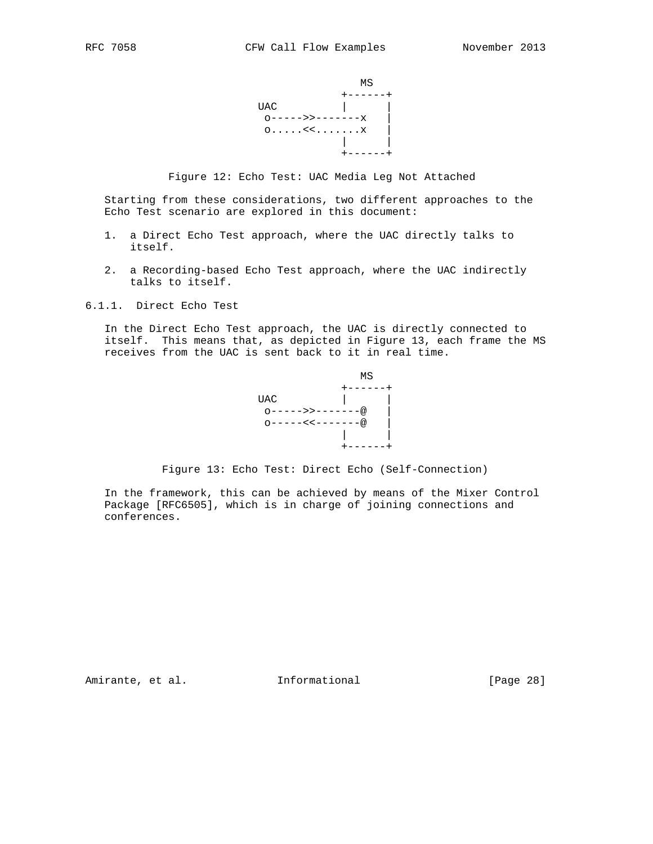

Figure 12: Echo Test: UAC Media Leg Not Attached

 Starting from these considerations, two different approaches to the Echo Test scenario are explored in this document:

- 1. a Direct Echo Test approach, where the UAC directly talks to itself.
- 2. a Recording-based Echo Test approach, where the UAC indirectly talks to itself.

6.1.1. Direct Echo Test

 In the Direct Echo Test approach, the UAC is directly connected to itself. This means that, as depicted in Figure 13, each frame the MS receives from the UAC is sent back to it in real time.



Figure 13: Echo Test: Direct Echo (Self-Connection)

 In the framework, this can be achieved by means of the Mixer Control Package [RFC6505], which is in charge of joining connections and conferences.

Amirante, et al. 1nformational 1999 [Page 28]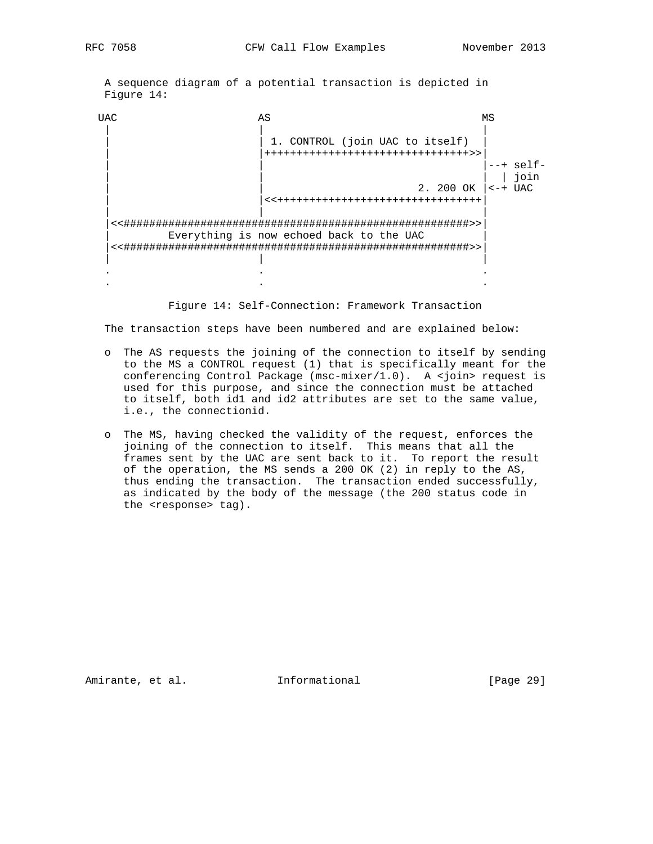A sequence diagram of a potential transaction is depicted in Figure 14:

UAC AS AS MS | | | 1. CONTROL (join UAC to itself) | |++++++++++++++++++++++++++++++++>>|  $|-++|$  self- | | | | join | | 2. 200 OK |<-+ UAC | |<<++++++++++++++++++++++++++++++++| | | | |<<######################################################>>| Everything is now echoed back to the UAC |<<######################################################>>| | | | . . . . . .

Figure 14: Self-Connection: Framework Transaction

The transaction steps have been numbered and are explained below:

- o The AS requests the joining of the connection to itself by sending to the MS a CONTROL request (1) that is specifically meant for the conferencing Control Package (msc-mixer/1.0). A <join> request is used for this purpose, and since the connection must be attached to itself, both id1 and id2 attributes are set to the same value, i.e., the connectionid.
- o The MS, having checked the validity of the request, enforces the joining of the connection to itself. This means that all the frames sent by the UAC are sent back to it. To report the result of the operation, the MS sends a 200 OK (2) in reply to the AS, thus ending the transaction. The transaction ended successfully, as indicated by the body of the message (the 200 status code in the <response> tag).

Amirante, et al. 1nformational 1999 [Page 29]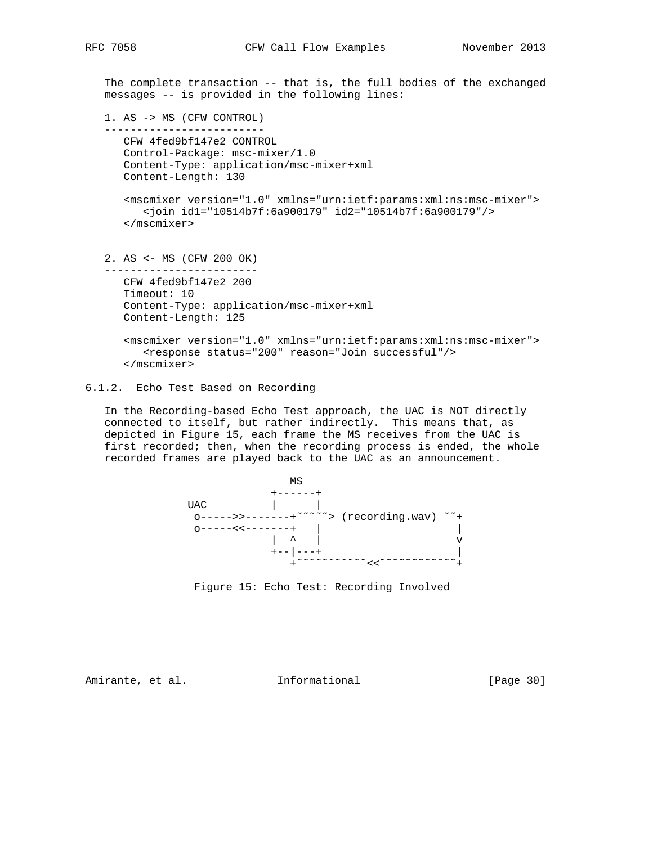The complete transaction -- that is, the full bodies of the exchanged messages -- is provided in the following lines: 1. AS -> MS (CFW CONTROL) ------------------------- CFW 4fed9bf147e2 CONTROL Control-Package: msc-mixer/1.0 Content-Type: application/msc-mixer+xml Content-Length: 130 <mscmixer version="1.0" xmlns="urn:ietf:params:xml:ns:msc-mixer"> <join id1="10514b7f:6a900179" id2="10514b7f:6a900179"/> </mscmixer> 2. AS <- MS (CFW 200 OK)

```
 ------------------------
```

```
 CFW 4fed9bf147e2 200
 Timeout: 10
 Content-Type: application/msc-mixer+xml
 Content-Length: 125
 <mscmixer version="1.0" xmlns="urn:ietf:params:xml:ns:msc-mixer">
    <response status="200" reason="Join successful"/>
```
</mscmixer>

6.1.2. Echo Test Based on Recording

 In the Recording-based Echo Test approach, the UAC is NOT directly connected to itself, but rather indirectly. This means that, as depicted in Figure 15, each frame the MS receives from the UAC is first recorded; then, when the recording process is ended, the whole recorded frames are played back to the UAC as an announcement.



Figure 15: Echo Test: Recording Involved

Amirante, et al. 1nformational 1999 [Page 30]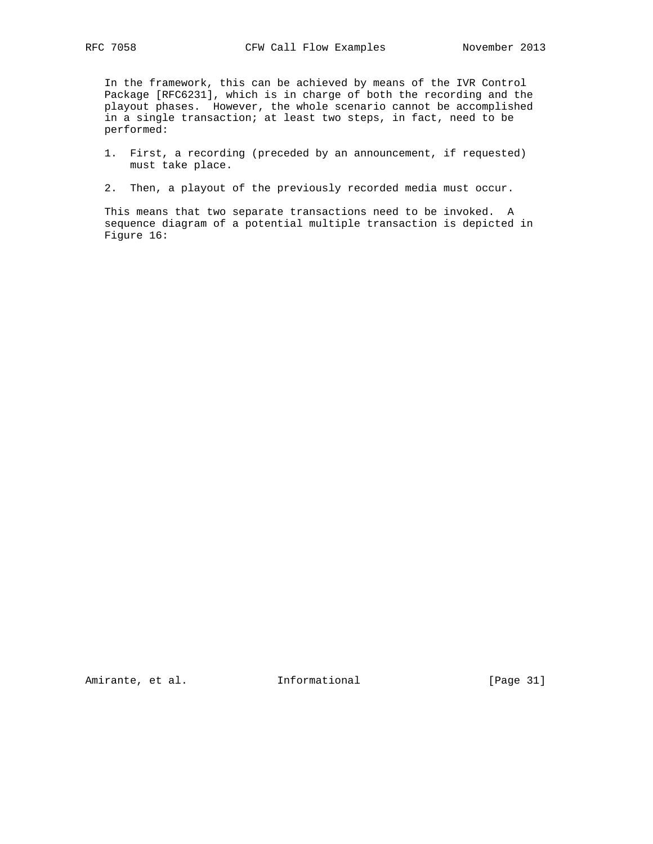In the framework, this can be achieved by means of the IVR Control Package [RFC6231], which is in charge of both the recording and the playout phases. However, the whole scenario cannot be accomplished in a single transaction; at least two steps, in fact, need to be performed:

- 1. First, a recording (preceded by an announcement, if requested) must take place.
- 2. Then, a playout of the previously recorded media must occur.

 This means that two separate transactions need to be invoked. A sequence diagram of a potential multiple transaction is depicted in Figure 16: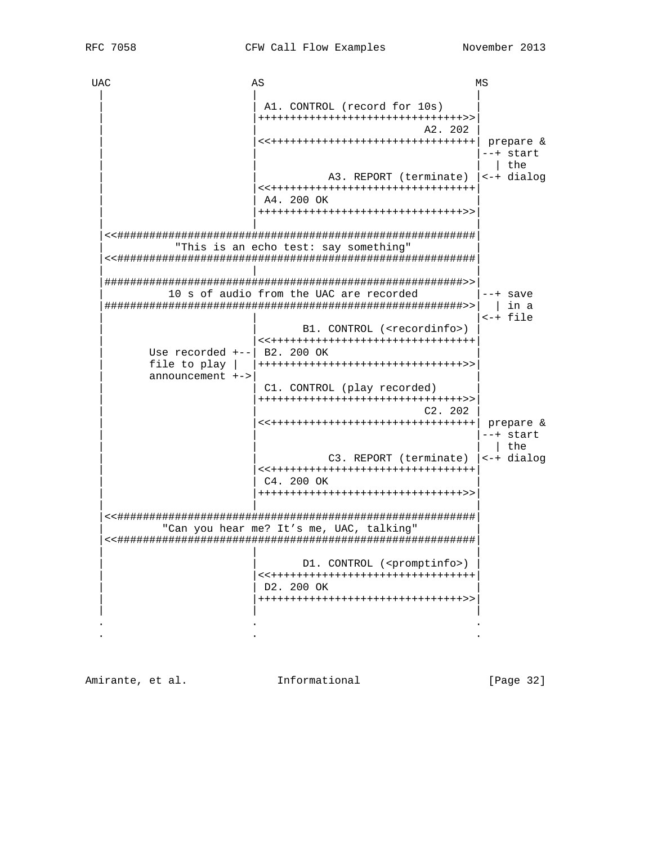RFC 7058

**UAC** AS  $MS$ A1. CONTROL (record for 10s) A2. 202  $\vert$ --+ start | the A3. REPORT (terminate) | <-+ dialog A4. 200 OK "This is an echo test: say something" 10 s of audio from the UAC are recorded  $---$  save  $\leftarrow +$  file B1. CONTROL (<recordinfo>) Use recorded  $+-$ | B2. 200 OK file to play |  $|$  ++++++++++++++++++++++++++++++++++>> announcement +-> C1. CONTROL (play recorded)  $C2.202$  $---$  start | the C3. REPORT (terminate) | <-+ dialog C4. 200 OK +++++++++++++++++++++++++++++++++ "Can you hear me? It's me, UAC, talking" D1. CONTROL (<promptinfo>) D2. 200 OK +++++++++++++++++++++++++++++++++

Amirante, et al. 1nformational [Page 32]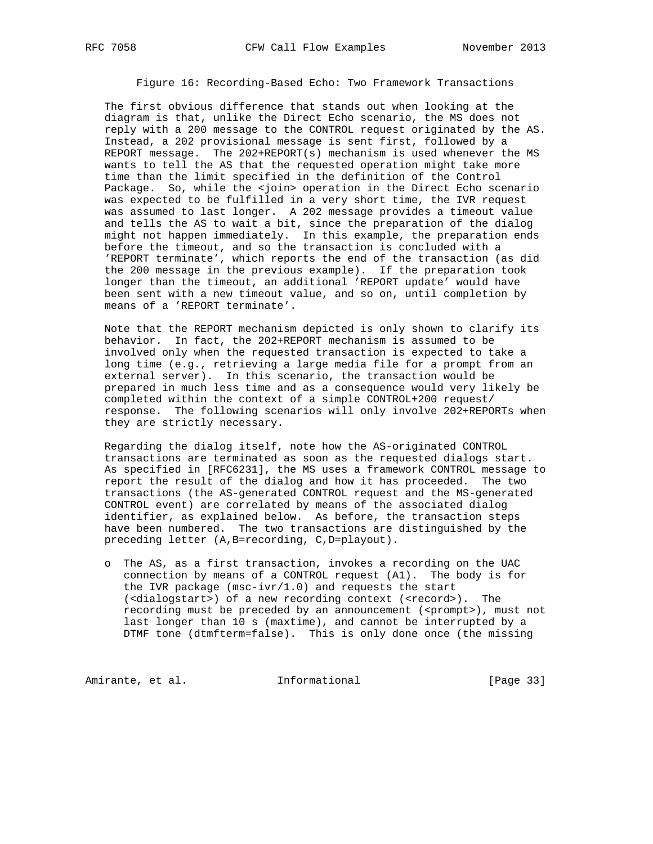Figure 16: Recording-Based Echo: Two Framework Transactions

 The first obvious difference that stands out when looking at the diagram is that, unlike the Direct Echo scenario, the MS does not reply with a 200 message to the CONTROL request originated by the AS. Instead, a 202 provisional message is sent first, followed by a REPORT message. The 202+REPORT(s) mechanism is used whenever the MS wants to tell the AS that the requested operation might take more time than the limit specified in the definition of the Control Package. So, while the <join> operation in the Direct Echo scenario was expected to be fulfilled in a very short time, the IVR request was assumed to last longer. A 202 message provides a timeout value and tells the AS to wait a bit, since the preparation of the dialog might not happen immediately. In this example, the preparation ends before the timeout, and so the transaction is concluded with a 'REPORT terminate', which reports the end of the transaction (as did the 200 message in the previous example). If the preparation took longer than the timeout, an additional 'REPORT update' would have been sent with a new timeout value, and so on, until completion by means of a 'REPORT terminate'.

 Note that the REPORT mechanism depicted is only shown to clarify its behavior. In fact, the 202+REPORT mechanism is assumed to be involved only when the requested transaction is expected to take a long time (e.g., retrieving a large media file for a prompt from an external server). In this scenario, the transaction would be prepared in much less time and as a consequence would very likely be completed within the context of a simple CONTROL+200 request/ response. The following scenarios will only involve 202+REPORTs when they are strictly necessary.

 Regarding the dialog itself, note how the AS-originated CONTROL transactions are terminated as soon as the requested dialogs start. As specified in [RFC6231], the MS uses a framework CONTROL message to report the result of the dialog and how it has proceeded. The two transactions (the AS-generated CONTROL request and the MS-generated CONTROL event) are correlated by means of the associated dialog identifier, as explained below. As before, the transaction steps have been numbered. The two transactions are distinguished by the preceding letter (A,B=recording, C,D=playout).

 o The AS, as a first transaction, invokes a recording on the UAC connection by means of a CONTROL request (A1). The body is for the IVR package (msc-ivr/1.0) and requests the start (<dialogstart>) of a new recording context (<record>). The recording must be preceded by an announcement (<prompt>), must not last longer than 10 s (maxtime), and cannot be interrupted by a DTMF tone (dtmfterm=false). This is only done once (the missing

Amirante, et al. 1nformational [Page 33]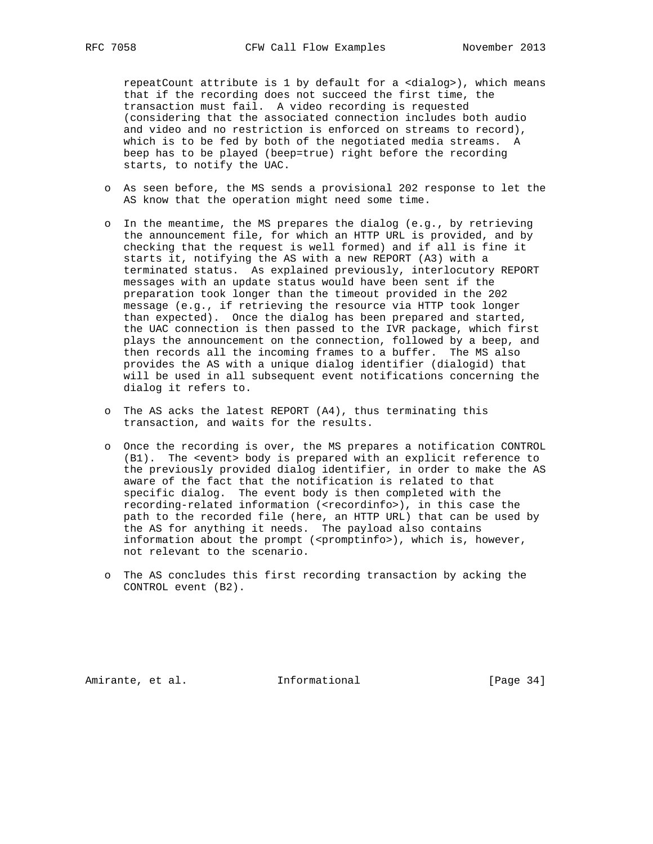repeatCount attribute is 1 by default for a <dialog>), which means that if the recording does not succeed the first time, the transaction must fail. A video recording is requested (considering that the associated connection includes both audio and video and no restriction is enforced on streams to record), which is to be fed by both of the negotiated media streams. A beep has to be played (beep=true) right before the recording starts, to notify the UAC.

- o As seen before, the MS sends a provisional 202 response to let the AS know that the operation might need some time.
- o In the meantime, the MS prepares the dialog (e.g., by retrieving the announcement file, for which an HTTP URL is provided, and by checking that the request is well formed) and if all is fine it starts it, notifying the AS with a new REPORT (A3) with a terminated status. As explained previously, interlocutory REPORT messages with an update status would have been sent if the preparation took longer than the timeout provided in the 202 message (e.g., if retrieving the resource via HTTP took longer than expected). Once the dialog has been prepared and started, the UAC connection is then passed to the IVR package, which first plays the announcement on the connection, followed by a beep, and then records all the incoming frames to a buffer. The MS also provides the AS with a unique dialog identifier (dialogid) that will be used in all subsequent event notifications concerning the dialog it refers to.
- o The AS acks the latest REPORT (A4), thus terminating this transaction, and waits for the results.
- o Once the recording is over, the MS prepares a notification CONTROL (B1). The <event> body is prepared with an explicit reference to the previously provided dialog identifier, in order to make the AS aware of the fact that the notification is related to that specific dialog. The event body is then completed with the recording-related information (<recordinfo>), in this case the path to the recorded file (here, an HTTP URL) that can be used by the AS for anything it needs. The payload also contains information about the prompt (<promptinfo>), which is, however, not relevant to the scenario.
- o The AS concludes this first recording transaction by acking the CONTROL event (B2).

Amirante, et al. 1nformational 1999 [Page 34]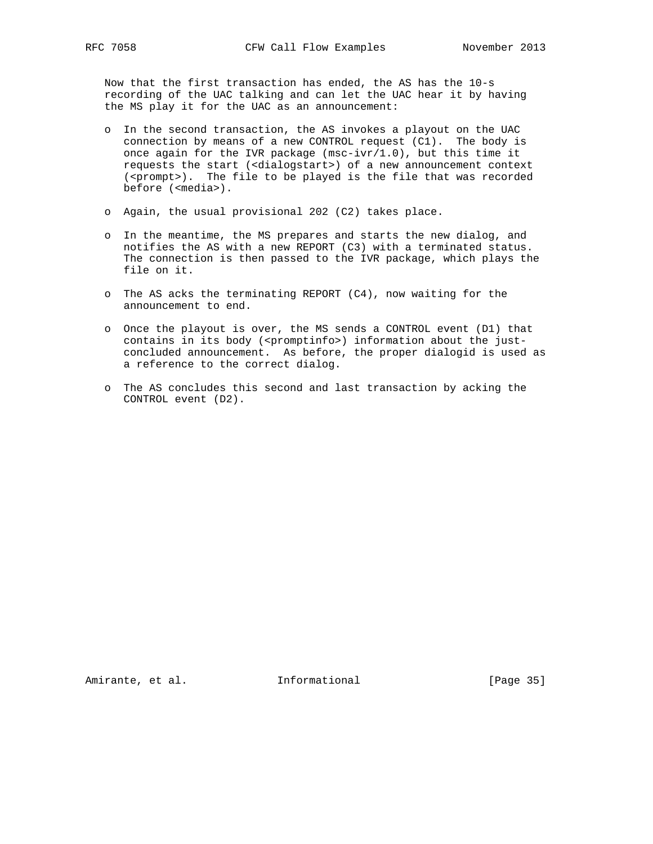Now that the first transaction has ended, the AS has the 10-s recording of the UAC talking and can let the UAC hear it by having the MS play it for the UAC as an announcement:

- o In the second transaction, the AS invokes a playout on the UAC connection by means of a new CONTROL request (C1). The body is once again for the IVR package (msc-ivr/1.0), but this time it requests the start (<dialogstart>) of a new announcement context (<prompt>). The file to be played is the file that was recorded before (<media>).
- o Again, the usual provisional 202 (C2) takes place.
- o In the meantime, the MS prepares and starts the new dialog, and notifies the AS with a new REPORT (C3) with a terminated status. The connection is then passed to the IVR package, which plays the file on it.
- o The AS acks the terminating REPORT (C4), now waiting for the announcement to end.
- o Once the playout is over, the MS sends a CONTROL event (D1) that contains in its body (<promptinfo>) information about the just concluded announcement. As before, the proper dialogid is used as a reference to the correct dialog.
- o The AS concludes this second and last transaction by acking the CONTROL event (D2).

Amirante, et al. 1nformational 1999 [Page 35]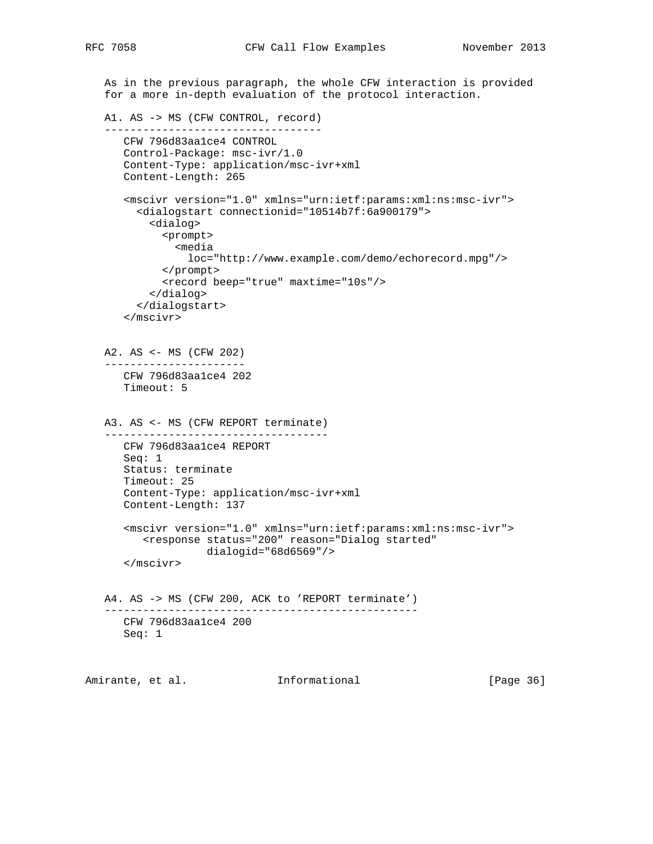```
 As in the previous paragraph, the whole CFW interaction is provided
 for a more in-depth evaluation of the protocol interaction.
 A1. AS -> MS (CFW CONTROL, record)
 ----------------------------------
    CFW 796d83aa1ce4 CONTROL
    Control-Package: msc-ivr/1.0
    Content-Type: application/msc-ivr+xml
    Content-Length: 265
    <mscivr version="1.0" xmlns="urn:ietf:params:xml:ns:msc-ivr">
      <dialogstart connectionid="10514b7f:6a900179">
        <dialog>
          <prompt>
            <media
              loc="http://www.example.com/demo/echorecord.mpg"/>
          </prompt>
          <record beep="true" maxtime="10s"/>
        </dialog>
      </dialogstart>
    </mscivr>
 A2. AS <- MS (CFW 202)
 ----------------------
    CFW 796d83aa1ce4 202
    Timeout: 5
 A3. AS <- MS (CFW REPORT terminate)
 -----------------------------------
    CFW 796d83aa1ce4 REPORT
    Seq: 1
    Status: terminate
    Timeout: 25
    Content-Type: application/msc-ivr+xml
    Content-Length: 137
    <mscivr version="1.0" xmlns="urn:ietf:params:xml:ns:msc-ivr">
     <response status="200" reason="Dialog started"
               dialogid="68d6569"/>
    </mscivr>
 A4. AS -> MS (CFW 200, ACK to 'REPORT terminate')
 -------------------------------------------------
   CFW 796d83aa1ce4 200
    Seq: 1
```
Amirante, et al. 1nformational [Page 36]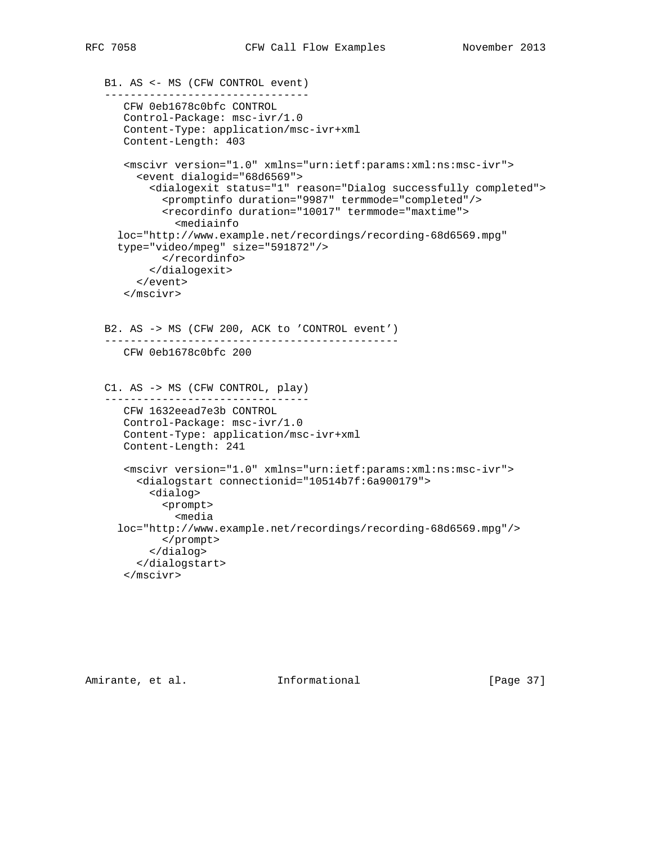```
 B1. AS <- MS (CFW CONTROL event)
 --------------------------------
    CFW 0eb1678c0bfc CONTROL
    Control-Package: msc-ivr/1.0
    Content-Type: application/msc-ivr+xml
    Content-Length: 403
    <mscivr version="1.0" xmlns="urn:ietf:params:xml:ns:msc-ivr">
      <event dialogid="68d6569">
        <dialogexit status="1" reason="Dialog successfully completed">
          <promptinfo duration="9987" termmode="completed"/>
          <recordinfo duration="10017" termmode="maxtime">
            <mediainfo
   loc="http://www.example.net/recordings/recording-68d6569.mpg"
   type="video/mpeg" size="591872"/>
          </recordinfo>
        </dialogexit>
      </event>
    </mscivr>
 B2. AS -> MS (CFW 200, ACK to 'CONTROL event')
 ----------------------------------------------
    CFW 0eb1678c0bfc 200
 C1. AS -> MS (CFW CONTROL, play)
 --------------------------------
    CFW 1632eead7e3b CONTROL
    Control-Package: msc-ivr/1.0
    Content-Type: application/msc-ivr+xml
    Content-Length: 241
    <mscivr version="1.0" xmlns="urn:ietf:params:xml:ns:msc-ivr">
      <dialogstart connectionid="10514b7f:6a900179">
        <dialog>
          <prompt>
            <media
   loc="http://www.example.net/recordings/recording-68d6569.mpg"/>
          </prompt>
        </dialog>
      </dialogstart>
    </mscivr>
```
Amirante, et al. 1nformational [Page 37]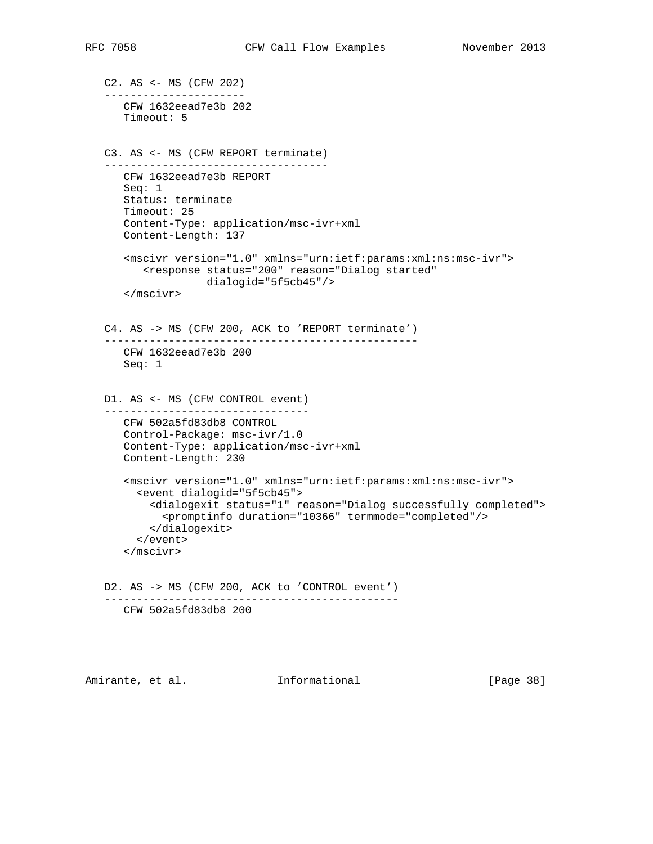```
 C2. AS <- MS (CFW 202)
 ----------------------
   CFW 1632eead7e3b 202
    Timeout: 5
 C3. AS <- MS (CFW REPORT terminate)
 -----------------------------------
    CFW 1632eead7e3b REPORT
   Seq: 1
   Status: terminate
   Timeout: 25
    Content-Type: application/msc-ivr+xml
    Content-Length: 137
    <mscivr version="1.0" xmlns="urn:ietf:params:xml:ns:msc-ivr">
      <response status="200" reason="Dialog started"
         dialogid="5f5cb45"/>
    </mscivr>
 C4. AS -> MS (CFW 200, ACK to 'REPORT terminate')
 -------------------------------------------------
   CFW 1632eead7e3b 200
   Seq: 1
 D1. AS <- MS (CFW CONTROL event)
 --------------------------------
    CFW 502a5fd83db8 CONTROL
   Control-Package: msc-ivr/1.0
    Content-Type: application/msc-ivr+xml
    Content-Length: 230
    <mscivr version="1.0" xmlns="urn:ietf:params:xml:ns:msc-ivr">
      <event dialogid="5f5cb45">
        <dialogexit status="1" reason="Dialog successfully completed">
          <promptinfo duration="10366" termmode="completed"/>
        </dialogexit>
      </event>
    </mscivr>
 D2. AS -> MS (CFW 200, ACK to 'CONTROL event')
 ----------------------------------------------
   CFW 502a5fd83db8 200
```
Amirante, et al. 1nformational [Page 38]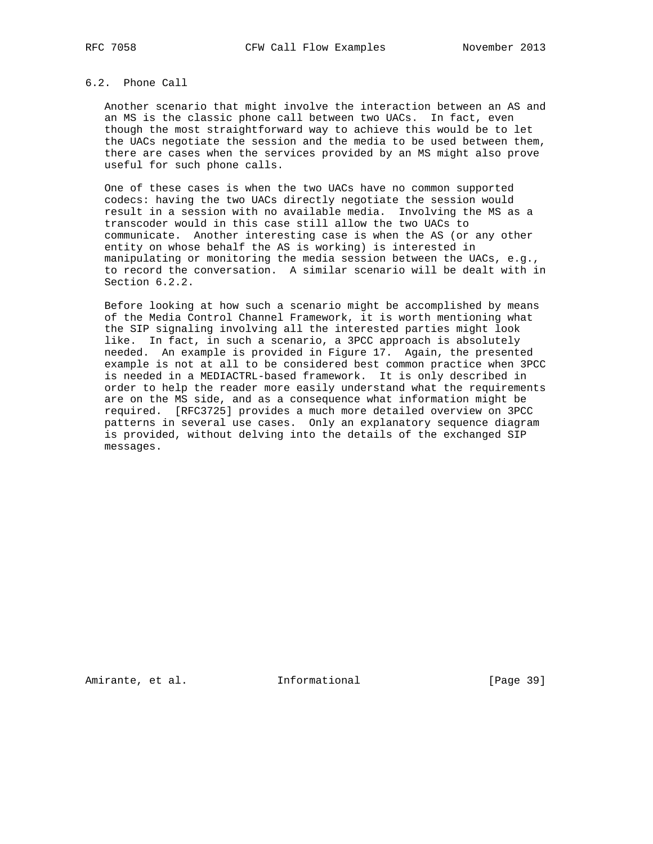## 6.2. Phone Call

 Another scenario that might involve the interaction between an AS and an MS is the classic phone call between two UACs. In fact, even though the most straightforward way to achieve this would be to let the UACs negotiate the session and the media to be used between them, there are cases when the services provided by an MS might also prove useful for such phone calls.

 One of these cases is when the two UACs have no common supported codecs: having the two UACs directly negotiate the session would result in a session with no available media. Involving the MS as a transcoder would in this case still allow the two UACs to communicate. Another interesting case is when the AS (or any other entity on whose behalf the AS is working) is interested in manipulating or monitoring the media session between the UACs, e.g., to record the conversation. A similar scenario will be dealt with in Section 6.2.2.

 Before looking at how such a scenario might be accomplished by means of the Media Control Channel Framework, it is worth mentioning what the SIP signaling involving all the interested parties might look like. In fact, in such a scenario, a 3PCC approach is absolutely needed. An example is provided in Figure 17. Again, the presented example is not at all to be considered best common practice when 3PCC is needed in a MEDIACTRL-based framework. It is only described in order to help the reader more easily understand what the requirements are on the MS side, and as a consequence what information might be required. [RFC3725] provides a much more detailed overview on 3PCC patterns in several use cases. Only an explanatory sequence diagram is provided, without delving into the details of the exchanged SIP messages.

Amirante, et al. 1nformational [Page 39]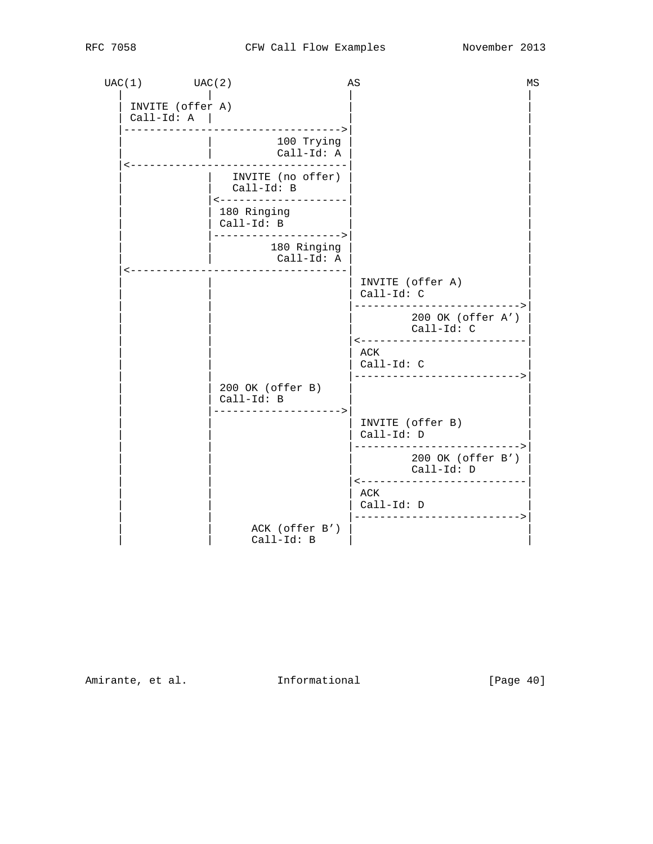| - 1                                  |                           |                                             |
|--------------------------------------|---------------------------|---------------------------------------------|
| INVITE (offer A)<br>$Call-Id: A$     |                           |                                             |
| -----------------------------------> |                           |                                             |
|                                      | 100 Trying                |                                             |
|                                      | $Call-Id: A$              |                                             |
|                                      | INVITE (no offer)         |                                             |
| $Call-Id: B$                         | <---------------------    |                                             |
| 180 Ringing                          |                           |                                             |
| Call-Id: B                           |                           |                                             |
|                                      | --------------------->    |                                             |
|                                      | 180 Ringing<br>Call-Id: A |                                             |
| __________________________           |                           |                                             |
|                                      |                           | INVITE (offer A)<br>$Call-Id: C$            |
|                                      |                           | -------------------------->                 |
|                                      |                           | 200 OK (offer A')                           |
|                                      |                           | $Call-Id: C$<br>--------------------------  |
|                                      |                           | ACK                                         |
|                                      |                           | $Call-Id: C$                                |
| 200 OK (offer B)                     |                           | ____________________________                |
| Call-Id: B                           |                           |                                             |
|                                      | --------------------->    |                                             |
|                                      |                           | INVITE (offer B)<br>$Call-Id: D$            |
|                                      |                           | ---------------------------->               |
|                                      |                           | 200 OK (offer B')                           |
|                                      |                           | $Call-Id: D$<br>--------------------------- |
|                                      |                           | ACK                                         |
|                                      |                           | $Call-Id: D$                                |
|                                      | ACK (offer B')            | ----------------------------                |
|                                      | $Call-Id: B$              |                                             |

Amirante, et al. 1nformational [Page 40]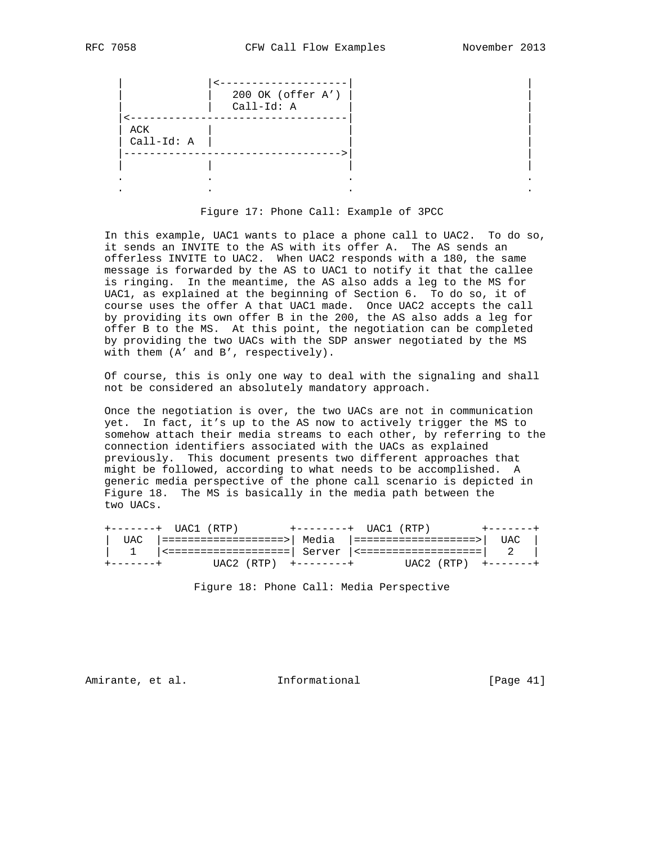|                   | 200 OK (offer A')<br>Call-Id: A |  |
|-------------------|---------------------------------|--|
| ACK<br>Call-Id: A |                                 |  |
|                   |                                 |  |

Figure 17: Phone Call: Example of 3PCC

 In this example, UAC1 wants to place a phone call to UAC2. To do so, it sends an INVITE to the AS with its offer A. The AS sends an offerless INVITE to UAC2. When UAC2 responds with a 180, the same message is forwarded by the AS to UAC1 to notify it that the callee is ringing. In the meantime, the AS also adds a leg to the MS for UAC1, as explained at the beginning of Section 6. To do so, it of course uses the offer A that UAC1 made. Once UAC2 accepts the call by providing its own offer B in the 200, the AS also adds a leg for offer B to the MS. At this point, the negotiation can be completed by providing the two UACs with the SDP answer negotiated by the MS with them (A' and B', respectively).

 Of course, this is only one way to deal with the signaling and shall not be considered an absolutely mandatory approach.

 Once the negotiation is over, the two UACs are not in communication yet. In fact, it's up to the AS now to actively trigger the MS to somehow attach their media streams to each other, by referring to the connection identifiers associated with the UACs as explained previously. This document presents two different approaches that might be followed, according to what needs to be accomplished. A generic media perspective of the phone call scenario is depicted in Figure 18. The MS is basically in the media path between the two UACs.

| $+-----++$ UAC1 (RTP)                                               | +--------+ UAC1 (RTP) |  | ---------                |
|---------------------------------------------------------------------|-----------------------|--|--------------------------|
| UAC $ $ ==================>   Media $ $ ====================>   UAC |                       |  |                          |
|                                                                     |                       |  |                          |
|                                                                     | UAC2 (RTP) +--------+ |  | $IIAC2$ (RTP) $+------+$ |

Figure 18: Phone Call: Media Perspective

Amirante, et al. Informational [Page 41]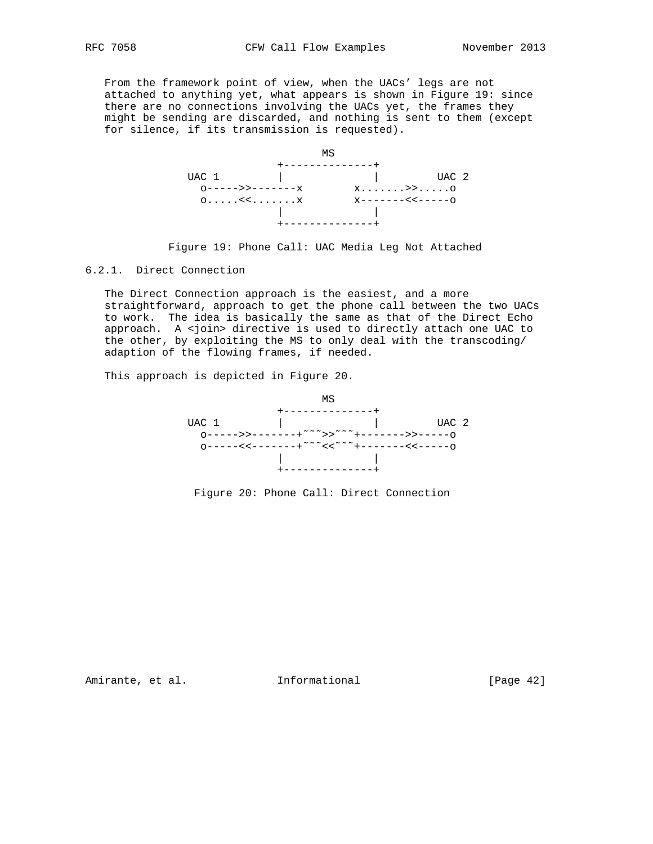From the framework point of view, when the UACs' legs are not attached to anything yet, what appears is shown in Figure 19: since there are no connections involving the UACs yet, the frames they might be sending are discarded, and nothing is sent to them (except for silence, if its transmission is requested).



Figure 19: Phone Call: UAC Media Leg Not Attached

### 6.2.1. Direct Connection

 The Direct Connection approach is the easiest, and a more straightforward, approach to get the phone call between the two UACs to work. The idea is basically the same as that of the Direct Echo approach. A <join> directive is used to directly attach one UAC to the other, by exploiting the MS to only deal with the transcoding/ adaption of the flowing frames, if needed.

This approach is depicted in Figure 20.



Figure 20: Phone Call: Direct Connection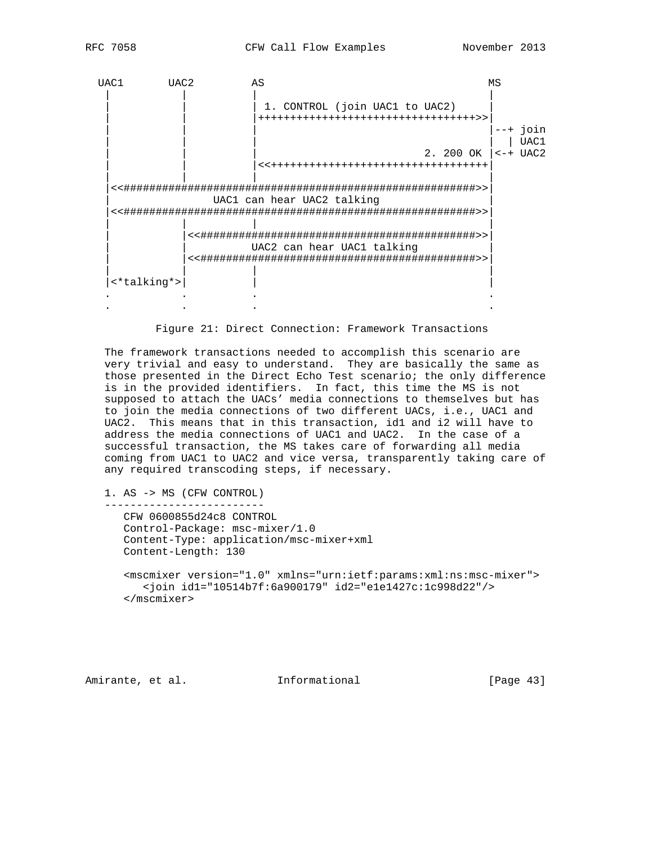| UAC1 | UAC2        | AS                         |                                                                        | ΜS |                             |
|------|-------------|----------------------------|------------------------------------------------------------------------|----|-----------------------------|
|      |             |                            | 1. CONTROL (join UAC1 to UAC2)<br>++++++++++++++++++++++++++++++++++++ |    | join                        |
|      |             |                            | 2. 200 OK                                                              |    | UAC1<br>$\leftarrow +$ UAC2 |
|      |             |                            | <<+++++++++++++++++++++++++++++                                        |    |                             |
|      |             | UAC1 can hear UAC2 talking |                                                                        |    |                             |
|      |             |                            |                                                                        |    |                             |
|      |             |                            | UAC2 can hear UAC1 talking                                             |    |                             |
|      | <*talking*> |                            |                                                                        |    |                             |
|      |             |                            |                                                                        |    |                             |

Figure 21: Direct Connection: Framework Transactions

 The framework transactions needed to accomplish this scenario are very trivial and easy to understand. They are basically the same as those presented in the Direct Echo Test scenario; the only difference is in the provided identifiers. In fact, this time the MS is not supposed to attach the UACs' media connections to themselves but has to join the media connections of two different UACs, i.e., UAC1 and UAC2. This means that in this transaction, id1 and i2 will have to address the media connections of UAC1 and UAC2. In the case of a successful transaction, the MS takes care of forwarding all media coming from UAC1 to UAC2 and vice versa, transparently taking care of any required transcoding steps, if necessary.

1. AS -> MS (CFW CONTROL)

 ------------------------- CFW 0600855d24c8 CONTROL Control-Package: msc-mixer/1.0 Content-Type: application/msc-mixer+xml Content-Length: 130 <mscmixer version="1.0" xmlns="urn:ietf:params:xml:ns:msc-mixer">

 <join id1="10514b7f:6a900179" id2="e1e1427c:1c998d22"/> </mscmixer>

Amirante, et al. 1nformational [Page 43]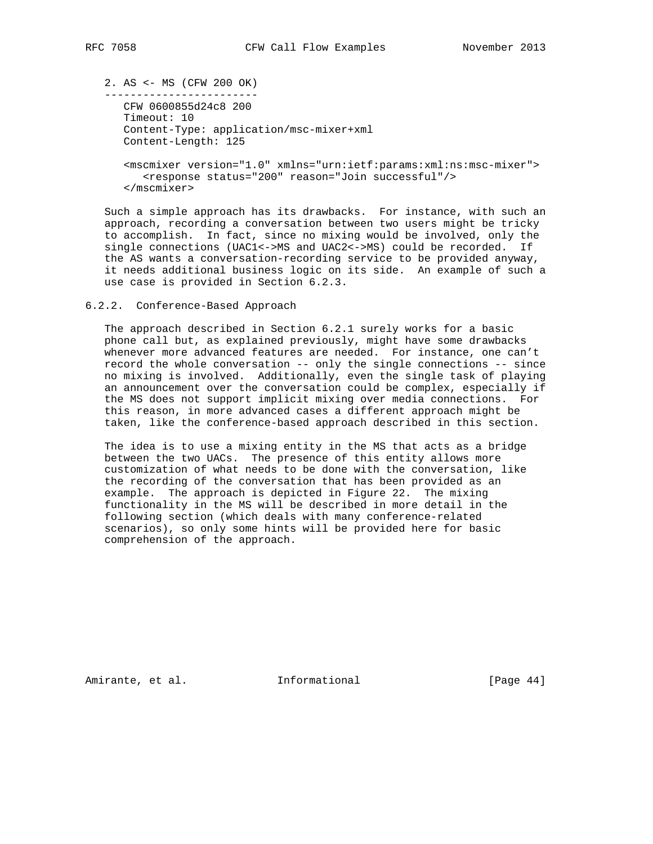2. AS <- MS (CFW 200 OK)

```
 ------------------------
   CFW 0600855d24c8 200
   Timeout: 10
   Content-Type: application/msc-mixer+xml
   Content-Length: 125
```
 <mscmixer version="1.0" xmlns="urn:ietf:params:xml:ns:msc-mixer"> <response status="200" reason="Join successful"/> </mscmixer>

 Such a simple approach has its drawbacks. For instance, with such an approach, recording a conversation between two users might be tricky to accomplish. In fact, since no mixing would be involved, only the single connections (UAC1<->MS and UAC2<->MS) could be recorded. If the AS wants a conversation-recording service to be provided anyway, it needs additional business logic on its side. An example of such a use case is provided in Section 6.2.3.

#### 6.2.2. Conference-Based Approach

 The approach described in Section 6.2.1 surely works for a basic phone call but, as explained previously, might have some drawbacks whenever more advanced features are needed. For instance, one can't record the whole conversation -- only the single connections -- since no mixing is involved. Additionally, even the single task of playing an announcement over the conversation could be complex, especially if the MS does not support implicit mixing over media connections. For this reason, in more advanced cases a different approach might be taken, like the conference-based approach described in this section.

 The idea is to use a mixing entity in the MS that acts as a bridge between the two UACs. The presence of this entity allows more customization of what needs to be done with the conversation, like the recording of the conversation that has been provided as an example. The approach is depicted in Figure 22. The mixing functionality in the MS will be described in more detail in the following section (which deals with many conference-related scenarios), so only some hints will be provided here for basic comprehension of the approach.

Amirante, et al. 1nformational 1999 [Page 44]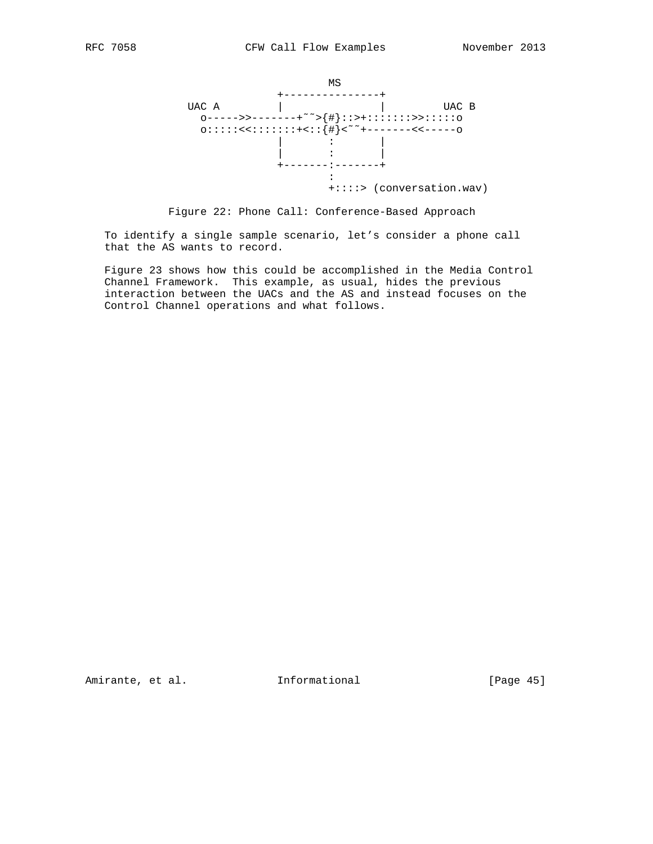

Figure 22: Phone Call: Conference-Based Approach

 To identify a single sample scenario, let's consider a phone call that the AS wants to record.

 Figure 23 shows how this could be accomplished in the Media Control Channel Framework. This example, as usual, hides the previous interaction between the UACs and the AS and instead focuses on the Control Channel operations and what follows.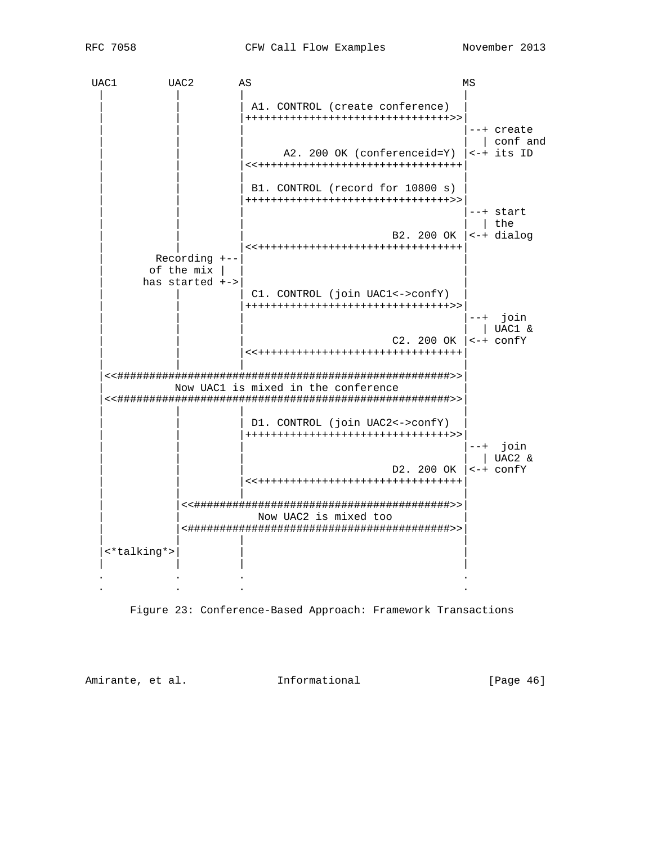| UAC1 |             | UAC <sub>2</sub>                  | AS                                                                     | MS  |                                         |
|------|-------------|-----------------------------------|------------------------------------------------------------------------|-----|-----------------------------------------|
|      |             |                                   | A1. CONTROL (create conference)<br>+++++++++++++++++++++++++++++++++>> |     | --+ create<br>conf and                  |
|      |             |                                   | A2. 200 OK (conferenceid=Y)<br><<++++++++++++++++++++++++++++++++      |     | $\leftarrow +$ its ID                   |
|      |             |                                   | B1. CONTROL (record for 10800 s)<br>++++++++++++++++++++++++++++++++   |     | --+ start                               |
|      |             | $Recording$ +--                   | $B2.200 OK$   < - + dialog<br><<+++++++++++++++++++++++++++++++        |     | the                                     |
|      |             | of the $mix$<br>has started $+->$ | C1. CONTROL (join UAC1 <- > confY)<br>++++++++++++++++++++++++++++++++ |     | --+ join<br>UAC1 &                      |
|      |             |                                   | $C2.200$ OK $\vert$<br><<++++++++++++++++++++++++++++++++              |     | $\leftarrow$ + confy                    |
|      |             |                                   | Now UAC1 is mixed in the conference                                    |     |                                         |
|      |             |                                   | D1. CONTROL (join UAC2<->confY)<br>+++++++++++++++++++++++++++++++     | --+ | join                                    |
|      |             |                                   | D2. 200 OK<br><<+++++++++++++++++++++++++++++++                        |     | UAC2 &<br>$\leftarrow$ + $\text{confY}$ |
|      |             |                                   | Now UAC2 is mixed too                                                  |     |                                         |
|      |             |                                   |                                                                        |     |                                         |
|      | <*talking*> |                                   |                                                                        |     |                                         |
|      |             |                                   |                                                                        |     |                                         |

Figure 23: Conference-Based Approach: Framework Transactions

Amirante, et al. 1nformational [Page 46]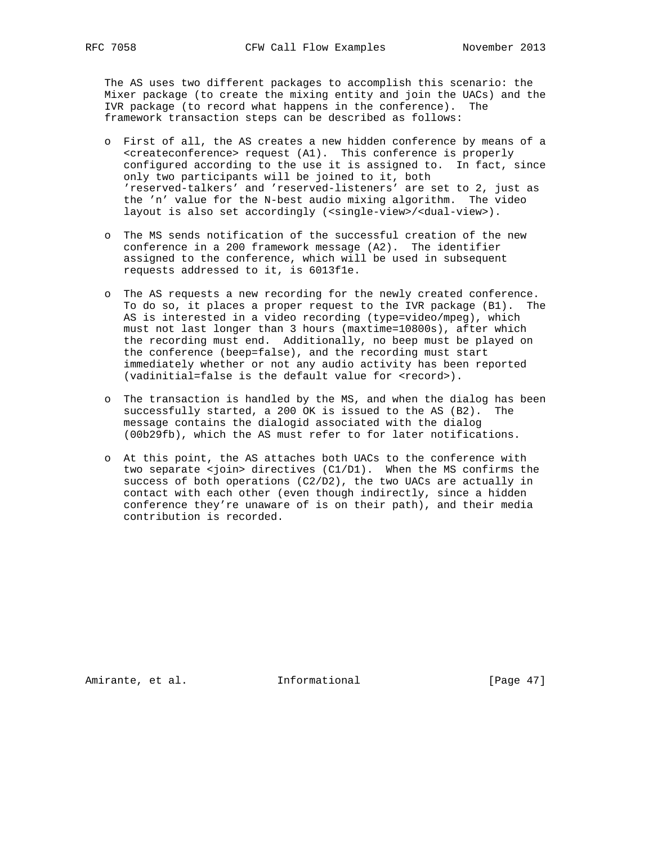The AS uses two different packages to accomplish this scenario: the Mixer package (to create the mixing entity and join the UACs) and the IVR package (to record what happens in the conference). The framework transaction steps can be described as follows:

- o First of all, the AS creates a new hidden conference by means of a <createconference> request (A1). This conference is properly configured according to the use it is assigned to. In fact, since only two participants will be joined to it, both 'reserved-talkers' and 'reserved-listeners' are set to 2, just as the 'n' value for the N-best audio mixing algorithm. The video layout is also set accordingly (<single-view>/<dual-view>).
- o The MS sends notification of the successful creation of the new conference in a 200 framework message (A2). The identifier assigned to the conference, which will be used in subsequent requests addressed to it, is 6013f1e.
- o The AS requests a new recording for the newly created conference. To do so, it places a proper request to the IVR package (B1). The AS is interested in a video recording (type=video/mpeg), which must not last longer than 3 hours (maxtime=10800s), after which the recording must end. Additionally, no beep must be played on the conference (beep=false), and the recording must start immediately whether or not any audio activity has been reported (vadinitial=false is the default value for <record>).
- o The transaction is handled by the MS, and when the dialog has been successfully started, a 200 OK is issued to the AS (B2). The message contains the dialogid associated with the dialog (00b29fb), which the AS must refer to for later notifications.
- o At this point, the AS attaches both UACs to the conference with two separate <join> directives (C1/D1). When the MS confirms the success of both operations (C2/D2), the two UACs are actually in contact with each other (even though indirectly, since a hidden conference they're unaware of is on their path), and their media contribution is recorded.

Amirante, et al. 1nformational 1999 [Page 47]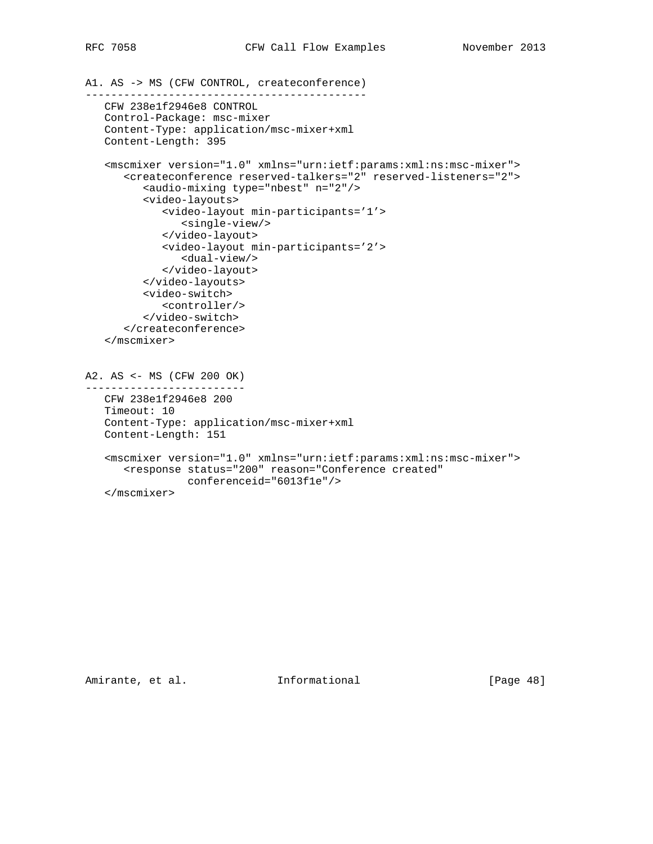```
A1. AS -> MS (CFW CONTROL, createconference)
--------------------------------------------
    CFW 238e1f2946e8 CONTROL
   Control-Package: msc-mixer
   Content-Type: application/msc-mixer+xml
   Content-Length: 395
    <mscmixer version="1.0" xmlns="urn:ietf:params:xml:ns:msc-mixer">
       <createconference reserved-talkers="2" reserved-listeners="2">
          <audio-mixing type="nbest" n="2"/>
          <video-layouts>
             <video-layout min-participants='1'>
                <single-view/>
             </video-layout>
             <video-layout min-participants='2'>
                <dual-view/>
             </video-layout>
          </video-layouts>
          <video-switch>
             <controller/>
          </video-switch>
       </createconference>
    </mscmixer>
A2. AS <- MS (CFW 200 OK)
-------------------------
    CFW 238e1f2946e8 200
   Timeout: 10
   Content-Type: application/msc-mixer+xml
    Content-Length: 151
    <mscmixer version="1.0" xmlns="urn:ietf:params:xml:ns:msc-mixer">
       <response status="200" reason="Conference created"
           conferenceid="6013f1e"/>
    </mscmixer>
```
Amirante, et al. 1nformational [Page 48]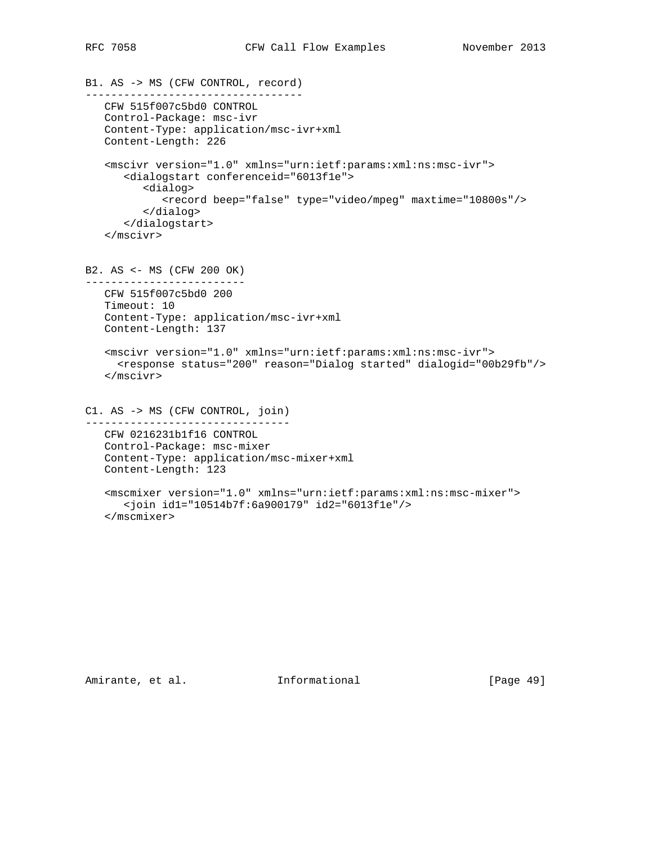```
B1. AS -> MS (CFW CONTROL, record)
----------------------------------
    CFW 515f007c5bd0 CONTROL
   Control-Package: msc-ivr
   Content-Type: application/msc-ivr+xml
   Content-Length: 226
    <mscivr version="1.0" xmlns="urn:ietf:params:xml:ns:msc-ivr">
       <dialogstart conferenceid="6013f1e">
          <dialog>
             <record beep="false" type="video/mpeg" maxtime="10800s"/>
          </dialog>
       </dialogstart>
    </mscivr>
B2. AS <- MS (CFW 200 OK)
-------------------------
   CFW 515f007c5bd0 200
   Timeout: 10
   Content-Type: application/msc-ivr+xml
   Content-Length: 137
   <mscivr version="1.0" xmlns="urn:ietf:params:xml:ns:msc-ivr">
     <response status="200" reason="Dialog started" dialogid="00b29fb"/>
    </mscivr>
C1. AS -> MS (CFW CONTROL, join)
--------------------------------
    CFW 0216231b1f16 CONTROL
   Control-Package: msc-mixer
   Content-Type: application/msc-mixer+xml
   Content-Length: 123
    <mscmixer version="1.0" xmlns="urn:ietf:params:xml:ns:msc-mixer">
      <join id1="10514b7f:6a900179" id2="6013f1e"/>
    </mscmixer>
```
Amirante, et al. 1nformational [Page 49]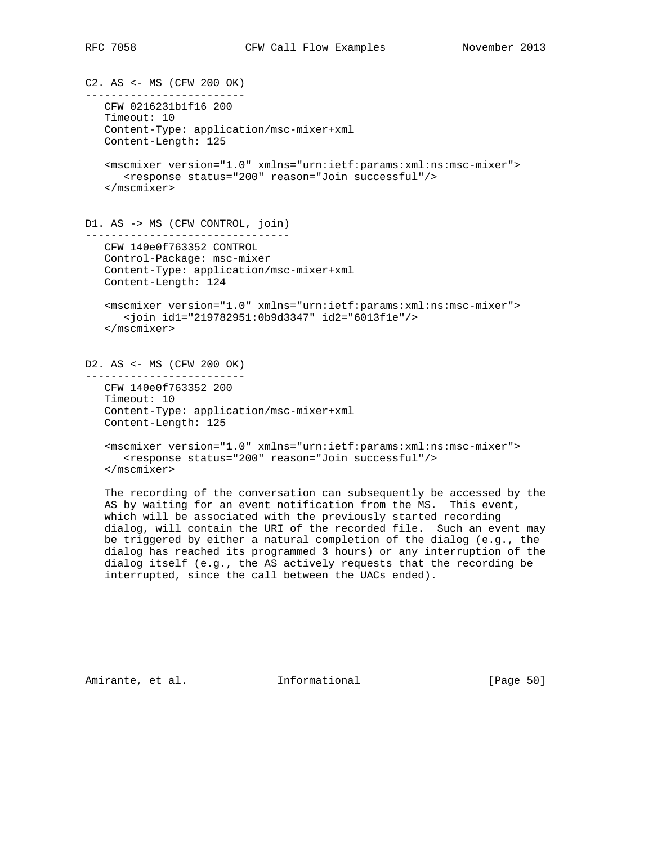C2. AS <- MS (CFW 200 OK) ------------------------- CFW 0216231b1f16 200 Timeout: 10 Content-Type: application/msc-mixer+xml Content-Length: 125 <mscmixer version="1.0" xmlns="urn:ietf:params:xml:ns:msc-mixer"> <response status="200" reason="Join successful"/> </mscmixer> D1. AS -> MS (CFW CONTROL, join) -------------------------------- CFW 140e0f763352 CONTROL Control-Package: msc-mixer Content-Type: application/msc-mixer+xml Content-Length: 124 <mscmixer version="1.0" xmlns="urn:ietf:params:xml:ns:msc-mixer"> <join id1="219782951:0b9d3347" id2="6013f1e"/> </mscmixer> D2. AS <- MS (CFW 200 OK) ------------------------- CFW 140e0f763352 200 Timeout: 10 Content-Type: application/msc-mixer+xml Content-Length: 125 <mscmixer version="1.0" xmlns="urn:ietf:params:xml:ns:msc-mixer"> <response status="200" reason="Join successful"/> </mscmixer>

 The recording of the conversation can subsequently be accessed by the AS by waiting for an event notification from the MS. This event, which will be associated with the previously started recording dialog, will contain the URI of the recorded file. Such an event may be triggered by either a natural completion of the dialog (e.g., the dialog has reached its programmed 3 hours) or any interruption of the dialog itself (e.g., the AS actively requests that the recording be interrupted, since the call between the UACs ended).

Amirante, et al. 1nformational 1999 [Page 50]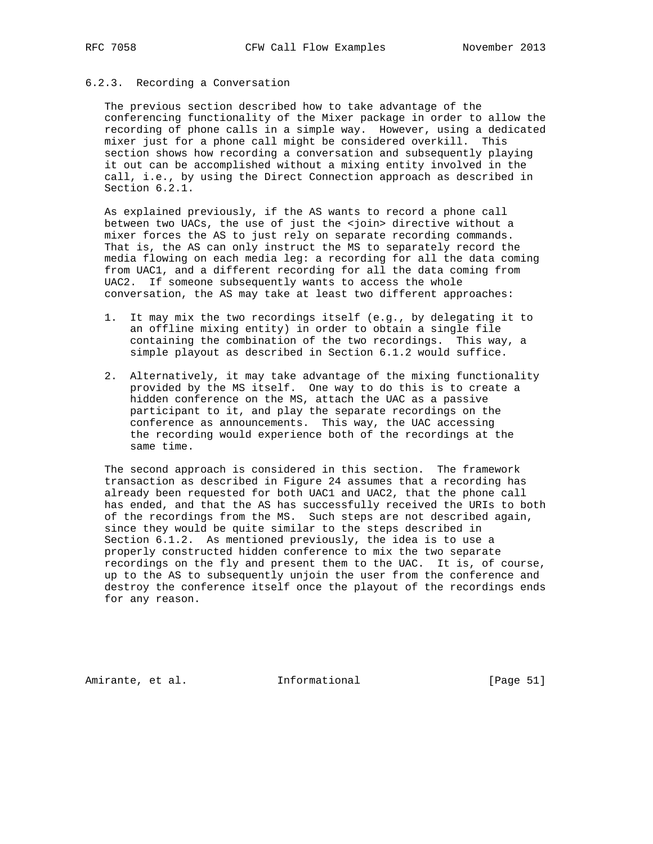# 6.2.3. Recording a Conversation

 The previous section described how to take advantage of the conferencing functionality of the Mixer package in order to allow the recording of phone calls in a simple way. However, using a dedicated mixer just for a phone call might be considered overkill. This section shows how recording a conversation and subsequently playing it out can be accomplished without a mixing entity involved in the call, i.e., by using the Direct Connection approach as described in Section 6.2.1.

 As explained previously, if the AS wants to record a phone call between two UACs, the use of just the <join> directive without a mixer forces the AS to just rely on separate recording commands. That is, the AS can only instruct the MS to separately record the media flowing on each media leg: a recording for all the data coming from UAC1, and a different recording for all the data coming from UAC2. If someone subsequently wants to access the whole conversation, the AS may take at least two different approaches:

- 1. It may mix the two recordings itself (e.g., by delegating it to an offline mixing entity) in order to obtain a single file containing the combination of the two recordings. This way, a simple playout as described in Section 6.1.2 would suffice.
- 2. Alternatively, it may take advantage of the mixing functionality provided by the MS itself. One way to do this is to create a hidden conference on the MS, attach the UAC as a passive participant to it, and play the separate recordings on the conference as announcements. This way, the UAC accessing the recording would experience both of the recordings at the same time.

 The second approach is considered in this section. The framework transaction as described in Figure 24 assumes that a recording has already been requested for both UAC1 and UAC2, that the phone call has ended, and that the AS has successfully received the URIs to both of the recordings from the MS. Such steps are not described again, since they would be quite similar to the steps described in Section 6.1.2. As mentioned previously, the idea is to use a properly constructed hidden conference to mix the two separate recordings on the fly and present them to the UAC. It is, of course, up to the AS to subsequently unjoin the user from the conference and destroy the conference itself once the playout of the recordings ends for any reason.

Amirante, et al. 1nformational [Page 51]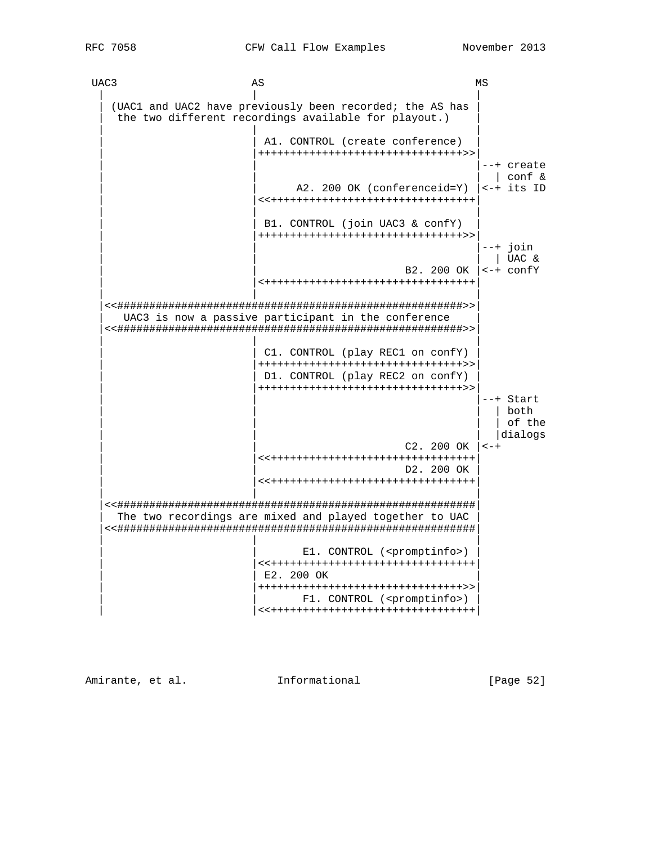UAC3 AS AS MS | | | (UAC1 and UAC2 have previously been recorded; the AS has the two different recordings available for playout.) | | | A1. CONTROL (create conference) | |++++++++++++++++++++++++++++++++>>| --+ create |  $\text{conf } \&$ A2. 200 OK (conferenceid=Y) | <-+ its ID | |<<++++++++++++++++++++++++++++++++| | | | B1. CONTROL (join UAC3 & confY) | |++++++++++++++++++++++++++++++++>>|  $---$  join  $|$  UAC & | | B2. 200 OK |<-+ confY  $-$  | | | |<<######################################################>>| UAC3 is now a passive participant in the conference |<<######################################################>>| | | | C1. CONTROL (play REC1 on confY) | |++++++++++++++++++++++++++++++++>>| D1. CONTROL (play REC2 on confY) | |++++++++++++++++++++++++++++++++>>| --+ Start<br>| both | | | | both | | | | of the | | | |dialogs  $C2. 200 OK$  | <-+ | |<<++++++++++++++++++++++++++++++++| D2. 200 OK | |<<++++++++++++++++++++++++++++++++| | | | |<<########################################################| The two recordings are mixed and played together to UAC |<<########################################################| | | | E1. CONTROL (<promptinfo>) | |<<++++++++++++++++++++++++++++++++| E2. 200 OK | |++++++++++++++++++++++++++++++++>>| F1. CONTROL (<promptinfo>) | |<<++++++++++++++++++++++++++++++++|

Amirante, et al. 1nformational 1999 [Page 52]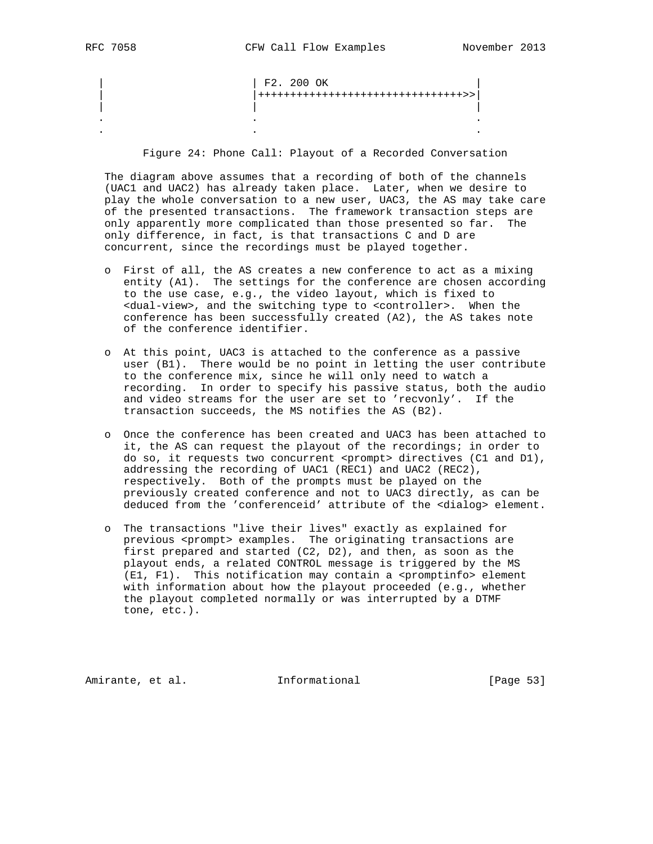```
 | | F2. 200 OK |
 | |++++++++++++++++++++++++++++++++>>|
 | | |
 . . .
 . . .
```
Figure 24: Phone Call: Playout of a Recorded Conversation

 The diagram above assumes that a recording of both of the channels (UAC1 and UAC2) has already taken place. Later, when we desire to play the whole conversation to a new user, UAC3, the AS may take care of the presented transactions. The framework transaction steps are only apparently more complicated than those presented so far. The only difference, in fact, is that transactions C and D are concurrent, since the recordings must be played together.

- o First of all, the AS creates a new conference to act as a mixing entity (A1). The settings for the conference are chosen according to the use case, e.g., the video layout, which is fixed to <dual-view>, and the switching type to <controller>. When the conference has been successfully created (A2), the AS takes note of the conference identifier.
- o At this point, UAC3 is attached to the conference as a passive user (B1). There would be no point in letting the user contribute to the conference mix, since he will only need to watch a recording. In order to specify his passive status, both the audio and video streams for the user are set to 'recvonly'. If the transaction succeeds, the MS notifies the AS (B2).
- o Once the conference has been created and UAC3 has been attached to it, the AS can request the playout of the recordings; in order to do so, it requests two concurrent <prompt> directives (C1 and D1), addressing the recording of UAC1 (REC1) and UAC2 (REC2), respectively. Both of the prompts must be played on the previously created conference and not to UAC3 directly, as can be deduced from the 'conferenceid' attribute of the <dialog> element.
- o The transactions "live their lives" exactly as explained for previous <prompt> examples. The originating transactions are first prepared and started (C2, D2), and then, as soon as the playout ends, a related CONTROL message is triggered by the MS (E1, F1). This notification may contain a <promptinfo> element with information about how the playout proceeded (e.g., whether the playout completed normally or was interrupted by a DTMF tone, etc.).

Amirante, et al. 1nformational 1999 [Page 53]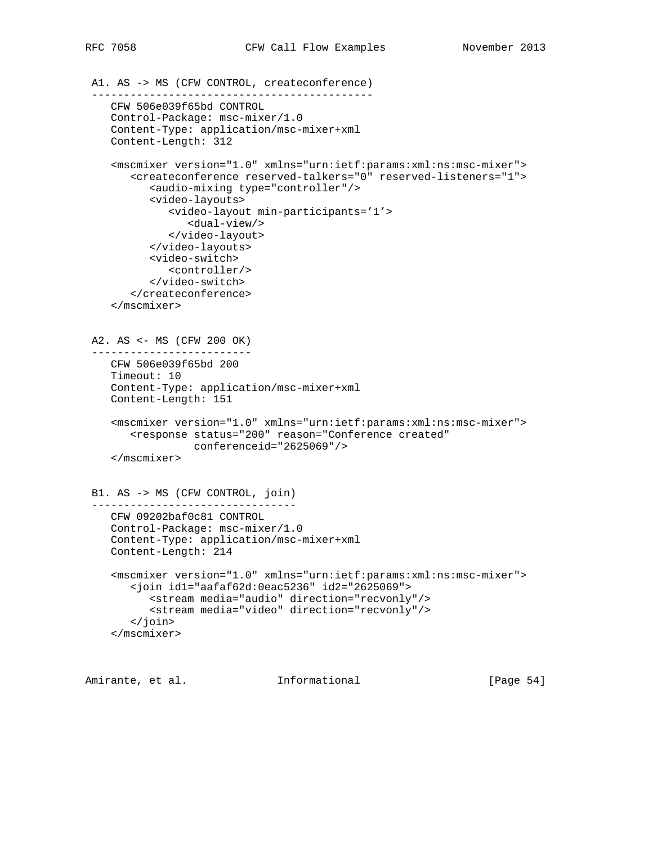```
 A1. AS -> MS (CFW CONTROL, createconference)
 --------------------------------------------
    CFW 506e039f65bd CONTROL
    Control-Package: msc-mixer/1.0
    Content-Type: application/msc-mixer+xml
    Content-Length: 312
    <mscmixer version="1.0" xmlns="urn:ietf:params:xml:ns:msc-mixer">
       <createconference reserved-talkers="0" reserved-listeners="1">
          <audio-mixing type="controller"/>
          <video-layouts>
             <video-layout min-participants='1'>
                 <dual-view/>
             </video-layout>
          </video-layouts>
          <video-switch>
             <controller/>
          </video-switch>
       </createconference>
    </mscmixer>
 A2. AS <- MS (CFW 200 OK)
     -------------------------
    CFW 506e039f65bd 200
    Timeout: 10
    Content-Type: application/msc-mixer+xml
    Content-Length: 151
    <mscmixer version="1.0" xmlns="urn:ietf:params:xml:ns:msc-mixer">
       <response status="200" reason="Conference created"
                 conferenceid="2625069"/>
    </mscmixer>
 B1. AS -> MS (CFW CONTROL, join)
 --------------------------------
    CFW 09202baf0c81 CONTROL
    Control-Package: msc-mixer/1.0
    Content-Type: application/msc-mixer+xml
    Content-Length: 214
    <mscmixer version="1.0" xmlns="urn:ietf:params:xml:ns:msc-mixer">
       <join id1="aafaf62d:0eac5236" id2="2625069">
          <stream media="audio" direction="recvonly"/>
          <stream media="video" direction="recvonly"/>
       </join>
    </mscmixer>
```
Amirante, et al. 1nformational 1999 [Page 54]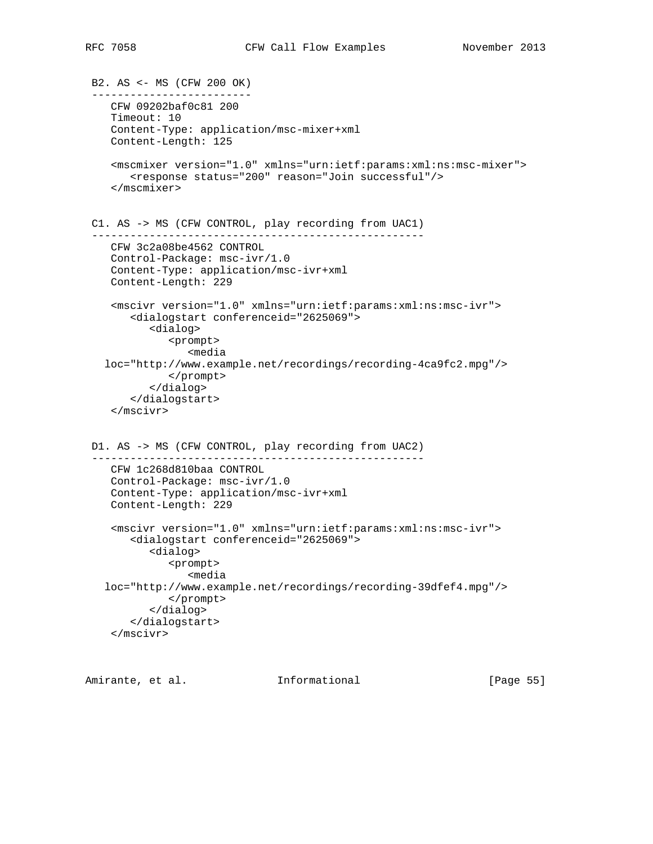B2. AS <- MS (CFW 200 OK) ------------------------- CFW 09202baf0c81 200 Timeout: 10 Content-Type: application/msc-mixer+xml Content-Length: 125 <mscmixer version="1.0" xmlns="urn:ietf:params:xml:ns:msc-mixer"> <response status="200" reason="Join successful"/> </mscmixer> C1. AS -> MS (CFW CONTROL, play recording from UAC1) ---------------------------------------------------- CFW 3c2a08be4562 CONTROL Control-Package: msc-ivr/1.0 Content-Type: application/msc-ivr+xml Content-Length: 229 <mscivr version="1.0" xmlns="urn:ietf:params:xml:ns:msc-ivr"> <dialogstart conferenceid="2625069"> <dialog> <prompt> <media loc="http://www.example.net/recordings/recording-4ca9fc2.mpg"/> </prompt> </dialog> </dialogstart> </mscivr> D1. AS -> MS (CFW CONTROL, play recording from UAC2) ---------------------------------------------------- CFW 1c268d810baa CONTROL Control-Package: msc-ivr/1.0 Content-Type: application/msc-ivr+xml Content-Length: 229 <mscivr version="1.0" xmlns="urn:ietf:params:xml:ns:msc-ivr"> <dialogstart conferenceid="2625069"> <dialog> <prompt> <media loc="http://www.example.net/recordings/recording-39dfef4.mpg"/> </prompt> </dialog> </dialogstart> </mscivr>

Amirante, et al. 1nformational [Page 55]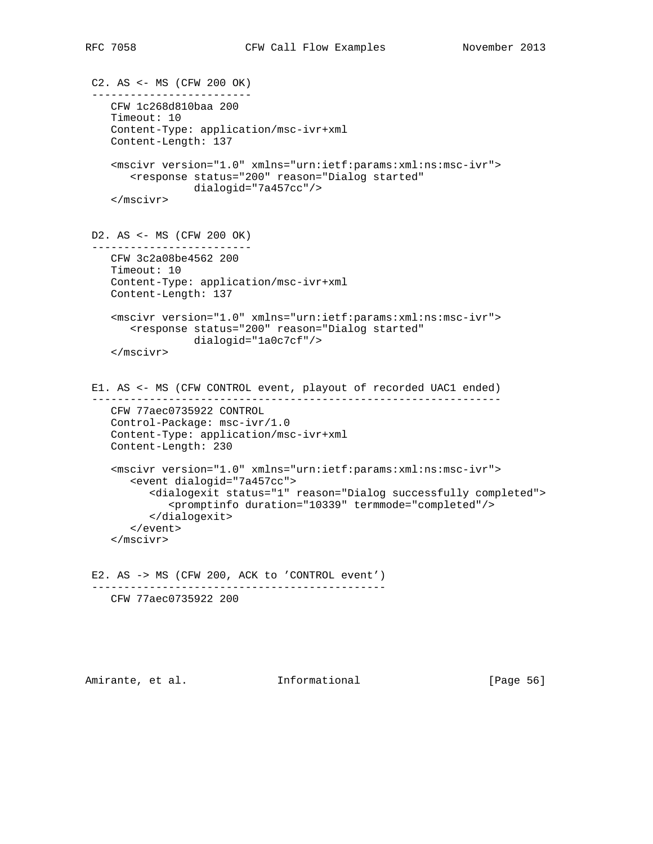```
 C2. AS <- MS (CFW 200 OK)
 -------------------------
    CFW 1c268d810baa 200
    Timeout: 10
    Content-Type: application/msc-ivr+xml
    Content-Length: 137
    <mscivr version="1.0" xmlns="urn:ietf:params:xml:ns:msc-ivr">
       <response status="200" reason="Dialog started"
                dialogid="7a457cc"/>
    </mscivr>
 D2. AS <- MS (CFW 200 OK)
  -------------------------
   CFW 3c2a08be4562 200
    Timeout: 10
    Content-Type: application/msc-ivr+xml
    Content-Length: 137
    <mscivr version="1.0" xmlns="urn:ietf:params:xml:ns:msc-ivr">
       <response status="200" reason="Dialog started"
                 dialogid="1a0c7cf"/>
    </mscivr>
 E1. AS <- MS (CFW CONTROL event, playout of recorded UAC1 ended)
    ----------------------------------------------------------------
    CFW 77aec0735922 CONTROL
    Control-Package: msc-ivr/1.0
    Content-Type: application/msc-ivr+xml
    Content-Length: 230
    <mscivr version="1.0" xmlns="urn:ietf:params:xml:ns:msc-ivr">
       <event dialogid="7a457cc">
          <dialogexit status="1" reason="Dialog successfully completed">
             <promptinfo duration="10339" termmode="completed"/>
          </dialogexit>
       </event>
    </mscivr>
 E2. AS -> MS (CFW 200, ACK to 'CONTROL event')
 ----------------------------------------------
   CFW 77aec0735922 200
```
Amirante, et al. 1nformational 1999 [Page 56]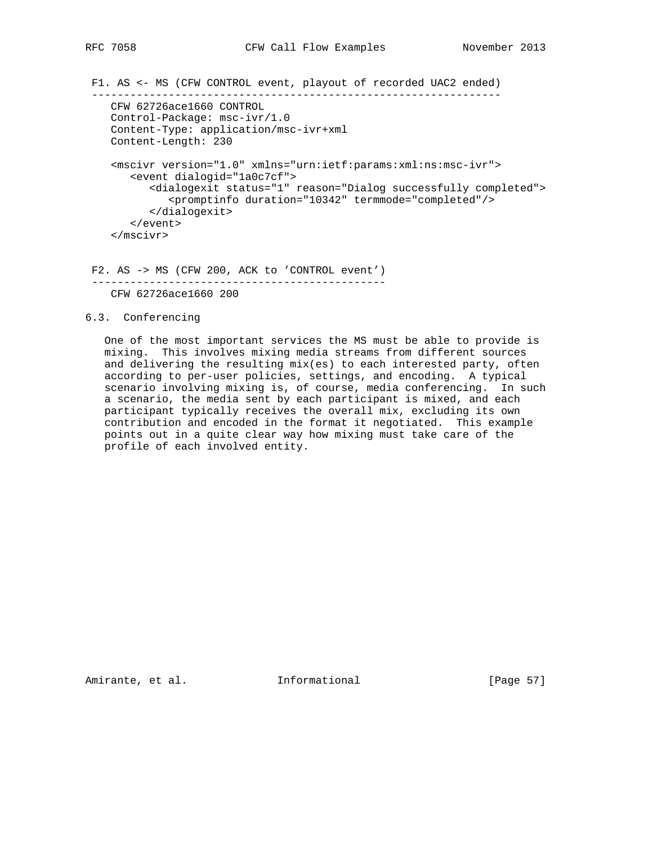```
 F1. AS <- MS (CFW CONTROL event, playout of recorded UAC2 ended)
 ----------------------------------------------------------------
    CFW 62726ace1660 CONTROL
   Control-Package: msc-ivr/1.0
   Content-Type: application/msc-ivr+xml
    Content-Length: 230
    <mscivr version="1.0" xmlns="urn:ietf:params:xml:ns:msc-ivr">
       <event dialogid="1a0c7cf">
          <dialogexit status="1" reason="Dialog successfully completed">
             <promptinfo duration="10342" termmode="completed"/>
          </dialogexit>
       </event>
    </mscivr>
```
 F2. AS -> MS (CFW 200, ACK to 'CONTROL event') ---------------------------------------------- CFW 62726ace1660 200

6.3. Conferencing

 One of the most important services the MS must be able to provide is mixing. This involves mixing media streams from different sources and delivering the resulting mix(es) to each interested party, often according to per-user policies, settings, and encoding. A typical scenario involving mixing is, of course, media conferencing. In such a scenario, the media sent by each participant is mixed, and each participant typically receives the overall mix, excluding its own contribution and encoded in the format it negotiated. This example points out in a quite clear way how mixing must take care of the profile of each involved entity.

Amirante, et al. 1nformational 1999 [Page 57]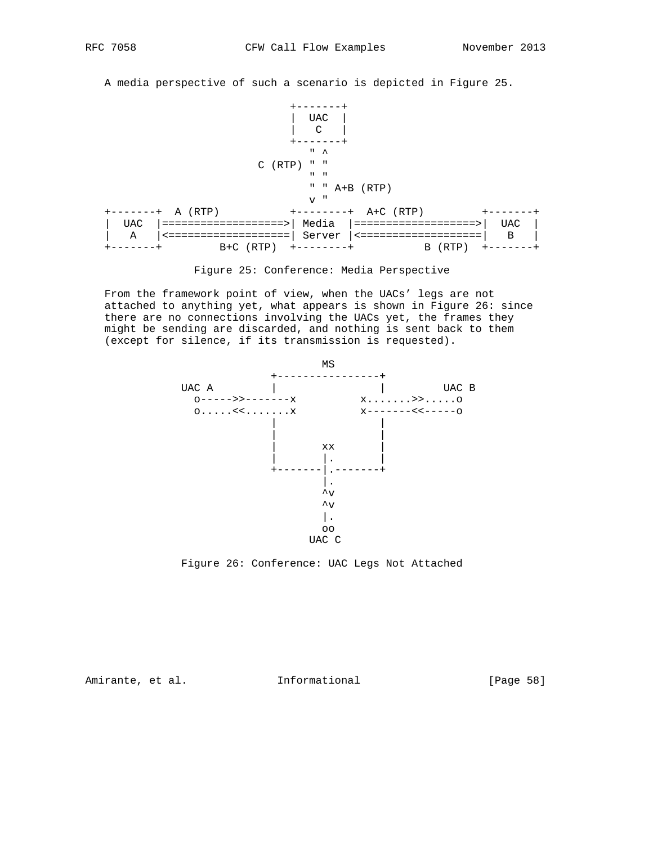A media perspective of such a scenario is depicted in Figure 25.



Figure 25: Conference: Media Perspective

 From the framework point of view, when the UACs' legs are not attached to anything yet, what appears is shown in Figure 26: since there are no connections involving the UACs yet, the frames they might be sending are discarded, and nothing is sent back to them (except for silence, if its transmission is requested).





Amirante, et al. 1nformational 1999 [Page 58]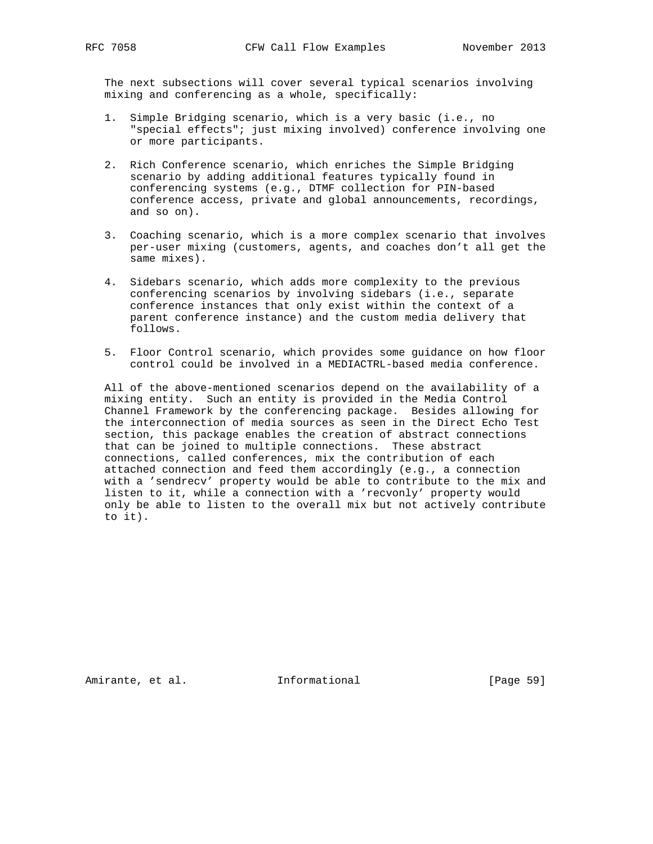The next subsections will cover several typical scenarios involving mixing and conferencing as a whole, specifically:

- 1. Simple Bridging scenario, which is a very basic (i.e., no "special effects"; just mixing involved) conference involving one or more participants.
- 2. Rich Conference scenario, which enriches the Simple Bridging scenario by adding additional features typically found in conferencing systems (e.g., DTMF collection for PIN-based conference access, private and global announcements, recordings, and so on).
- 3. Coaching scenario, which is a more complex scenario that involves per-user mixing (customers, agents, and coaches don't all get the same mixes).
- 4. Sidebars scenario, which adds more complexity to the previous conferencing scenarios by involving sidebars (i.e., separate conference instances that only exist within the context of a parent conference instance) and the custom media delivery that follows.
- 5. Floor Control scenario, which provides some guidance on how floor control could be involved in a MEDIACTRL-based media conference.

 All of the above-mentioned scenarios depend on the availability of a mixing entity. Such an entity is provided in the Media Control Channel Framework by the conferencing package. Besides allowing for the interconnection of media sources as seen in the Direct Echo Test section, this package enables the creation of abstract connections that can be joined to multiple connections. These abstract connections, called conferences, mix the contribution of each attached connection and feed them accordingly (e.g., a connection with a 'sendrecv' property would be able to contribute to the mix and listen to it, while a connection with a 'recvonly' property would only be able to listen to the overall mix but not actively contribute to it).

Amirante, et al. 1nformational 1999 [Page 59]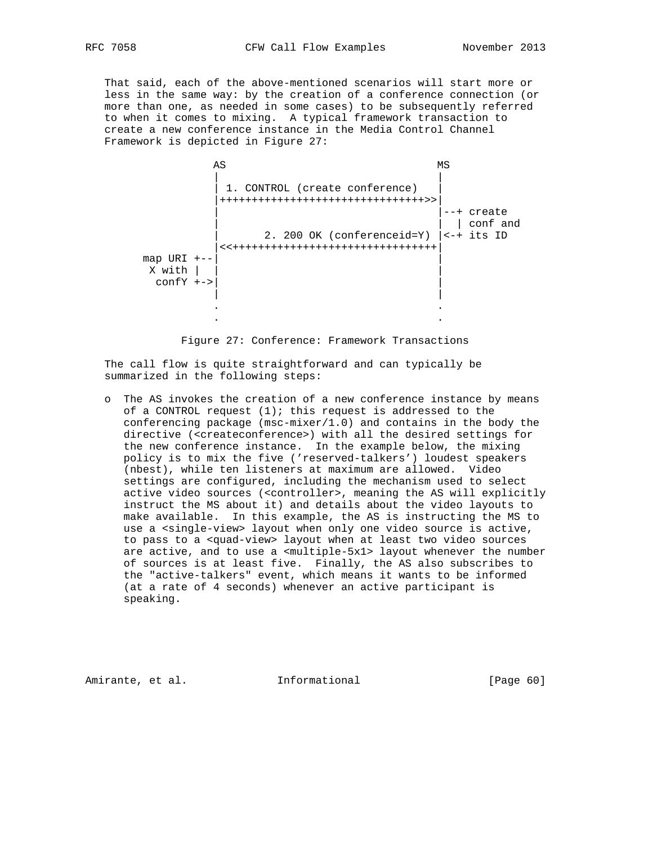That said, each of the above-mentioned scenarios will start more or less in the same way: by the creation of a conference connection (or more than one, as needed in some cases) to be subsequently referred to when it comes to mixing. A typical framework transaction to create a new conference instance in the Media Control Channel Framework is depicted in Figure 27:



Figure 27: Conference: Framework Transactions

 The call flow is quite straightforward and can typically be summarized in the following steps:

 o The AS invokes the creation of a new conference instance by means of a CONTROL request  $(1)$ ; this request is addressed to the conferencing package  $(msc-mixer/1.0)$  and contains in the body the directive (<createconference>) with all the desired settings for the new conference instance. In the example below, the mixing policy is to mix the five ('reserved-talkers') loudest speakers (nbest), while ten listeners at maximum are allowed. Video settings are configured, including the mechanism used to select active video sources (<controller>, meaning the AS will explicitly instruct the MS about it) and details about the video layouts to make available. In this example, the AS is instructing the MS to use a <single-view> layout when only one video source is active, to pass to a <quad-view> layout when at least two video sources are active, and to use a <multiple-5x1> layout whenever the number of sources is at least five. Finally, the AS also subscribes to the "active-talkers" event, which means it wants to be informed (at a rate of 4 seconds) whenever an active participant is speaking.

Amirante, et al. 1nformational 1999 [Page 60]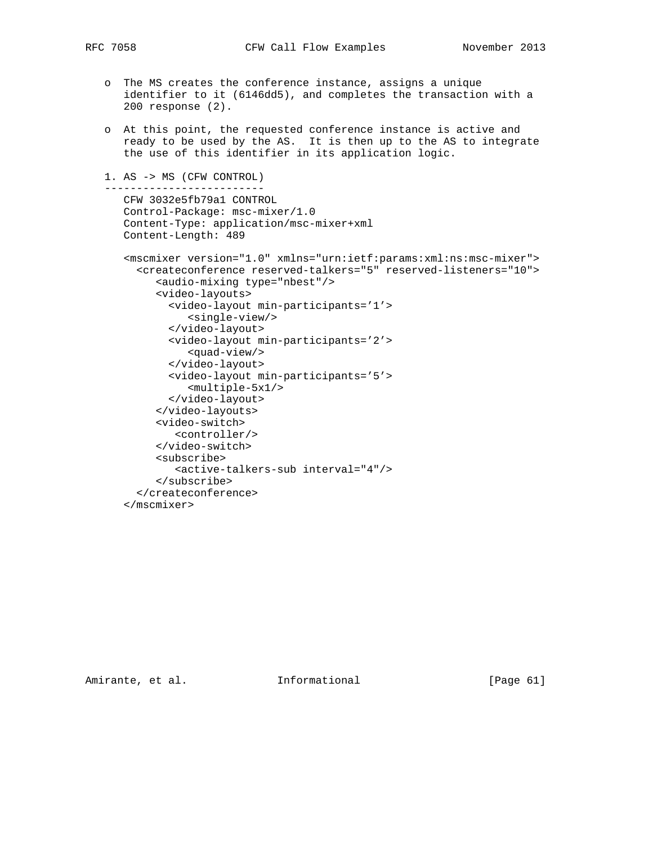- o The MS creates the conference instance, assigns a unique identifier to it (6146dd5), and completes the transaction with a 200 response (2).
- o At this point, the requested conference instance is active and ready to be used by the AS. It is then up to the AS to integrate the use of this identifier in its application logic.
- 1. AS -> MS (CFW CONTROL)

```
 -------------------------
   CFW 3032e5fb79a1 CONTROL
   Control-Package: msc-mixer/1.0
   Content-Type: application/msc-mixer+xml
   Content-Length: 489
    <mscmixer version="1.0" xmlns="urn:ietf:params:xml:ns:msc-mixer">
      <createconference reserved-talkers="5" reserved-listeners="10">
         <audio-mixing type="nbest"/>
         <video-layouts>
           <video-layout min-participants='1'>
              <single-view/>
           </video-layout>
           <video-layout min-participants='2'>
              <quad-view/>
           </video-layout>
           <video-layout min-participants='5'>
              <multiple-5x1/>
           </video-layout>
         </video-layouts>
         <video-switch>
            <controller/>
         </video-switch>
         <subscribe>
            <active-talkers-sub interval="4"/>
         </subscribe>
      </createconference>
    </mscmixer>
```
Amirante, et al. 1nformational [Page 61]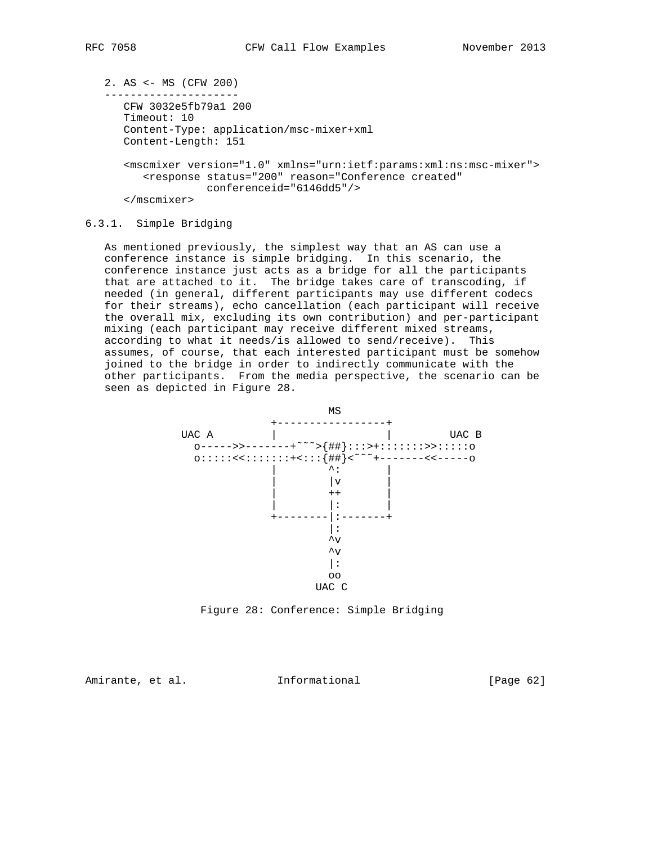2. AS <- MS (CFW 200) --------------------- CFW 3032e5fb79a1 200 Timeout: 10 Content-Type: application/msc-mixer+xml Content-Length: 151 <mscmixer version="1.0" xmlns="urn:ietf:params:xml:ns:msc-mixer"> <response status="200" reason="Conference created" conferenceid="6146dd5"/> </mscmixer>

## 6.3.1. Simple Bridging

 As mentioned previously, the simplest way that an AS can use a conference instance is simple bridging. In this scenario, the conference instance just acts as a bridge for all the participants that are attached to it. The bridge takes care of transcoding, if needed (in general, different participants may use different codecs for their streams), echo cancellation (each participant will receive the overall mix, excluding its own contribution) and per-participant mixing (each participant may receive different mixed streams, according to what it needs/is allowed to send/receive). This assumes, of course, that each interested participant must be somehow joined to the bridge in order to indirectly communicate with the other participants. From the media perspective, the scenario can be seen as depicted in Figure 28.



Figure 28: Conference: Simple Bridging

Amirante, et al. 1nformational 1999 [Page 62]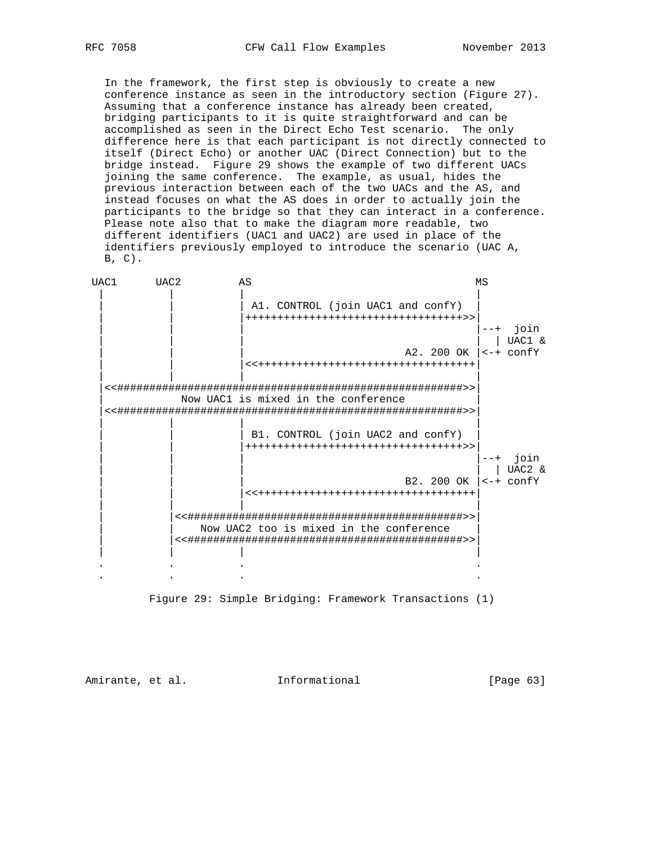In the framework, the first step is obviously to create a new conference instance as seen in the introductory section (Figure 27). Assuming that a conference instance has already been created, bridging participants to it is quite straightforward and can be accomplished as seen in the Direct Echo Test scenario. The only difference here is that each participant is not directly connected to itself (Direct Echo) or another UAC (Direct Connection) but to the bridge instead. Figure 29 shows the example of two different UACs joining the same conference. The example, as usual, hides the previous interaction between each of the two UACs and the AS, and instead focuses on what the AS does in order to actually join the participants to the bridge so that they can interact in a conference. Please note also that to make the diagram more readable, two different identifiers (UAC1 and UAC2) are used in place of the identifiers previously employed to introduce the scenario (UAC A,  $B, C$ ).

| TJAC1<br>UAC <sub>2</sub> | AS                                      | ΜS                                                                                                                                            |
|---------------------------|-----------------------------------------|-----------------------------------------------------------------------------------------------------------------------------------------------|
|                           |                                         | A1. CONTROL (join UAC1 and confY)<br>++++++++++++++++++++++++++++++++++++<br>join<br>$-- +$<br>$\text{UAC1}$ &<br>$A2.200$ OK  <br> <-+ confY |
|                           |                                         | <<++++++++++++++++++++++++++++++++++                                                                                                          |
|                           | Now UAC1 is mixed in the conference     | B1. CONTROL (join UAC2 and confY)<br>++++++++++++++++++++++++++++++++++++<br>join                                                             |
|                           |                                         | $UAC2 \&$<br>B2. 200 OK<br>$\leftarrow +$ confy                                                                                               |
|                           |                                         | <<+++++++++++++++++++++++++++++++++++                                                                                                         |
|                           | Now UAC2 too is mixed in the conference |                                                                                                                                               |
|                           |                                         |                                                                                                                                               |

Figure 29: Simple Bridging: Framework Transactions (1)

Amirante, et al. 1nformational [Page 63]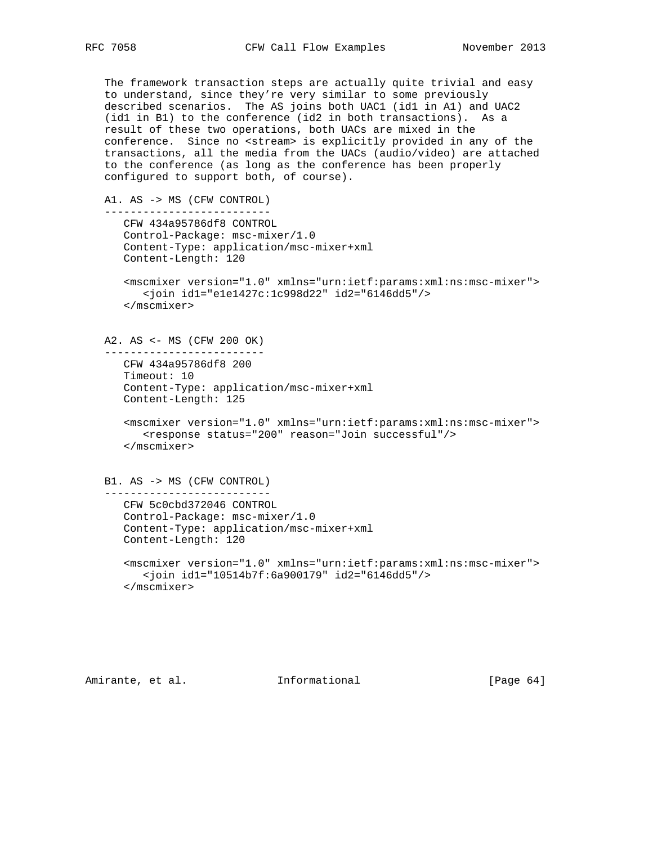The framework transaction steps are actually quite trivial and easy to understand, since they're very similar to some previously described scenarios. The AS joins both UAC1 (id1 in A1) and UAC2 (id1 in B1) to the conference (id2 in both transactions). As a result of these two operations, both UACs are mixed in the conference. Since no <stream> is explicitly provided in any of the transactions, all the media from the UACs (audio/video) are attached to the conference (as long as the conference has been properly configured to support both, of course).

```
 A1. AS -> MS (CFW CONTROL)
```

```
 --------------------------
   CFW 434a95786df8 CONTROL
   Control-Package: msc-mixer/1.0
   Content-Type: application/msc-mixer+xml
   Content-Length: 120
```

```
 <mscmixer version="1.0" xmlns="urn:ietf:params:xml:ns:msc-mixer">
   <join id1="e1e1427c:1c998d22" id2="6146dd5"/>
 </mscmixer>
```
A2. AS <- MS (CFW 200 OK)

-------------------------

```
 CFW 434a95786df8 200
 Timeout: 10
 Content-Type: application/msc-mixer+xml
 Content-Length: 125
```

```
 <mscmixer version="1.0" xmlns="urn:ietf:params:xml:ns:msc-mixer">
   <response status="200" reason="Join successful"/>
 </mscmixer>
```
 B1. AS -> MS (CFW CONTROL) --------------------------

```
 CFW 5c0cbd372046 CONTROL
 Control-Package: msc-mixer/1.0
 Content-Type: application/msc-mixer+xml
 Content-Length: 120
```
 <mscmixer version="1.0" xmlns="urn:ietf:params:xml:ns:msc-mixer"> <join id1="10514b7f:6a900179" id2="6146dd5"/> </mscmixer>

Amirante, et al. 1nformational 1999 [Page 64]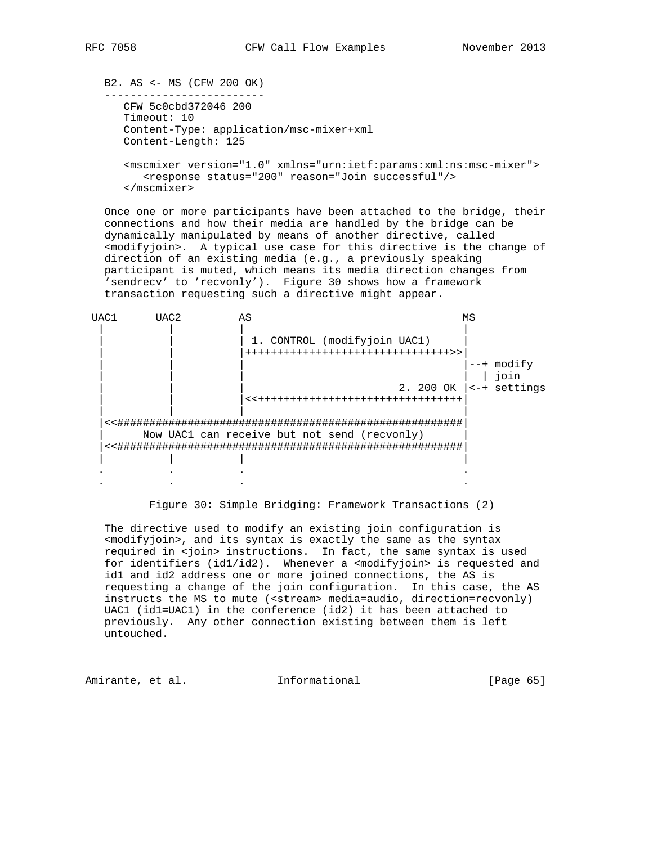```
 B2. AS <- MS (CFW 200 OK)
 -------------------------
    CFW 5c0cbd372046 200
    Timeout: 10
    Content-Type: application/msc-mixer+xml
    Content-Length: 125
    <mscmixer version="1.0" xmlns="urn:ietf:params:xml:ns:msc-mixer">
       <response status="200" reason="Join successful"/>
    </mscmixer>
```
 Once one or more participants have been attached to the bridge, their connections and how their media are handled by the bridge can be dynamically manipulated by means of another directive, called <modifyjoin>. A typical use case for this directive is the change of direction of an existing media (e.g., a previously speaking participant is muted, which means its media direction changes from 'sendrecv' to 'recvonly'). Figure 30 shows how a framework transaction requesting such a directive might appear.

| UAC1 | UAC <sub>2</sub> | AS                                           | ΜS |              |
|------|------------------|----------------------------------------------|----|--------------|
|      |                  |                                              |    |              |
|      |                  | 1. CONTROL (modifyjoin UAC1)                 |    |              |
|      |                  | +++++++++++++++++++++++++++++++              |    |              |
|      |                  |                                              |    | $---$ modify |
|      |                  |                                              |    | join         |
|      |                  | 2. 200 OK $\vert$ <-+ settings               |    |              |
|      |                  | <<++++++++++++++++++++++++++++++++           |    |              |
|      |                  |                                              |    |              |
|      |                  |                                              |    |              |
|      |                  | Now UAC1 can receive but not send (recvonly) |    |              |
|      |                  |                                              |    |              |
|      |                  |                                              |    |              |
|      |                  |                                              |    |              |
|      |                  |                                              |    |              |

Figure 30: Simple Bridging: Framework Transactions (2)

 The directive used to modify an existing join configuration is <modifyjoin>, and its syntax is exactly the same as the syntax required in <join> instructions. In fact, the same syntax is used for identifiers (id1/id2). Whenever a <modifyjoin> is requested and id1 and id2 address one or more joined connections, the AS is requesting a change of the join configuration. In this case, the AS instructs the MS to mute (<stream> media=audio, direction=recvonly) UAC1 (id1=UAC1) in the conference (id2) it has been attached to previously. Any other connection existing between them is left untouched.

Amirante, et al. Informational [Page 65]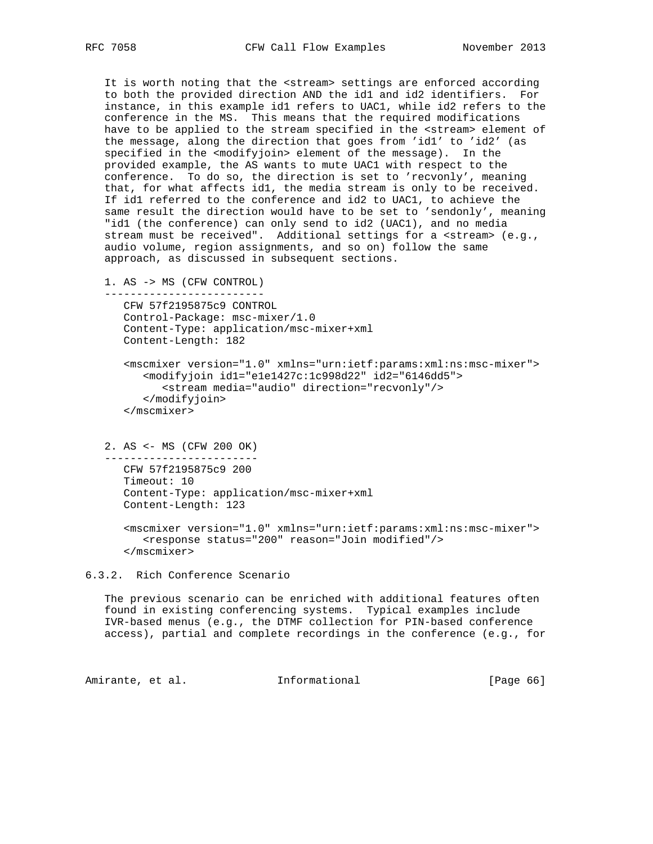It is worth noting that the <stream> settings are enforced according to both the provided direction AND the id1 and id2 identifiers. For instance, in this example id1 refers to UAC1, while id2 refers to the conference in the MS. This means that the required modifications have to be applied to the stream specified in the <stream> element of the message, along the direction that goes from 'id1' to 'id2' (as specified in the <modifyjoin> element of the message). In the provided example, the AS wants to mute UAC1 with respect to the conference. To do so, the direction is set to 'recvonly', meaning that, for what affects id1, the media stream is only to be received. If id1 referred to the conference and id2 to UAC1, to achieve the same result the direction would have to be set to 'sendonly', meaning "id1 (the conference) can only send to id2 (UAC1), and no media stream must be received". Additional settings for a <stream> (e.g., audio volume, region assignments, and so on) follow the same approach, as discussed in subsequent sections.

1. AS -> MS (CFW CONTROL)

 ------------------------- CFW 57f2195875c9 CONTROL Control-Package: msc-mixer/1.0 Content-Type: application/msc-mixer+xml Content-Length: 182

```
 <mscmixer version="1.0" xmlns="urn:ietf:params:xml:ns:msc-mixer">
    <modifyjoin id1="e1e1427c:1c998d22" id2="6146dd5">
       <stream media="audio" direction="recvonly"/>
    </modifyjoin>
 </mscmixer>
```
 2. AS <- MS (CFW 200 OK) ------------------------

> CFW 57f2195875c9 200 Timeout: 10 Content-Type: application/msc-mixer+xml Content-Length: 123

 <mscmixer version="1.0" xmlns="urn:ietf:params:xml:ns:msc-mixer"> <response status="200" reason="Join modified"/> </mscmixer>

6.3.2. Rich Conference Scenario

 The previous scenario can be enriched with additional features often found in existing conferencing systems. Typical examples include IVR-based menus (e.g., the DTMF collection for PIN-based conference access), partial and complete recordings in the conference (e.g., for

Amirante, et al. 1nformational [Page 66]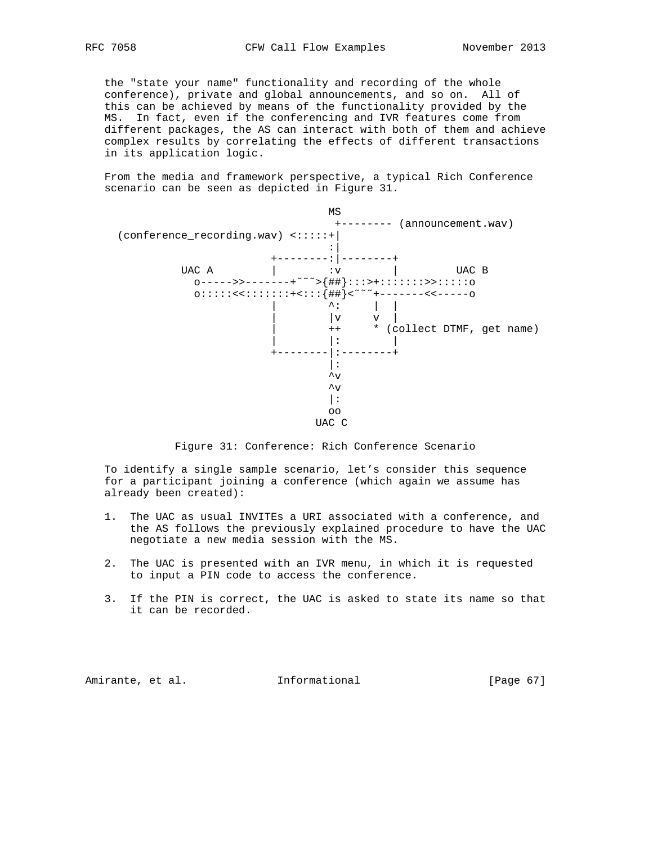the "state your name" functionality and recording of the whole conference), private and global announcements, and so on. All of this can be achieved by means of the functionality provided by the MS. In fact, even if the conferencing and IVR features come from different packages, the AS can interact with both of them and achieve complex results by correlating the effects of different transactions in its application logic.

 From the media and framework perspective, a typical Rich Conference scenario can be seen as depicted in Figure 31.



Figure 31: Conference: Rich Conference Scenario

 To identify a single sample scenario, let's consider this sequence for a participant joining a conference (which again we assume has already been created):

- 1. The UAC as usual INVITEs a URI associated with a conference, and the AS follows the previously explained procedure to have the UAC negotiate a new media session with the MS.
- 2. The UAC is presented with an IVR menu, in which it is requested to input a PIN code to access the conference.
- 3. If the PIN is correct, the UAC is asked to state its name so that it can be recorded.

Amirante, et al. 1nformational 1999 [Page 67]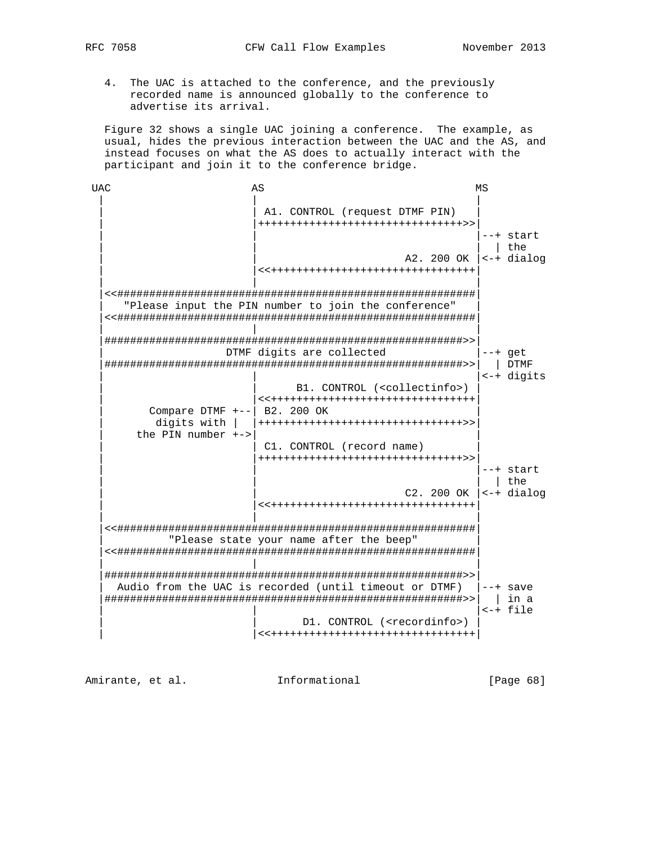- - 4. The UAC is attached to the conference, and the previously recorded name is announced globally to the conference to advertise its arrival.

 Figure 32 shows a single UAC joining a conference. The example, as usual, hides the previous interaction between the UAC and the AS, and instead focuses on what the AS does to actually interact with the participant and join it to the conference bridge.



Amirante, et al. 1nformational 1999 [Page 68]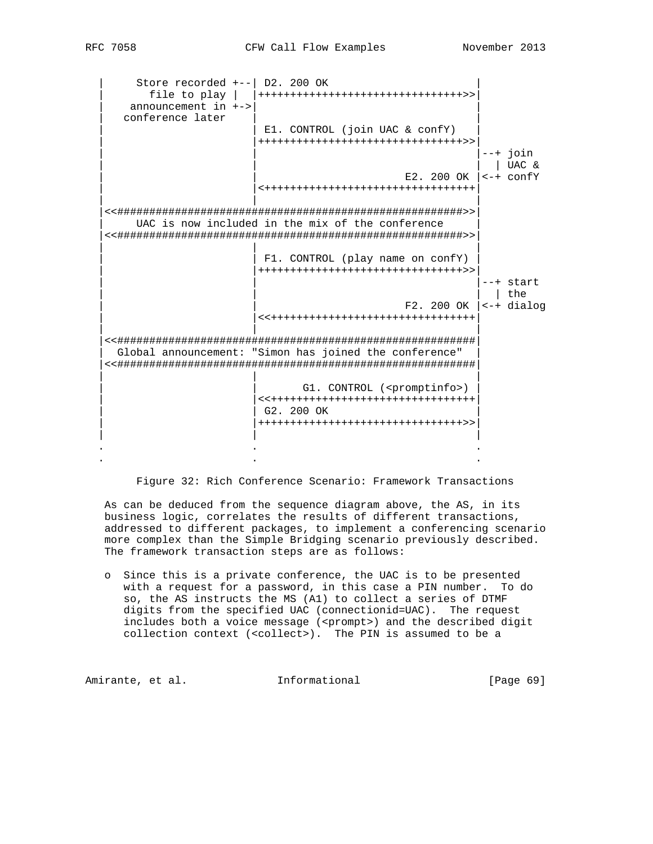| Store recorded $+--$ D2, 200 OK<br>$announcement$ in $+->$ | file to play   $ $ +++++++++++++++++++++++++++++++++>>                |           |
|------------------------------------------------------------|-----------------------------------------------------------------------|-----------|
| conference later                                           | E1. CONTROL (join UAC & confY)<br>++++++++++++++++++++++++++++++++++  | --+ join  |
|                                                            | $E2.200$ OK $ _{-+}$ confy<br><++++++++++++++++++++++++++++++++++     | UAC &     |
|                                                            | UAC is now included in the mix of the conference                      |           |
|                                                            | F1. CONTROL (play name on confy)<br>+++++++++++++++++++++++++++++++++ | --+ start |
|                                                            | $F2. 200 OK$   <-+ dialog<br><<++++++++++++++++++++++++++++++++       | the       |
|                                                            | Global announcement: "Simon has joined the conference"                |           |
|                                                            | G1. CONTROL ( <promptinfo>)<br/>G2, 200 OK</promptinfo>               |           |
|                                                            | ++++++++++++++++++++++++++++++++++                                    |           |

Figure 32: Rich Conference Scenario: Framework Transactions

 As can be deduced from the sequence diagram above, the AS, in its business logic, correlates the results of different transactions, addressed to different packages, to implement a conferencing scenario more complex than the Simple Bridging scenario previously described. The framework transaction steps are as follows:

 o Since this is a private conference, the UAC is to be presented with a request for a password, in this case a PIN number. To do so, the AS instructs the MS (A1) to collect a series of DTMF digits from the specified UAC (connectionid=UAC). The request includes both a voice message (<prompt>) and the described digit collection context (<collect>). The PIN is assumed to be a

Amirante, et al. 1nformational 1999 [Page 69]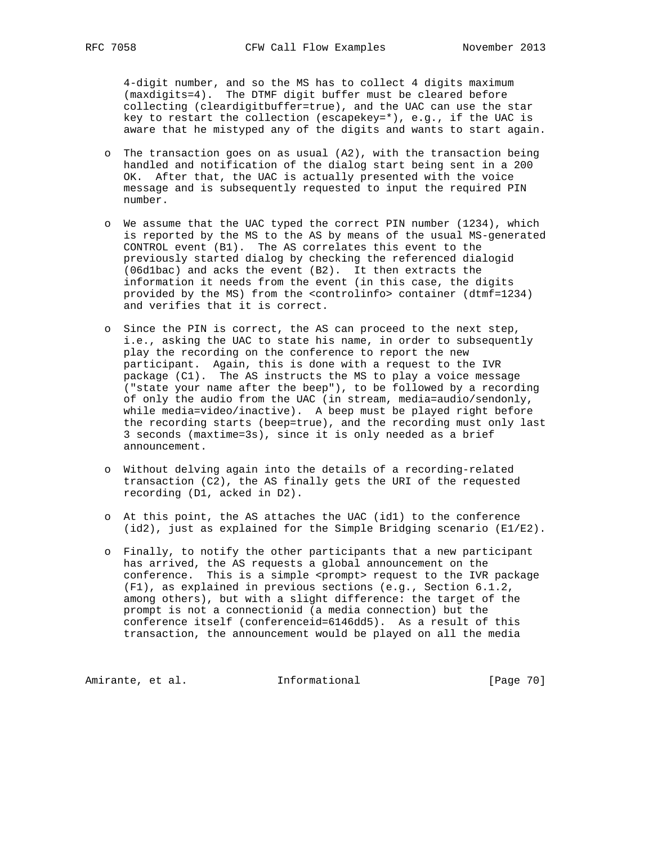4-digit number, and so the MS has to collect 4 digits maximum (maxdigits=4). The DTMF digit buffer must be cleared before collecting (cleardigitbuffer=true), and the UAC can use the star key to restart the collection (escapekey=\*), e.g., if the UAC is aware that he mistyped any of the digits and wants to start again.

- o The transaction goes on as usual (A2), with the transaction being handled and notification of the dialog start being sent in a 200 OK. After that, the UAC is actually presented with the voice message and is subsequently requested to input the required PIN number.
- o We assume that the UAC typed the correct PIN number (1234), which is reported by the MS to the AS by means of the usual MS-generated CONTROL event (B1). The AS correlates this event to the previously started dialog by checking the referenced dialogid (06d1bac) and acks the event (B2). It then extracts the information it needs from the event (in this case, the digits provided by the MS) from the <controlinfo> container (dtmf=1234) and verifies that it is correct.
- o Since the PIN is correct, the AS can proceed to the next step, i.e., asking the UAC to state his name, in order to subsequently play the recording on the conference to report the new participant. Again, this is done with a request to the IVR package (C1). The AS instructs the MS to play a voice message ("state your name after the beep"), to be followed by a recording of only the audio from the UAC (in stream, media=audio/sendonly, while media=video/inactive). A beep must be played right before the recording starts (beep=true), and the recording must only last 3 seconds (maxtime=3s), since it is only needed as a brief announcement.
- o Without delving again into the details of a recording-related transaction (C2), the AS finally gets the URI of the requested recording (D1, acked in D2).
- o At this point, the AS attaches the UAC (id1) to the conference (id2), just as explained for the Simple Bridging scenario (E1/E2).
- o Finally, to notify the other participants that a new participant has arrived, the AS requests a global announcement on the conference. This is a simple <prompt> request to the IVR package (F1), as explained in previous sections (e.g., Section 6.1.2, among others), but with a slight difference: the target of the prompt is not a connectionid (a media connection) but the conference itself (conferenceid=6146dd5). As a result of this transaction, the announcement would be played on all the media

Amirante, et al. 1nformational [Page 70]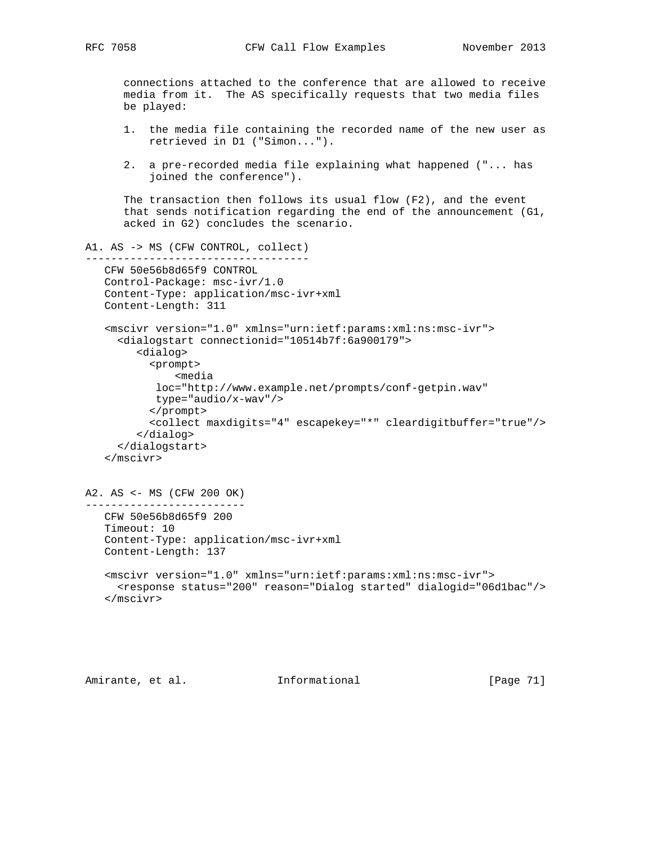connections attached to the conference that are allowed to receive media from it. The AS specifically requests that two media files be played:

- 1. the media file containing the recorded name of the new user as retrieved in D1 ("Simon...").
- 2. a pre-recorded media file explaining what happened ("... has joined the conference").

 The transaction then follows its usual flow (F2), and the event that sends notification regarding the end of the announcement (G1, acked in G2) concludes the scenario.

```
A1. AS -> MS (CFW CONTROL, collect)
```

```
-----------------------------------
   CFW 50e56b8d65f9 CONTROL
   Control-Package: msc-ivr/1.0
   Content-Type: application/msc-ivr+xml
   Content-Length: 311
    <mscivr version="1.0" xmlns="urn:ietf:params:xml:ns:msc-ivr">
      <dialogstart connectionid="10514b7f:6a900179">
         <dialog>
           <prompt>
               <media
            loc="http://www.example.net/prompts/conf-getpin.wav"
           type="audio/x-wav"/>
           </prompt>
           <collect maxdigits="4" escapekey="*" cleardigitbuffer="true"/>
         </dialog>
      </dialogstart>
    </mscivr>
```
A2. AS <- MS (CFW 200 OK) ------------------------- CFW 50e56b8d65f9 200 Timeout: 10 Content-Type: application/msc-ivr+xml Content-Length: 137

 <mscivr version="1.0" xmlns="urn:ietf:params:xml:ns:msc-ivr"> <response status="200" reason="Dialog started" dialogid="06d1bac"/> </mscivr>

```
Amirante, et al. 1nformational 1999 [Page 71]
```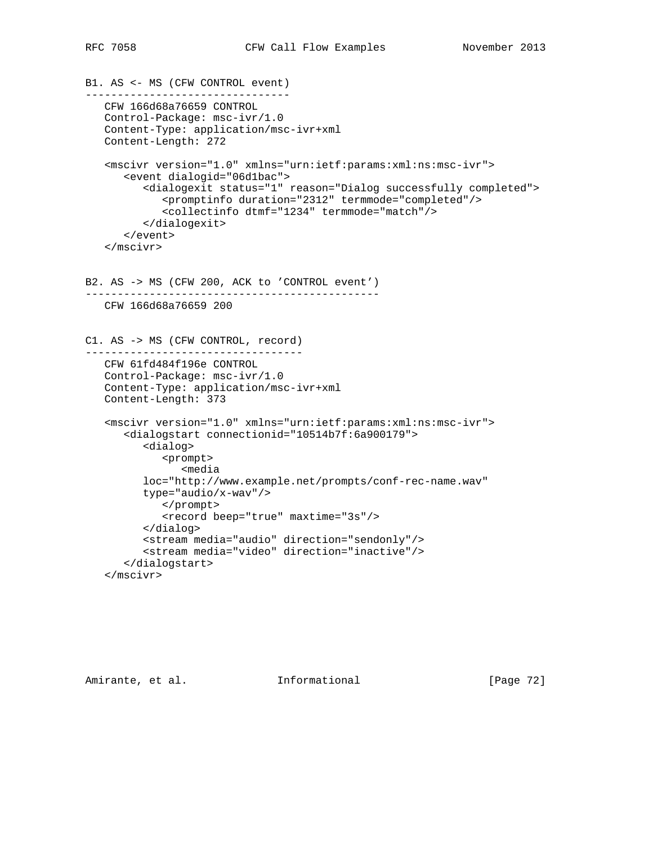```
B1. AS <- MS (CFW CONTROL event)
--------------------------------
    CFW 166d68a76659 CONTROL
    Control-Package: msc-ivr/1.0
    Content-Type: application/msc-ivr+xml
    Content-Length: 272
    <mscivr version="1.0" xmlns="urn:ietf:params:xml:ns:msc-ivr">
       <event dialogid="06d1bac">
          <dialogexit status="1" reason="Dialog successfully completed">
             <promptinfo duration="2312" termmode="completed"/>
             <collectinfo dtmf="1234" termmode="match"/>
          </dialogexit>
       </event>
    </mscivr>
B2. AS -> MS (CFW 200, ACK to 'CONTROL event')
----------------------------------------------
   CFW 166d68a76659 200
C1. AS -> MS (CFW CONTROL, record)
    ----------------------------------
    CFW 61fd484f196e CONTROL
    Control-Package: msc-ivr/1.0
    Content-Type: application/msc-ivr+xml
    Content-Length: 373
    <mscivr version="1.0" xmlns="urn:ietf:params:xml:ns:msc-ivr">
       <dialogstart connectionid="10514b7f:6a900179">
          <dialog>
             <prompt>
                <media
          loc="http://www.example.net/prompts/conf-rec-name.wav"
          type="audio/x-wav"/>
             </prompt>
             <record beep="true" maxtime="3s"/>
          </dialog>
          <stream media="audio" direction="sendonly"/>
          <stream media="video" direction="inactive"/>
       </dialogstart>
    </mscivr>
```
Amirante, et al. 1nformational [Page 72]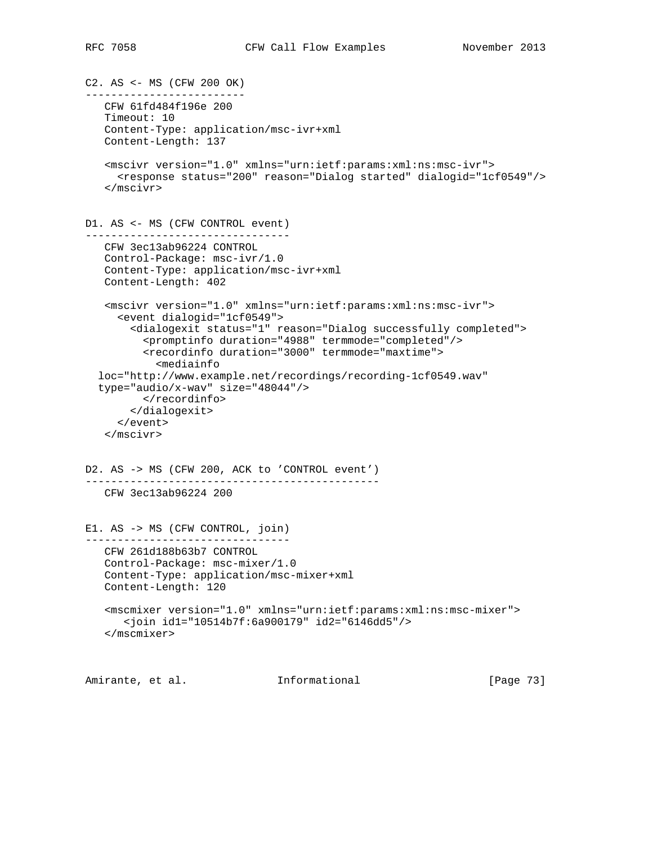C2. AS <- MS (CFW 200 OK) ------------------------- CFW 61fd484f196e 200 Timeout: 10 Content-Type: application/msc-ivr+xml Content-Length: 137 <mscivr version="1.0" xmlns="urn:ietf:params:xml:ns:msc-ivr"> <response status="200" reason="Dialog started" dialogid="1cf0549"/> </mscivr> D1. AS <- MS (CFW CONTROL event) -------------------------------- CFW 3ec13ab96224 CONTROL Control-Package: msc-ivr/1.0 Content-Type: application/msc-ivr+xml Content-Length: 402 <mscivr version="1.0" xmlns="urn:ietf:params:xml:ns:msc-ivr"> <event dialogid="1cf0549"> <dialogexit status="1" reason="Dialog successfully completed"> <promptinfo duration="4988" termmode="completed"/> <recordinfo duration="3000" termmode="maxtime"> <mediainfo loc="http://www.example.net/recordings/recording-1cf0549.wav" type="audio/x-wav" size="48044"/> </recordinfo> </dialogexit> </event> </mscivr> D2. AS -> MS (CFW 200, ACK to 'CONTROL event') ---------------------------------------------- CFW 3ec13ab96224 200 E1. AS -> MS (CFW CONTROL, join) -------------------------------- CFW 261d188b63b7 CONTROL Control-Package: msc-mixer/1.0 Content-Type: application/msc-mixer+xml Content-Length: 120 <mscmixer version="1.0" xmlns="urn:ietf:params:xml:ns:msc-mixer"> <join id1="10514b7f:6a900179" id2="6146dd5"/> </mscmixer>

Amirante, et al. 1nformational [Page 73]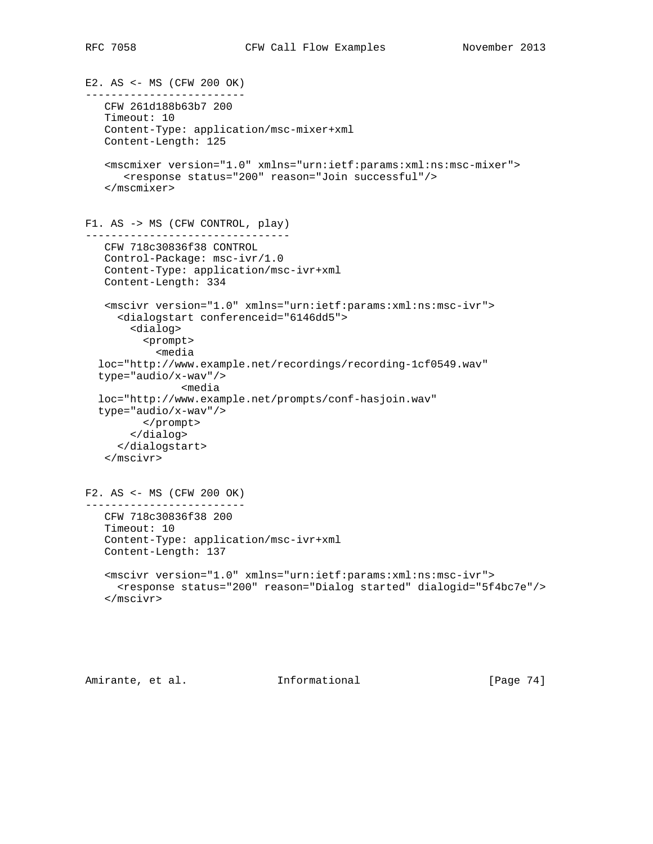E2. AS <- MS (CFW 200 OK) ------------------------- CFW 261d188b63b7 200 Timeout: 10 Content-Type: application/msc-mixer+xml Content-Length: 125 <mscmixer version="1.0" xmlns="urn:ietf:params:xml:ns:msc-mixer"> <response status="200" reason="Join successful"/> </mscmixer> F1. AS -> MS (CFW CONTROL, play) -------------------------------- CFW 718c30836f38 CONTROL Control-Package: msc-ivr/1.0 Content-Type: application/msc-ivr+xml Content-Length: 334 <mscivr version="1.0" xmlns="urn:ietf:params:xml:ns:msc-ivr"> <dialogstart conferenceid="6146dd5"> <dialog> <prompt> <media loc="http://www.example.net/recordings/recording-1cf0549.wav" type="audio/x-wav"/> <media loc="http://www.example.net/prompts/conf-hasjoin.wav" type="audio/x-wav"/> </prompt> </dialog> </dialogstart> </mscivr> F2. AS <- MS (CFW 200 OK) ------------------------- CFW 718c30836f38 200 Timeout: 10 Content-Type: application/msc-ivr+xml Content-Length: 137 <mscivr version="1.0" xmlns="urn:ietf:params:xml:ns:msc-ivr"> <response status="200" reason="Dialog started" dialogid="5f4bc7e"/> </mscivr>

Amirante, et al. 1nformational [Page 74]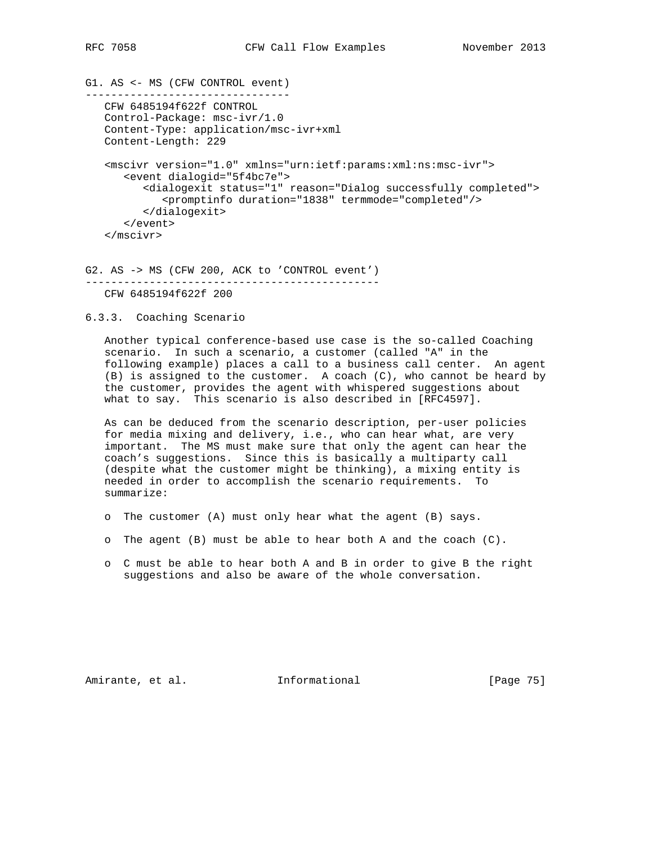G1. AS <- MS (CFW CONTROL event) -------------------------------- CFW 6485194f622f CONTROL Control-Package: msc-ivr/1.0 Content-Type: application/msc-ivr+xml Content-Length: 229 <mscivr version="1.0" xmlns="urn:ietf:params:xml:ns:msc-ivr"> <event dialogid="5f4bc7e"> <dialogexit status="1" reason="Dialog successfully completed"> <promptinfo duration="1838" termmode="completed"/> </dialogexit> </event> </mscivr>

G2. AS -> MS (CFW 200, ACK to 'CONTROL event') ---------------------------------------------- CFW 6485194f622f 200

6.3.3. Coaching Scenario

 Another typical conference-based use case is the so-called Coaching scenario. In such a scenario, a customer (called "A" in the following example) places a call to a business call center. An agent (B) is assigned to the customer. A coach (C), who cannot be heard by the customer, provides the agent with whispered suggestions about what to say. This scenario is also described in [RFC4597].

 As can be deduced from the scenario description, per-user policies for media mixing and delivery, i.e., who can hear what, are very important. The MS must make sure that only the agent can hear the coach's suggestions. Since this is basically a multiparty call (despite what the customer might be thinking), a mixing entity is needed in order to accomplish the scenario requirements. To summarize:

- o The customer (A) must only hear what the agent (B) says.
- o The agent (B) must be able to hear both A and the coach (C).
- o C must be able to hear both A and B in order to give B the right suggestions and also be aware of the whole conversation.

Amirante, et al. 1nformational 1999 [Page 75]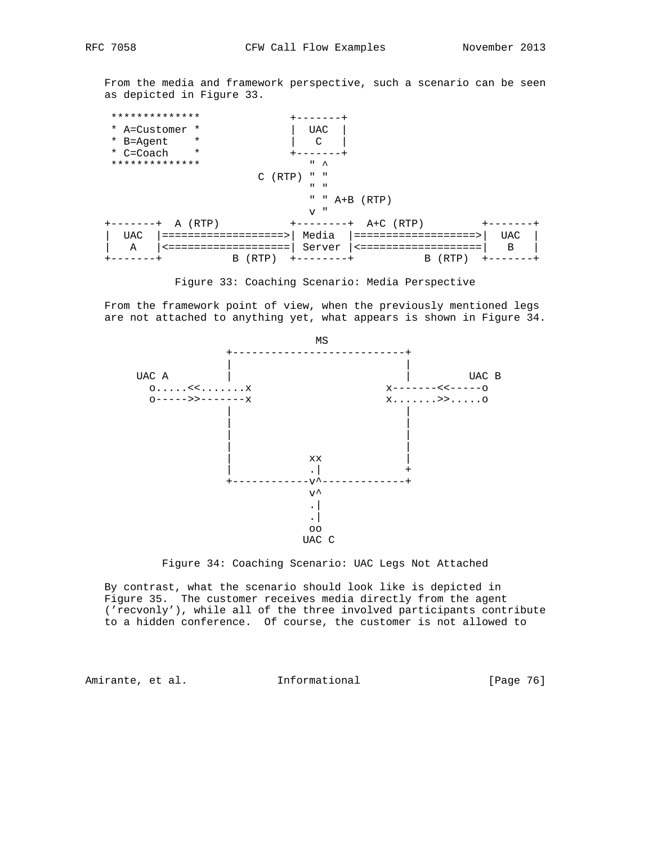From the media and framework perspective, such a scenario can be seen as depicted in Figure 33.

| **************        |                              |
|-----------------------|------------------------------|
| * A=Customer *        | UAC                          |
| *<br>* B=Agent        | C                            |
| $^\star$<br>* C=Coach |                              |
| **************        | $\mathbf{u}$ $\mathbf{v}$    |
|                       | (RTP)<br>п.<br>- 11<br>C     |
|                       | $\mathbf{H}$<br>$\mathbf{u}$ |
|                       | ш<br>A+B (RTP)<br>ш          |
|                       | $V$ "                        |
| A (RTP)<br>------+    | $A+C$ (RTP)<br>$- - +$       |
| UAC                   | Media<br>UAC                 |
| Α                     | Server<br>B                  |
|                       | RTP<br>В<br>RTP<br>В         |

Figure 33: Coaching Scenario: Media Perspective

 From the framework point of view, when the previously mentioned legs are not attached to anything yet, what appears is shown in Figure 34.





 By contrast, what the scenario should look like is depicted in Figure 35. The customer receives media directly from the agent ('recvonly'), while all of the three involved participants contribute to a hidden conference. Of course, the customer is not allowed to

Amirante, et al. 1nformational [Page 76]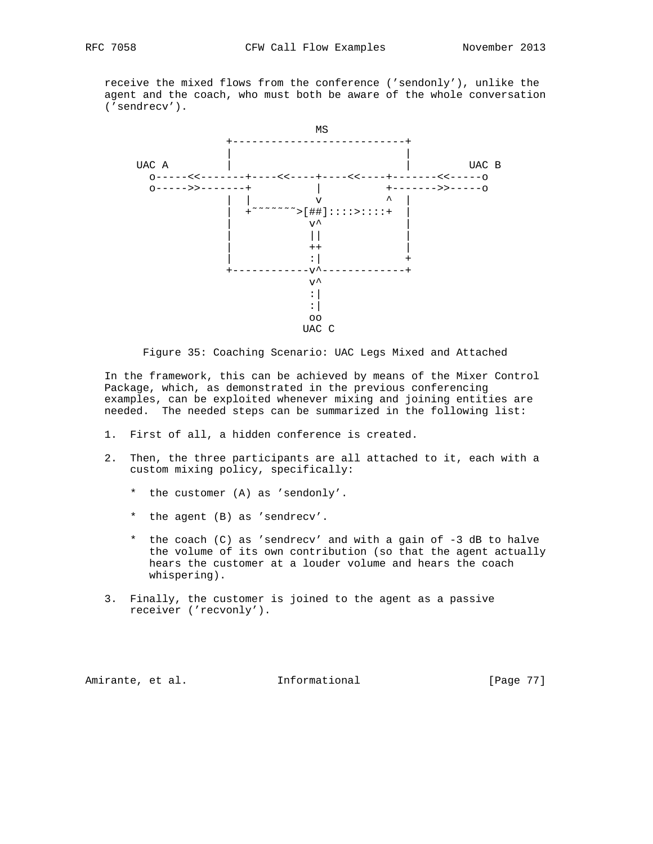receive the mixed flows from the conference ('sendonly'), unlike the agent and the coach, who must both be aware of the whole conversation ('sendrecv').



Figure 35: Coaching Scenario: UAC Legs Mixed and Attached

 In the framework, this can be achieved by means of the Mixer Control Package, which, as demonstrated in the previous conferencing examples, can be exploited whenever mixing and joining entities are needed. The needed steps can be summarized in the following list:

- 1. First of all, a hidden conference is created.
- 2. Then, the three participants are all attached to it, each with a custom mixing policy, specifically:
	- \* the customer (A) as 'sendonly'.
	- \* the agent (B) as 'sendrecv'.
	- \* the coach (C) as 'sendrecv' and with a gain of -3 dB to halve the volume of its own contribution (so that the agent actually hears the customer at a louder volume and hears the coach whispering).
- 3. Finally, the customer is joined to the agent as a passive receiver ('recvonly').

Amirante, et al. 1nformational [Page 77]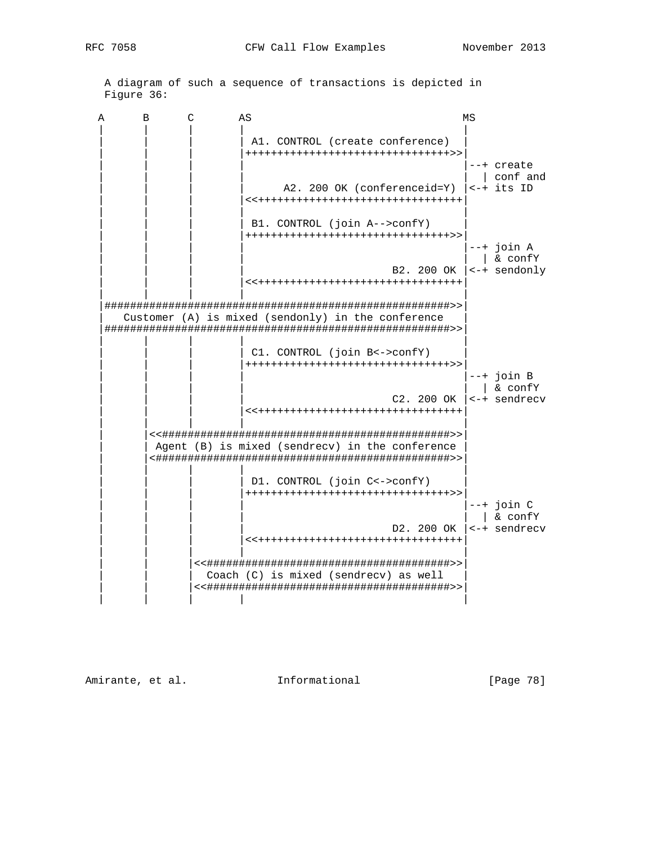A diagram of such a sequence of transactions is depicted in Figure 36:

| Α | B | C | AS                                                                    | ΜS |                                    |
|---|---|---|-----------------------------------------------------------------------|----|------------------------------------|
|   |   |   | A1. CONTROL (create conference)<br>++++++++++++++++++++++++++++++++>> |    | --+ create<br>conf and             |
|   |   |   | A2. 200 OK (conferenceid=Y)<br><<+++++++++++++++++++++++++++++++++    |    | $\leftarrow +$ its ID              |
|   |   |   | B1. CONTROL (join A-->confY)<br>++++++++++++++++++++++++++++++++      |    | $--+$ join A                       |
|   |   |   | B2. 200 OK                                                            |    | & confY<br>$\leftarrow +$ sendonly |
|   |   |   | Customer (A) is mixed (sendonly) in the conference                    |    |                                    |
|   |   |   | C1. CONTROL (join B<->confY)<br>++++++++++++++++++++++++++++++++      |    | --+ join B<br>& confy              |
|   |   |   | $C2.200$ OK<br><<+++++++++++++++++++++++++++++++                      |    | <-+ sendrecy                       |
|   |   |   | Agent (B) is mixed (sendrecy) in the conference                       |    |                                    |
|   |   |   | D1. CONTROL (join C<->confY)                                          |    | $--+$ join $C$                     |
|   |   |   | D2. 200 OK                                                            |    | & confY<br><-+ sendrecy            |
|   |   |   | Coach (C) is mixed (sendrecv) as well                                 |    |                                    |

Amirante, et al. 1nformational 1999 [Page 78]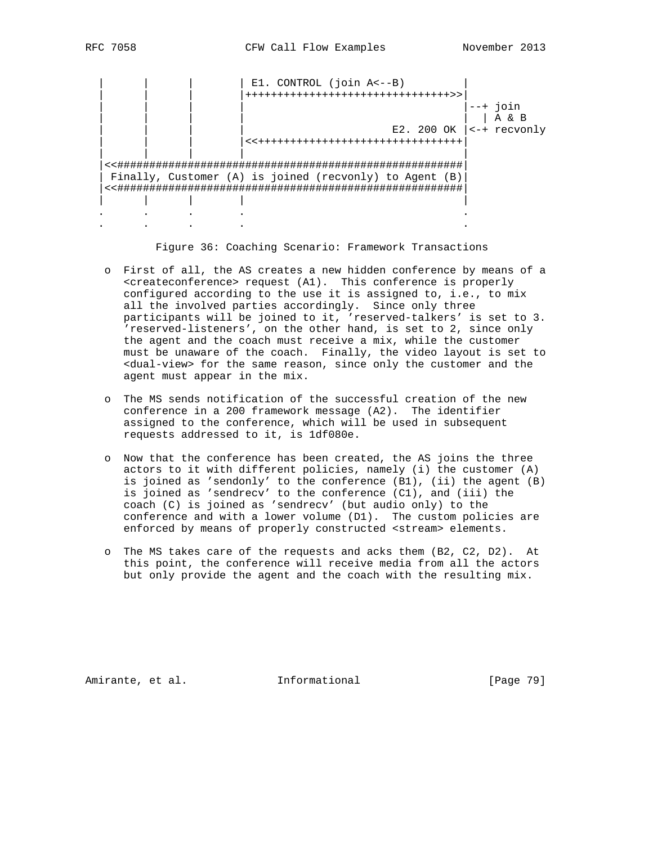|  |  | E1. CONTROL (join A<--B)                                    |               |
|--|--|-------------------------------------------------------------|---------------|
|  |  | .++++++++++++++++++++++++++++++                             |               |
|  |  |                                                             | join<br>Α & Β |
|  |  | E2. 200 OK $\vert$ <-+ recvonly                             |               |
|  |  | <<++++++++++++++++++++++++++++++++                          |               |
|  |  |                                                             |               |
|  |  | Finally, Customer $(A)$ is joined (recvonly) to Agent $(B)$ |               |
|  |  |                                                             |               |
|  |  |                                                             |               |
|  |  |                                                             |               |
|  |  |                                                             |               |

## Figure 36: Coaching Scenario: Framework Transactions

- o First of all, the AS creates a new hidden conference by means of a <createconference> request (A1). This conference is properly configured according to the use it is assigned to, i.e., to mix all the involved parties accordingly. Since only three participants will be joined to it, 'reserved-talkers' is set to 3. 'reserved-listeners', on the other hand, is set to 2, since only the agent and the coach must receive a mix, while the customer must be unaware of the coach. Finally, the video layout is set to <dual-view> for the same reason, since only the customer and the agent must appear in the mix.
- o The MS sends notification of the successful creation of the new conference in a 200 framework message (A2). The identifier assigned to the conference, which will be used in subsequent requests addressed to it, is 1df080e.
- o Now that the conference has been created, the AS joins the three actors to it with different policies, namely (i) the customer (A) is joined as 'sendonly' to the conference (B1), (ii) the agent (B) is joined as 'sendrecv' to the conference (C1), and (iii) the coach (C) is joined as 'sendrecv' (but audio only) to the conference and with a lower volume (D1). The custom policies are enforced by means of properly constructed <stream> elements.
- o The MS takes care of the requests and acks them (B2, C2, D2). At this point, the conference will receive media from all the actors but only provide the agent and the coach with the resulting mix.

Amirante, et al. 1nformational 1999 [Page 79]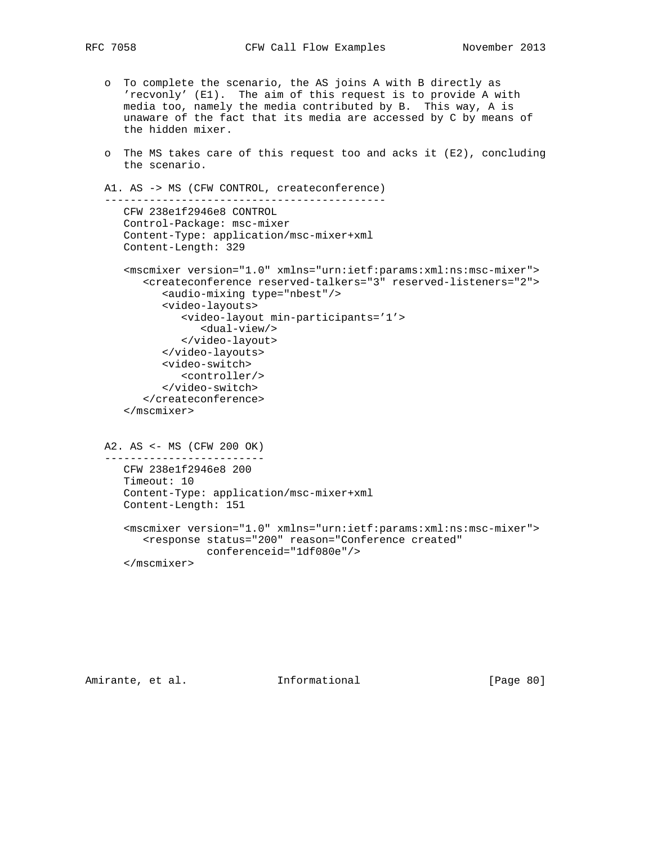o To complete the scenario, the AS joins A with B directly as 'recvonly' (E1). The aim of this request is to provide A with media too, namely the media contributed by B. This way, A is unaware of the fact that its media are accessed by C by means of the hidden mixer. o The MS takes care of this request too and acks it (E2), concluding the scenario. A1. AS -> MS (CFW CONTROL, createconference) -------------------------------------------- CFW 238e1f2946e8 CONTROL Control-Package: msc-mixer Content-Type: application/msc-mixer+xml Content-Length: 329 <mscmixer version="1.0" xmlns="urn:ietf:params:xml:ns:msc-mixer"> <createconference reserved-talkers="3" reserved-listeners="2"> <audio-mixing type="nbest"/> <video-layouts> <video-layout min-participants='1'> <dual-view/> </video-layout> </video-layouts> <video-switch> <controller/> </video-switch> </createconference> </mscmixer> A2. AS <- MS (CFW 200 OK) ------------------------- CFW 238e1f2946e8 200 Timeout: 10 Content-Type: application/msc-mixer+xml Content-Length: 151

 <mscmixer version="1.0" xmlns="urn:ietf:params:xml:ns:msc-mixer"> <response status="200" reason="Conference created" conferenceid="1df080e"/>

</mscmixer>

Amirante, et al. 1nformational 1999 [Page 80]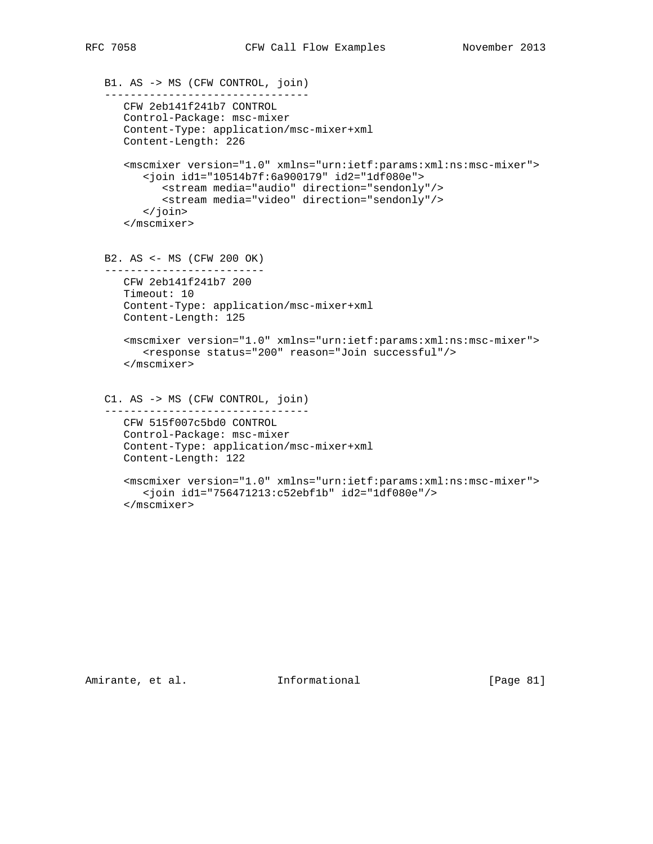```
 B1. AS -> MS (CFW CONTROL, join)
 --------------------------------
    CFW 2eb141f241b7 CONTROL
    Control-Package: msc-mixer
    Content-Type: application/msc-mixer+xml
    Content-Length: 226
    <mscmixer version="1.0" xmlns="urn:ietf:params:xml:ns:msc-mixer">
       <join id1="10514b7f:6a900179" id2="1df080e">
          <stream media="audio" direction="sendonly"/>
          <stream media="video" direction="sendonly"/>
       </join>
    </mscmixer>
 B2. AS <- MS (CFW 200 OK)
 -------------------------
    CFW 2eb141f241b7 200
    Timeout: 10
    Content-Type: application/msc-mixer+xml
    Content-Length: 125
    <mscmixer version="1.0" xmlns="urn:ietf:params:xml:ns:msc-mixer">
       <response status="200" reason="Join successful"/>
    </mscmixer>
 C1. AS -> MS (CFW CONTROL, join)
 --------------------------------
    CFW 515f007c5bd0 CONTROL
    Control-Package: msc-mixer
    Content-Type: application/msc-mixer+xml
    Content-Length: 122
    <mscmixer version="1.0" xmlns="urn:ietf:params:xml:ns:msc-mixer">
      <join id1="756471213:c52ebf1b" id2="1df080e"/>
    </mscmixer>
```
Amirante, et al. 1nformational [Page 81]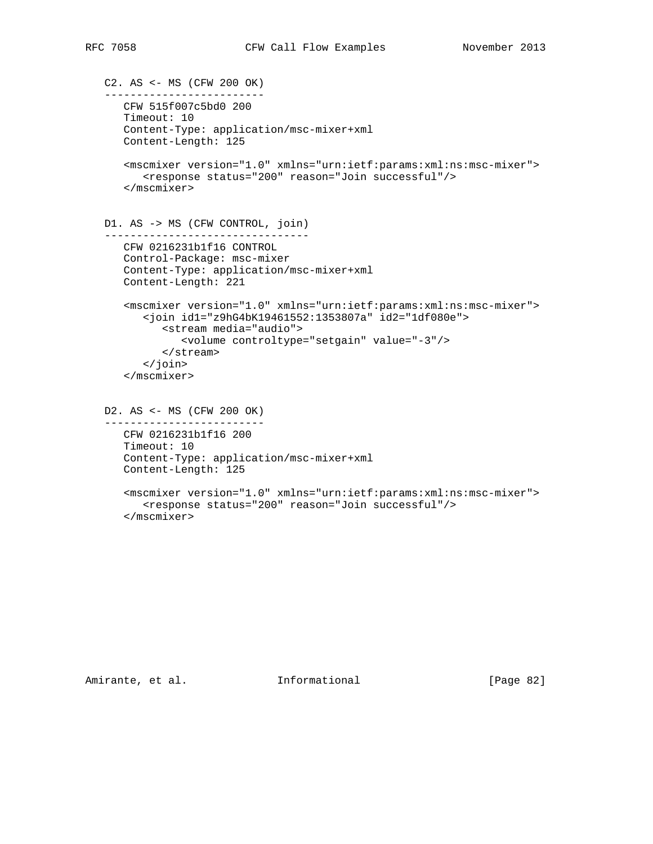```
 C2. AS <- MS (CFW 200 OK)
 -------------------------
    CFW 515f007c5bd0 200
    Timeout: 10
    Content-Type: application/msc-mixer+xml
    Content-Length: 125
    <mscmixer version="1.0" xmlns="urn:ietf:params:xml:ns:msc-mixer">
       <response status="200" reason="Join successful"/>
    </mscmixer>
 D1. AS -> MS (CFW CONTROL, join)
 --------------------------------
    CFW 0216231b1f16 CONTROL
    Control-Package: msc-mixer
    Content-Type: application/msc-mixer+xml
    Content-Length: 221
    <mscmixer version="1.0" xmlns="urn:ietf:params:xml:ns:msc-mixer">
       <join id1="z9hG4bK19461552:1353807a" id2="1df080e">
          <stream media="audio">
             <volume controltype="setgain" value="-3"/>
          </stream>
       </join>
    </mscmixer>
 D2. AS <- MS (CFW 200 OK)
   -------------------------
    CFW 0216231b1f16 200
    Timeout: 10
    Content-Type: application/msc-mixer+xml
    Content-Length: 125
    <mscmixer version="1.0" xmlns="urn:ietf:params:xml:ns:msc-mixer">
       <response status="200" reason="Join successful"/>
    </mscmixer>
```
Amirante, et al. 1nformational [Page 82]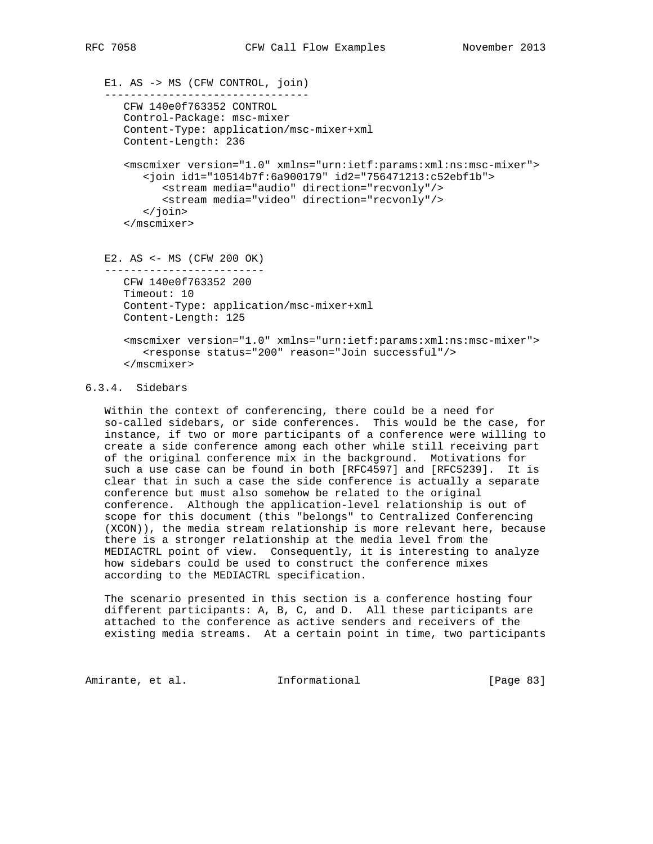```
 E1. AS -> MS (CFW CONTROL, join)
 --------------------------------
    CFW 140e0f763352 CONTROL
    Control-Package: msc-mixer
    Content-Type: application/msc-mixer+xml
    Content-Length: 236
    <mscmixer version="1.0" xmlns="urn:ietf:params:xml:ns:msc-mixer">
       <join id1="10514b7f:6a900179" id2="756471213:c52ebf1b">
          <stream media="audio" direction="recvonly"/>
          <stream media="video" direction="recvonly"/>
       </join>
    </mscmixer>
 E2. AS <- MS (CFW 200 OK)
 -------------------------
    CFW 140e0f763352 200
    Timeout: 10
    Content-Type: application/msc-mixer+xml
    Content-Length: 125
    <mscmixer version="1.0" xmlns="urn:ietf:params:xml:ns:msc-mixer">
```
<response status="200" reason="Join successful"/>

6.3.4. Sidebars

</mscmixer>

 Within the context of conferencing, there could be a need for so-called sidebars, or side conferences. This would be the case, for instance, if two or more participants of a conference were willing to create a side conference among each other while still receiving part of the original conference mix in the background. Motivations for such a use case can be found in both [RFC4597] and [RFC5239]. It is clear that in such a case the side conference is actually a separate conference but must also somehow be related to the original conference. Although the application-level relationship is out of scope for this document (this "belongs" to Centralized Conferencing (XCON)), the media stream relationship is more relevant here, because there is a stronger relationship at the media level from the MEDIACTRL point of view. Consequently, it is interesting to analyze how sidebars could be used to construct the conference mixes according to the MEDIACTRL specification.

 The scenario presented in this section is a conference hosting four different participants: A, B, C, and D. All these participants are attached to the conference as active senders and receivers of the existing media streams. At a certain point in time, two participants

Amirante, et al. 1nformational [Page 83]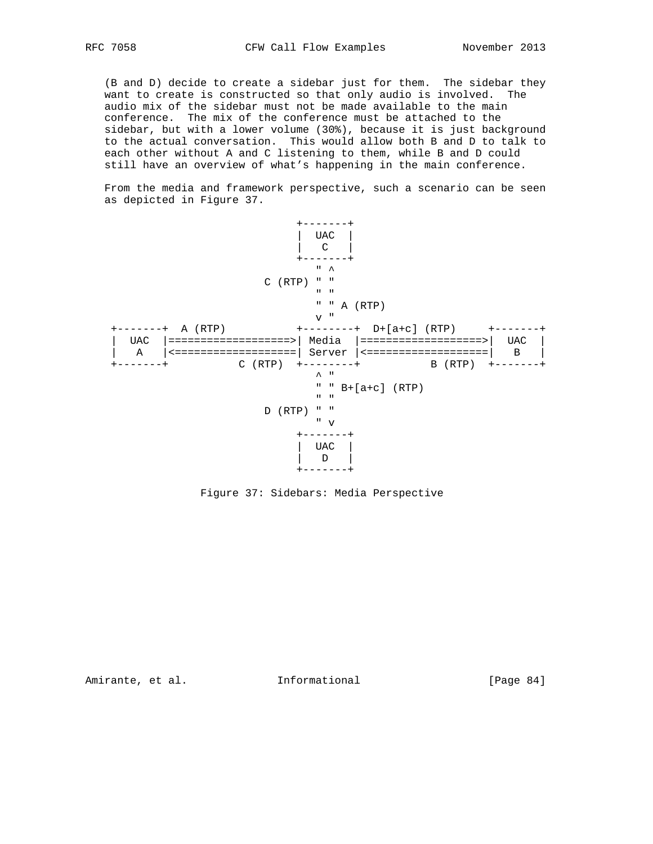(B and D) decide to create a sidebar just for them. The sidebar they want to create is constructed so that only audio is involved. The audio mix of the sidebar must not be made available to the main conference. The mix of the conference must be attached to the sidebar, but with a lower volume (30%), because it is just background to the actual conversation. This would allow both B and D to talk to each other without A and C listening to them, while B and D could still have an overview of what's happening in the main conference.

 From the media and framework perspective, such a scenario can be seen as depicted in Figure 37.



Figure 37: Sidebars: Media Perspective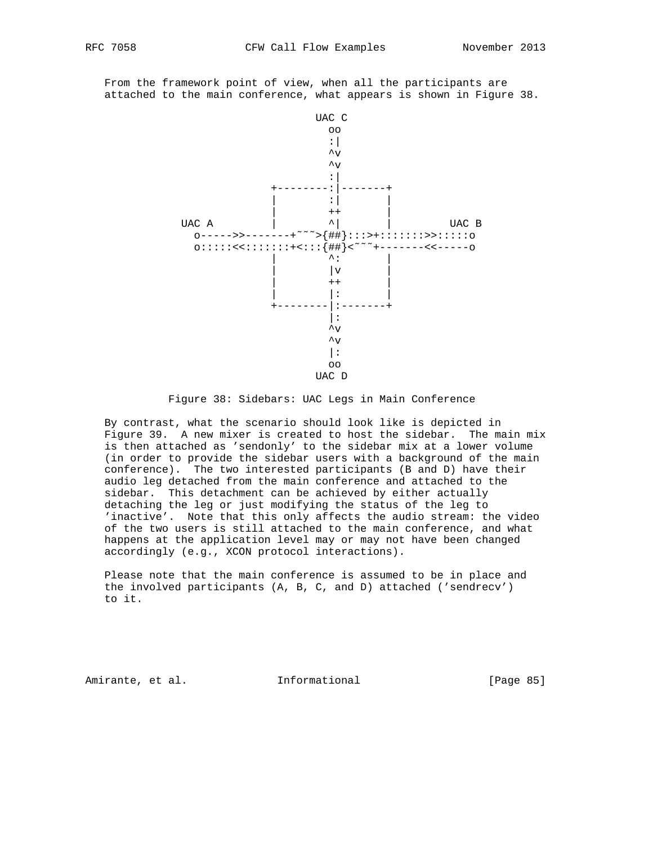From the framework point of view, when all the participants are attached to the main conference, what appears is shown in Figure 38.



Figure 38: Sidebars: UAC Legs in Main Conference

 By contrast, what the scenario should look like is depicted in Figure 39. A new mixer is created to host the sidebar. The main mix is then attached as 'sendonly' to the sidebar mix at a lower volume (in order to provide the sidebar users with a background of the main conference). The two interested participants (B and D) have their audio leg detached from the main conference and attached to the sidebar. This detachment can be achieved by either actually detaching the leg or just modifying the status of the leg to 'inactive'. Note that this only affects the audio stream: the video of the two users is still attached to the main conference, and what happens at the application level may or may not have been changed accordingly (e.g., XCON protocol interactions).

 Please note that the main conference is assumed to be in place and the involved participants (A, B, C, and D) attached ('sendrecv') to it.

Amirante, et al. Informational [Page 85]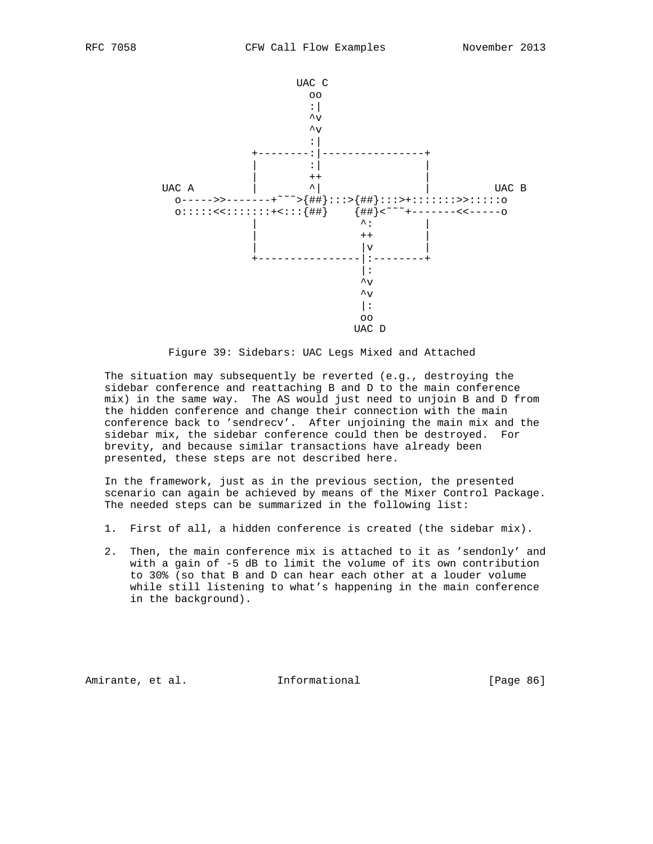

Figure 39: Sidebars: UAC Legs Mixed and Attached

 The situation may subsequently be reverted (e.g., destroying the sidebar conference and reattaching B and D to the main conference mix) in the same way. The AS would just need to unjoin B and D from the hidden conference and change their connection with the main conference back to 'sendrecv'. After unjoining the main mix and the sidebar mix, the sidebar conference could then be destroyed. For brevity, and because similar transactions have already been presented, these steps are not described here.

 In the framework, just as in the previous section, the presented scenario can again be achieved by means of the Mixer Control Package. The needed steps can be summarized in the following list:

- 1. First of all, a hidden conference is created (the sidebar mix).
- 2. Then, the main conference mix is attached to it as 'sendonly' and with a gain of -5 dB to limit the volume of its own contribution to 30% (so that B and D can hear each other at a louder volume while still listening to what's happening in the main conference in the background).

Amirante, et al. 1nformational [Page 86]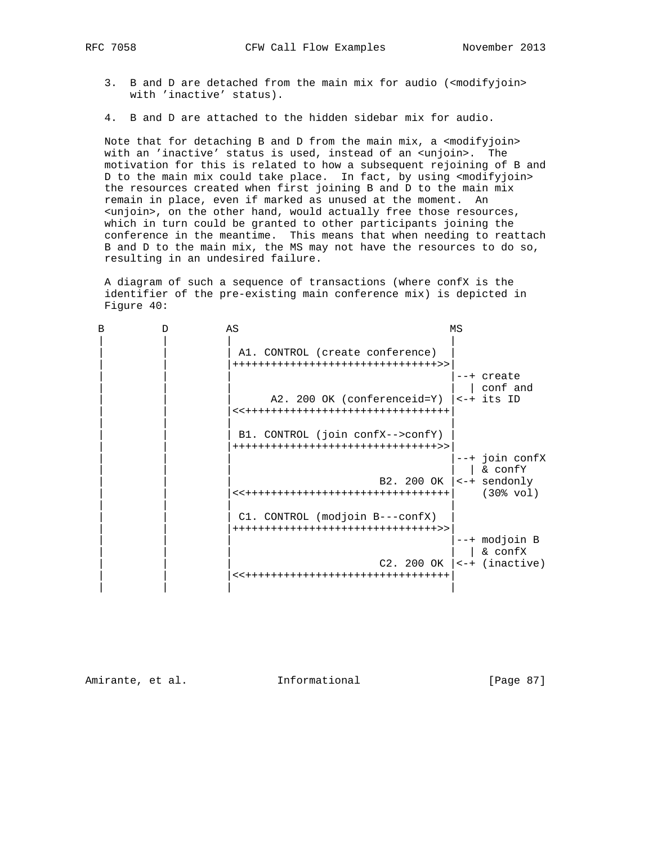- 3. B and D are detached from the main mix for audio (<modifyjoin> with 'inactive' status).
- 4. B and D are attached to the hidden sidebar mix for audio.

Note that for detaching B and D from the main mix, a <modifyjoin> with an 'inactive' status is used, instead of an <unjoin>. The motivation for this is related to how a subsequent rejoining of B and D to the main mix could take place. In fact, by using <modifyjoin> the resources created when first joining B and D to the main mix remain in place, even if marked as unused at the moment. An <unjoin>, on the other hand, would actually free those resources, which in turn could be granted to other participants joining the conference in the meantime. This means that when needing to reattach B and D to the main mix, the MS may not have the resources to do so, resulting in an undesired failure.

 A diagram of such a sequence of transactions (where confX is the identifier of the pre-existing main conference mix) is depicted in Figure 40:

| B | AS                                                                     | MS                                                                                          |  |
|---|------------------------------------------------------------------------|---------------------------------------------------------------------------------------------|--|
|   | A1. CONTROL (create conference)<br>++++++++++++++++++++++++++++++++++  |                                                                                             |  |
|   | A2. 200 OK (conferenceid=Y) $ $ <-+ its ID                             | --+ create<br>conf and                                                                      |  |
|   | <<++++++++++++++++++++++++++++++++                                     |                                                                                             |  |
|   | B1. CONTROL (join confX-->confY)<br>++++++++++++++++++++++++++++++++++ |                                                                                             |  |
|   | <<+++++++++++++++++++++++++++++++++                                    | --+ join confX<br>& confy<br>$B2.200$ OK $\left  \left( -+ \right)$ sendonly<br>$(308$ vol) |  |
|   | C1. CONTROL (modjoin B---confX)                                        |                                                                                             |  |
|   | ++++++++++++++++++++++++++++++++++                                     | --+ modjoin B<br>& confX                                                                    |  |
|   | <<++++++++++++++++++++++++++++++++                                     | C2. 200 OK $ $ < - + (inactive)                                                             |  |
|   |                                                                        |                                                                                             |  |

Amirante, et al. 1nformational [Page 87]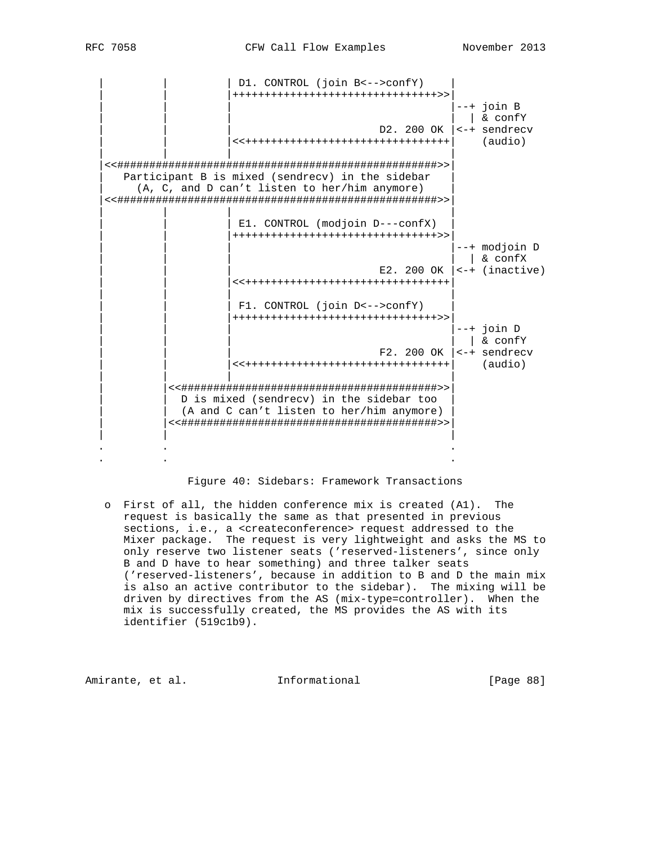|  | D1. CONTROL (join B<-->confY)                                                                     |                                                         |
|--|---------------------------------------------------------------------------------------------------|---------------------------------------------------------|
|  | ++++++++++++++++++++++++++++++++                                                                  | $--+$ join B                                            |
|  |                                                                                                   | & confY                                                 |
|  | D2. 200 OK                                                                                        | $\left  \left  \right  < + \right $ sendrecy            |
|  | <<+++++++++++++++++++++++++++++++                                                                 | (audio)                                                 |
|  |                                                                                                   |                                                         |
|  | Participant B is mixed (sendrecy) in the sidebar<br>(A, C, and D can't listen to her/him anymore) |                                                         |
|  |                                                                                                   |                                                         |
|  |                                                                                                   |                                                         |
|  | $E1.$ CONTROL (modjoin D---confX)<br>+++++++++++++++++++++++++++++++++>>                          |                                                         |
|  |                                                                                                   | --+ modjoin D                                           |
|  |                                                                                                   | & confX                                                 |
|  | E2. 200 OK<br><<++++++++++++++++++++++++++++++++                                                  | $ $ <-+ (inactive)                                      |
|  |                                                                                                   |                                                         |
|  | F1. CONTROL (join D<-->confY)                                                                     |                                                         |
|  | ++++++++++++++++++++++++++++++++++                                                                | $--+$ join $D$                                          |
|  |                                                                                                   | & confY                                                 |
|  | F2, 200 OK<br><<++++++++++++++++++++++++++++++++                                                  | $\left  \left  \right  < + \right $ sendrecy<br>(audio) |
|  |                                                                                                   |                                                         |
|  |                                                                                                   |                                                         |
|  | D is mixed (sendrecy) in the sidebar too<br>(A and C can't listen to her/him anymore)             |                                                         |
|  |                                                                                                   |                                                         |
|  |                                                                                                   |                                                         |
|  |                                                                                                   |                                                         |
|  |                                                                                                   |                                                         |

## Figure 40: Sidebars: Framework Transactions

 o First of all, the hidden conference mix is created (A1). The request is basically the same as that presented in previous sections, i.e., a <createconference> request addressed to the Mixer package. The request is very lightweight and asks the MS to only reserve two listener seats ('reserved-listeners', since only B and D have to hear something) and three talker seats ('reserved-listeners', because in addition to B and D the main mix is also an active contributor to the sidebar). The mixing will be driven by directives from the AS (mix-type=controller). When the mix is successfully created, the MS provides the AS with its identifier (519c1b9).

Amirante, et al. 1nformational [Page 88]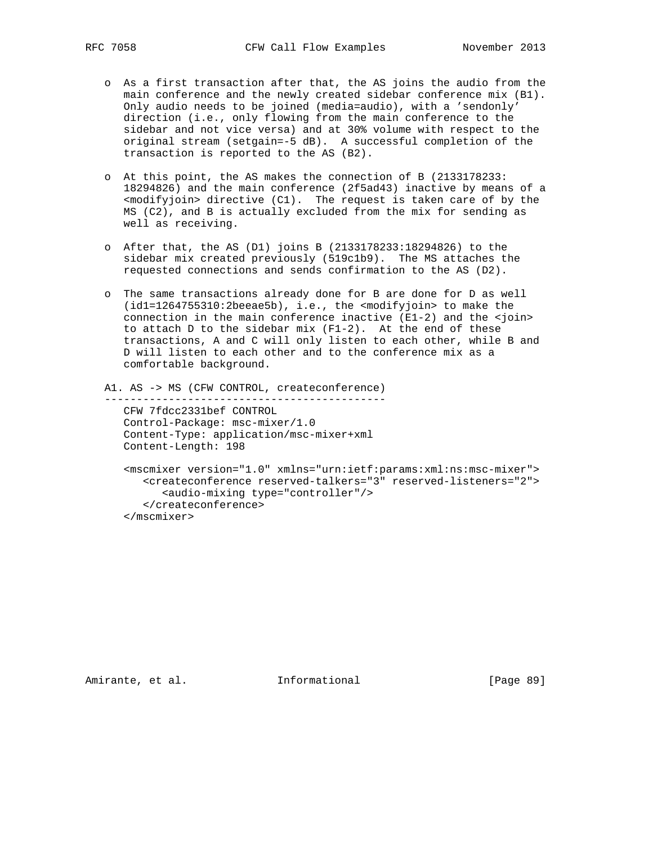- o As a first transaction after that, the AS joins the audio from the main conference and the newly created sidebar conference mix (B1). Only audio needs to be joined (media=audio), with a 'sendonly' direction (i.e., only flowing from the main conference to the sidebar and not vice versa) and at 30% volume with respect to the original stream (setgain=-5 dB). A successful completion of the transaction is reported to the AS (B2).
- o At this point, the AS makes the connection of B (2133178233: 18294826) and the main conference (2f5ad43) inactive by means of a <modifyjoin> directive (C1). The request is taken care of by the MS (C2), and B is actually excluded from the mix for sending as well as receiving.
- o After that, the AS (D1) joins B (2133178233:18294826) to the sidebar mix created previously (519c1b9). The MS attaches the requested connections and sends confirmation to the AS (D2).
- o The same transactions already done for B are done for D as well (id1=1264755310:2beeae5b), i.e., the <modifyjoin> to make the connection in the main conference inactive  $(E1-2)$  and the <join> to attach D to the sidebar mix (F1-2). At the end of these transactions, A and C will only listen to each other, while B and D will listen to each other and to the conference mix as a comfortable background.
- A1. AS -> MS (CFW CONTROL, createconference)

</createconference>

</mscmixer>

```
 --------------------------------------------
  CFW 7fdcc2331bef CONTROL
  Control-Package: msc-mixer/1.0
  Content-Type: application/msc-mixer+xml
  Content-Length: 198
  <mscmixer version="1.0" xmlns="urn:ietf:params:xml:ns:msc-mixer">
    <createconference reserved-talkers="3" reserved-listeners="2">
```
<audio-mixing type="controller"/>

Amirante, et al. 1nformational 1999 [Page 89]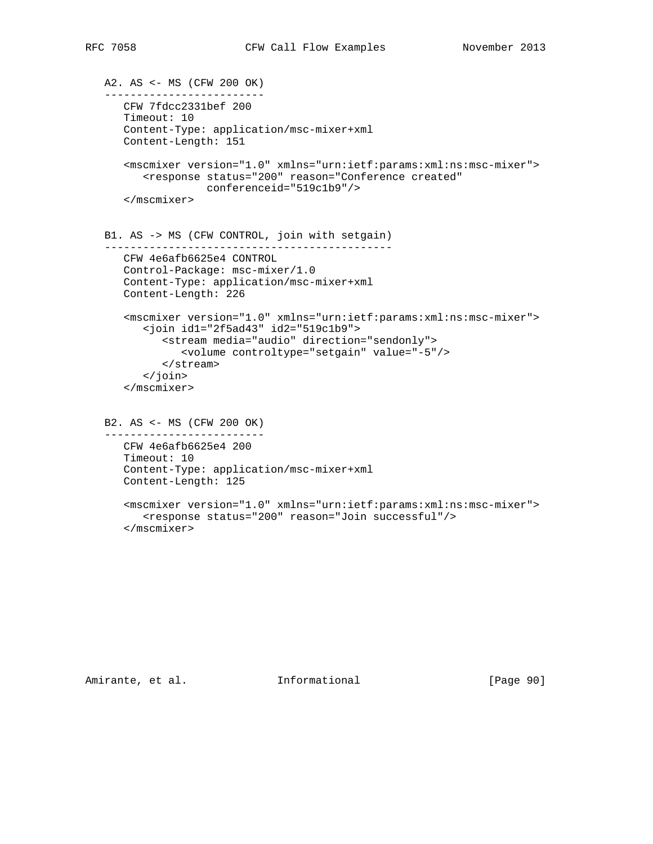```
 A2. AS <- MS (CFW 200 OK)
 -------------------------
    CFW 7fdcc2331bef 200
    Timeout: 10
    Content-Type: application/msc-mixer+xml
    Content-Length: 151
    <mscmixer version="1.0" xmlns="urn:ietf:params:xml:ns:msc-mixer">
      <response status="200" reason="Conference created"
          conferenceid="519c1b9"/>
    </mscmixer>
 B1. AS -> MS (CFW CONTROL, join with setgain)
    ---------------------------------------------
    CFW 4e6afb6625e4 CONTROL
    Control-Package: msc-mixer/1.0
    Content-Type: application/msc-mixer+xml
    Content-Length: 226
    <mscmixer version="1.0" xmlns="urn:ietf:params:xml:ns:msc-mixer">
       <join id1="2f5ad43" id2="519c1b9">
          <stream media="audio" direction="sendonly">
             <volume controltype="setgain" value="-5"/>
          </stream>
       </join>
    </mscmixer>
 B2. AS <- MS (CFW 200 OK)
 -------------------------
    CFW 4e6afb6625e4 200
    Timeout: 10
    Content-Type: application/msc-mixer+xml
    Content-Length: 125
    <mscmixer version="1.0" xmlns="urn:ietf:params:xml:ns:msc-mixer">
      <response status="200" reason="Join successful"/>
    </mscmixer>
```
Amirante, et al. 1nformational [Page 90]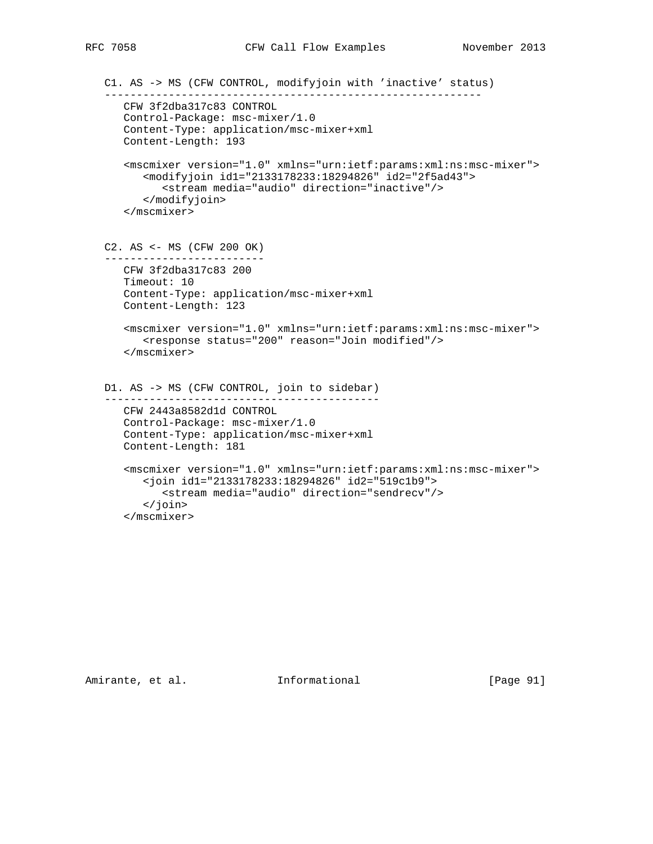```
 C1. AS -> MS (CFW CONTROL, modifyjoin with 'inactive' status)
 -----------------------------------------------------------
    CFW 3f2dba317c83 CONTROL
   Control-Package: msc-mixer/1.0
   Content-Type: application/msc-mixer+xml
   Content-Length: 193
    <mscmixer version="1.0" xmlns="urn:ietf:params:xml:ns:msc-mixer">
       <modifyjoin id1="2133178233:18294826" id2="2f5ad43">
         <stream media="audio" direction="inactive"/>
       </modifyjoin>
    </mscmixer>
 C2. AS <- MS (CFW 200 OK)
 -------------------------
   CFW 3f2dba317c83 200
   Timeout: 10
   Content-Type: application/msc-mixer+xml
   Content-Length: 123
    <mscmixer version="1.0" xmlns="urn:ietf:params:xml:ns:msc-mixer">
      <response status="200" reason="Join modified"/>
    </mscmixer>
 D1. AS -> MS (CFW CONTROL, join to sidebar)
 -------------------------------------------
    CFW 2443a8582d1d CONTROL
   Control-Package: msc-mixer/1.0
    Content-Type: application/msc-mixer+xml
   Content-Length: 181
    <mscmixer version="1.0" xmlns="urn:ietf:params:xml:ns:msc-mixer">
       <join id1="2133178233:18294826" id2="519c1b9">
          <stream media="audio" direction="sendrecv"/>
       </join>
    </mscmixer>
```
Amirante, et al. 1nformational [Page 91]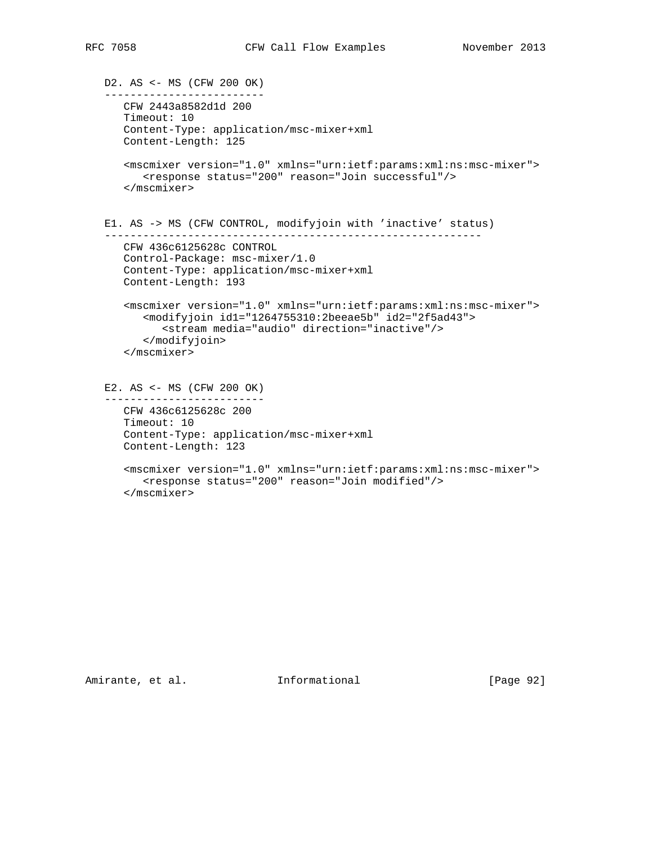```
 D2. AS <- MS (CFW 200 OK)
 -------------------------
    CFW 2443a8582d1d 200
    Timeout: 10
    Content-Type: application/msc-mixer+xml
    Content-Length: 125
    <mscmixer version="1.0" xmlns="urn:ietf:params:xml:ns:msc-mixer">
       <response status="200" reason="Join successful"/>
    </mscmixer>
 E1. AS -> MS (CFW CONTROL, modifyjoin with 'inactive' status)
 -----------------------------------------------------------
   CFW 436c6125628c CONTROL
   Control-Package: msc-mixer/1.0
    Content-Type: application/msc-mixer+xml
    Content-Length: 193
    <mscmixer version="1.0" xmlns="urn:ietf:params:xml:ns:msc-mixer">
       <modifyjoin id1="1264755310:2beeae5b" id2="2f5ad43">
          <stream media="audio" direction="inactive"/>
       </modifyjoin>
    </mscmixer>
 E2. AS <- MS (CFW 200 OK)
 -------------------------
    CFW 436c6125628c 200
    Timeout: 10
    Content-Type: application/msc-mixer+xml
    Content-Length: 123
    <mscmixer version="1.0" xmlns="urn:ietf:params:xml:ns:msc-mixer">
      <response status="200" reason="Join modified"/>
    </mscmixer>
```
Amirante, et al. 1nformational [Page 92]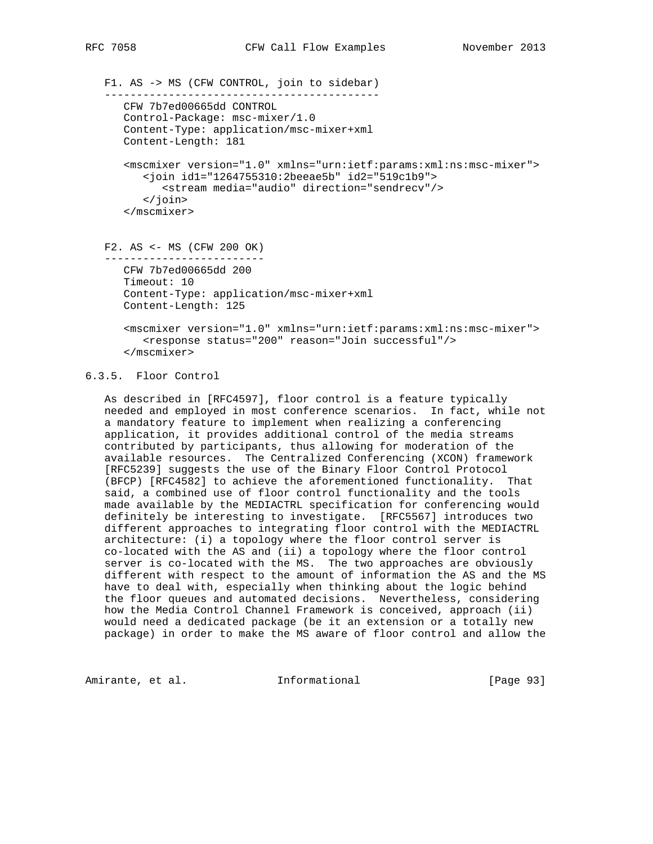F1. AS -> MS (CFW CONTROL, join to sidebar) ------------------------------------------- CFW 7b7ed00665dd CONTROL Control-Package: msc-mixer/1.0 Content-Type: application/msc-mixer+xml Content-Length: 181 <mscmixer version="1.0" xmlns="urn:ietf:params:xml:ns:msc-mixer"> <join id1="1264755310:2beeae5b" id2="519c1b9"> <stream media="audio" direction="sendrecv"/> </join> </mscmixer> F2. AS <- MS (CFW 200 OK) ------------------------- CFW 7b7ed00665dd 200 Timeout: 10

 Content-Type: application/msc-mixer+xml Content-Length: 125

 <mscmixer version="1.0" xmlns="urn:ietf:params:xml:ns:msc-mixer"> <response status="200" reason="Join successful"/> </mscmixer>

## 6.3.5. Floor Control

 As described in [RFC4597], floor control is a feature typically needed and employed in most conference scenarios. In fact, while not a mandatory feature to implement when realizing a conferencing application, it provides additional control of the media streams contributed by participants, thus allowing for moderation of the available resources. The Centralized Conferencing (XCON) framework [RFC5239] suggests the use of the Binary Floor Control Protocol (BFCP) [RFC4582] to achieve the aforementioned functionality. That said, a combined use of floor control functionality and the tools made available by the MEDIACTRL specification for conferencing would definitely be interesting to investigate. [RFC5567] introduces two different approaches to integrating floor control with the MEDIACTRL architecture: (i) a topology where the floor control server is co-located with the AS and (ii) a topology where the floor control server is co-located with the MS. The two approaches are obviously different with respect to the amount of information the AS and the MS have to deal with, especially when thinking about the logic behind the floor queues and automated decisions. Nevertheless, considering how the Media Control Channel Framework is conceived, approach (ii) would need a dedicated package (be it an extension or a totally new package) in order to make the MS aware of floor control and allow the

Amirante, et al. 1nformational [Page 93]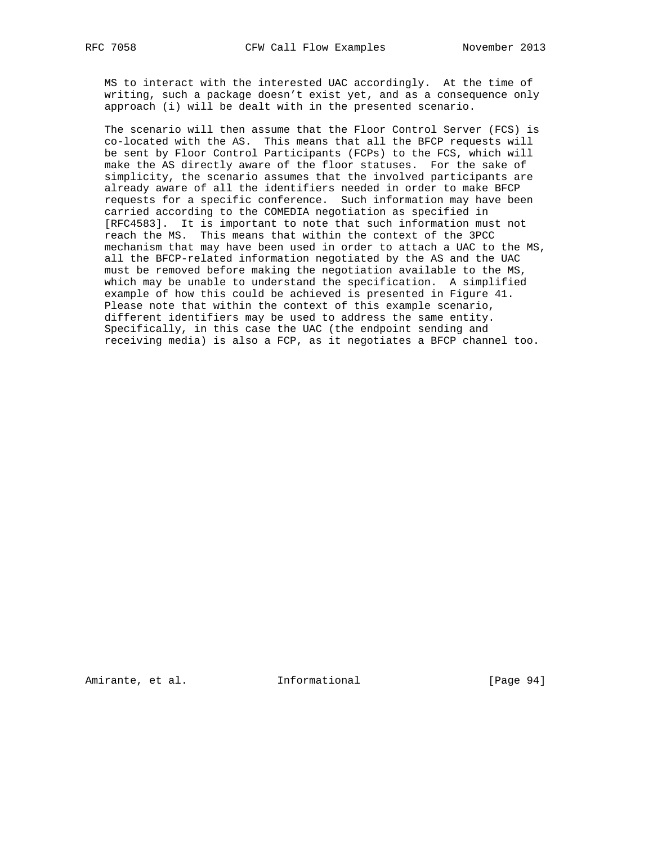MS to interact with the interested UAC accordingly. At the time of writing, such a package doesn't exist yet, and as a consequence only approach (i) will be dealt with in the presented scenario.

 The scenario will then assume that the Floor Control Server (FCS) is co-located with the AS. This means that all the BFCP requests will be sent by Floor Control Participants (FCPs) to the FCS, which will make the AS directly aware of the floor statuses. For the sake of simplicity, the scenario assumes that the involved participants are already aware of all the identifiers needed in order to make BFCP requests for a specific conference. Such information may have been carried according to the COMEDIA negotiation as specified in [RFC4583]. It is important to note that such information must not reach the MS. This means that within the context of the 3PCC mechanism that may have been used in order to attach a UAC to the MS, all the BFCP-related information negotiated by the AS and the UAC must be removed before making the negotiation available to the MS, which may be unable to understand the specification. A simplified example of how this could be achieved is presented in Figure 41. Please note that within the context of this example scenario, different identifiers may be used to address the same entity. Specifically, in this case the UAC (the endpoint sending and receiving media) is also a FCP, as it negotiates a BFCP channel too.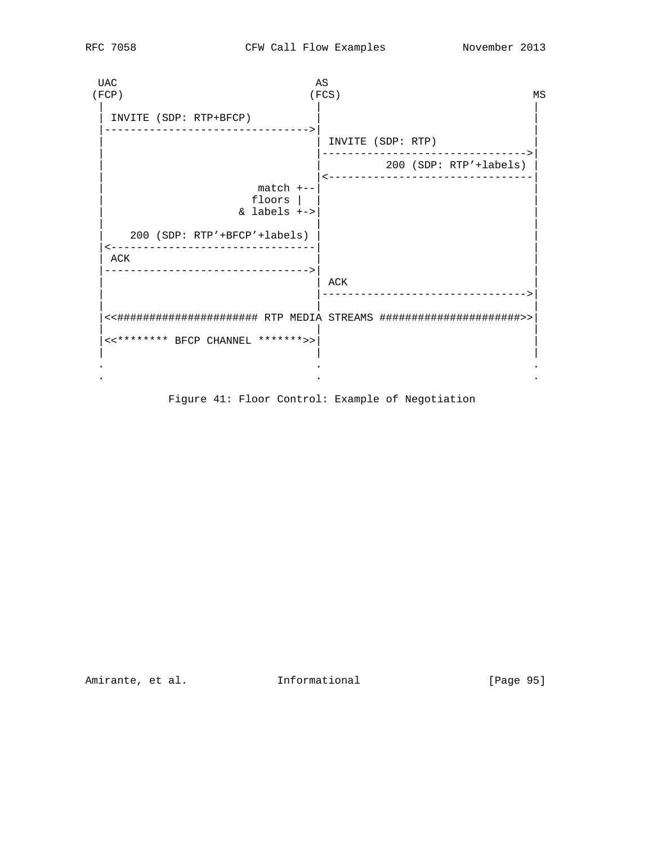$UAC$  and  $AS$ (FCP) (FCS) MS | | | INVITE (SDP: RTP+BFCP) |-------------------------------->| | | | INVITE (SDP: RTP) | | |-------------------------------->| 200 (SDP: RTP'+labels) | |<--------------------------------|  $match$   $+-$  | floors | | | | & labels +->| | | | | | 200 (SDP: RTP'+BFCP'+labels) | | |<--------------------------------| | | ACK | | |<br>| ACK | ACK | | ACK | | |-------------------------------->| | | | |<<###################### RTP MEDIA STREAMS ######################>>| | | | |<<\*\*\*\*\*\*\*\* BFCP CHANNEL \*\*\*\*\*\*\*>>| | | | | . . . . . .

Figure 41: Floor Control: Example of Negotiation

Amirante, et al. 1nformational 1999 [Page 95]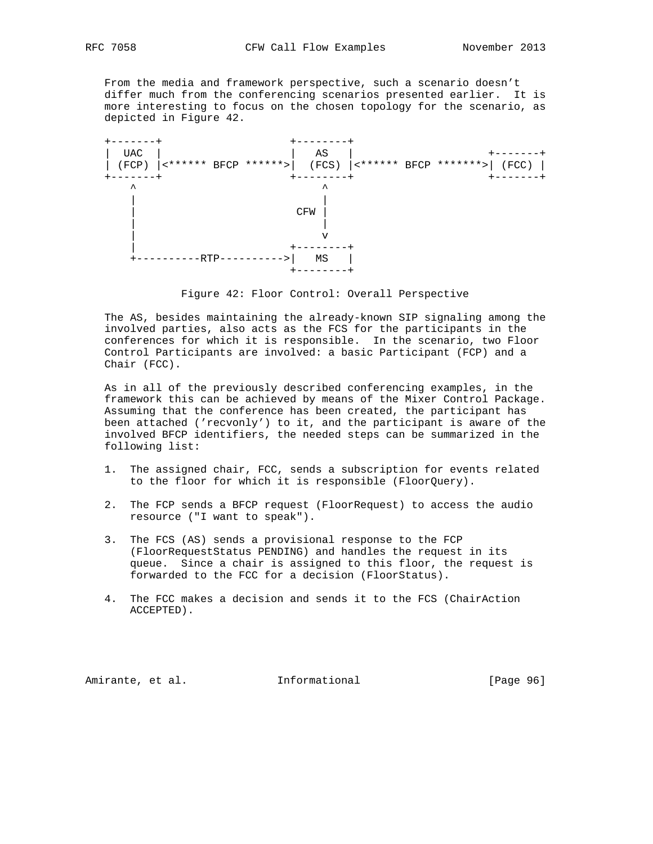From the media and framework perspective, such a scenario doesn't differ much from the conferencing scenarios presented earlier. It is more interesting to focus on the chosen topology for the scenario, as depicted in Figure 42.





 The AS, besides maintaining the already-known SIP signaling among the involved parties, also acts as the FCS for the participants in the conferences for which it is responsible. In the scenario, two Floor Control Participants are involved: a basic Participant (FCP) and a Chair (FCC).

 As in all of the previously described conferencing examples, in the framework this can be achieved by means of the Mixer Control Package. Assuming that the conference has been created, the participant has been attached ('recvonly') to it, and the participant is aware of the involved BFCP identifiers, the needed steps can be summarized in the following list:

- 1. The assigned chair, FCC, sends a subscription for events related to the floor for which it is responsible (FloorQuery).
- 2. The FCP sends a BFCP request (FloorRequest) to access the audio resource ("I want to speak").
- 3. The FCS (AS) sends a provisional response to the FCP (FloorRequestStatus PENDING) and handles the request in its queue. Since a chair is assigned to this floor, the request is forwarded to the FCC for a decision (FloorStatus).
- 4. The FCC makes a decision and sends it to the FCS (ChairAction ACCEPTED).

Amirante, et al. 1nformational [Page 96]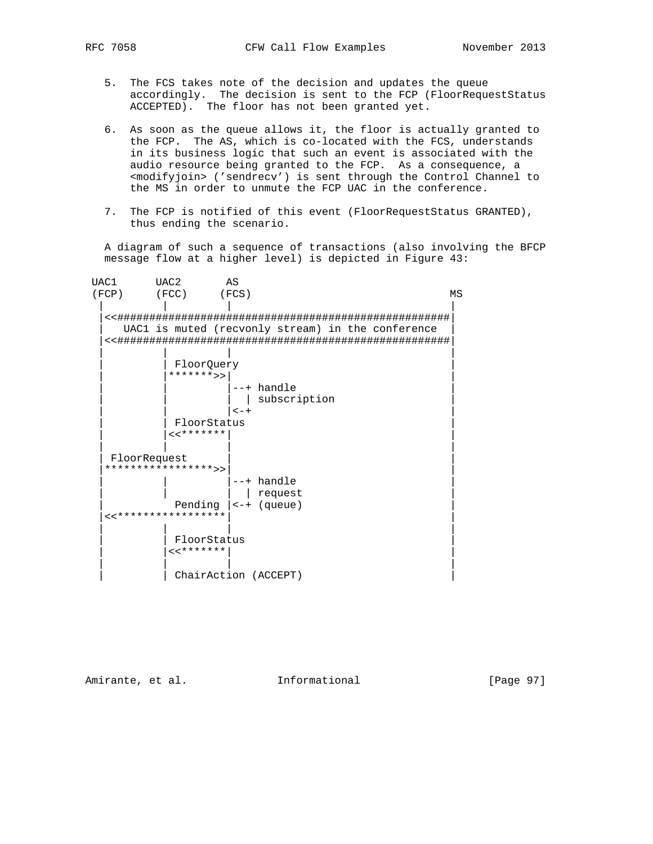- 5. The FCS takes note of the decision and updates the queue accordingly. The decision is sent to the FCP (FloorRequestStatus ACCEPTED). The floor has not been granted yet.
- 6. As soon as the queue allows it, the floor is actually granted to the FCP. The AS, which is co-located with the FCS, understands in its business logic that such an event is associated with the audio resource being granted to the FCP. As a consequence, a <modifyjoin> ('sendrecv') is sent through the Control Channel to the MS in order to unmute the FCP UAC in the conference.
- 7. The FCP is notified of this event (FloorRequestStatus GRANTED), thus ending the scenario.

 A diagram of such a sequence of transactions (also involving the BFCP message flow at a higher level) is depicted in Figure 43:

| UAC1         | UAC2                    | AS                                                |    |
|--------------|-------------------------|---------------------------------------------------|----|
| (FCP)        | (FCC)                   | (FCS)                                             | ΜS |
|              |                         |                                                   |    |
|              |                         |                                                   |    |
|              |                         | UAC1 is muted (recvonly stream) in the conference |    |
|              |                         |                                                   |    |
|              |                         |                                                   |    |
|              | FloorQuery              |                                                   |    |
|              | *******>>               |                                                   |    |
|              |                         | $---$ handle                                      |    |
|              |                         | subscription                                      |    |
|              |                         | $<-+$                                             |    |
|              | FloorStatus<br>$******$ |                                                   |    |
|              |                         |                                                   |    |
| FloorRequest |                         |                                                   |    |
|              | *****************>>     |                                                   |    |
|              |                         | --+ handle                                        |    |
|              |                         | request                                           |    |
|              |                         | Pending $ $ <-+ (queue)                           |    |
|              | ******************      |                                                   |    |
|              |                         |                                                   |    |
|              | FloorStatus             |                                                   |    |
|              | ********                |                                                   |    |
|              |                         |                                                   |    |
|              |                         | ChairAction (ACCEPT)                              |    |

Amirante, et al. 1nformational 1999 [Page 97]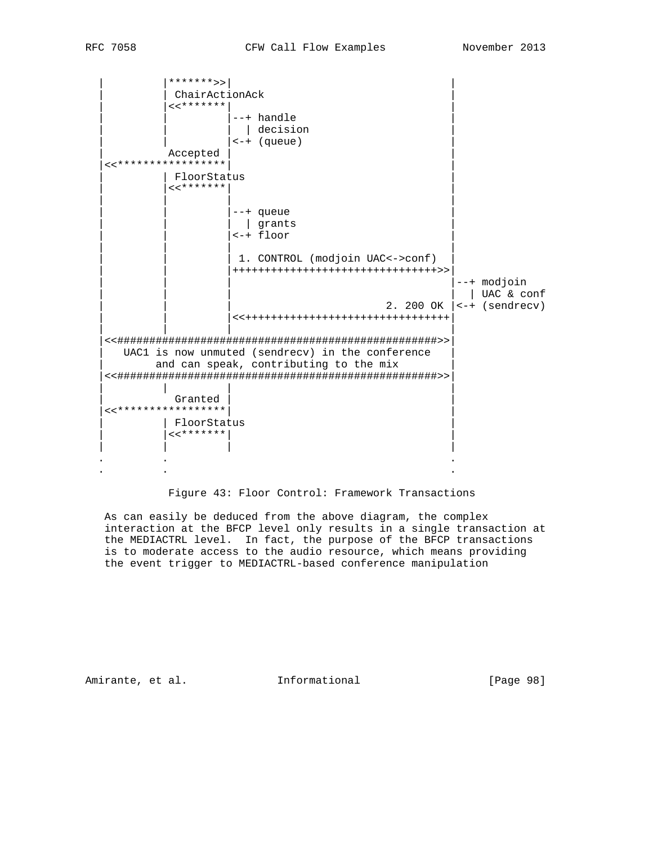$|$ \*\*\*\*\*\*\*>> ChairActionAck  $<<$ \*\*\*\*\*\*\*|  $| --+$  handle | | | | decision |  $|$  <-+ (queue) Accepted |<<\*\*\*\*\*\*\*\*\*\*\*\*\*\*\*\*\*| | | FloorStatus  $| \, < \, <$ \*\*\*\*\*\*\*| | | | |  $| --+$  queue | grants | | |<-+ floor | | | | | 1. CONTROL (modjoin UAC<->conf) | | |++++++++++++++++++++++++++++++++>>|  $| --+$  modjoin | | | | | UAC & conf 2. 200 OK | <-+ (sendrecv) | | |<<++++++++++++++++++++++++++++++++| | | | | |<<##################################################>>| UAC1 is now unmuted (sendrecv) in the conference and can speak, contributing to the mix |<<##################################################>>| | | | | Granted |<<\*\*\*\*\*\*\*\*\*\*\*\*\*\*\*\*\*| | | FloorStatus  $| \left| \right.$  <<\*\*\*\*\*\*\* | | | | | . . . . . .

Figure 43: Floor Control: Framework Transactions

 As can easily be deduced from the above diagram, the complex interaction at the BFCP level only results in a single transaction at the MEDIACTRL level. In fact, the purpose of the BFCP transactions is to moderate access to the audio resource, which means providing the event trigger to MEDIACTRL-based conference manipulation

Amirante, et al. 1nformational 1998 [Page 98]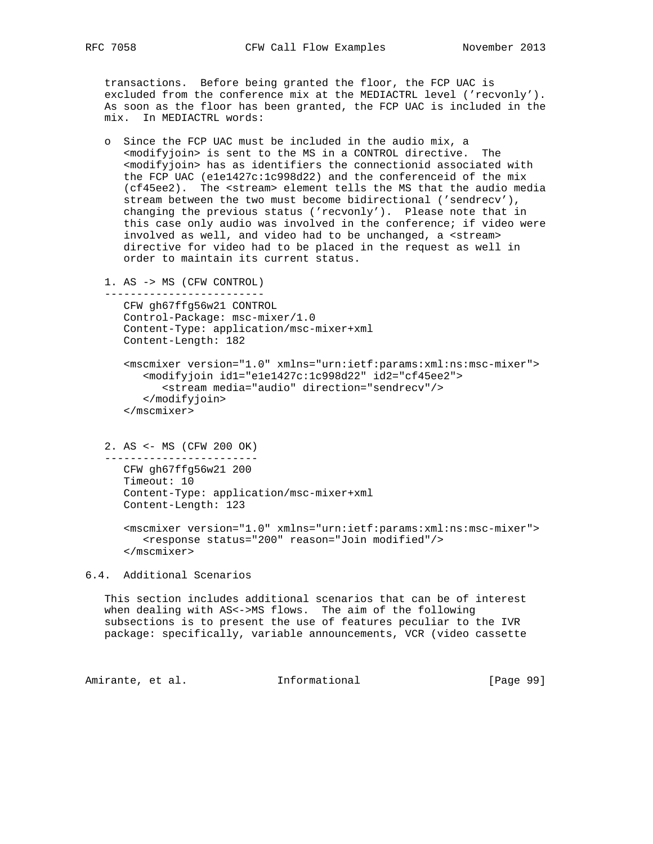transactions. Before being granted the floor, the FCP UAC is excluded from the conference mix at the MEDIACTRL level ('recvonly'). As soon as the floor has been granted, the FCP UAC is included in the mix. In MEDIACTRL words:

 o Since the FCP UAC must be included in the audio mix, a <modifyjoin> is sent to the MS in a CONTROL directive. The <modifyjoin> has as identifiers the connectionid associated with the FCP UAC (e1e1427c:1c998d22) and the conferenceid of the mix (cf45ee2). The <stream> element tells the MS that the audio media stream between the two must become bidirectional ('sendrecv'), changing the previous status ('recvonly'). Please note that in this case only audio was involved in the conference; if video were involved as well, and video had to be unchanged, a <stream> directive for video had to be placed in the request as well in order to maintain its current status.

1. AS -> MS (CFW CONTROL)

 ------------------------- CFW gh67ffg56w21 CONTROL Control-Package: msc-mixer/1.0 Content-Type: application/msc-mixer+xml Content-Length: 182

```
 <mscmixer version="1.0" xmlns="urn:ietf:params:xml:ns:msc-mixer">
    <modifyjoin id1="e1e1427c:1c998d22" id2="cf45ee2">
       <stream media="audio" direction="sendrecv"/>
    </modifyjoin>
 </mscmixer>
```
 2. AS <- MS (CFW 200 OK) ------------------------

> CFW gh67ffg56w21 200 Timeout: 10 Content-Type: application/msc-mixer+xml Content-Length: 123

 <mscmixer version="1.0" xmlns="urn:ietf:params:xml:ns:msc-mixer"> <response status="200" reason="Join modified"/> </mscmixer>

6.4. Additional Scenarios

 This section includes additional scenarios that can be of interest when dealing with AS<->MS flows. The aim of the following subsections is to present the use of features peculiar to the IVR package: specifically, variable announcements, VCR (video cassette

Amirante, et al. 1nformational 1991 [Page 99]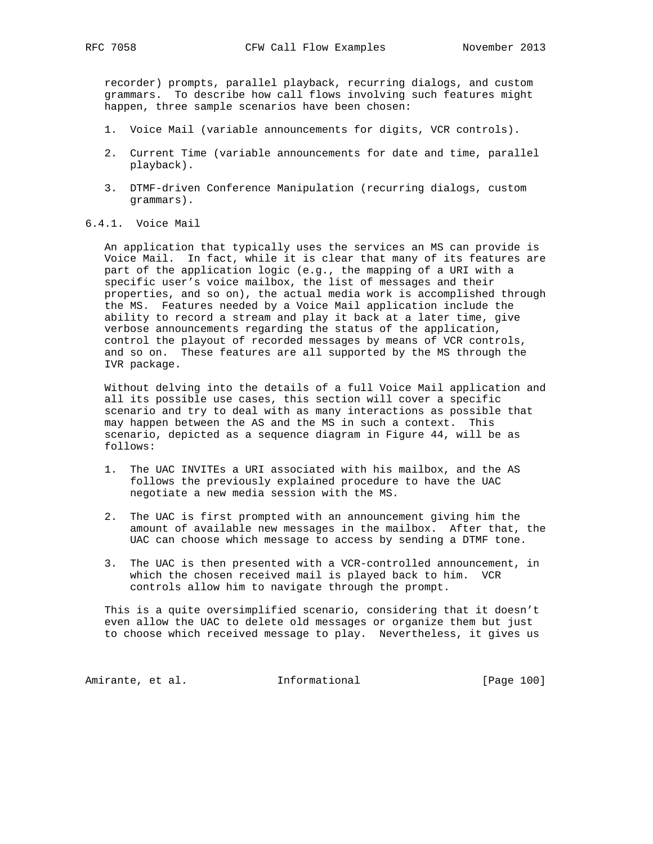recorder) prompts, parallel playback, recurring dialogs, and custom grammars. To describe how call flows involving such features might happen, three sample scenarios have been chosen:

- 1. Voice Mail (variable announcements for digits, VCR controls).
- 2. Current Time (variable announcements for date and time, parallel playback).
- 3. DTMF-driven Conference Manipulation (recurring dialogs, custom grammars).
- 6.4.1. Voice Mail

 An application that typically uses the services an MS can provide is Voice Mail. In fact, while it is clear that many of its features are part of the application logic (e.g., the mapping of a URI with a specific user's voice mailbox, the list of messages and their properties, and so on), the actual media work is accomplished through the MS. Features needed by a Voice Mail application include the ability to record a stream and play it back at a later time, give verbose announcements regarding the status of the application, control the playout of recorded messages by means of VCR controls, and so on. These features are all supported by the MS through the IVR package.

 Without delving into the details of a full Voice Mail application and all its possible use cases, this section will cover a specific scenario and try to deal with as many interactions as possible that may happen between the AS and the MS in such a context. This scenario, depicted as a sequence diagram in Figure 44, will be as follows:

- 1. The UAC INVITEs a URI associated with his mailbox, and the AS follows the previously explained procedure to have the UAC negotiate a new media session with the MS.
- 2. The UAC is first prompted with an announcement giving him the amount of available new messages in the mailbox. After that, the UAC can choose which message to access by sending a DTMF tone.
- 3. The UAC is then presented with a VCR-controlled announcement, in which the chosen received mail is played back to him. VCR controls allow him to navigate through the prompt.

 This is a quite oversimplified scenario, considering that it doesn't even allow the UAC to delete old messages or organize them but just to choose which received message to play. Nevertheless, it gives us

Amirante, et al. 1nformational [Page 100]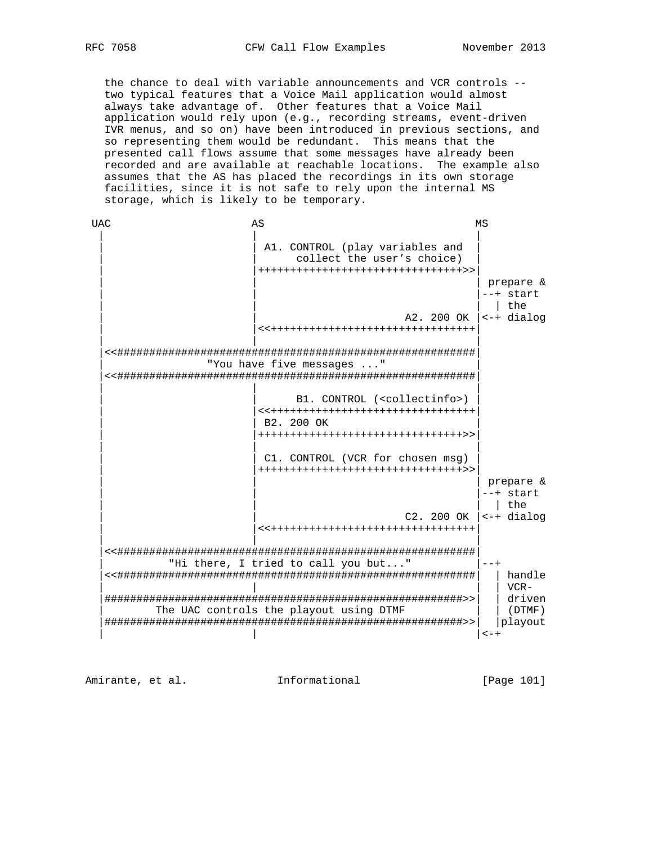the chance to deal with variable announcements and VCR controls - two typical features that a Voice Mail application would almost always take advantage of. Other features that a Voice Mail application would rely upon (e.g., recording streams, event-driven IVR menus, and so on) have been introduced in previous sections, and so representing them would be redundant. This means that the presented call flows assume that some messages have already been recorded and are available at reachable locations. The example also assumes that the AS has placed the recordings in its own storage facilities, since it is not safe to rely upon the internal MS storage, which is likely to be temporary.

| <b>UAC</b><br>AS                                                                                                                               | MS |            |                                             |
|------------------------------------------------------------------------------------------------------------------------------------------------|----|------------|---------------------------------------------|
| A1. CONTROL (play variables and<br>collect the user's choice)<br>++++++++++++++++++++++++++++++++                                              |    |            |                                             |
| A2. 200 OK<br><<++++++++++++++++++++++++++++++++                                                                                               |    |            | prepare &<br>--+ start<br>the<br><-+ dialog |
| "You have five messages "                                                                                                                      |    |            |                                             |
| B1. CONTROL ( <collectinfo>)<br/>&lt;&lt;+++++++++++++++++++++++++++++++++<br/>B2. 200 OK<br/>++++++++++++++++++++++++++++++++++</collectinfo> |    |            |                                             |
| C1. CONTROL (VCR for chosen msg)<br>++++++++++++++++++++++++++++++++++                                                                         |    |            | prepare &                                   |
| C2. 200 OK<br><<++++++++++++++++++++++++++++++++                                                                                               |    |            | --+ start<br>the<br><-+ dialog              |
| "Hi there, I tried to call you but"                                                                                                            |    | --+        |                                             |
|                                                                                                                                                |    |            | handle<br>$VCR-$                            |
| The UAC controls the playout using DTMF                                                                                                        |    |            | driven<br>(DTIME)<br>playout                |
|                                                                                                                                                |    | $\lt$ $ +$ |                                             |

Amirante, et al. 1nformational 1999 [Page 101]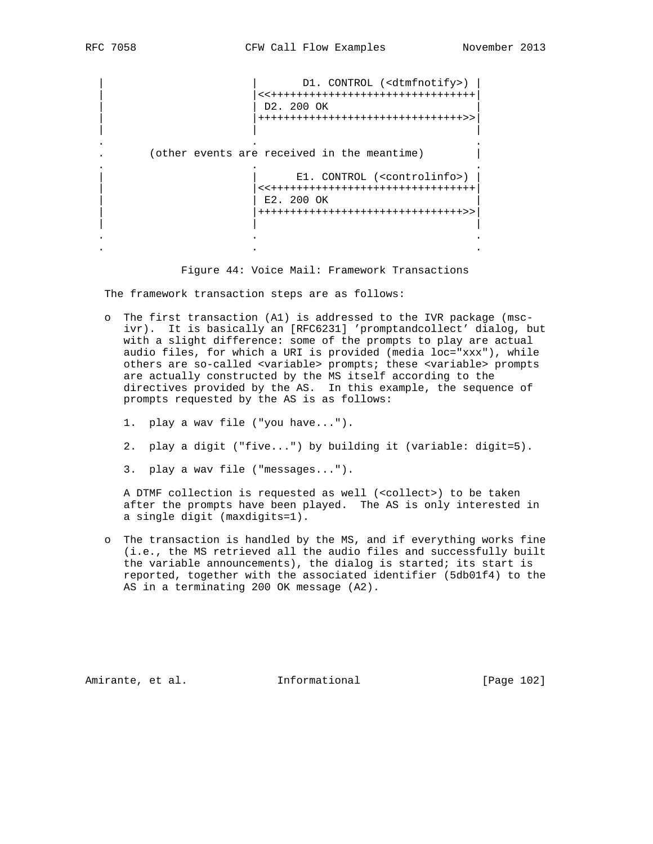```
D1. CONTROL (<dtmfnotify>)
              | |<<++++++++++++++++++++++++++++++++|
             D2. 200 OK
              | |++++++++++++++++++++++++++++++++>>|
 | | |
 . . .
     . (other events are received in the meantime) |
 . . .
                E1. CONTROL (<controlinfo>)
              | |<<++++++++++++++++++++++++++++++++|
             E2. 200 OK
              | |++++++++++++++++++++++++++++++++>>|
 | | |
 . . .
 . . .
```
Figure 44: Voice Mail: Framework Transactions

The framework transaction steps are as follows:

- o The first transaction (A1) is addressed to the IVR package (msc ivr). It is basically an [RFC6231] 'promptandcollect' dialog, but with a slight difference: some of the prompts to play are actual audio files, for which a URI is provided (media loc="xxx"), while others are so-called <variable> prompts; these <variable> prompts are actually constructed by the MS itself according to the directives provided by the AS. In this example, the sequence of prompts requested by the AS is as follows:
	- 1. play a wav file ("you have...").
	- 2. play a digit ("five...") by building it (variable: digit=5).
	- 3. play a wav file ("messages...").

 A DTMF collection is requested as well (<collect>) to be taken after the prompts have been played. The AS is only interested in a single digit (maxdigits=1).

 o The transaction is handled by the MS, and if everything works fine (i.e., the MS retrieved all the audio files and successfully built the variable announcements), the dialog is started; its start is reported, together with the associated identifier (5db01f4) to the AS in a terminating 200 OK message (A2).

Amirante, et al. 1nformational 1999 [Page 102]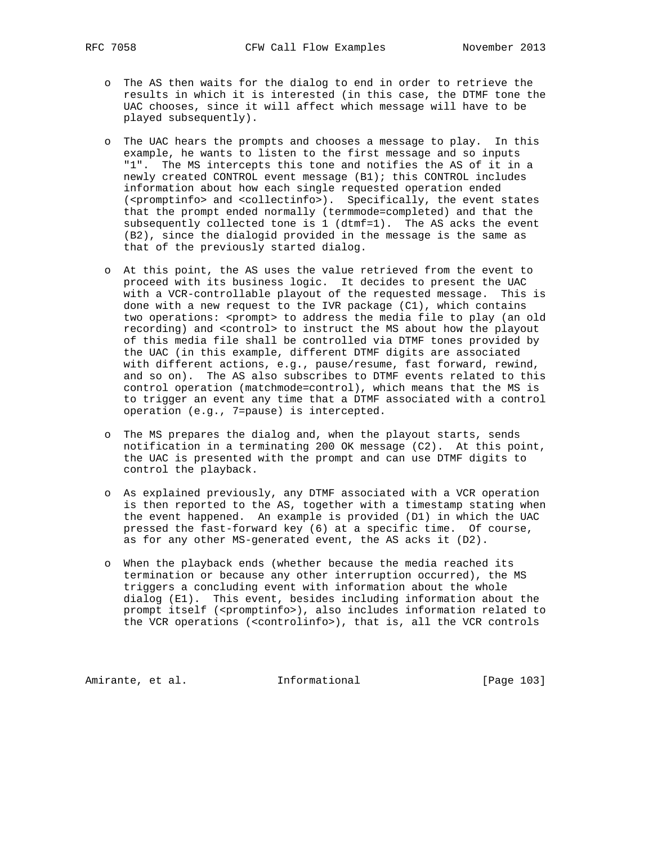- o The AS then waits for the dialog to end in order to retrieve the results in which it is interested (in this case, the DTMF tone the UAC chooses, since it will affect which message will have to be played subsequently).
- o The UAC hears the prompts and chooses a message to play. In this example, he wants to listen to the first message and so inputs "1". The MS intercepts this tone and notifies the AS of it in a newly created CONTROL event message (B1); this CONTROL includes information about how each single requested operation ended (<promptinfo> and <collectinfo>). Specifically, the event states that the prompt ended normally (termmode=completed) and that the subsequently collected tone is 1 (dtmf=1). The AS acks the event (B2), since the dialogid provided in the message is the same as that of the previously started dialog.
- o At this point, the AS uses the value retrieved from the event to proceed with its business logic. It decides to present the UAC with a VCR-controllable playout of the requested message. This is done with a new request to the IVR package (C1), which contains two operations: <prompt> to address the media file to play (an old recording) and <control> to instruct the MS about how the playout of this media file shall be controlled via DTMF tones provided by the UAC (in this example, different DTMF digits are associated with different actions, e.g., pause/resume, fast forward, rewind, and so on). The AS also subscribes to DTMF events related to this control operation (matchmode=control), which means that the MS is to trigger an event any time that a DTMF associated with a control operation (e.g., 7=pause) is intercepted.
- o The MS prepares the dialog and, when the playout starts, sends notification in a terminating 200 OK message (C2). At this point, the UAC is presented with the prompt and can use DTMF digits to control the playback.
- o As explained previously, any DTMF associated with a VCR operation is then reported to the AS, together with a timestamp stating when the event happened. An example is provided (D1) in which the UAC pressed the fast-forward key (6) at a specific time. Of course, as for any other MS-generated event, the AS acks it (D2).
- o When the playback ends (whether because the media reached its termination or because any other interruption occurred), the MS triggers a concluding event with information about the whole dialog (E1). This event, besides including information about the prompt itself (<promptinfo>), also includes information related to the VCR operations (<controlinfo>), that is, all the VCR controls

Amirante, et al. 1nformational [Page 103]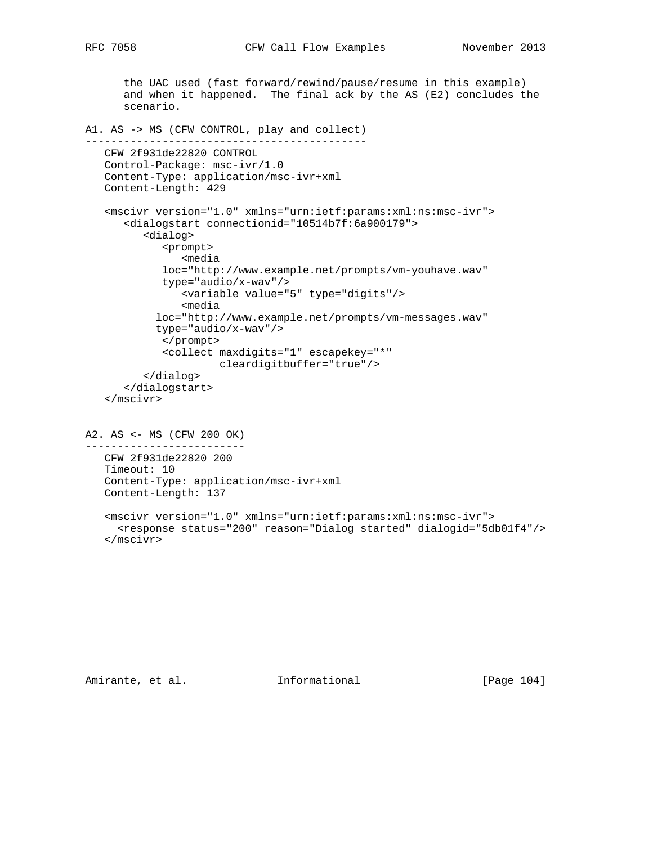```
 the UAC used (fast forward/rewind/pause/resume in this example)
       and when it happened. The final ack by the AS (E2) concludes the
       scenario.
A1. AS -> MS (CFW CONTROL, play and collect)
--------------------------------------------
    CFW 2f931de22820 CONTROL
    Control-Package: msc-ivr/1.0
    Content-Type: application/msc-ivr+xml
    Content-Length: 429
    <mscivr version="1.0" xmlns="urn:ietf:params:xml:ns:msc-ivr">
       <dialogstart connectionid="10514b7f:6a900179">
          <dialog>
             <prompt>
                <media
             loc="http://www.example.net/prompts/vm-youhave.wav"
             type="audio/x-wav"/>
                <variable value="5" type="digits"/>
                <media
            loc="http://www.example.net/prompts/vm-messages.wav"
            type="audio/x-wav"/>
             </prompt>
             <collect maxdigits="1" escapekey="*"
                      cleardigitbuffer="true"/>
          </dialog>
       </dialogstart>
    </mscivr>
A2. AS <- MS (CFW 200 OK)
-------------------------
    CFW 2f931de22820 200
    Timeout: 10
    Content-Type: application/msc-ivr+xml
    Content-Length: 137
    <mscivr version="1.0" xmlns="urn:ietf:params:xml:ns:msc-ivr">
     <response status="200" reason="Dialog started" dialogid="5db01f4"/>
    </mscivr>
```
Amirante, et al. 1nformational [Page 104]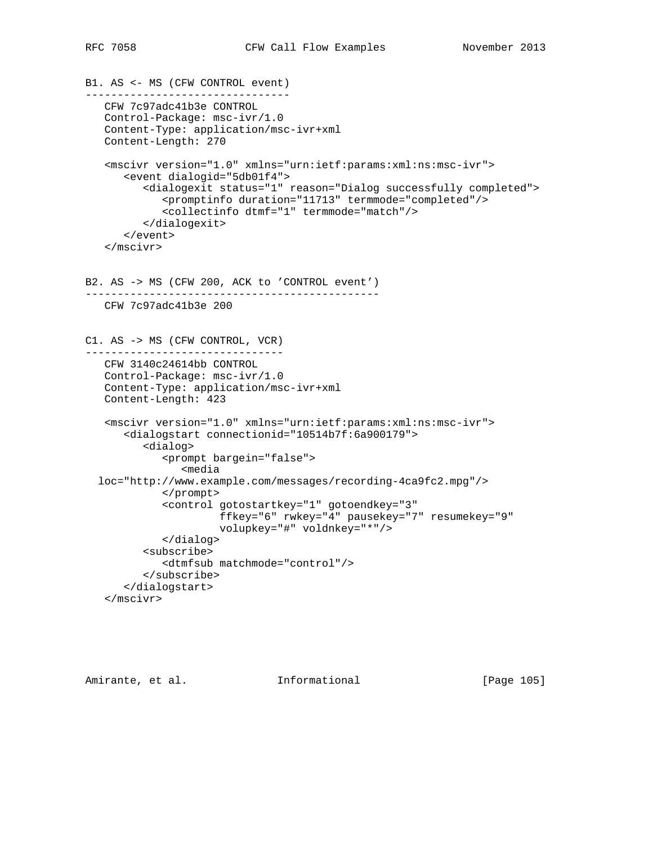```
B1. AS <- MS (CFW CONTROL event)
--------------------------------
    CFW 7c97adc41b3e CONTROL
    Control-Package: msc-ivr/1.0
    Content-Type: application/msc-ivr+xml
    Content-Length: 270
    <mscivr version="1.0" xmlns="urn:ietf:params:xml:ns:msc-ivr">
       <event dialogid="5db01f4">
          <dialogexit status="1" reason="Dialog successfully completed">
             <promptinfo duration="11713" termmode="completed"/>
             <collectinfo dtmf="1" termmode="match"/>
          </dialogexit>
       </event>
    </mscivr>
B2. AS -> MS (CFW 200, ACK to 'CONTROL event')
----------------------------------------------
   CFW 7c97adc41b3e 200
C1. AS -> MS (CFW CONTROL, VCR)
    -------------------------------
    CFW 3140c24614bb CONTROL
    Control-Package: msc-ivr/1.0
    Content-Type: application/msc-ivr+xml
    Content-Length: 423
    <mscivr version="1.0" xmlns="urn:ietf:params:xml:ns:msc-ivr">
       <dialogstart connectionid="10514b7f:6a900179">
          <dialog>
             <prompt bargein="false">
                <media
   loc="http://www.example.com/messages/recording-4ca9fc2.mpg"/>
             </prompt>
             <control gotostartkey="1" gotoendkey="3"
                      ffkey="6" rwkey="4" pausekey="7" resumekey="9"
                      volupkey="#" voldnkey="*"/>
             </dialog>
          <subscribe>
             <dtmfsub matchmode="control"/>
          </subscribe>
       </dialogstart>
    </mscivr>
```
Amirante, et al. 1nformational [Page 105]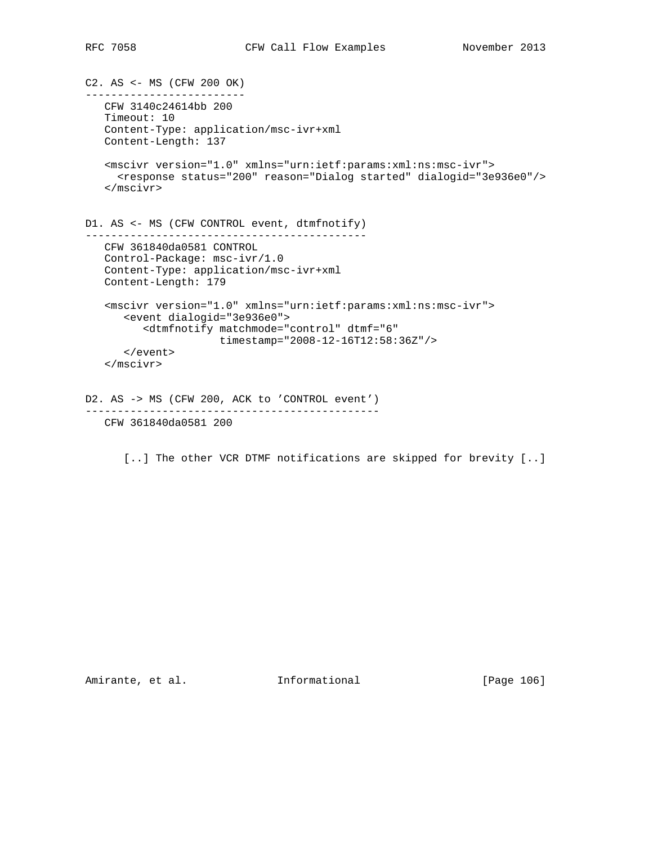C2. AS <- MS (CFW 200 OK) ------------------------- CFW 3140c24614bb 200 Timeout: 10 Content-Type: application/msc-ivr+xml Content-Length: 137 <mscivr version="1.0" xmlns="urn:ietf:params:xml:ns:msc-ivr"> <response status="200" reason="Dialog started" dialogid="3e936e0"/> </mscivr> D1. AS <- MS (CFW CONTROL event, dtmfnotify) -------------------------------------------- CFW 361840da0581 CONTROL Control-Package: msc-ivr/1.0 Content-Type: application/msc-ivr+xml Content-Length: 179 <mscivr version="1.0" xmlns="urn:ietf:params:xml:ns:msc-ivr"> <event dialogid="3e936e0"> <dtmfnotify matchmode="control" dtmf="6" timestamp="2008-12-16T12:58:36Z"/> </event> </mscivr> D2. AS -> MS (CFW 200, ACK to 'CONTROL event') ----------------------------------------------

CFW 361840da0581 200

[..] The other VCR DTMF notifications are skipped for brevity [..]

Amirante, et al. 1nformational [Page 106]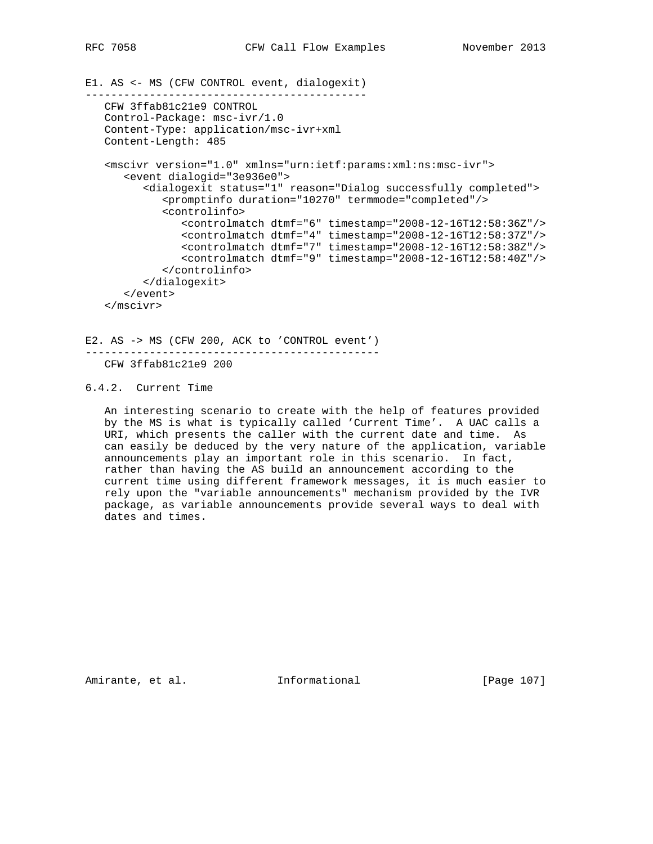```
E1. AS <- MS (CFW CONTROL event, dialogexit)
--------------------------------------------
    CFW 3ffab81c21e9 CONTROL
   Control-Package: msc-ivr/1.0
   Content-Type: application/msc-ivr+xml
   Content-Length: 485
    <mscivr version="1.0" xmlns="urn:ietf:params:xml:ns:msc-ivr">
       <event dialogid="3e936e0">
          <dialogexit status="1" reason="Dialog successfully completed">
             <promptinfo duration="10270" termmode="completed"/>
             <controlinfo>
                <controlmatch dtmf="6" timestamp="2008-12-16T12:58:36Z"/>
                <controlmatch dtmf="4" timestamp="2008-12-16T12:58:37Z"/>
                <controlmatch dtmf="7" timestamp="2008-12-16T12:58:38Z"/>
                <controlmatch dtmf="9" timestamp="2008-12-16T12:58:40Z"/>
             </controlinfo>
          </dialogexit>
       </event>
    </mscivr>
```

```
E2. AS -> MS (CFW 200, ACK to 'CONTROL event')
    ----------------------------------------------
    CFW 3ffab81c21e9 200
```
## 6.4.2. Current Time

 An interesting scenario to create with the help of features provided by the MS is what is typically called 'Current Time'. A UAC calls a URI, which presents the caller with the current date and time. As can easily be deduced by the very nature of the application, variable announcements play an important role in this scenario. In fact, rather than having the AS build an announcement according to the current time using different framework messages, it is much easier to rely upon the "variable announcements" mechanism provided by the IVR package, as variable announcements provide several ways to deal with dates and times.

Amirante, et al. 1nformational 1999 [Page 107]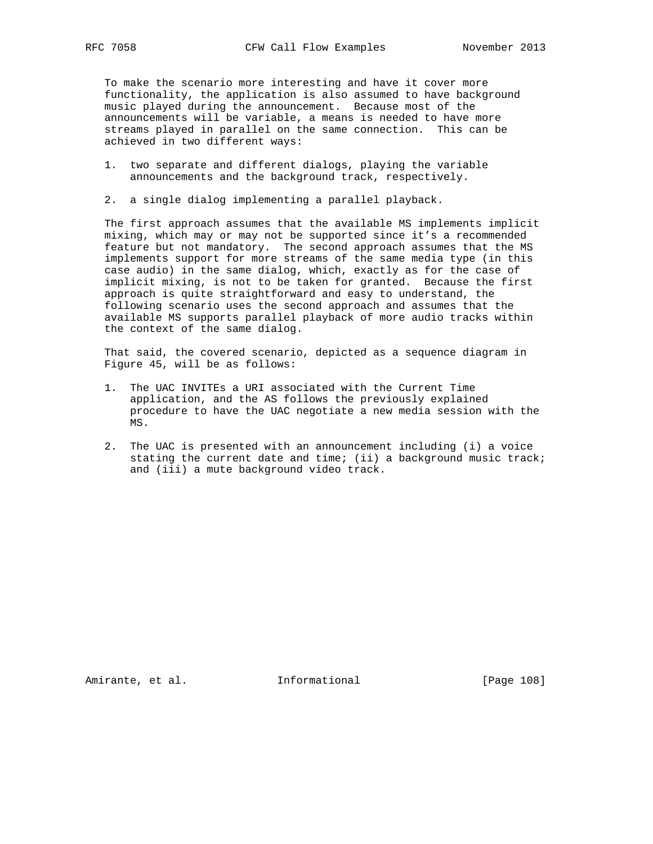To make the scenario more interesting and have it cover more functionality, the application is also assumed to have background music played during the announcement. Because most of the announcements will be variable, a means is needed to have more streams played in parallel on the same connection. This can be achieved in two different ways:

- 1. two separate and different dialogs, playing the variable announcements and the background track, respectively.
- 2. a single dialog implementing a parallel playback.

 The first approach assumes that the available MS implements implicit mixing, which may or may not be supported since it's a recommended feature but not mandatory. The second approach assumes that the MS implements support for more streams of the same media type (in this case audio) in the same dialog, which, exactly as for the case of implicit mixing, is not to be taken for granted. Because the first approach is quite straightforward and easy to understand, the following scenario uses the second approach and assumes that the available MS supports parallel playback of more audio tracks within the context of the same dialog.

 That said, the covered scenario, depicted as a sequence diagram in Figure 45, will be as follows:

- 1. The UAC INVITEs a URI associated with the Current Time application, and the AS follows the previously explained procedure to have the UAC negotiate a new media session with the MS.
- 2. The UAC is presented with an announcement including (i) a voice stating the current date and time; (ii) a background music track; and (iii) a mute background video track.

Amirante, et al. 1nformational [Page 108]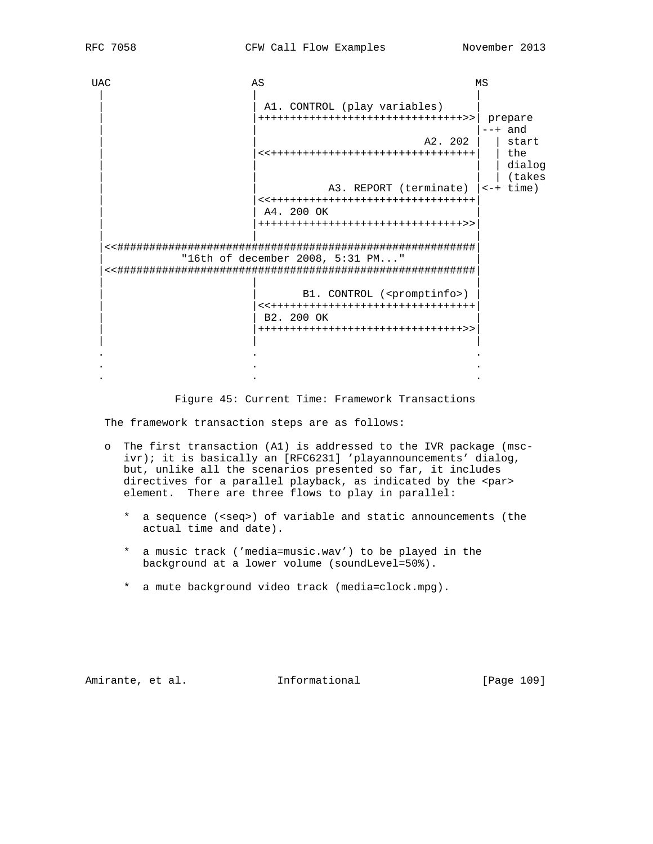UAC AS AS MS | | | A1. CONTROL (play variables) | |++++++++++++++++++++++++++++++++>>| prepare | | |--+ and A2. 202 | | start<br>++++++++++ | | the | |<<++++++++++++++++++++++++++++++++| | the | | | | dialog | | | | (takes A3. REPORT (terminate) |<-+ time)  $| 1 |$ A4. 200 OK | |++++++++++++++++++++++++++++++++>>| | | | |<<########################################################| | "16th of december 2008, 5:31 PM..." | |<<########################################################| | | | B1. CONTROL (<promptinfo>)  $<\,$ B2. 200 OK | |++++++++++++++++++++++++++++++++>>| | | | . . . . . . . . .

Figure 45: Current Time: Framework Transactions

The framework transaction steps are as follows:

- o The first transaction (A1) is addressed to the IVR package (msc ivr); it is basically an [RFC6231] 'playannouncements' dialog, but, unlike all the scenarios presented so far, it includes directives for a parallel playback, as indicated by the <par> element. There are three flows to play in parallel:
	- \* a sequence (<seq>) of variable and static announcements (the actual time and date).
	- \* a music track ('media=music.wav') to be played in the background at a lower volume (soundLevel=50%).
	- \* a mute background video track (media=clock.mpg).

Amirante, et al. 1nformational [Page 109]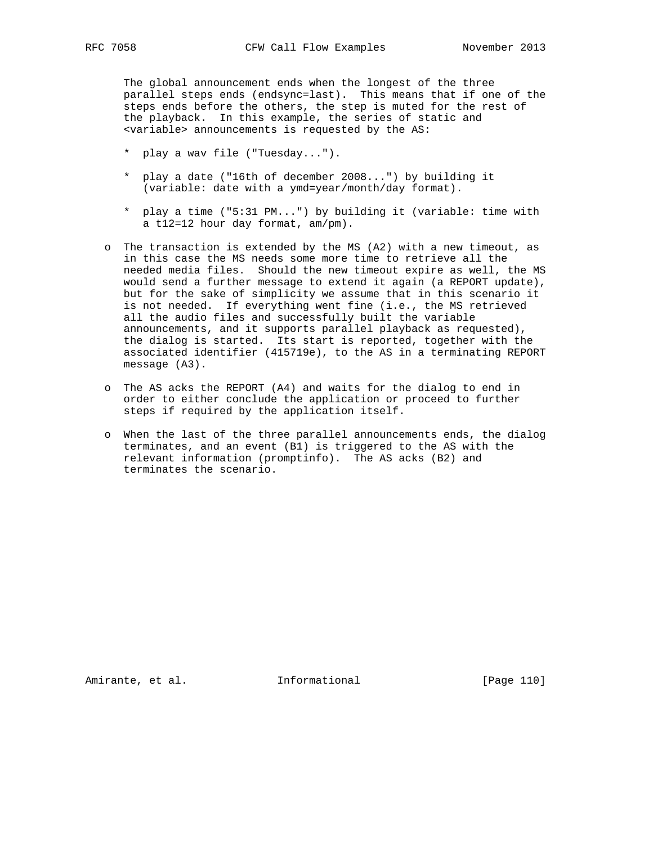The global announcement ends when the longest of the three parallel steps ends (endsync=last). This means that if one of the steps ends before the others, the step is muted for the rest of the playback. In this example, the series of static and <variable> announcements is requested by the AS:

- \* play a wav file ("Tuesday...").
- \* play a date ("16th of december 2008...") by building it (variable: date with a ymd=year/month/day format).
- \* play a time ("5:31 PM...") by building it (variable: time with a t12=12 hour day format, am/pm).
- o The transaction is extended by the MS (A2) with a new timeout, as in this case the MS needs some more time to retrieve all the needed media files. Should the new timeout expire as well, the MS would send a further message to extend it again (a REPORT update), but for the sake of simplicity we assume that in this scenario it is not needed. If everything went fine (i.e., the MS retrieved all the audio files and successfully built the variable announcements, and it supports parallel playback as requested), the dialog is started. Its start is reported, together with the associated identifier (415719e), to the AS in a terminating REPORT message (A3).
- o The AS acks the REPORT (A4) and waits for the dialog to end in order to either conclude the application or proceed to further steps if required by the application itself.
- o When the last of the three parallel announcements ends, the dialog terminates, and an event (B1) is triggered to the AS with the relevant information (promptinfo). The AS acks (B2) and terminates the scenario.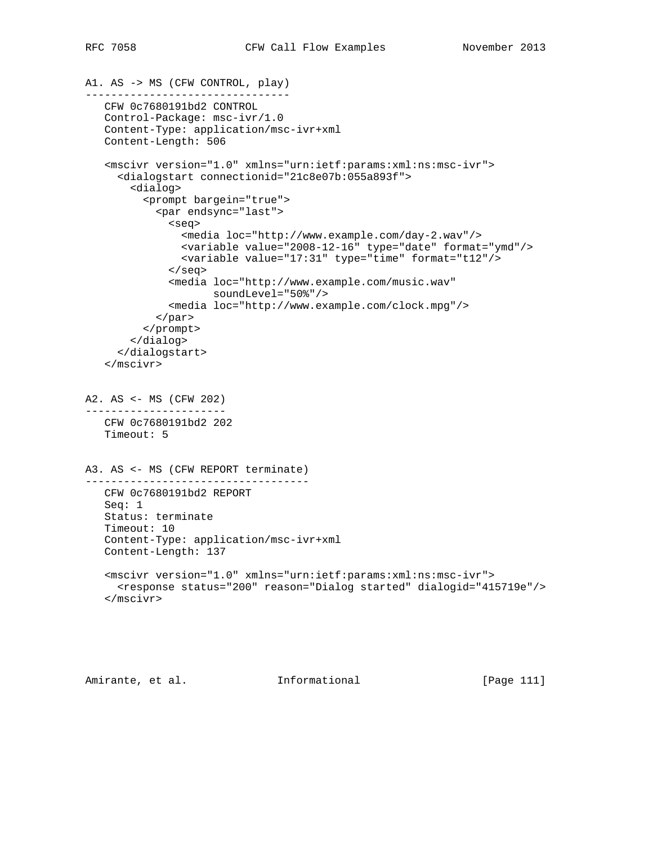```
A1. AS -> MS (CFW CONTROL, play)
--------------------------------
    CFW 0c7680191bd2 CONTROL
    Control-Package: msc-ivr/1.0
    Content-Type: application/msc-ivr+xml
    Content-Length: 506
    <mscivr version="1.0" xmlns="urn:ietf:params:xml:ns:msc-ivr">
      <dialogstart connectionid="21c8e07b:055a893f">
        <dialog>
          <prompt bargein="true">
            <par endsync="last">
              <seq>
                <media loc="http://www.example.com/day-2.wav"/>
                <variable value="2008-12-16" type="date" format="ymd"/>
                <variable value="17:31" type="time" format="t12"/>
              </seq>
              <media loc="http://www.example.com/music.wav"
                     soundLevel="50%"/>
              <media loc="http://www.example.com/clock.mpg"/>
            </par>
          </prompt>
        </dialog>
      </dialogstart>
    </mscivr>
A2. AS <- MS (CFW 202)
----------------------
    CFW 0c7680191bd2 202
    Timeout: 5
A3. AS <- MS (CFW REPORT terminate)
-----------------------------------
    CFW 0c7680191bd2 REPORT
    Seq: 1
    Status: terminate
    Timeout: 10
    Content-Type: application/msc-ivr+xml
    Content-Length: 137
    <mscivr version="1.0" xmlns="urn:ietf:params:xml:ns:msc-ivr">
     <response status="200" reason="Dialog started" dialogid="415719e"/>
    </mscivr>
```

```
Amirante, et al. 1nformational [Page 111]
```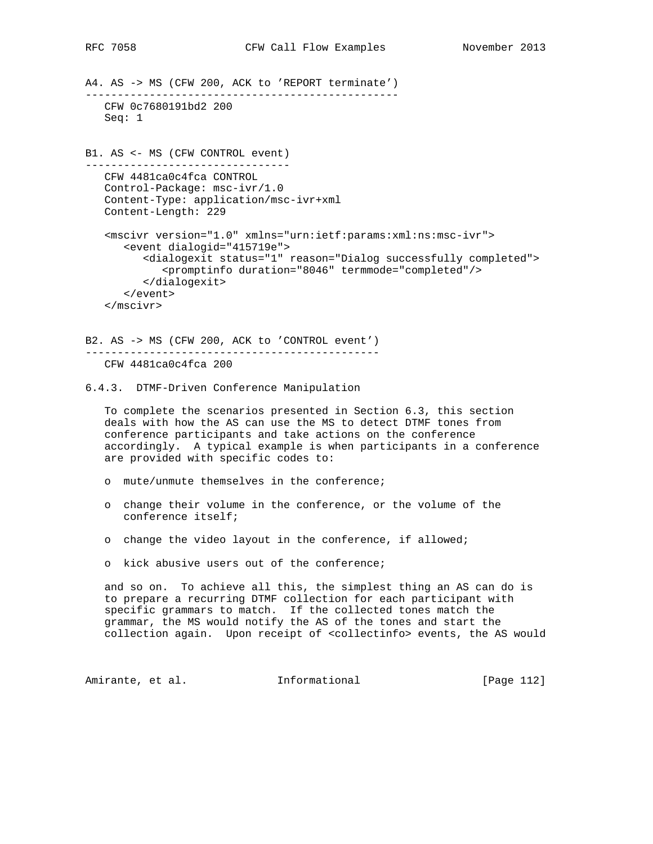A4. AS -> MS (CFW 200, ACK to 'REPORT terminate') ------------------------------------------------- CFW 0c7680191bd2 200 Seq: 1

B1. AS <- MS (CFW CONTROL event) -------------------------------- CFW 4481ca0c4fca CONTROL Control-Package: msc-ivr/1.0 Content-Type: application/msc-ivr+xml Content-Length: 229 <mscivr version="1.0" xmlns="urn:ietf:params:xml:ns:msc-ivr"> <event dialogid="415719e">

```
 <dialogexit status="1" reason="Dialog successfully completed">
          <promptinfo duration="8046" termmode="completed"/>
       </dialogexit>
    </event>
 </mscivr>
```

```
B2. AS -> MS (CFW 200, ACK to 'CONTROL event')
    ----------------------------------------------
    CFW 4481ca0c4fca 200
```
6.4.3. DTMF-Driven Conference Manipulation

 To complete the scenarios presented in Section 6.3, this section deals with how the AS can use the MS to detect DTMF tones from conference participants and take actions on the conference accordingly. A typical example is when participants in a conference are provided with specific codes to:

- o mute/unmute themselves in the conference;
- o change their volume in the conference, or the volume of the conference itself;
- o change the video layout in the conference, if allowed;
- o kick abusive users out of the conference;

 and so on. To achieve all this, the simplest thing an AS can do is to prepare a recurring DTMF collection for each participant with specific grammars to match. If the collected tones match the grammar, the MS would notify the AS of the tones and start the collection again. Upon receipt of <collectinfo> events, the AS would

Amirante, et al. 1nformational 1999 [Page 112]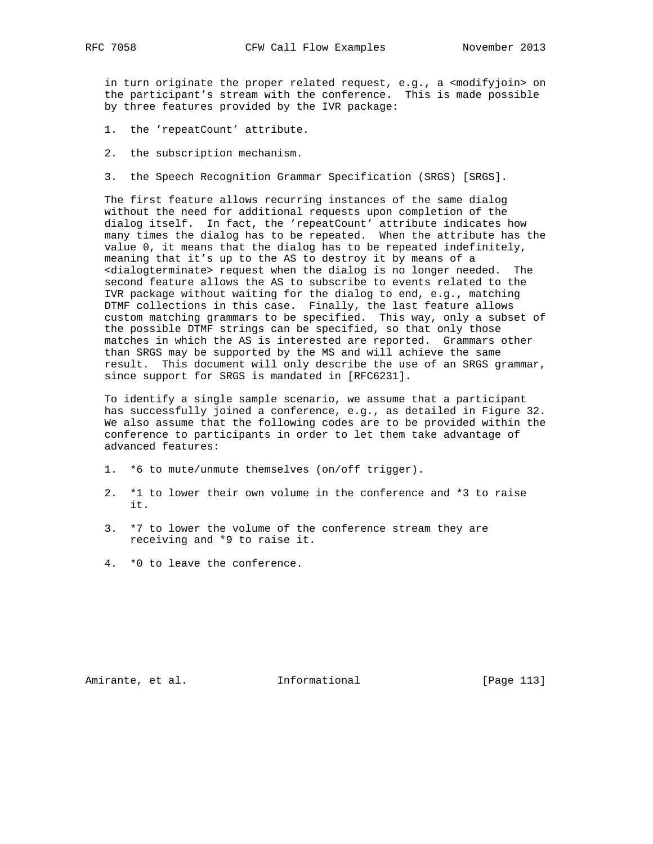in turn originate the proper related request, e.g., a <modifyjoin> on the participant's stream with the conference. This is made possible by three features provided by the IVR package:

- 1. the 'repeatCount' attribute.
- 2. the subscription mechanism.
- 3. the Speech Recognition Grammar Specification (SRGS) [SRGS].

 The first feature allows recurring instances of the same dialog without the need for additional requests upon completion of the dialog itself. In fact, the 'repeatCount' attribute indicates how many times the dialog has to be repeated. When the attribute has the value 0, it means that the dialog has to be repeated indefinitely, meaning that it's up to the AS to destroy it by means of a <dialogterminate> request when the dialog is no longer needed. The second feature allows the AS to subscribe to events related to the IVR package without waiting for the dialog to end, e.g., matching DTMF collections in this case. Finally, the last feature allows custom matching grammars to be specified. This way, only a subset of the possible DTMF strings can be specified, so that only those matches in which the AS is interested are reported. Grammars other than SRGS may be supported by the MS and will achieve the same result. This document will only describe the use of an SRGS grammar, since support for SRGS is mandated in [RFC6231].

 To identify a single sample scenario, we assume that a participant has successfully joined a conference, e.g., as detailed in Figure 32. We also assume that the following codes are to be provided within the conference to participants in order to let them take advantage of advanced features:

- 1. \*6 to mute/unmute themselves (on/off trigger).
- 2. \*1 to lower their own volume in the conference and \*3 to raise it.
- 3. \*7 to lower the volume of the conference stream they are receiving and \*9 to raise it.
- 4. \*0 to leave the conference.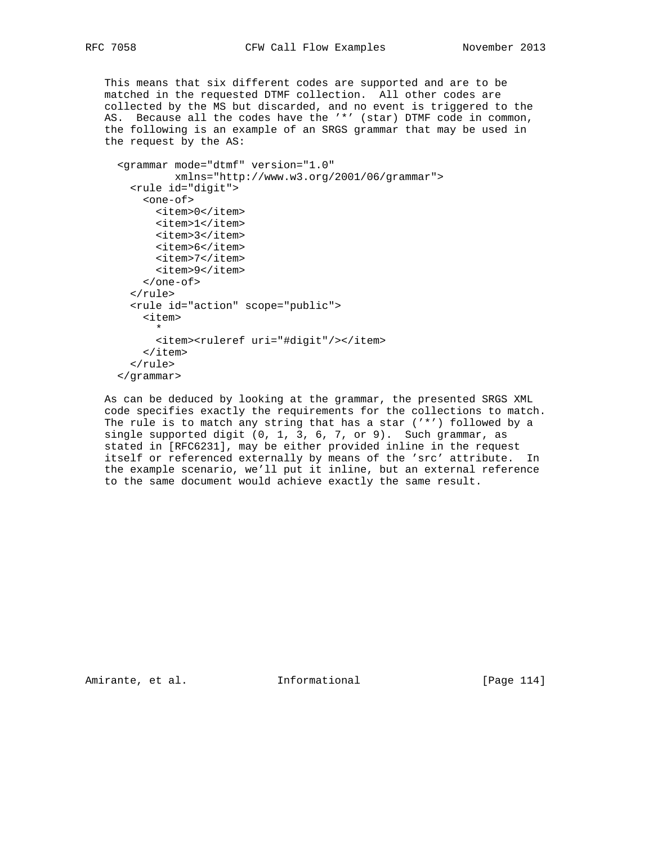This means that six different codes are supported and are to be matched in the requested DTMF collection. All other codes are collected by the MS but discarded, and no event is triggered to the AS. Because all the codes have the '\*' (star) DTMF code in common, the following is an example of an SRGS grammar that may be used in the request by the AS:

```
 <grammar mode="dtmf" version="1.0"
               xmlns="http://www.w3.org/2001/06/grammar">
        <rule id="digit">
          <one-of>
            <item>0</item>
            <item>1</item>
            <item>3</item>
            <item>6</item>
            <item>7</item>
            <item>9</item>
          </one-of>
        </rule>
        <rule id="action" scope="public">
          <item>
 *
            <item><ruleref uri="#digit"/></item>
         \langleitem>
       \langlerule>
      </grammar>
```
 As can be deduced by looking at the grammar, the presented SRGS XML code specifies exactly the requirements for the collections to match. The rule is to match any string that has a star ('\*') followed by a single supported digit (0, 1, 3, 6, 7, or 9). Such grammar, as stated in [RFC6231], may be either provided inline in the request itself or referenced externally by means of the 'src' attribute. In the example scenario, we'll put it inline, but an external reference to the same document would achieve exactly the same result.

Amirante, et al. 1nformational 1999 [Page 114]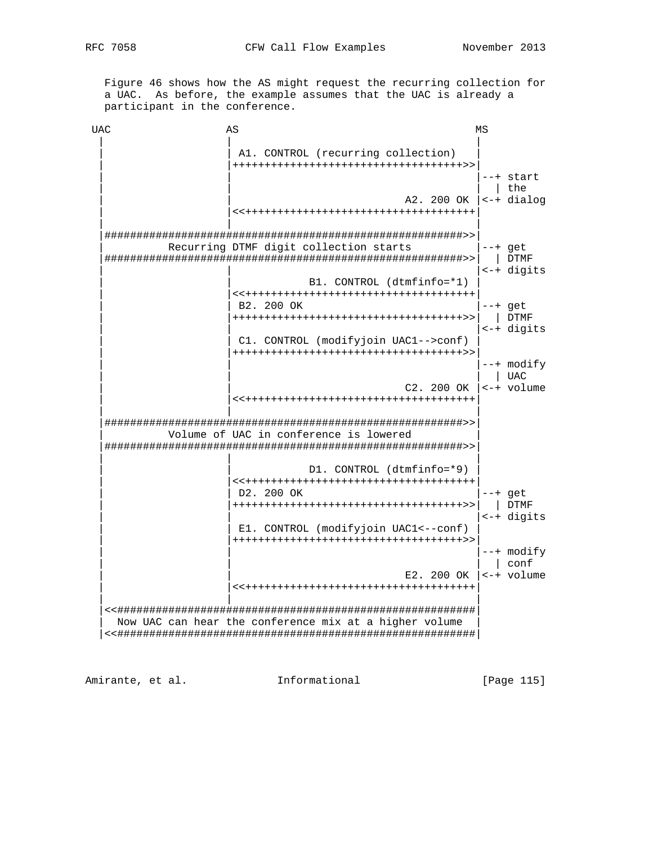Figure 46 shows how the AS might request the recurring collection for a UAC. As before, the example assumes that the UAC is already a participant in the conference.

| UAC | AS                                                                             | ΜS |                                      |
|-----|--------------------------------------------------------------------------------|----|--------------------------------------|
|     | A1. CONTROL (recurring collection)                                             |    | --+ start<br>the                     |
|     | A2. 200 OK                                                                     |    | <-+ dialog                           |
|     |                                                                                |    |                                      |
|     | Recurring DTMF digit collection starts                                         |    | --+ qet<br><b>DTMF</b><br><-+ digits |
|     | B1. CONTROL (dtmfinfo=*1)                                                      |    |                                      |
|     | <<++++++++++++++++++++++++++++++++++++<br>B2. 200 OK                           |    | --+ get                              |
|     | ++++++++++++++++++++++++++++++++++++++                                         |    | DTMF<br><-+ digits                   |
|     | C1. CONTROL (modifyjoin UAC1-->conf)<br>++++++++++++++++++++++++++++++++++++   |    |                                      |
|     |                                                                                |    | --+ modify<br>UAC                    |
|     | $C2.200$ OK                                                                    |    | <-+ volume                           |
|     |                                                                                |    |                                      |
|     | Volume of UAC in conference is lowered                                         |    |                                      |
|     | D1. CONTROL (dtmfinfo=*9)                                                      |    |                                      |
|     | <<++++++++++++++++++++++++++++++++++++<br>D2. 200 OK                           |    | -+ qet<br>DTMF                       |
|     | E1. CONTROL (modifyjoin UAC1<--conf)<br>++++++++++++++++++++++++++++++++++++++ |    | <-+ digits                           |
|     |                                                                                |    | --+ modify<br>conf                   |
|     | $E2.200$ OK<br><<++++++++++++++++++++++++++++++++++++                          |    | <-+ volume                           |
|     | Now UAC can hear the conference mix at a higher volume                         |    |                                      |

Amirante, et al. 1nformational [Page 115]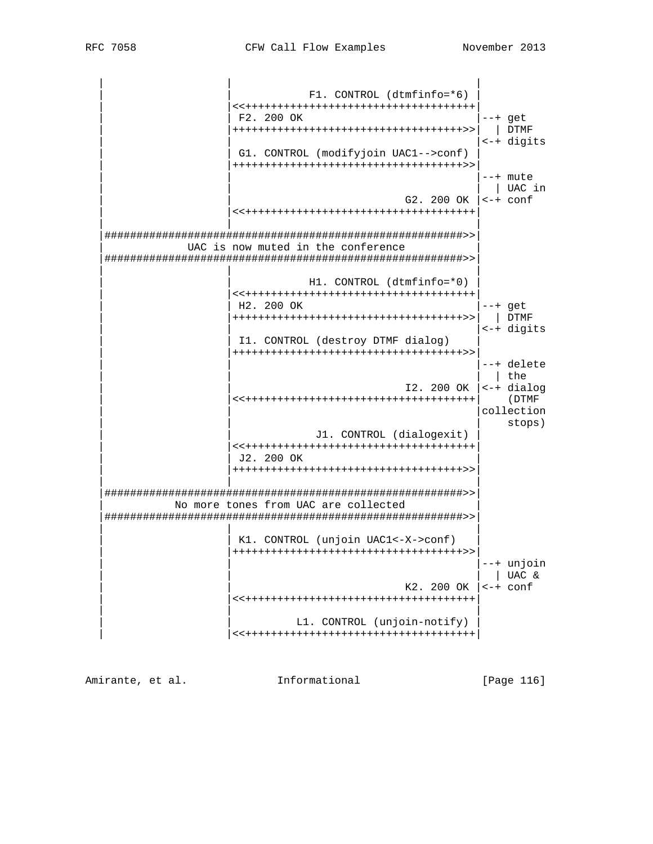| | | F1. CONTROL (dtmfinfo=\*6) | |<<++++++++++++++++++++++++++++++++++++| F2. 200 OK |--+ qet | |++++++++++++++++++++++++++++++++++++>>| | DTMF | | |<-+ digits | | G1. CONTROL (modifyjoin UAC1-->conf) | | |++++++++++++++++++++++++++++++++++++>>| | | |--+ mute | UAC in  $G2. 200 OK$  |<-+ conf | |<<++++++++++++++++++++++++++++++++++++| | | | |########################################################>>| UAC is now muted in the conference |########################################################>>| | | | H1. CONTROL (dtmfinfo=\*0) | |<<++++++++++++++++++++++++++++++++++++| H2. 200 OK |--+ get | |++++++++++++++++++++++++++++++++++++>>| | DTMF  $|$  <-+ digits I1. CONTROL (destroy DTMF dialog) | |++++++++++++++++++++++++++++++++++++>>| |--+ delete<br>| the | | | | the  $12. 200$  OK  $\left| \left. \left. \right| \right. \left. \left. \right|$  dialog | |<<++++++++++++++++++++++++++++++++++++| (DTMF | collection<br>| stops | stops) | stops) | stops) | stops) | stops) | stops) | stops) | stops) | stops) | stops) | stops) | stops | stops | stops | stops | stops | stops | stops | stops | stops | stops | stops | stops | stops | stops | stops | s J1. CONTROL (dialogexit) | |<<++++++++++++++++++++++++++++++++++++| J2. 200 OK | |++++++++++++++++++++++++++++++++++++>>| | | | |########################################################>>| No more tones from UAC are collected |########################################################>>| | | | K1. CONTROL (unjoin UAC1<-X->conf) | |++++++++++++++++++++++++++++++++++++>>|  $---$  unjoin  $|$  UAC &  $K2. 200 OK$  |<-+ conf | |<<++++++++++++++++++++++++++++++++++++| | | | L1. CONTROL (unjoin-notify) | |<<++++++++++++++++++++++++++++++++++++|

Amirante, et al. 1nformational 1999 [Page 116]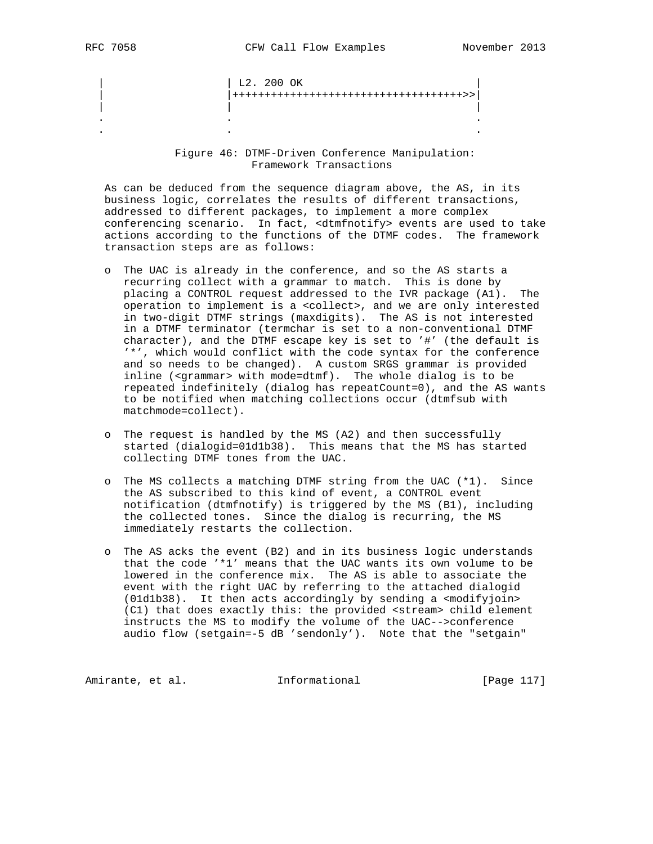|  | L2. 200 OK |  |
|--|------------|--|
|  |            |  |
|  |            |  |
|  |            |  |
|  |            |  |

 Figure 46: DTMF-Driven Conference Manipulation: Framework Transactions

 As can be deduced from the sequence diagram above, the AS, in its business logic, correlates the results of different transactions, addressed to different packages, to implement a more complex conferencing scenario. In fact, <dtmfnotify> events are used to take actions according to the functions of the DTMF codes. The framework transaction steps are as follows:

- o The UAC is already in the conference, and so the AS starts a recurring collect with a grammar to match. This is done by placing a CONTROL request addressed to the IVR package (A1). The operation to implement is a <collect>, and we are only interested in two-digit DTMF strings (maxdigits). The AS is not interested in a DTMF terminator (termchar is set to a non-conventional DTMF character), and the DTMF escape key is set to '#' (the default is '\*', which would conflict with the code syntax for the conference and so needs to be changed). A custom SRGS grammar is provided inline (<grammar> with mode=dtmf). The whole dialog is to be repeated indefinitely (dialog has repeatCount=0), and the AS wants to be notified when matching collections occur (dtmfsub with matchmode=collect).
- o The request is handled by the MS (A2) and then successfully started (dialogid=01d1b38). This means that the MS has started collecting DTMF tones from the UAC.
- o The MS collects a matching DTMF string from the UAC (\*1). Since the AS subscribed to this kind of event, a CONTROL event notification (dtmfnotify) is triggered by the MS (B1), including the collected tones. Since the dialog is recurring, the MS immediately restarts the collection.
- o The AS acks the event (B2) and in its business logic understands that the code '\*1' means that the UAC wants its own volume to be lowered in the conference mix. The AS is able to associate the event with the right UAC by referring to the attached dialogid (01d1b38). It then acts accordingly by sending a <modifyjoin> (C1) that does exactly this: the provided <stream> child element instructs the MS to modify the volume of the UAC-->conference audio flow (setgain=-5 dB 'sendonly'). Note that the "setgain"

Amirante, et al. Informational [Page 117]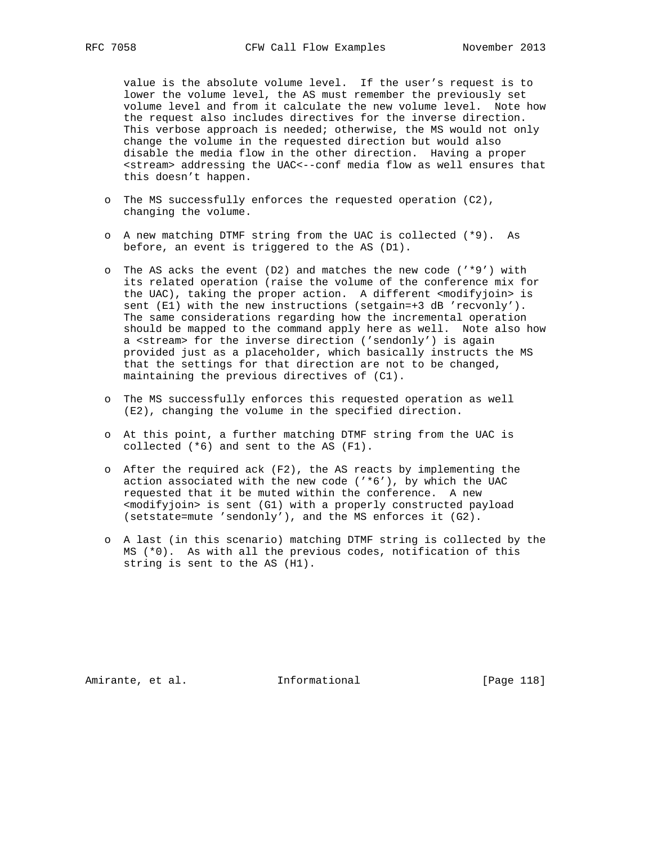value is the absolute volume level. If the user's request is to lower the volume level, the AS must remember the previously set volume level and from it calculate the new volume level. Note how the request also includes directives for the inverse direction. This verbose approach is needed; otherwise, the MS would not only change the volume in the requested direction but would also disable the media flow in the other direction. Having a proper <stream> addressing the UAC<--conf media flow as well ensures that this doesn't happen.

- o The MS successfully enforces the requested operation (C2), changing the volume.
- o A new matching DTMF string from the UAC is collected (\*9). As before, an event is triggered to the AS (D1).
- o The AS acks the event (D2) and matches the new code ('\*9') with its related operation (raise the volume of the conference mix for the UAC), taking the proper action. A different <modifyjoin> is sent (E1) with the new instructions (setgain=+3 dB 'recvonly'). The same considerations regarding how the incremental operation should be mapped to the command apply here as well. Note also how a <stream> for the inverse direction ('sendonly') is again provided just as a placeholder, which basically instructs the MS that the settings for that direction are not to be changed, maintaining the previous directives of (C1).
- o The MS successfully enforces this requested operation as well (E2), changing the volume in the specified direction.
- o At this point, a further matching DTMF string from the UAC is collected (\*6) and sent to the AS (F1).
- o After the required ack (F2), the AS reacts by implementing the action associated with the new code  $('*6')$ , by which the UAC requested that it be muted within the conference. A new <modifyjoin> is sent (G1) with a properly constructed payload (setstate=mute 'sendonly'), and the MS enforces it (G2).
- o A last (in this scenario) matching DTMF string is collected by the MS (\*0). As with all the previous codes, notification of this string is sent to the AS (H1).

Amirante, et al. 1nformational 1999 [Page 118]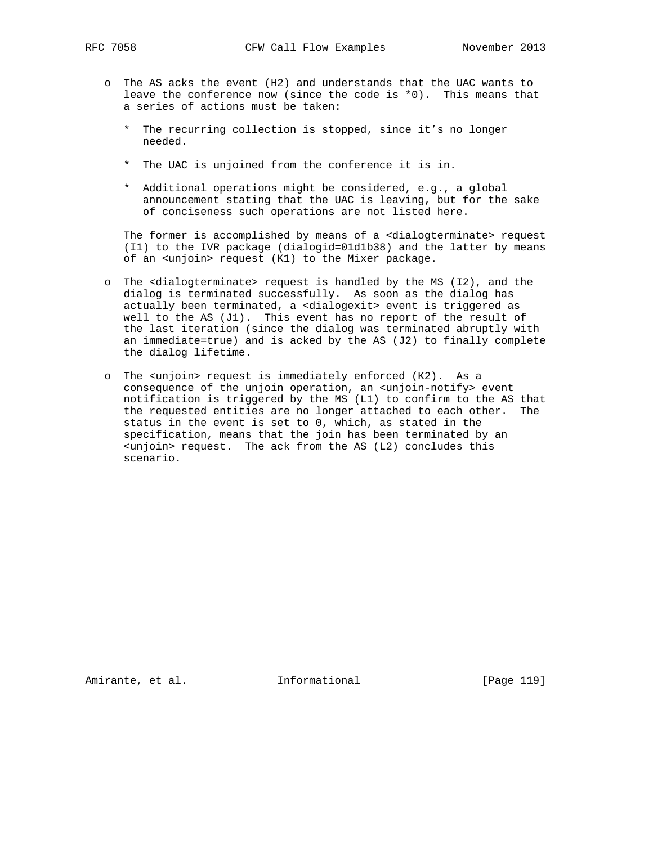- o The AS acks the event (H2) and understands that the UAC wants to leave the conference now (since the code is \*0). This means that a series of actions must be taken:
	- \* The recurring collection is stopped, since it's no longer needed.
	- \* The UAC is unjoined from the conference it is in.
	- \* Additional operations might be considered, e.g., a global announcement stating that the UAC is leaving, but for the sake of conciseness such operations are not listed here.

The former is accomplished by means of a <dialogterminate> request (I1) to the IVR package (dialogid=01d1b38) and the latter by means of an <unjoin> request (K1) to the Mixer package.

- o The <dialogterminate> request is handled by the MS (I2), and the dialog is terminated successfully. As soon as the dialog has actually been terminated, a <dialogexit> event is triggered as well to the AS (J1). This event has no report of the result of the last iteration (since the dialog was terminated abruptly with an immediate=true) and is acked by the AS (J2) to finally complete the dialog lifetime.
- o The <unjoin> request is immediately enforced (K2). As a consequence of the unjoin operation, an <unjoin-notify> event notification is triggered by the MS (L1) to confirm to the AS that the requested entities are no longer attached to each other. The status in the event is set to 0, which, as stated in the specification, means that the join has been terminated by an <unjoin> request. The ack from the AS (L2) concludes this scenario.

Amirante, et al. 1nformational 1917 [Page 119]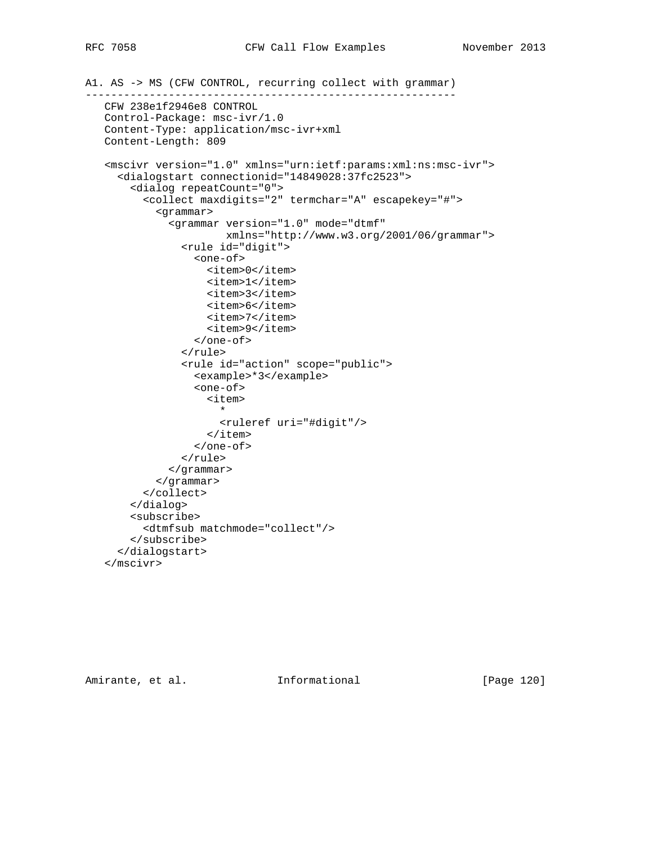```
A1. AS -> MS (CFW CONTROL, recurring collect with grammar)
----------------------------------------------------------
    CFW 238e1f2946e8 CONTROL
   Control-Package: msc-ivr/1.0
   Content-Type: application/msc-ivr+xml
   Content-Length: 809
    <mscivr version="1.0" xmlns="urn:ietf:params:xml:ns:msc-ivr">
      <dialogstart connectionid="14849028:37fc2523">
        <dialog repeatCount="0">
          <collect maxdigits="2" termchar="A" escapekey="#">
            <grammar>
              <grammar version="1.0" mode="dtmf"
                       xmlns="http://www.w3.org/2001/06/grammar">
                <rule id="digit">
                  <one-of>
                    <item>0</item>
                    <item>1</item>
                    <item>3</item>
                    <item>6</item>
                    <item>7</item>
                    <item>9</item>
                  </one-of>
                </rule>
                <rule id="action" scope="public">
                  <example>*3</example>
                  <one-of>
                    <item>
 *
                      <ruleref uri="#digit"/>
                    </item>
                  </one-of>
                </rule>
              </grammar>
            </grammar>
          </collect>
        </dialog>
        <subscribe>
          <dtmfsub matchmode="collect"/>
        </subscribe>
      </dialogstart>
    </mscivr>
```
Amirante, et al. 1nformational [Page 120]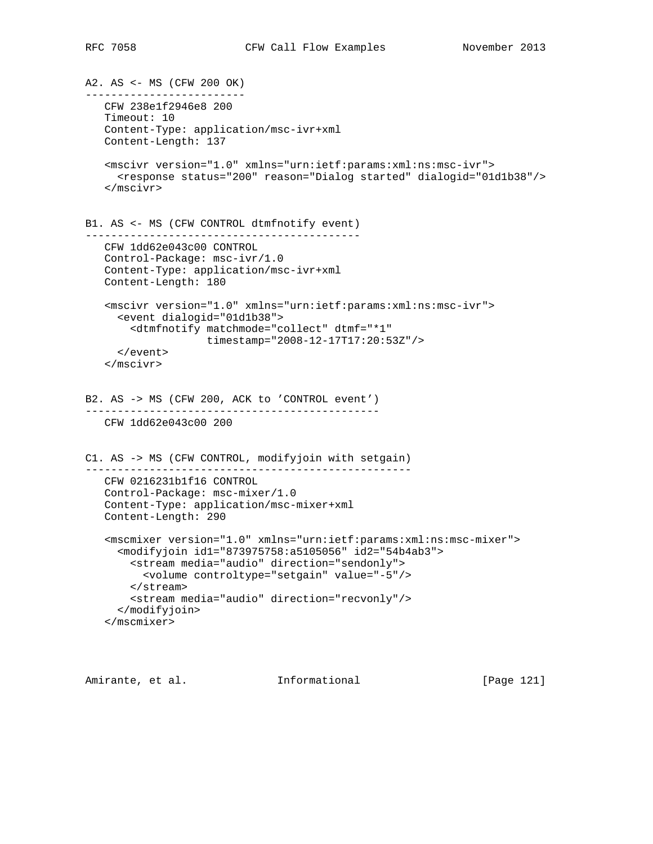A2. AS <- MS (CFW 200 OK) ------------------------- CFW 238e1f2946e8 200 Timeout: 10 Content-Type: application/msc-ivr+xml Content-Length: 137 <mscivr version="1.0" xmlns="urn:ietf:params:xml:ns:msc-ivr"> <response status="200" reason="Dialog started" dialogid="01d1b38"/> </mscivr> B1. AS <- MS (CFW CONTROL dtmfnotify event) ------------------------------------------- CFW 1dd62e043c00 CONTROL Control-Package: msc-ivr/1.0 Content-Type: application/msc-ivr+xml Content-Length: 180 <mscivr version="1.0" xmlns="urn:ietf:params:xml:ns:msc-ivr"> <event dialogid="01d1b38"> <dtmfnotify matchmode="collect" dtmf="\*1" timestamp="2008-12-17T17:20:53Z"/> </event> </mscivr> B2. AS -> MS (CFW 200, ACK to 'CONTROL event') ---------------------------------------------- CFW 1dd62e043c00 200 C1. AS -> MS (CFW CONTROL, modifyjoin with setgain) --------------------------------------------------- CFW 0216231b1f16 CONTROL Control-Package: msc-mixer/1.0 Content-Type: application/msc-mixer+xml Content-Length: 290 <mscmixer version="1.0" xmlns="urn:ietf:params:xml:ns:msc-mixer"> <modifyjoin id1="873975758:a5105056" id2="54b4ab3"> <stream media="audio" direction="sendonly"> <volume controltype="setgain" value="-5"/> </stream> <stream media="audio" direction="recvonly"/> </modifyjoin> </mscmixer>

Amirante, et al. 1nformational 1999 [Page 121]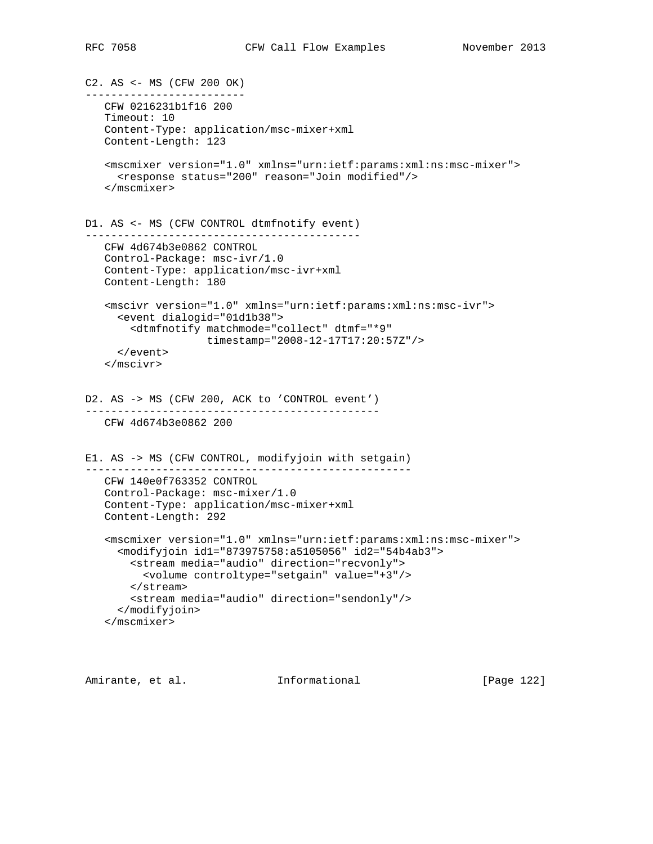C2. AS <- MS (CFW 200 OK) ------------------------- CFW 0216231b1f16 200 Timeout: 10 Content-Type: application/msc-mixer+xml Content-Length: 123 <mscmixer version="1.0" xmlns="urn:ietf:params:xml:ns:msc-mixer"> <response status="200" reason="Join modified"/> </mscmixer> D1. AS <- MS (CFW CONTROL dtmfnotify event) ------------------------------------------- CFW 4d674b3e0862 CONTROL Control-Package: msc-ivr/1.0 Content-Type: application/msc-ivr+xml Content-Length: 180 <mscivr version="1.0" xmlns="urn:ietf:params:xml:ns:msc-ivr"> <event dialogid="01d1b38"> <dtmfnotify matchmode="collect" dtmf="\*9" timestamp="2008-12-17T17:20:57Z"/> </event> </mscivr> D2. AS -> MS (CFW 200, ACK to 'CONTROL event') ---------------------------------------------- CFW 4d674b3e0862 200 E1. AS -> MS (CFW CONTROL, modifyjoin with setgain) --------------------------------------------------- CFW 140e0f763352 CONTROL Control-Package: msc-mixer/1.0 Content-Type: application/msc-mixer+xml Content-Length: 292 <mscmixer version="1.0" xmlns="urn:ietf:params:xml:ns:msc-mixer"> <modifyjoin id1="873975758:a5105056" id2="54b4ab3"> <stream media="audio" direction="recvonly"> <volume controltype="setgain" value="+3"/> </stream> <stream media="audio" direction="sendonly"/> </modifyjoin> </mscmixer>

Amirante, et al. 1nformational 1999 [Page 122]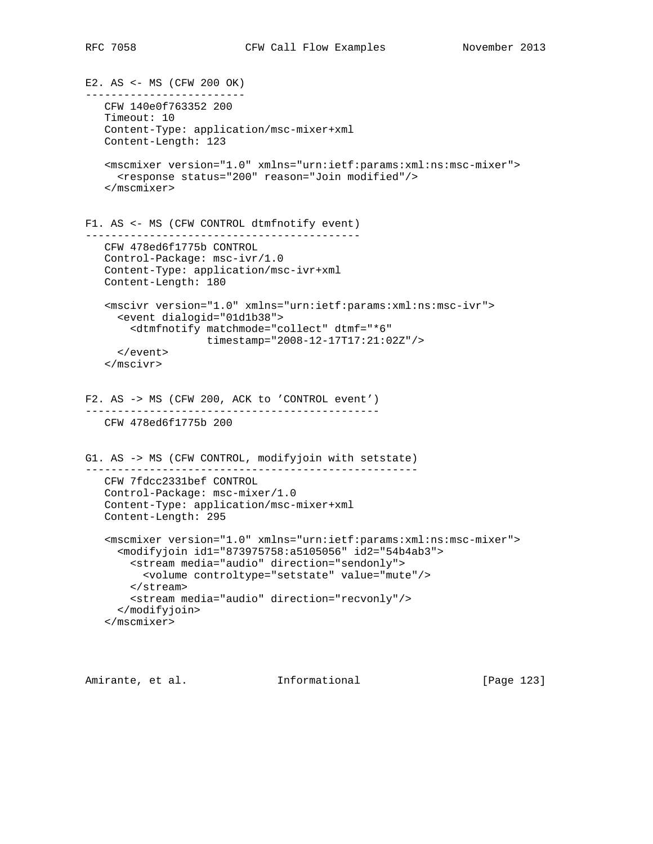E2. AS <- MS (CFW 200 OK) ------------------------- CFW 140e0f763352 200 Timeout: 10 Content-Type: application/msc-mixer+xml Content-Length: 123 <mscmixer version="1.0" xmlns="urn:ietf:params:xml:ns:msc-mixer"> <response status="200" reason="Join modified"/> </mscmixer> F1. AS <- MS (CFW CONTROL dtmfnotify event) ------------------------------------------- CFW 478ed6f1775b CONTROL Control-Package: msc-ivr/1.0 Content-Type: application/msc-ivr+xml Content-Length: 180 <mscivr version="1.0" xmlns="urn:ietf:params:xml:ns:msc-ivr"> <event dialogid="01d1b38"> <dtmfnotify matchmode="collect" dtmf="\*6" timestamp="2008-12-17T17:21:02Z"/> </event> </mscivr> F2. AS -> MS (CFW 200, ACK to 'CONTROL event') ---------------------------------------------- CFW 478ed6f1775b 200 G1. AS -> MS (CFW CONTROL, modifyjoin with setstate) ---------------------------------------------------- CFW 7fdcc2331bef CONTROL Control-Package: msc-mixer/1.0 Content-Type: application/msc-mixer+xml Content-Length: 295 <mscmixer version="1.0" xmlns="urn:ietf:params:xml:ns:msc-mixer"> <modifyjoin id1="873975758:a5105056" id2="54b4ab3"> <stream media="audio" direction="sendonly"> <volume controltype="setstate" value="mute"/> </stream> <stream media="audio" direction="recvonly"/> </modifyjoin> </mscmixer>

Amirante, et al. 1nformational 1999 [Page 123]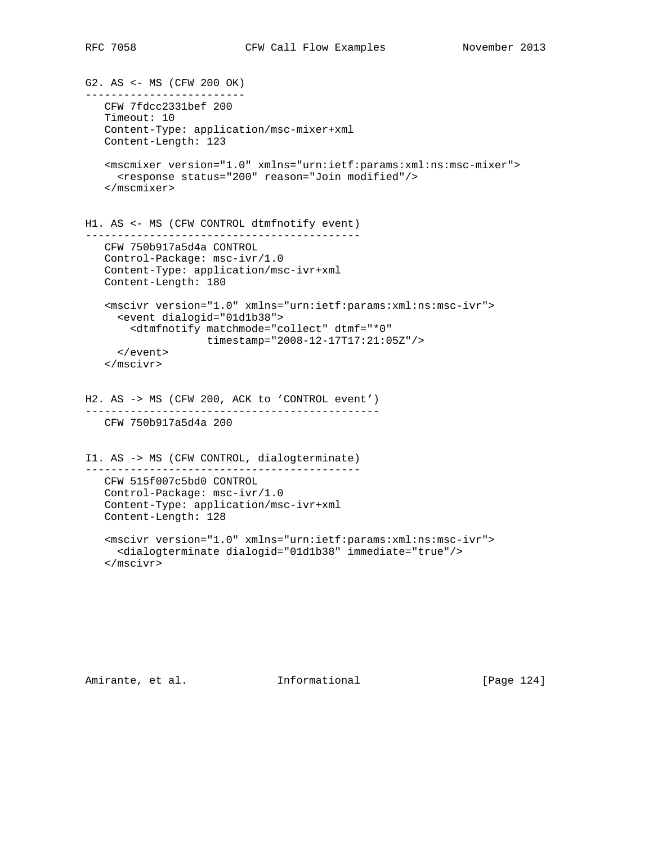G2. AS <- MS (CFW 200 OK) ------------------------- CFW 7fdcc2331bef 200 Timeout: 10 Content-Type: application/msc-mixer+xml Content-Length: 123 <mscmixer version="1.0" xmlns="urn:ietf:params:xml:ns:msc-mixer"> <response status="200" reason="Join modified"/> </mscmixer> H1. AS <- MS (CFW CONTROL dtmfnotify event) ------------------------------------------- CFW 750b917a5d4a CONTROL Control-Package: msc-ivr/1.0 Content-Type: application/msc-ivr+xml Content-Length: 180 <mscivr version="1.0" xmlns="urn:ietf:params:xml:ns:msc-ivr"> <event dialogid="01d1b38"> <dtmfnotify matchmode="collect" dtmf="\*0" timestamp="2008-12-17T17:21:05Z"/> </event> </mscivr> H2. AS -> MS (CFW 200, ACK to 'CONTROL event') ---------------------------------------------- CFW 750b917a5d4a 200 I1. AS -> MS (CFW CONTROL, dialogterminate) ------------------------------------------- CFW 515f007c5bd0 CONTROL Control-Package: msc-ivr/1.0 Content-Type: application/msc-ivr+xml Content-Length: 128 <mscivr version="1.0" xmlns="urn:ietf:params:xml:ns:msc-ivr"> <dialogterminate dialogid="01d1b38" immediate="true"/> </mscivr>

Amirante, et al. 1nformational [Page 124]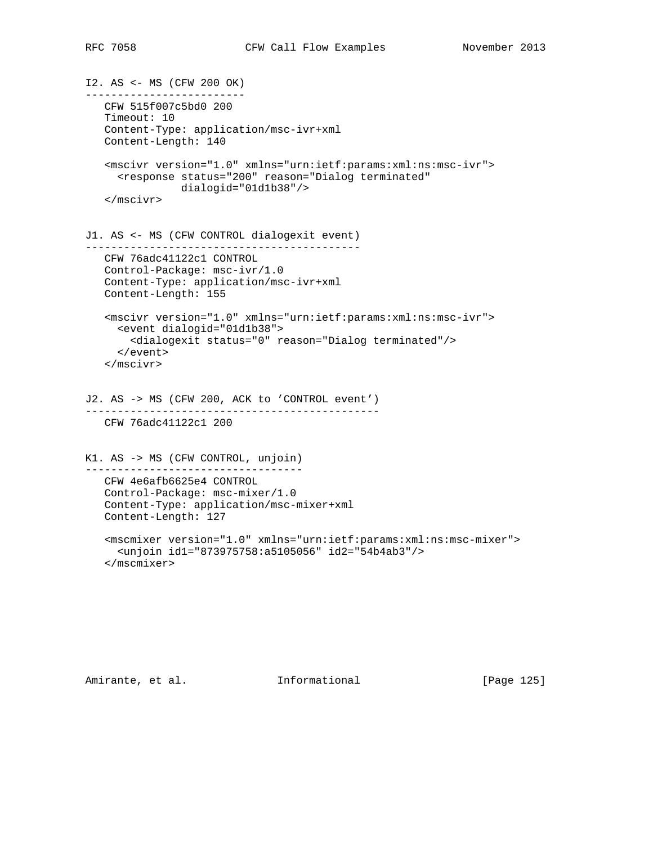I2. AS <- MS (CFW 200 OK) ------------------------- CFW 515f007c5bd0 200 Timeout: 10 Content-Type: application/msc-ivr+xml Content-Length: 140 <mscivr version="1.0" xmlns="urn:ietf:params:xml:ns:msc-ivr"> <response status="200" reason="Dialog terminated" dialogid="01d1b38"/> </mscivr> J1. AS <- MS (CFW CONTROL dialogexit event) ------------------------------------------- CFW 76adc41122c1 CONTROL Control-Package: msc-ivr/1.0 Content-Type: application/msc-ivr+xml Content-Length: 155 <mscivr version="1.0" xmlns="urn:ietf:params:xml:ns:msc-ivr"> <event dialogid="01d1b38"> <dialogexit status="0" reason="Dialog terminated"/> </event> </mscivr> J2. AS -> MS (CFW 200, ACK to 'CONTROL event') ---------------------------------------------- CFW 76adc41122c1 200 K1. AS -> MS (CFW CONTROL, unjoin) ---------------------------------- CFW 4e6afb6625e4 CONTROL Control-Package: msc-mixer/1.0 Content-Type: application/msc-mixer+xml Content-Length: 127 <mscmixer version="1.0" xmlns="urn:ietf:params:xml:ns:msc-mixer"> <unjoin id1="873975758:a5105056" id2="54b4ab3"/> </mscmixer>

Amirante, et al. 1nformational [Page 125]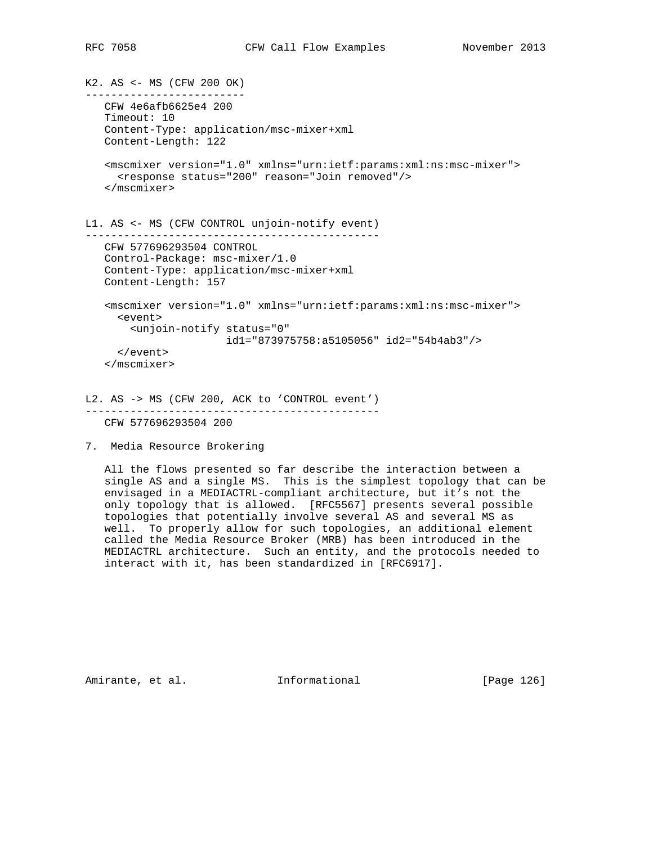K2. AS <- MS (CFW 200 OK) ------------------------- CFW 4e6afb6625e4 200 Timeout: 10 Content-Type: application/msc-mixer+xml Content-Length: 122 <mscmixer version="1.0" xmlns="urn:ietf:params:xml:ns:msc-mixer"> <response status="200" reason="Join removed"/> </mscmixer> L1. AS <- MS (CFW CONTROL unjoin-notify event) ---------------------------------------------- CFW 577696293504 CONTROL Control-Package: msc-mixer/1.0 Content-Type: application/msc-mixer+xml Content-Length: 157 <mscmixer version="1.0" xmlns="urn:ietf:params:xml:ns:msc-mixer"> <event> <unjoin-notify status="0" id1="873975758:a5105056" id2="54b4ab3"/> </event> </mscmixer>

## L2. AS -> MS (CFW 200, ACK to 'CONTROL event') ---------------------------------------------- CFW 577696293504 200

7. Media Resource Brokering

 All the flows presented so far describe the interaction between a single AS and a single MS. This is the simplest topology that can be envisaged in a MEDIACTRL-compliant architecture, but it's not the only topology that is allowed. [RFC5567] presents several possible topologies that potentially involve several AS and several MS as well. To properly allow for such topologies, an additional element called the Media Resource Broker (MRB) has been introduced in the MEDIACTRL architecture. Such an entity, and the protocols needed to interact with it, has been standardized in [RFC6917].

Amirante, et al. 1nformational [Page 126]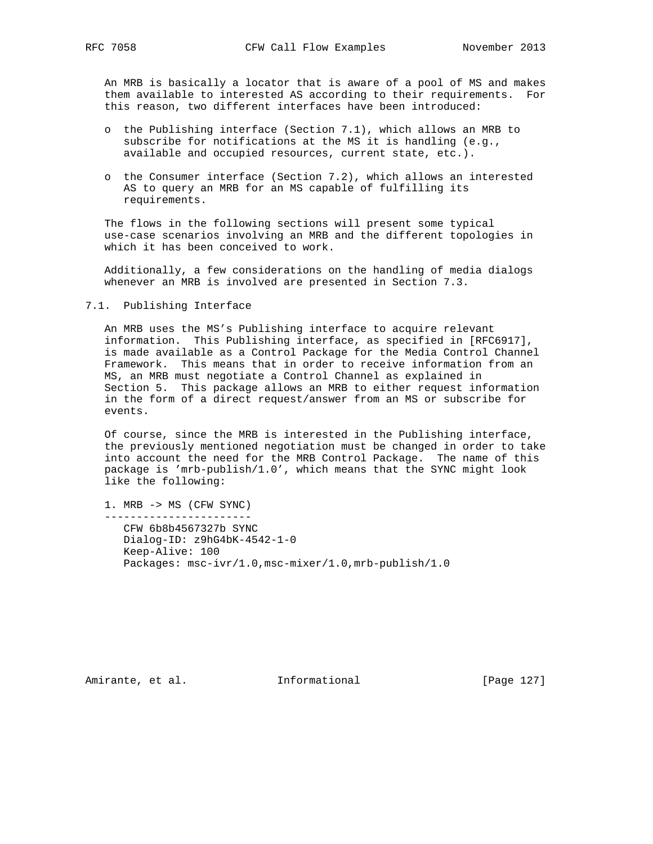An MRB is basically a locator that is aware of a pool of MS and makes them available to interested AS according to their requirements. For this reason, two different interfaces have been introduced:

- o the Publishing interface (Section 7.1), which allows an MRB to subscribe for notifications at the MS it is handling (e.g., available and occupied resources, current state, etc.).
- o the Consumer interface (Section 7.2), which allows an interested AS to query an MRB for an MS capable of fulfilling its requirements.

 The flows in the following sections will present some typical use-case scenarios involving an MRB and the different topologies in which it has been conceived to work.

 Additionally, a few considerations on the handling of media dialogs whenever an MRB is involved are presented in Section 7.3.

7.1. Publishing Interface

 An MRB uses the MS's Publishing interface to acquire relevant information. This Publishing interface, as specified in [RFC6917], is made available as a Control Package for the Media Control Channel Framework. This means that in order to receive information from an MS, an MRB must negotiate a Control Channel as explained in Section 5. This package allows an MRB to either request information in the form of a direct request/answer from an MS or subscribe for events.

 Of course, since the MRB is interested in the Publishing interface, the previously mentioned negotiation must be changed in order to take into account the need for the MRB Control Package. The name of this package is 'mrb-publish/1.0', which means that the SYNC might look like the following:

```
 1. MRB -> MS (CFW SYNC)
```
 ----------------------- CFW 6b8b4567327b SYNC Dialog-ID: z9hG4bK-4542-1-0 Keep-Alive: 100 Packages: msc-ivr/1.0,msc-mixer/1.0,mrb-publish/1.0

Amirante, et al. 1nformational 1999 [Page 127]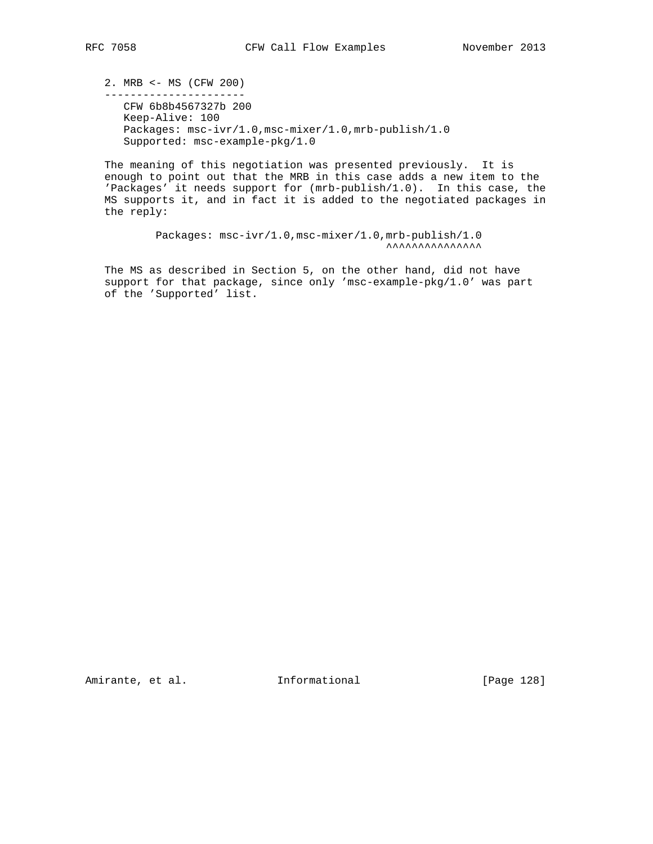2. MRB <- MS (CFW 200) ---------------------- CFW 6b8b4567327b 200 Keep-Alive: 100 Packages: msc-ivr/1.0,msc-mixer/1.0,mrb-publish/1.0 Supported: msc-example-pkg/1.0

 The meaning of this negotiation was presented previously. It is enough to point out that the MRB in this case adds a new item to the 'Packages' it needs support for (mrb-publish/1.0). In this case, the MS supports it, and in fact it is added to the negotiated packages in the reply:

```
 Packages: msc-ivr/1.0,msc-mixer/1.0,mrb-publish/1.0
                                                                                            \lambda\lambda\lambda\lambda\lambda\lambda\lambda\lambda\lambda\lambda\lambda\lambda\lambda\lambda\lambda\lambda\lambda
```
 The MS as described in Section 5, on the other hand, did not have support for that package, since only 'msc-example-pkg/1.0' was part of the 'Supported' list.

Amirante, et al. 1nformational 1999 [Page 128]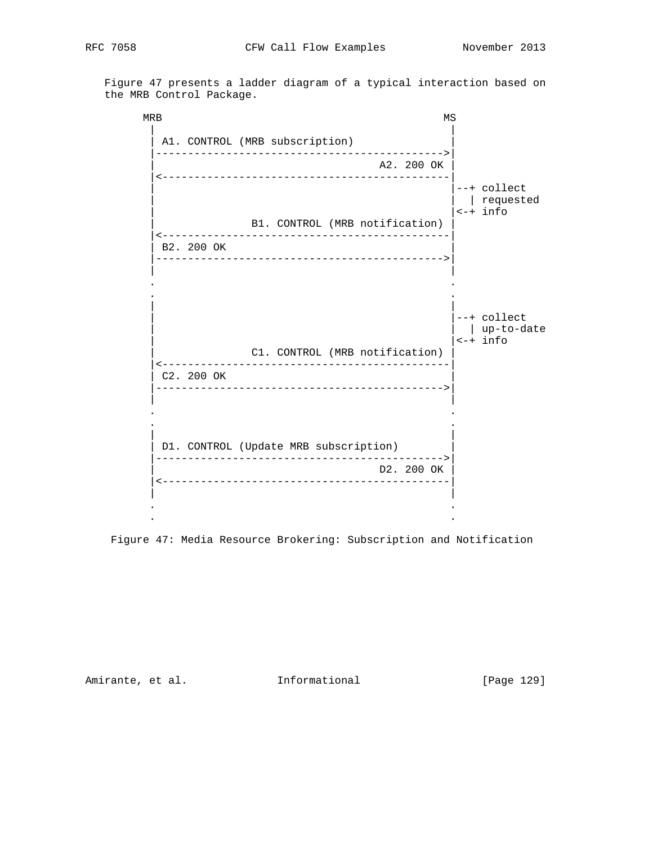Figure 47 presents a ladder diagram of a typical interaction based on the MRB Control Package.

MRB MS | | A1. CONTROL (MRB subscription) |--------------------------------------------->| | A2. 200 OK | |<---------------------------------------------|  $|--+$  collect | requested  $| \leftarrow + \text{info}$ B1. CONTROL (MRB notification) | |<---------------------------------------------| | B2. 200 OK | |--------------------------------------------->| | | . . . . | |  $|--+$  collect | up-to-date  $| \leftarrow + \text{info}$ C1. CONTROL (MRB notification) |<---------------------------------------------| C2. 200 OK |--------------------------------------------->| | | . . . . | | | D1. CONTROL (Update MRB subscription) |--------------------------------------------->| | D2. 200 OK | |<---------------------------------------------| | | . . . .

Figure 47: Media Resource Brokering: Subscription and Notification

Amirante, et al. 1nformational [Page 129]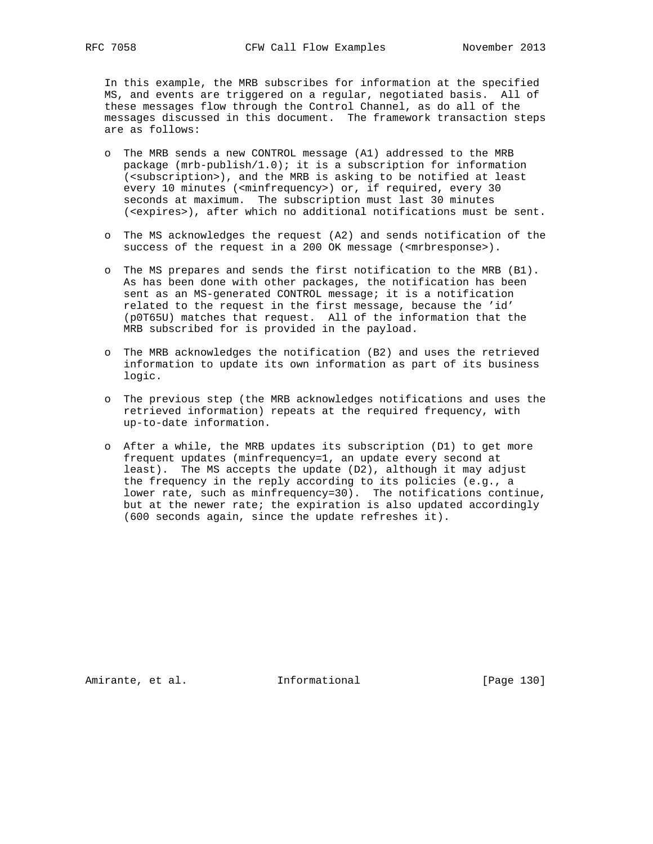In this example, the MRB subscribes for information at the specified MS, and events are triggered on a regular, negotiated basis. All of these messages flow through the Control Channel, as do all of the messages discussed in this document. The framework transaction steps are as follows:

- o The MRB sends a new CONTROL message (A1) addressed to the MRB package  $(mrb-publish/1.0)$ ; it is a subscription for information (<subscription>), and the MRB is asking to be notified at least every 10 minutes (<minfrequency>) or, if required, every 30 seconds at maximum. The subscription must last 30 minutes (<expires>), after which no additional notifications must be sent.
- o The MS acknowledges the request (A2) and sends notification of the success of the request in a 200 OK message (<mrbresponse>).
- o The MS prepares and sends the first notification to the MRB (B1). As has been done with other packages, the notification has been sent as an MS-generated CONTROL message; it is a notification related to the request in the first message, because the 'id' (p0T65U) matches that request. All of the information that the MRB subscribed for is provided in the payload.
- o The MRB acknowledges the notification (B2) and uses the retrieved information to update its own information as part of its business logic.
- o The previous step (the MRB acknowledges notifications and uses the retrieved information) repeats at the required frequency, with up-to-date information.
- o After a while, the MRB updates its subscription (D1) to get more frequent updates (minfrequency=1, an update every second at least). The MS accepts the update (D2), although it may adjust the frequency in the reply according to its policies (e.g., a lower rate, such as minfrequency=30). The notifications continue, but at the newer rate; the expiration is also updated accordingly (600 seconds again, since the update refreshes it).

Amirante, et al. 1nformational [Page 130]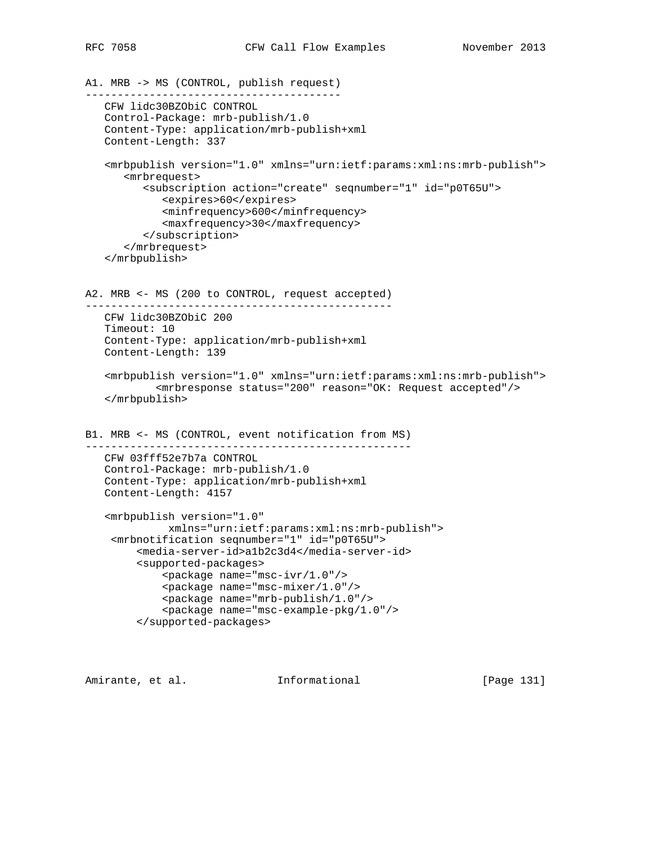```
A1. MRB -> MS (CONTROL, publish request)
----------------------------------------
    CFW lidc30BZObiC CONTROL
   Control-Package: mrb-publish/1.0
    Content-Type: application/mrb-publish+xml
   Content-Length: 337
    <mrbpublish version="1.0" xmlns="urn:ietf:params:xml:ns:mrb-publish">
       <mrbrequest>
          <subscription action="create" seqnumber="1" id="p0T65U">
             <expires>60</expires>
             <minfrequency>600</minfrequency>
             <maxfrequency>30</maxfrequency>
          </subscription>
       </mrbrequest>
    </mrbpublish>
A2. MRB <- MS (200 to CONTROL, request accepted)
------------------------------------------------
   CFW lidc30BZObiC 200
   Timeout: 10
    Content-Type: application/mrb-publish+xml
   Content-Length: 139
    <mrbpublish version="1.0" xmlns="urn:ietf:params:xml:ns:mrb-publish">
            <mrbresponse status="200" reason="OK: Request accepted"/>
    </mrbpublish>
B1. MRB <- MS (CONTROL, event notification from MS)
---------------------------------------------------
    CFW 03fff52e7b7a CONTROL
   Control-Package: mrb-publish/1.0
    Content-Type: application/mrb-publish+xml
   Content-Length: 4157
    <mrbpublish version="1.0"
             xmlns="urn:ietf:params:xml:ns:mrb-publish">
     <mrbnotification seqnumber="1" id="p0T65U">
         <media-server-id>a1b2c3d4</media-server-id>
         <supported-packages>
             <package name="msc-ivr/1.0"/>
             <package name="msc-mixer/1.0"/>
             <package name="mrb-publish/1.0"/>
             <package name="msc-example-pkg/1.0"/>
         </supported-packages>
```
Amirante, et al. Informational [Page 131]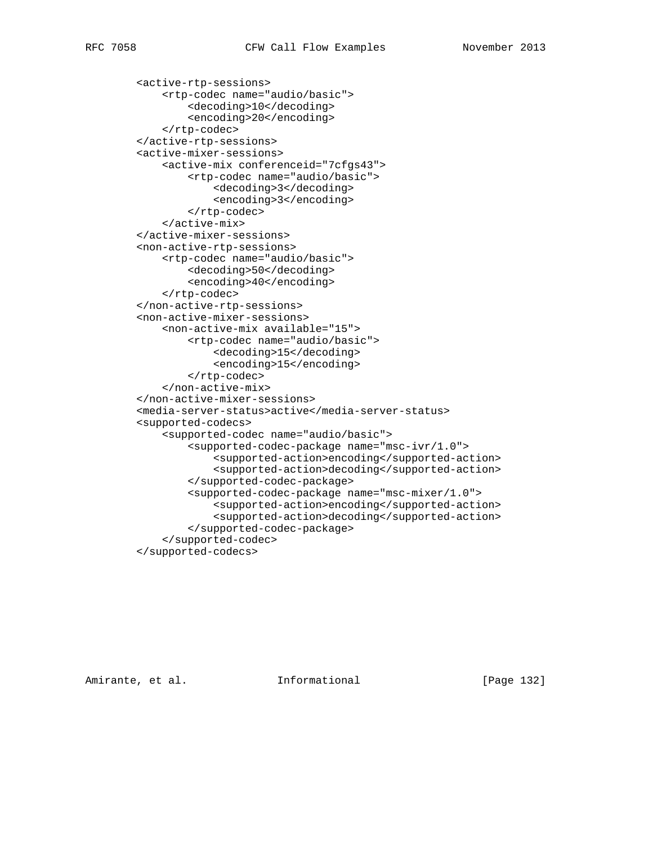<active-rtp-sessions> <rtp-codec name="audio/basic"> <decoding>10</decoding> <encoding>20</encoding> </rtp-codec> </active-rtp-sessions> <active-mixer-sessions> <active-mix conferenceid="7cfgs43"> <rtp-codec name="audio/basic"> <decoding>3</decoding> <encoding>3</encoding> </rtp-codec> </active-mix> </active-mixer-sessions> <non-active-rtp-sessions> <rtp-codec name="audio/basic"> <decoding>50</decoding> <encoding>40</encoding> </rtp-codec> </non-active-rtp-sessions> <non-active-mixer-sessions> <non-active-mix available="15"> <rtp-codec name="audio/basic"> <decoding>15</decoding> <encoding>15</encoding> </rtp-codec> </non-active-mix> </non-active-mixer-sessions> <media-server-status>active</media-server-status> <supported-codecs> <supported-codec name="audio/basic"> <supported-codec-package name="msc-ivr/1.0"> <supported-action>encoding</supported-action> <supported-action>decoding</supported-action> </supported-codec-package> <supported-codec-package name="msc-mixer/1.0"> <supported-action>encoding</supported-action> <supported-action>decoding</supported-action> </supported-codec-package> </supported-codec> </supported-codecs>

Amirante, et al. Informational [Page 132]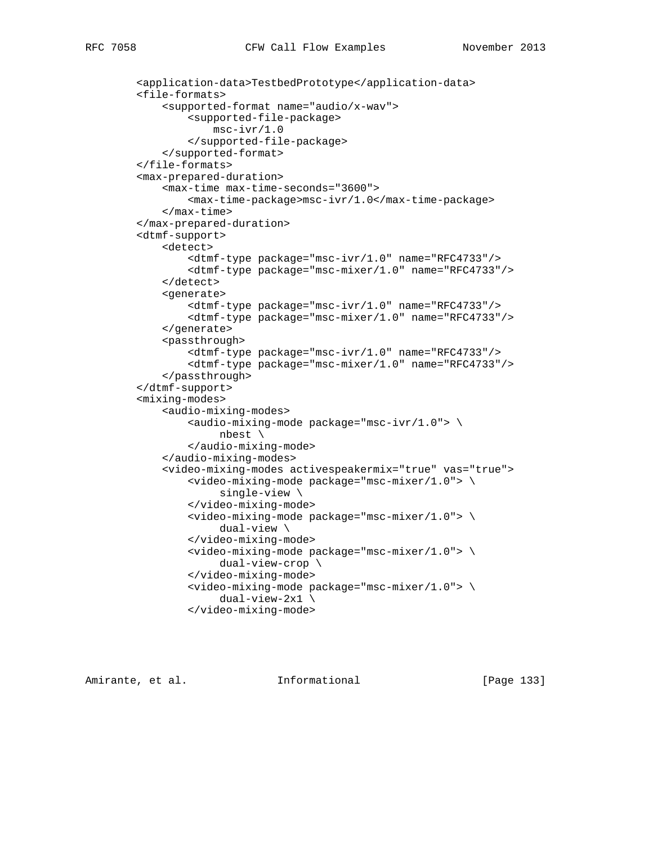```
 <application-data>TestbedPrototype</application-data>
 <file-formats>
     <supported-format name="audio/x-wav">
         <supported-file-package>
             msc-ivr/1.0
         </supported-file-package>
     </supported-format>
 </file-formats>
 <max-prepared-duration>
     <max-time max-time-seconds="3600">
         <max-time-package>msc-ivr/1.0</max-time-package>
     </max-time>
 </max-prepared-duration>
 <dtmf-support>
     <detect>
         <dtmf-type package="msc-ivr/1.0" name="RFC4733"/>
         <dtmf-type package="msc-mixer/1.0" name="RFC4733"/>
     </detect>
     <generate>
         <dtmf-type package="msc-ivr/1.0" name="RFC4733"/>
         <dtmf-type package="msc-mixer/1.0" name="RFC4733"/>
     </generate>
     <passthrough>
         <dtmf-type package="msc-ivr/1.0" name="RFC4733"/>
         <dtmf-type package="msc-mixer/1.0" name="RFC4733"/>
     </passthrough>
 </dtmf-support>
 <mixing-modes>
     <audio-mixing-modes>
         <audio-mixing-mode package="msc-ivr/1.0"> \
              nbest \
         </audio-mixing-mode>
     </audio-mixing-modes>
     <video-mixing-modes activespeakermix="true" vas="true">
         <video-mixing-mode package="msc-mixer/1.0"> \
              single-view \
         </video-mixing-mode>
         <video-mixing-mode package="msc-mixer/1.0"> \
              dual-view \
         </video-mixing-mode>
         <video-mixing-mode package="msc-mixer/1.0"> \
              dual-view-crop \
         </video-mixing-mode>
         <video-mixing-mode package="msc-mixer/1.0"> \
              dual-view-2x1 \
         </video-mixing-mode>
```
Amirante, et al. Informational [Page 133]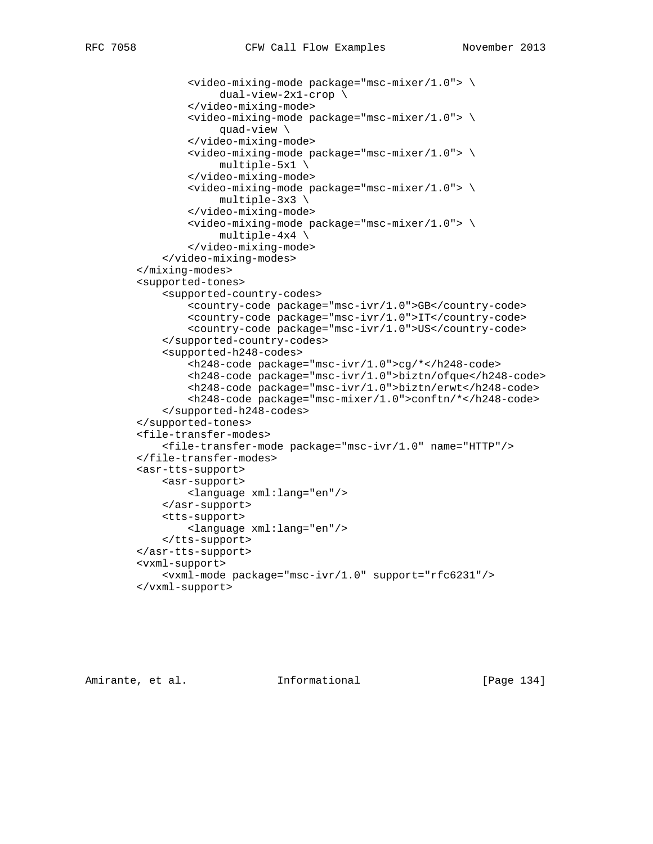```
 <video-mixing-mode package="msc-mixer/1.0"> \
              dual-view-2x1-crop \
         </video-mixing-mode>
         <video-mixing-mode package="msc-mixer/1.0"> \
              quad-view \
         </video-mixing-mode>
         <video-mixing-mode package="msc-mixer/1.0"> \
              multiple-5x1 \
         </video-mixing-mode>
         <video-mixing-mode package="msc-mixer/1.0"> \
              multiple-3x3 \
         </video-mixing-mode>
         <video-mixing-mode package="msc-mixer/1.0"> \
             multiple-4x4 \ \ \ \ \ \ </video-mixing-mode>
     </video-mixing-modes>
 </mixing-modes>
 <supported-tones>
     <supported-country-codes>
         <country-code package="msc-ivr/1.0">GB</country-code>
         <country-code package="msc-ivr/1.0">IT</country-code>
         <country-code package="msc-ivr/1.0">US</country-code>
     </supported-country-codes>
     <supported-h248-codes>
         <h248-code package="msc-ivr/1.0">cg/*</h248-code>
         <h248-code package="msc-ivr/1.0">biztn/ofque</h248-code>
         <h248-code package="msc-ivr/1.0">biztn/erwt</h248-code>
         <h248-code package="msc-mixer/1.0">conftn/*</h248-code>
     </supported-h248-codes>
 </supported-tones>
 <file-transfer-modes>
     <file-transfer-mode package="msc-ivr/1.0" name="HTTP"/>
 </file-transfer-modes>
 <asr-tts-support>
     <asr-support>
         <language xml:lang="en"/>
     </asr-support>
     <tts-support>
         <language xml:lang="en"/>
     </tts-support>
 </asr-tts-support>
 <vxml-support>
     <vxml-mode package="msc-ivr/1.0" support="rfc6231"/>
 </vxml-support>
```
Amirante, et al. Informational [Page 134]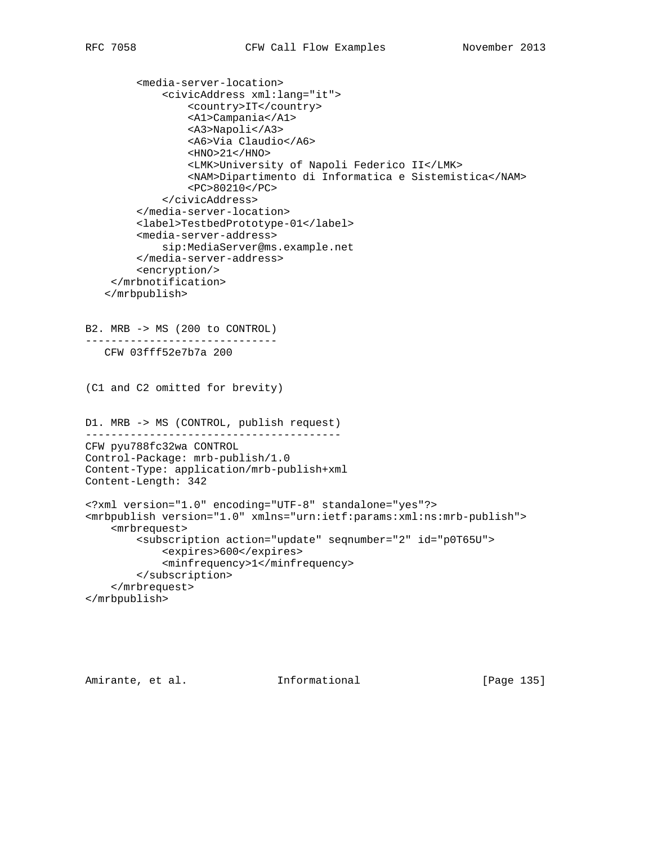```
 <media-server-location>
             <civicAddress xml:lang="it">
                 <country>IT</country>
                 <A1>Campania</A1>
                 <A3>Napoli</A3>
                 <A6>Via Claudio</A6>
                 <HNO>21</HNO>
                 <LMK>University of Napoli Federico II</LMK>
                 <NAM>Dipartimento di Informatica e Sistemistica</NAM>
                 <PC>80210</PC>
             </civicAddress>
         </media-server-location>
         <label>TestbedPrototype-01</label>
         <media-server-address>
             sip:MediaServer@ms.example.net
         </media-server-address>
         <encryption/>
     </mrbnotification>
    </mrbpublish>
B2. MRB -> MS (200 to CONTROL)
------------------------------
   CFW 03fff52e7b7a 200
(C1 and C2 omitted for brevity)
D1. MRB -> MS (CONTROL, publish request)
----------------------------------------
CFW pyu788fc32wa CONTROL
Control-Package: mrb-publish/1.0
Content-Type: application/mrb-publish+xml
Content-Length: 342
<?xml version="1.0" encoding="UTF-8" standalone="yes"?>
<mrbpublish version="1.0" xmlns="urn:ietf:params:xml:ns:mrb-publish">
     <mrbrequest>
         <subscription action="update" seqnumber="2" id="p0T65U">
             <expires>600</expires>
             <minfrequency>1</minfrequency>
         </subscription>
     </mrbrequest>
</mrbpublish>
```
Amirante, et al. 1nformational [Page 135]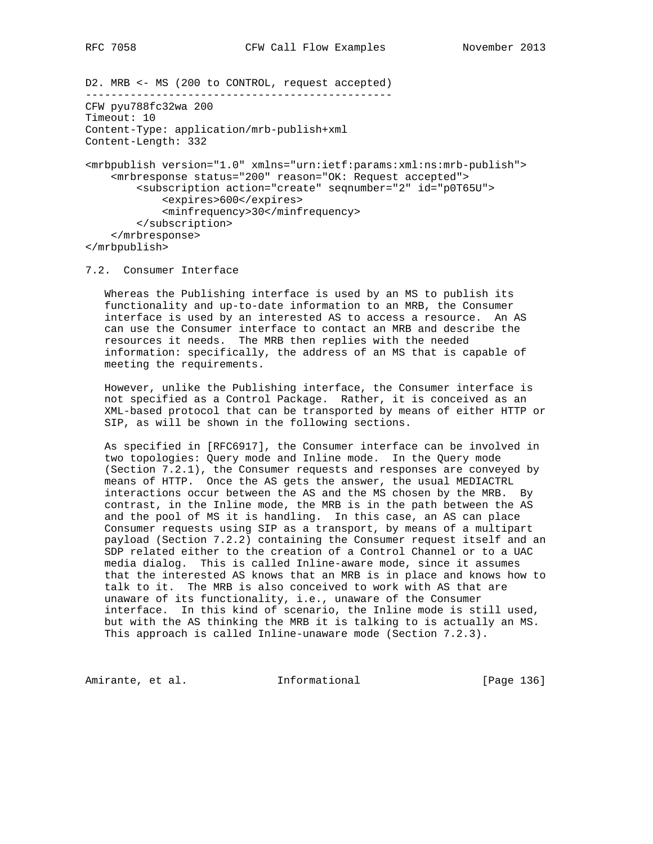```
D2. MRB <- MS (200 to CONTROL, request accepted)
------------------------------------------------
CFW pyu788fc32wa 200
Timeout: 10
Content-Type: application/mrb-publish+xml
Content-Length: 332
<mrbpublish version="1.0" xmlns="urn:ietf:params:xml:ns:mrb-publish">
     <mrbresponse status="200" reason="OK: Request accepted">
         <subscription action="create" seqnumber="2" id="p0T65U">
             <expires>600</expires>
             <minfrequency>30</minfrequency>
         </subscription>
     </mrbresponse>
</mrbpublish>
```
### 7.2. Consumer Interface

 Whereas the Publishing interface is used by an MS to publish its functionality and up-to-date information to an MRB, the Consumer interface is used by an interested AS to access a resource. An AS can use the Consumer interface to contact an MRB and describe the resources it needs. The MRB then replies with the needed information: specifically, the address of an MS that is capable of meeting the requirements.

 However, unlike the Publishing interface, the Consumer interface is not specified as a Control Package. Rather, it is conceived as an XML-based protocol that can be transported by means of either HTTP or SIP, as will be shown in the following sections.

 As specified in [RFC6917], the Consumer interface can be involved in two topologies: Query mode and Inline mode. In the Query mode (Section 7.2.1), the Consumer requests and responses are conveyed by means of HTTP. Once the AS gets the answer, the usual MEDIACTRL interactions occur between the AS and the MS chosen by the MRB. By contrast, in the Inline mode, the MRB is in the path between the AS and the pool of MS it is handling. In this case, an AS can place Consumer requests using SIP as a transport, by means of a multipart payload (Section 7.2.2) containing the Consumer request itself and an SDP related either to the creation of a Control Channel or to a UAC media dialog. This is called Inline-aware mode, since it assumes that the interested AS knows that an MRB is in place and knows how to talk to it. The MRB is also conceived to work with AS that are unaware of its functionality, i.e., unaware of the Consumer interface. In this kind of scenario, the Inline mode is still used, but with the AS thinking the MRB it is talking to is actually an MS. This approach is called Inline-unaware mode (Section 7.2.3).

Amirante, et al. 1nformational 1999 [Page 136]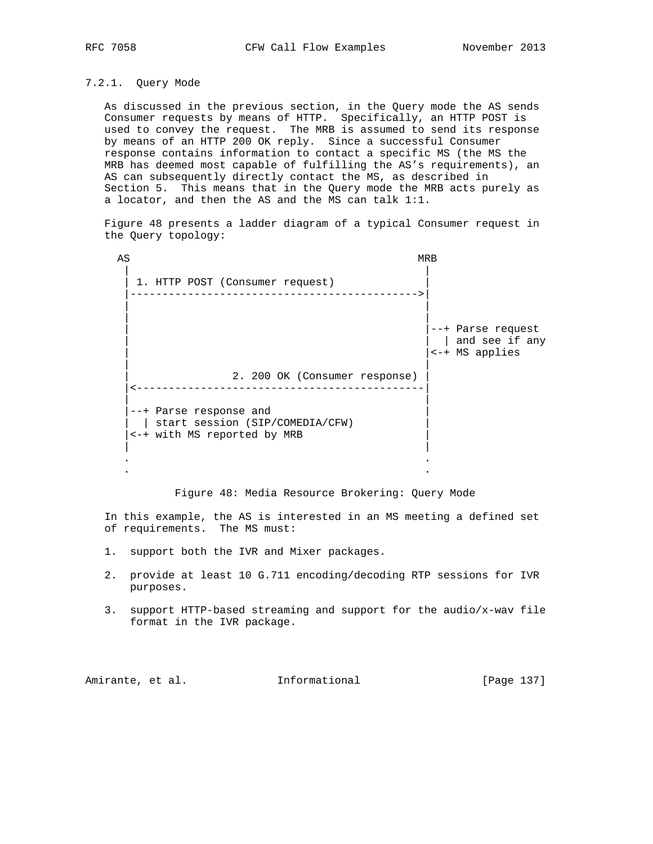## 7.2.1. Query Mode

 As discussed in the previous section, in the Query mode the AS sends Consumer requests by means of HTTP. Specifically, an HTTP POST is used to convey the request. The MRB is assumed to send its response by means of an HTTP 200 OK reply. Since a successful Consumer response contains information to contact a specific MS (the MS the MRB has deemed most capable of fulfilling the AS's requirements), an AS can subsequently directly contact the MS, as described in Section 5. This means that in the Query mode the MRB acts purely as a locator, and then the AS and the MS can talk 1:1.

 Figure 48 presents a ladder diagram of a typical Consumer request in the Query topology:

AS MRB | | 1. HTTP POST (Consumer request) |--------------------------------------------->| | | | | | |--+ Parse request | and see if any | |<-+ MS applies | | 2. 200 OK (Consumer response) |<---------------------------------------------| | | --+ Parse response and | start session (SIP/COMEDIA/CFW) |<-+ with MS reported by MRB | | | . . . .

Figure 48: Media Resource Brokering: Query Mode

 In this example, the AS is interested in an MS meeting a defined set of requirements. The MS must:

- 1. support both the IVR and Mixer packages.
- 2. provide at least 10 G.711 encoding/decoding RTP sessions for IVR purposes.
- 3. support HTTP-based streaming and support for the audio/x-wav file format in the IVR package.

Amirante, et al. 1nformational 1999 [Page 137]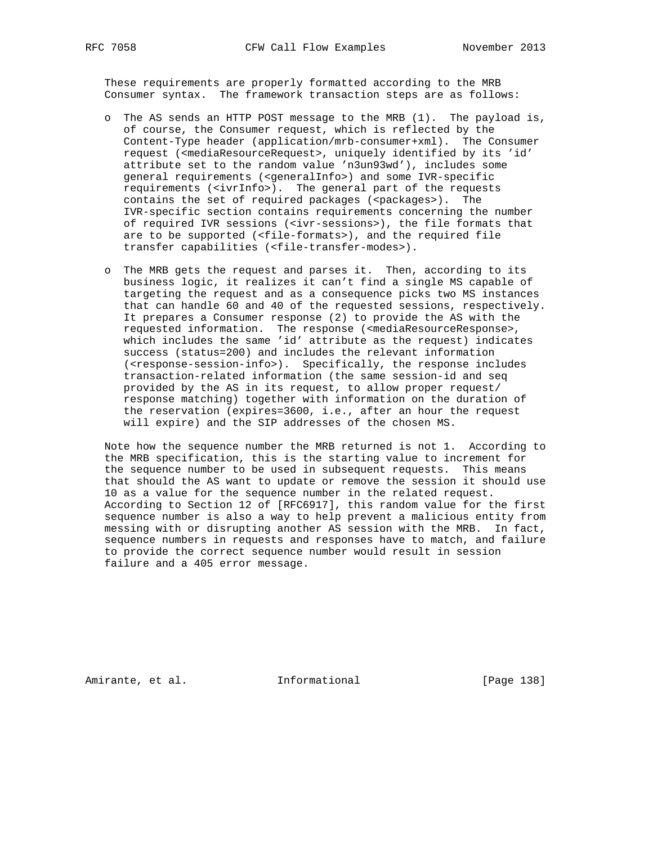These requirements are properly formatted according to the MRB Consumer syntax. The framework transaction steps are as follows:

- o The AS sends an HTTP POST message to the MRB (1). The payload is, of course, the Consumer request, which is reflected by the Content-Type header (application/mrb-consumer+xml). The Consumer request (<mediaResourceRequest>, uniquely identified by its 'id' attribute set to the random value 'n3un93wd'), includes some general requirements (<generalInfo>) and some IVR-specific requirements (<ivrInfo>). The general part of the requests contains the set of required packages (<packages>). The IVR-specific section contains requirements concerning the number of required IVR sessions (<ivr-sessions>), the file formats that are to be supported (<file-formats>), and the required file transfer capabilities (<file-transfer-modes>).
- o The MRB gets the request and parses it. Then, according to its business logic, it realizes it can't find a single MS capable of targeting the request and as a consequence picks two MS instances that can handle 60 and 40 of the requested sessions, respectively. It prepares a Consumer response (2) to provide the AS with the requested information. The response (<mediaResourceResponse>, which includes the same 'id' attribute as the request) indicates success (status=200) and includes the relevant information (<response-session-info>). Specifically, the response includes transaction-related information (the same session-id and seq provided by the AS in its request, to allow proper request/ response matching) together with information on the duration of the reservation (expires=3600, i.e., after an hour the request will expire) and the SIP addresses of the chosen MS.

 Note how the sequence number the MRB returned is not 1. According to the MRB specification, this is the starting value to increment for the sequence number to be used in subsequent requests. This means that should the AS want to update or remove the session it should use 10 as a value for the sequence number in the related request. According to Section 12 of [RFC6917], this random value for the first sequence number is also a way to help prevent a malicious entity from messing with or disrupting another AS session with the MRB. In fact, sequence numbers in requests and responses have to match, and failure to provide the correct sequence number would result in session failure and a 405 error message.

Amirante, et al. 1nformational 1999 [Page 138]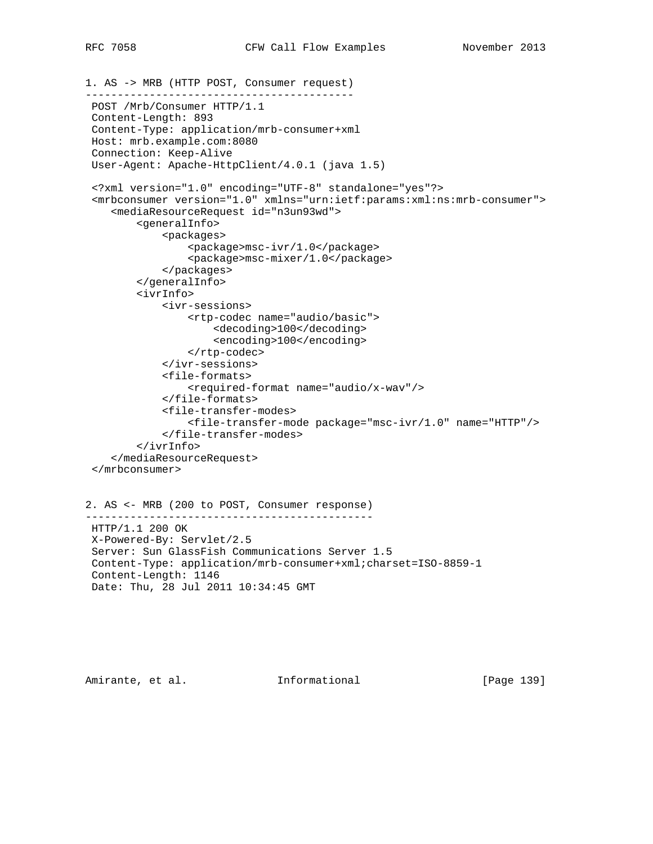```
1. AS -> MRB (HTTP POST, Consumer request)
------------------------------------------
 POST /Mrb/Consumer HTTP/1.1
 Content-Length: 893
 Content-Type: application/mrb-consumer+xml
 Host: mrb.example.com:8080
 Connection: Keep-Alive
 User-Agent: Apache-HttpClient/4.0.1 (java 1.5)
  <?xml version="1.0" encoding="UTF-8" standalone="yes"?>
  <mrbconsumer version="1.0" xmlns="urn:ietf:params:xml:ns:mrb-consumer">
     <mediaResourceRequest id="n3un93wd">
         <generalInfo>
             <packages>
                 <package>msc-ivr/1.0</package>
                 <package>msc-mixer/1.0</package>
             </packages>
         </generalInfo>
         <ivrInfo>
             <ivr-sessions>
                 <rtp-codec name="audio/basic">
                     <decoding>100</decoding>
                     <encoding>100</encoding>
                 </rtp-codec>
             </ivr-sessions>
             <file-formats>
                  <required-format name="audio/x-wav"/>
             </file-formats>
             <file-transfer-modes>
                 <file-transfer-mode package="msc-ivr/1.0" name="HTTP"/>
             </file-transfer-modes>
         </ivrInfo>
     </mediaResourceRequest>
  </mrbconsumer>
2. AS <- MRB (200 to POST, Consumer response)
```
--------------------------------------------- HTTP/1.1 200 OK X-Powered-By: Servlet/2.5 Server: Sun GlassFish Communications Server 1.5 Content-Type: application/mrb-consumer+xml;charset=ISO-8859-1 Content-Length: 1146 Date: Thu, 28 Jul 2011 10:34:45 GMT

Amirante, et al. 1nformational [Page 139]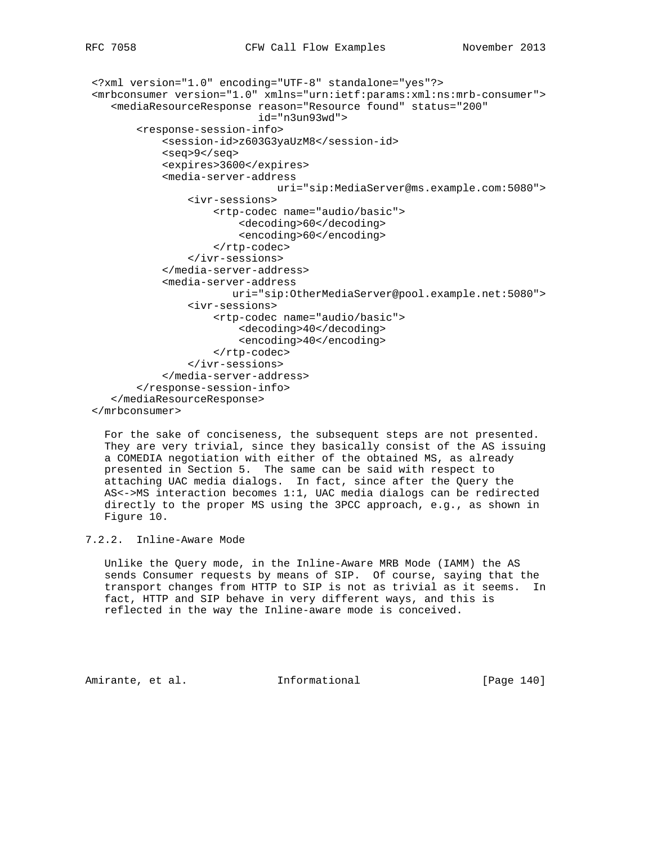```
 <?xml version="1.0" encoding="UTF-8" standalone="yes"?>
 <mrbconsumer version="1.0" xmlns="urn:ietf:params:xml:ns:mrb-consumer">
    <mediaResourceResponse reason="Resource found" status="200"
                            id="n3un93wd">
        <response-session-info>
            <session-id>z603G3yaUzM8</session-id>
            <seq>9</seq>
            <expires>3600</expires>
            <media-server-address
                               uri="sip:MediaServer@ms.example.com:5080">
                <ivr-sessions>
                    <rtp-codec name="audio/basic">
                         <decoding>60</decoding>
                         <encoding>60</encoding>
                     </rtp-codec>
                </ivr-sessions>
            </media-server-address>
            <media-server-address
                       uri="sip:OtherMediaServer@pool.example.net:5080">
                <ivr-sessions>
                     <rtp-codec name="audio/basic">
                         <decoding>40</decoding>
                         <encoding>40</encoding>
                     </rtp-codec>
                </ivr-sessions>
            </media-server-address>
        </response-session-info>
    </mediaResourceResponse>
```

```
 </mrbconsumer>
```
 For the sake of conciseness, the subsequent steps are not presented. They are very trivial, since they basically consist of the AS issuing a COMEDIA negotiation with either of the obtained MS, as already presented in Section 5. The same can be said with respect to attaching UAC media dialogs. In fact, since after the Query the AS<->MS interaction becomes 1:1, UAC media dialogs can be redirected directly to the proper MS using the 3PCC approach, e.g., as shown in Figure 10.

# 7.2.2. Inline-Aware Mode

 Unlike the Query mode, in the Inline-Aware MRB Mode (IAMM) the AS sends Consumer requests by means of SIP. Of course, saying that the transport changes from HTTP to SIP is not as trivial as it seems. In fact, HTTP and SIP behave in very different ways, and this is reflected in the way the Inline-aware mode is conceived.

Amirante, et al. 1nformational [Page 140]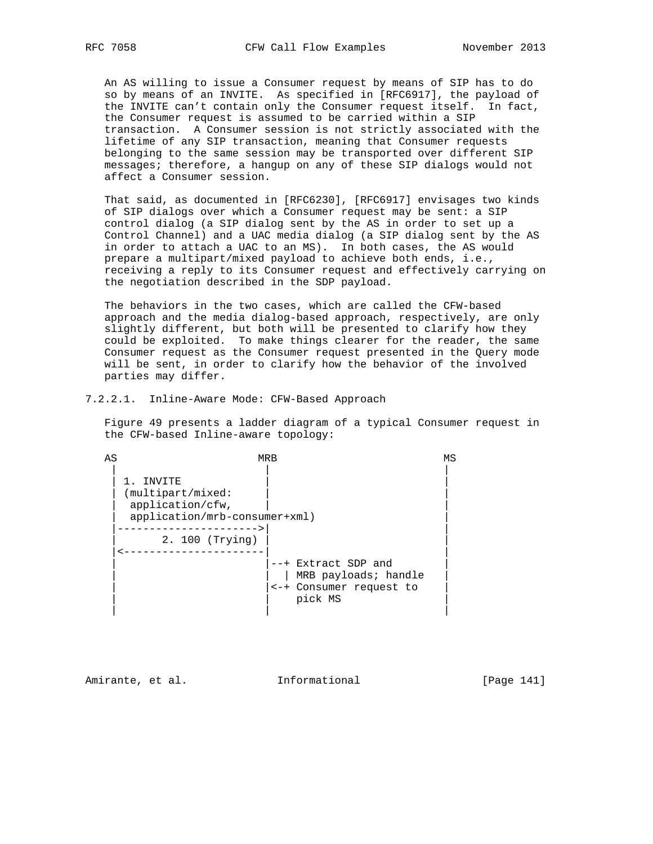An AS willing to issue a Consumer request by means of SIP has to do so by means of an INVITE. As specified in [RFC6917], the payload of the INVITE can't contain only the Consumer request itself. In fact, the Consumer request is assumed to be carried within a SIP transaction. A Consumer session is not strictly associated with the lifetime of any SIP transaction, meaning that Consumer requests belonging to the same session may be transported over different SIP messages; therefore, a hangup on any of these SIP dialogs would not affect a Consumer session.

 That said, as documented in [RFC6230], [RFC6917] envisages two kinds of SIP dialogs over which a Consumer request may be sent: a SIP control dialog (a SIP dialog sent by the AS in order to set up a Control Channel) and a UAC media dialog (a SIP dialog sent by the AS in order to attach a UAC to an MS). In both cases, the AS would prepare a multipart/mixed payload to achieve both ends, i.e., receiving a reply to its Consumer request and effectively carrying on the negotiation described in the SDP payload.

 The behaviors in the two cases, which are called the CFW-based approach and the media dialog-based approach, respectively, are only slightly different, but both will be presented to clarify how they could be exploited. To make things clearer for the reader, the same Consumer request as the Consumer request presented in the Query mode will be sent, in order to clarify how the behavior of the involved parties may differ.

## 7.2.2.1. Inline-Aware Mode: CFW-Based Approach

 Figure 49 presents a ladder diagram of a typical Consumer request in the CFW-based Inline-aware topology:

| AS |                                                                                  | MRB                                                                               | ΜS |
|----|----------------------------------------------------------------------------------|-----------------------------------------------------------------------------------|----|
|    | INVITE<br>(multipart/mixed:<br>application/cfw,<br>application/mrb-consumer+xml) |                                                                                   |    |
|    | 2. 100 (Trying)                                                                  | --+ Extract SDP and<br>MRB payloads; handle<br><-+ Consumer request to<br>pick MS |    |

Amirante, et al. 1nformational 1999 [Page 141]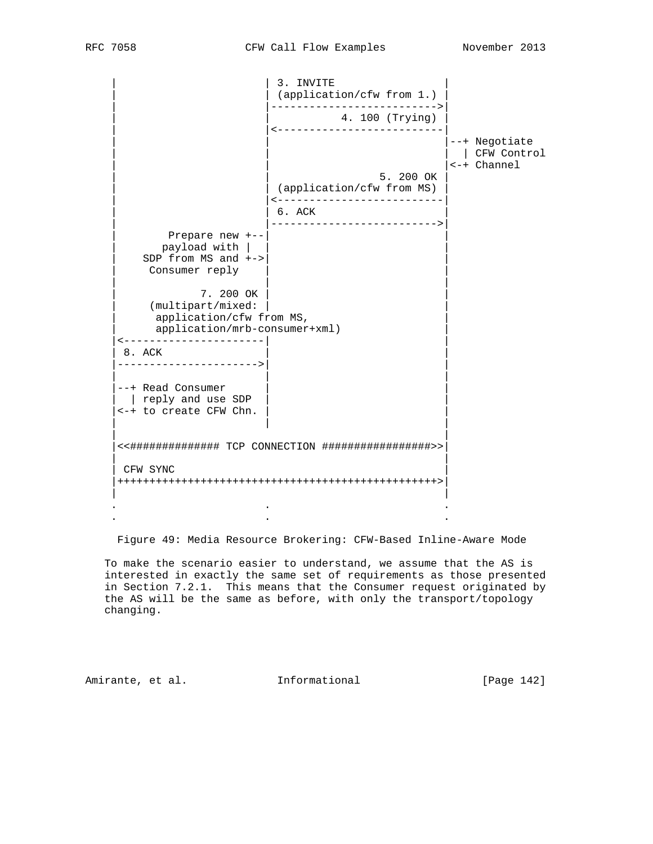| | 3. INVITE | (application/cfw from 1.) | |-------------------------->| 4. 100 (Trying) | |<--------------------------| |--+ Negotiate | CFW Control  $| \leftarrow + \text{Channel}$ 5. 200 OK | | (application/cfw from MS) | | |<--------------------------| 6. ACK | |-------------------------->| Prepare new +-- | payload with | | | | SDP from MS and +->| | Consumer reply | | | | 7. 200 OK | | | (multipart/mixed: | | application/cfw from MS, | application/mrb-consumer+xml) | |<----------------------| | 8. ACK |---------------------->| | | | | --+ Read Consumer | reply and use SDP |<-+ to create CFW Chn. | | | | | | | |<<############## TCP CONNECTION #################>>| | | | CFW SYNC | |++++++++++++++++++++++++++++++++++++++++++++++++++>| | | . . . . . .

Figure 49: Media Resource Brokering: CFW-Based Inline-Aware Mode

 To make the scenario easier to understand, we assume that the AS is interested in exactly the same set of requirements as those presented in Section 7.2.1. This means that the Consumer request originated by the AS will be the same as before, with only the transport/topology changing.

Amirante, et al. 1nformational [Page 142]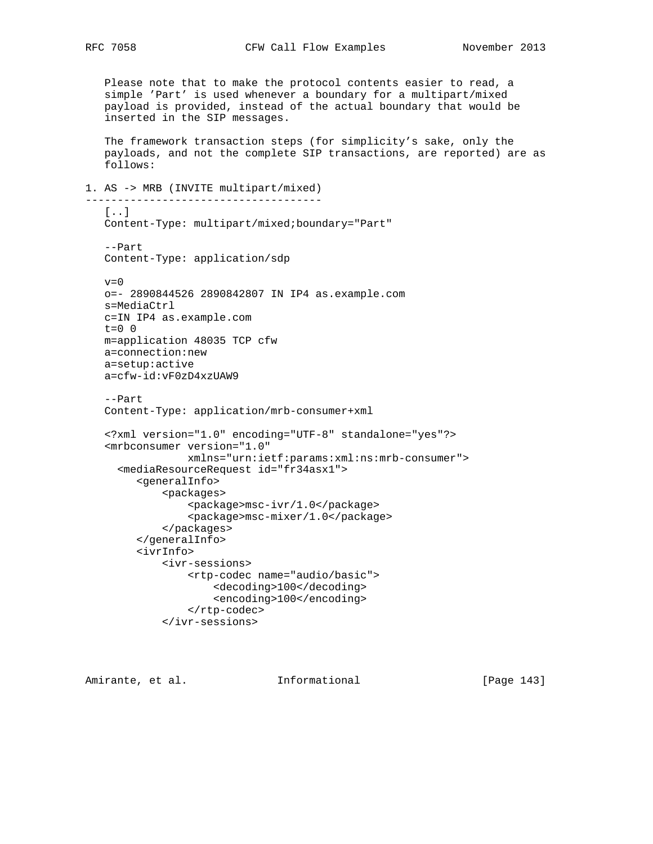Please note that to make the protocol contents easier to read, a simple 'Part' is used whenever a boundary for a multipart/mixed payload is provided, instead of the actual boundary that would be inserted in the SIP messages. The framework transaction steps (for simplicity's sake, only the payloads, and not the complete SIP transactions, are reported) are as follows: 1. AS -> MRB (INVITE multipart/mixed) -------------------------------------  $\lceil$ ..] Content-Type: multipart/mixed;boundary="Part" --Part Content-Type: application/sdp  $v=0$  o=- 2890844526 2890842807 IN IP4 as.example.com s=MediaCtrl c=IN IP4 as.example.com  $t=0$  0 m=application 48035 TCP cfw a=connection:new a=setup:active a=cfw-id:vF0zD4xzUAW9 --Part Content-Type: application/mrb-consumer+xml <?xml version="1.0" encoding="UTF-8" standalone="yes"?> <mrbconsumer version="1.0" xmlns="urn:ietf:params:xml:ns:mrb-consumer"> <mediaResourceRequest id="fr34asx1"> <generalInfo> <packages> <package>msc-ivr/1.0</package> <package>msc-mixer/1.0</package> </packages> </generalInfo> <ivrInfo> <ivr-sessions> <rtp-codec name="audio/basic"> <decoding>100</decoding> <encoding>100</encoding> </rtp-codec> </ivr-sessions>

Amirante, et al. 1nformational [Page 143]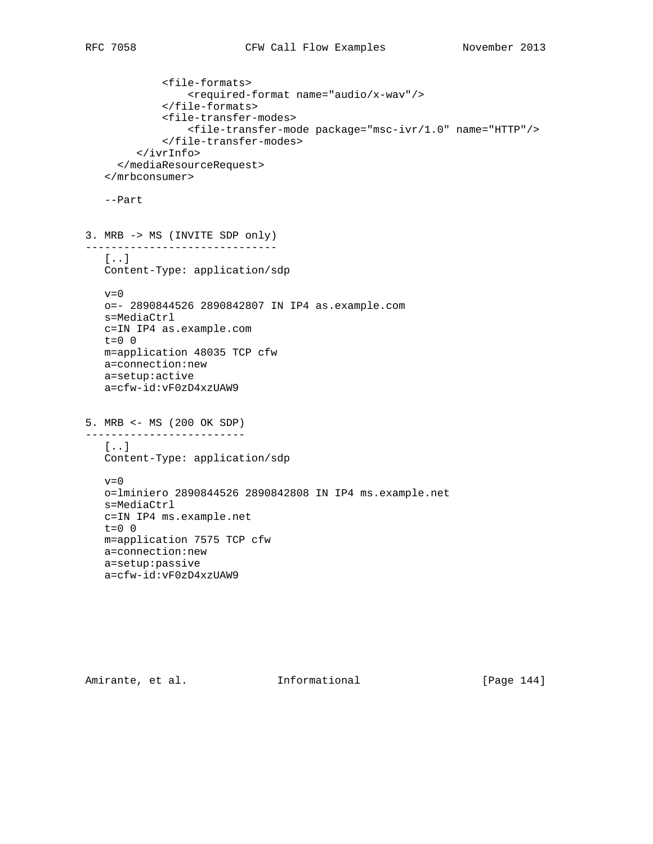```
 <file-formats>
                 <required-format name="audio/x-wav"/>
             </file-formats>
             <file-transfer-modes>
                 <file-transfer-mode package="msc-ivr/1.0" name="HTTP"/>
             </file-transfer-modes>
         </ivrInfo>
      </mediaResourceRequest>
    </mrbconsumer>
   --Part
3. MRB -> MS (INVITE SDP only)
------------------------------
  [\ldots] Content-Type: application/sdp
  v=0 o=- 2890844526 2890842807 IN IP4 as.example.com
   s=MediaCtrl
   c=IN IP4 as.example.com
   t=0 0
   m=application 48035 TCP cfw
   a=connection:new
   a=setup:active
   a=cfw-id:vF0zD4xzUAW9
5. MRB <- MS (200 OK SDP)
-------------------------
    [..]
   Content-Type: application/sdp
  v=0 o=lminiero 2890844526 2890842808 IN IP4 ms.example.net
   s=MediaCtrl
   c=IN IP4 ms.example.net
   t=0 0
   m=application 7575 TCP cfw
   a=connection:new
   a=setup:passive
   a=cfw-id:vF0zD4xzUAW9
```
Amirante, et al. 1nformational 1999 [Page 144]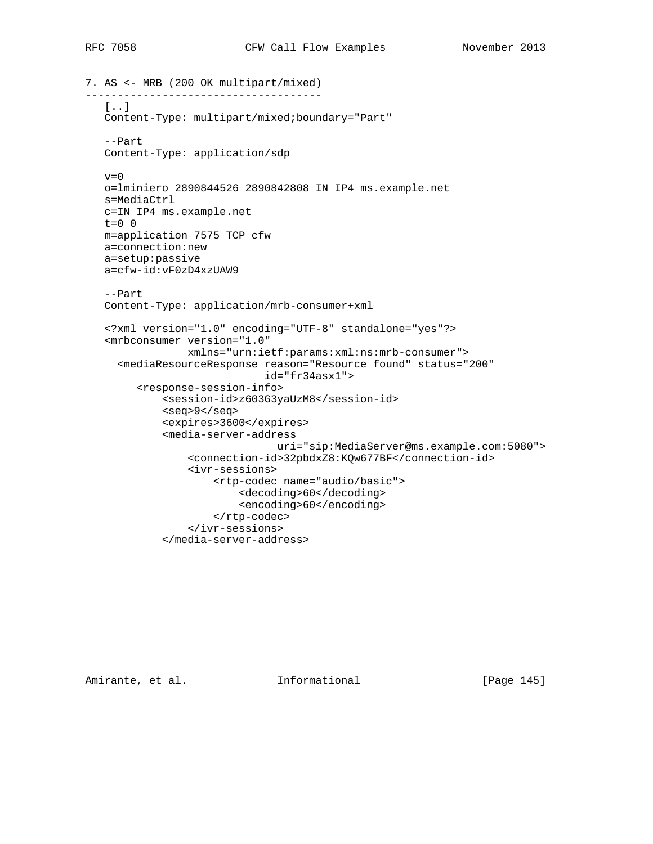```
7. AS <- MRB (200 OK multipart/mixed)
  -------------------------------------
    [..]
   Content-Type: multipart/mixed;boundary="Part"
    --Part
   Content-Type: application/sdp
  v=0 o=lminiero 2890844526 2890842808 IN IP4 ms.example.net
   s=MediaCtrl
   c=IN IP4 ms.example.net
   t=0 0
   m=application 7575 TCP cfw
   a=connection:new
   a=setup:passive
   a=cfw-id:vF0zD4xzUAW9
    --Part
   Content-Type: application/mrb-consumer+xml
    <?xml version="1.0" encoding="UTF-8" standalone="yes"?>
    <mrbconsumer version="1.0"
                xmlns="urn:ietf:params:xml:ns:mrb-consumer">
      <mediaResourceResponse reason="Resource found" status="200"
                              id="fr34asx1">
         <response-session-info>
             <session-id>z603G3yaUzM8</session-id>
             <seq>9</seq>
             <expires>3600</expires>
             <media-server-address
                                uri="sip:MediaServer@ms.example.com:5080">
                 <connection-id>32pbdxZ8:KQw677BF</connection-id>
                 <ivr-sessions>
                     <rtp-codec name="audio/basic">
                         <decoding>60</decoding>
                         <encoding>60</encoding>
                     </rtp-codec>
                 </ivr-sessions>
             </media-server-address>
```
Amirante, et al. 1nformational [Page 145]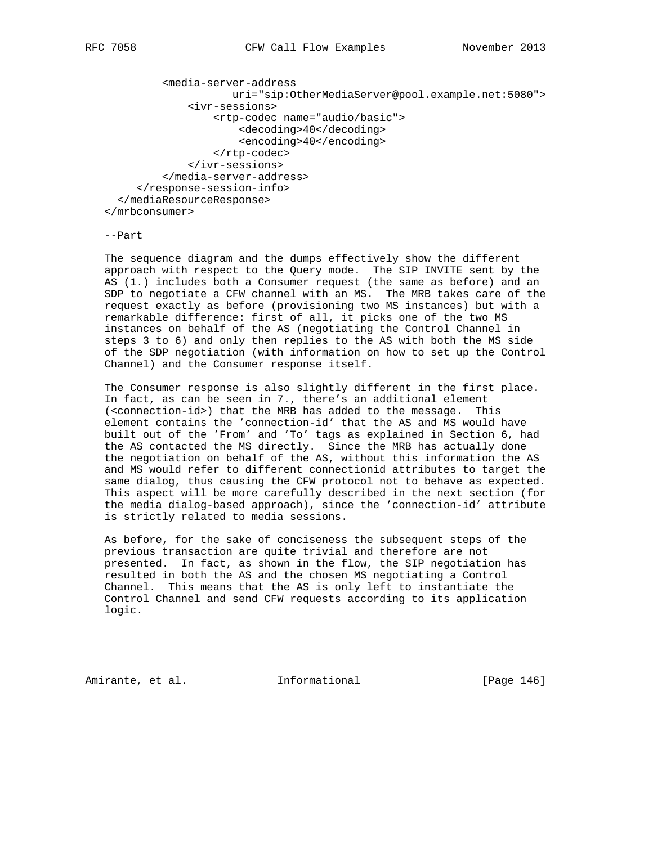```
 <media-server-address
                     uri="sip:OtherMediaServer@pool.example.net:5080">
              <ivr-sessions>
                   <rtp-codec name="audio/basic">
                       <decoding>40</decoding>
                       <encoding>40</encoding>
                  </rtp-codec>
              </ivr-sessions>
          </media-server-address>
      </response-session-info>
   </mediaResourceResponse>
 </mrbconsumer>
```
--Part

 The sequence diagram and the dumps effectively show the different approach with respect to the Query mode. The SIP INVITE sent by the AS (1.) includes both a Consumer request (the same as before) and an SDP to negotiate a CFW channel with an MS. The MRB takes care of the request exactly as before (provisioning two MS instances) but with a remarkable difference: first of all, it picks one of the two MS instances on behalf of the AS (negotiating the Control Channel in steps 3 to 6) and only then replies to the AS with both the MS side of the SDP negotiation (with information on how to set up the Control Channel) and the Consumer response itself.

 The Consumer response is also slightly different in the first place. In fact, as can be seen in 7., there's an additional element (<connection-id>) that the MRB has added to the message. This element contains the 'connection-id' that the AS and MS would have built out of the 'From' and 'To' tags as explained in Section 6, had the AS contacted the MS directly. Since the MRB has actually done the negotiation on behalf of the AS, without this information the AS and MS would refer to different connectionid attributes to target the same dialog, thus causing the CFW protocol not to behave as expected. This aspect will be more carefully described in the next section (for the media dialog-based approach), since the 'connection-id' attribute is strictly related to media sessions.

 As before, for the sake of conciseness the subsequent steps of the previous transaction are quite trivial and therefore are not presented. In fact, as shown in the flow, the SIP negotiation has resulted in both the AS and the chosen MS negotiating a Control Channel. This means that the AS is only left to instantiate the Control Channel and send CFW requests according to its application logic.

Amirante, et al. 1nformational 1999 [Page 146]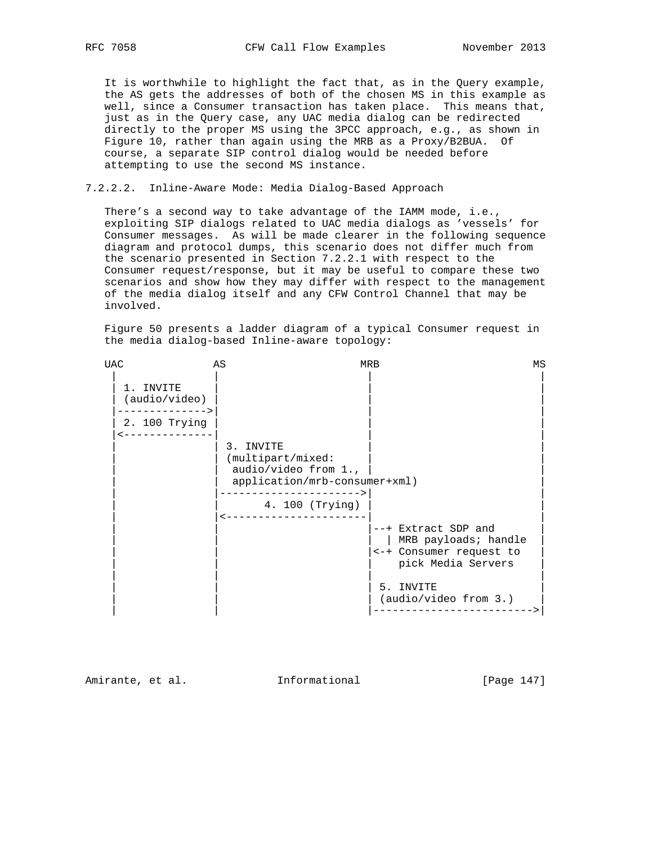It is worthwhile to highlight the fact that, as in the Query example, the AS gets the addresses of both of the chosen MS in this example as well, since a Consumer transaction has taken place. This means that, just as in the Query case, any UAC media dialog can be redirected directly to the proper MS using the 3PCC approach, e.g., as shown in Figure 10, rather than again using the MRB as a Proxy/B2BUA. Of course, a separate SIP control dialog would be needed before attempting to use the second MS instance.

# 7.2.2.2. Inline-Aware Mode: Media Dialog-Based Approach

 There's a second way to take advantage of the IAMM mode, i.e., exploiting SIP dialogs related to UAC media dialogs as 'vessels' for Consumer messages. As will be made clearer in the following sequence diagram and protocol dumps, this scenario does not differ much from the scenario presented in Section 7.2.2.1 with respect to the Consumer request/response, but it may be useful to compare these two scenarios and show how they may differ with respect to the management of the media dialog itself and any CFW Control Channel that may be involved.

 Figure 50 presents a ladder diagram of a typical Consumer request in the media dialog-based Inline-aware topology:

| UAC                        | AS                                                                                                         | <b>MRB</b>                                                                                                                         | ΜS |
|----------------------------|------------------------------------------------------------------------------------------------------------|------------------------------------------------------------------------------------------------------------------------------------|----|
| 1. INVITE<br>(audio/video) |                                                                                                            |                                                                                                                                    |    |
| 2. 100 Trying              | 3. INVITE<br>(multipart/mixed:<br>audio/video from 1.,<br>application/mrb-consumer+xml)<br>4. 100 (Trying) | --+ Extract SDP and<br>MRB payloads; handle<br><-+ Consumer request to<br>pick Media Servers<br>5. INVITE<br>(audio/video from 3.) |    |

Amirante, et al. 1nformational 1999 [Page 147]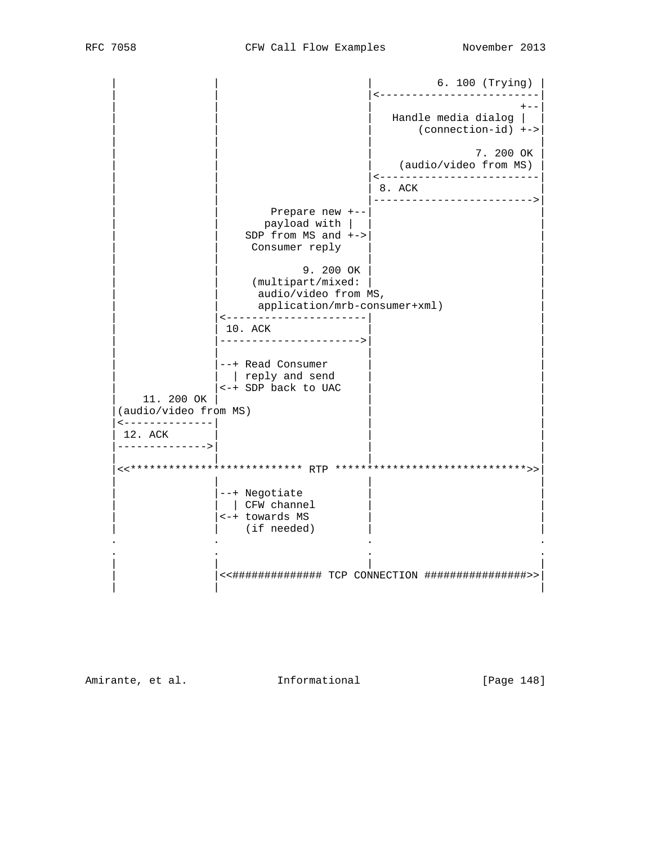| | | 6. 100 (Trying) | | | |<-------------------------| | | | +--| Handle media dialog | (connection-id) +-> | | | | | | | 7. 200 OK | (audio/video from MS) | | |<-------------------------| | | | 8. ACK | | | |------------------------->| Prepare new +-- | | payload with | | | SDP from MS and +-> Consumer reply | | | | 9. 200 OK (multipart/mixed: audio/video from MS, | | application/mrb-consumer+xml) | | |<----------------------| | 10. ACK | |---------------------->| | | | | | --+ Read Consumer | reply and send  $\leftarrow +$  SDP back to UAC 11. 200 OK | |(audio/video from MS) | | |<--------------| | | 12. ACK |-------------->| | | | | | | |<<\*\*\*\*\*\*\*\*\*\*\*\*\*\*\*\*\*\*\*\*\*\*\*\*\*\*\* RTP \*\*\*\*\*\*\*\*\*\*\*\*\*\*\*\*\*\*\*\*\*\*\*\*\*\*\*\*\*\*>>| | | | | |--+ Negotiate | CFW channel |<-+ towards MS | (if needed) . . . . . . . . | | | | |<<############### TCP CONNECTION #################>> | | |

Amirante, et al. 1nformational [Page 148]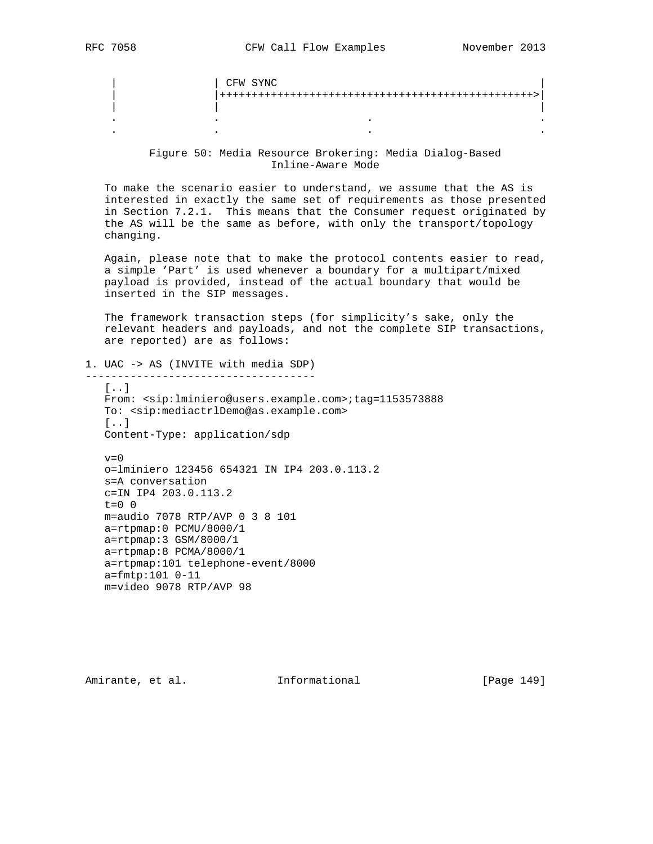|  | CFW SYNC |                                |
|--|----------|--------------------------------|
|  |          | ++++++++++++++++++++++++++++++ |
|  |          |                                |
|  |          |                                |
|  |          |                                |

## Figure 50: Media Resource Brokering: Media Dialog-Based Inline-Aware Mode

 To make the scenario easier to understand, we assume that the AS is interested in exactly the same set of requirements as those presented in Section 7.2.1. This means that the Consumer request originated by the AS will be the same as before, with only the transport/topology changing.

 Again, please note that to make the protocol contents easier to read, a simple 'Part' is used whenever a boundary for a multipart/mixed payload is provided, instead of the actual boundary that would be inserted in the SIP messages.

 The framework transaction steps (for simplicity's sake, only the relevant headers and payloads, and not the complete SIP transactions, are reported) are as follows:

1. UAC -> AS (INVITE with media SDP)

------------------------------------ [..] From: <sip:lminiero@users.example.com>;tag=1153573888 To: <sip:mediactrlDemo@as.example.com> [..] Content-Type: application/sdp

 $v=0$  o=lminiero 123456 654321 IN IP4 203.0.113.2 s=A conversation c=IN IP4 203.0.113.2  $t=0$  0 m=audio 7078 RTP/AVP 0 3 8 101 a=rtpmap:0 PCMU/8000/1 a=rtpmap:3 GSM/8000/1 a=rtpmap:8 PCMA/8000/1 a=rtpmap:101 telephone-event/8000 a=fmtp:101 0-11 m=video 9078 RTP/AVP 98

Amirante, et al. 1nformational 1991 [Page 149]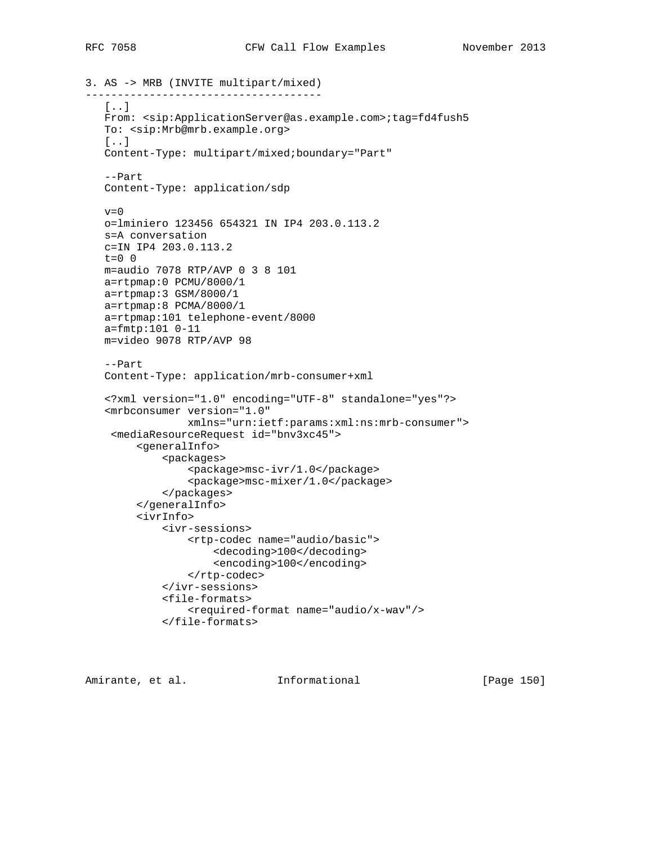```
3. AS -> MRB (INVITE multipart/mixed)
-------------------------------------
    [..]
   From: <sip:ApplicationServer@as.example.com>;tag=fd4fush5
   To: <sip:Mrb@mrb.example.org>
    [..]
    Content-Type: multipart/mixed;boundary="Part"
    --Part
   Content-Type: application/sdp
  v=0 o=lminiero 123456 654321 IN IP4 203.0.113.2
    s=A conversation
    c=IN IP4 203.0.113.2
   t=0 0
   m=audio 7078 RTP/AVP 0 3 8 101
   a=rtpmap:0 PCMU/8000/1
   a=rtpmap:3 GSM/8000/1
   a=rtpmap:8 PCMA/8000/1
   a=rtpmap:101 telephone-event/8000
   a=fmtp:101 0-11
   m=video 9078 RTP/AVP 98
    --Part
    Content-Type: application/mrb-consumer+xml
    <?xml version="1.0" encoding="UTF-8" standalone="yes"?>
    <mrbconsumer version="1.0"
                xmlns="urn:ietf:params:xml:ns:mrb-consumer">
     <mediaResourceRequest id="bnv3xc45">
        <generalInfo>
             <packages>
                 <package>msc-ivr/1.0</package>
                 <package>msc-mixer/1.0</package>
             </packages>
         </generalInfo>
         <ivrInfo>
             <ivr-sessions>
                 <rtp-codec name="audio/basic">
                     <decoding>100</decoding>
                     <encoding>100</encoding>
                </rtp-codec>
             </ivr-sessions>
             <file-formats>
                 <required-format name="audio/x-wav"/>
             </file-formats>
```
Amirante, et al. 1nformational [Page 150]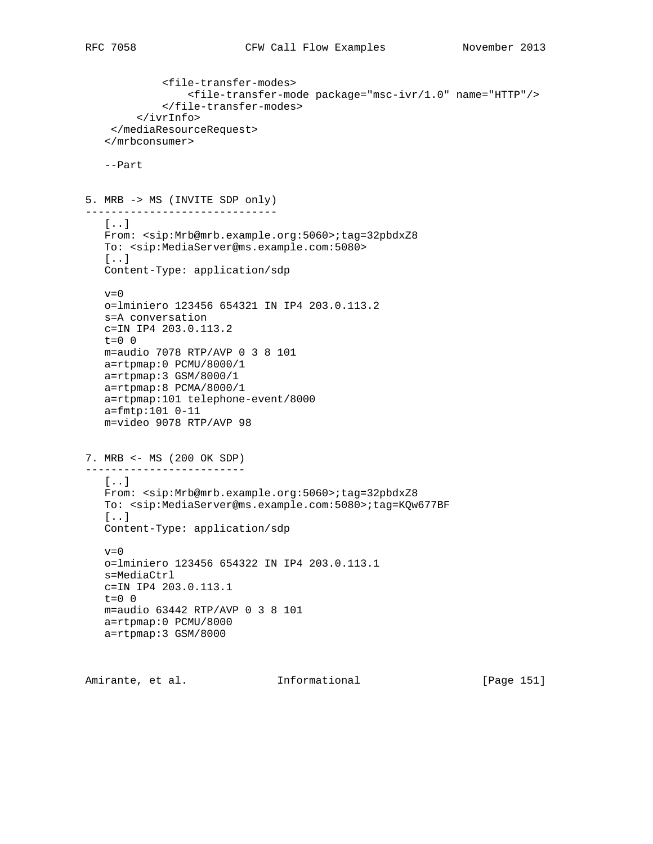```
 <file-transfer-modes>
                 <file-transfer-mode package="msc-ivr/1.0" name="HTTP"/>
             </file-transfer-modes>
         </ivrInfo>
    </mediaResourceRequest>
    </mrbconsumer>
   --Part
5. MRB -> MS (INVITE SDP only)
------------------------------
    [..]
    From: <sip:Mrb@mrb.example.org:5060>;tag=32pbdxZ8
    To: <sip:MediaServer@ms.example.com:5080>
    [..]
   Content-Type: application/sdp
  v=0 o=lminiero 123456 654321 IN IP4 203.0.113.2
   s=A conversation
   c=IN IP4 203.0.113.2
  t=0 0
   m=audio 7078 RTP/AVP 0 3 8 101
   a=rtpmap:0 PCMU/8000/1
   a=rtpmap:3 GSM/8000/1
   a=rtpmap:8 PCMA/8000/1
   a=rtpmap:101 telephone-event/8000
   a=fmtp:101 0-11
   m=video 9078 RTP/AVP 98
7. MRB <- MS (200 OK SDP)
-------------------------
    [..]
   From: <sip:Mrb@mrb.example.org:5060>;tag=32pbdxZ8
    To: <sip:MediaServer@ms.example.com:5080>;tag=KQw677BF
    [..]
   Content-Type: application/sdp
  v=0 o=lminiero 123456 654322 IN IP4 203.0.113.1
   s=MediaCtrl
   c=IN IP4 203.0.113.1
   t=0 0
   m=audio 63442 RTP/AVP 0 3 8 101
   a=rtpmap:0 PCMU/8000
   a=rtpmap:3 GSM/8000
```
Amirante, et al. 1nformational [Page 151]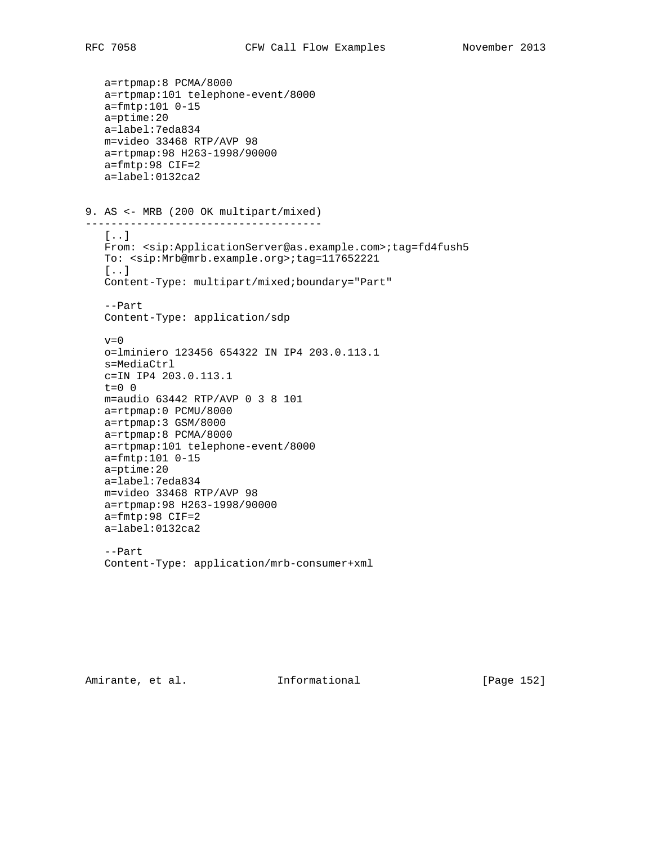```
 a=rtpmap:8 PCMA/8000
   a=rtpmap:101 telephone-event/8000
   a=fmtp:101 0-15
   a=ptime:20
   a=label:7eda834
   m=video 33468 RTP/AVP 98
   a=rtpmap:98 H263-1998/90000
   a=fmtp:98 CIF=2
   a=label:0132ca2
9. AS <- MRB (200 OK multipart/mixed)
-------------------------------------
    [..]
   From: <sip:ApplicationServer@as.example.com>;tag=fd4fush5
    To: <sip:Mrb@mrb.example.org>;tag=117652221
    [..]
   Content-Type: multipart/mixed;boundary="Part"
    --Part
   Content-Type: application/sdp
  v=0 o=lminiero 123456 654322 IN IP4 203.0.113.1
   s=MediaCtrl
   c=IN IP4 203.0.113.1
   t=0 0
   m=audio 63442 RTP/AVP 0 3 8 101
   a=rtpmap:0 PCMU/8000
   a=rtpmap:3 GSM/8000
   a=rtpmap:8 PCMA/8000
   a=rtpmap:101 telephone-event/8000
   a=fmtp:101 0-15
   a=ptime:20
   a=label:7eda834
   m=video 33468 RTP/AVP 98
   a=rtpmap:98 H263-1998/90000
   a=fmtp:98 CIF=2
   a=label:0132ca2
    --Part
   Content-Type: application/mrb-consumer+xml
```
Amirante, et al. 1nformational [Page 152]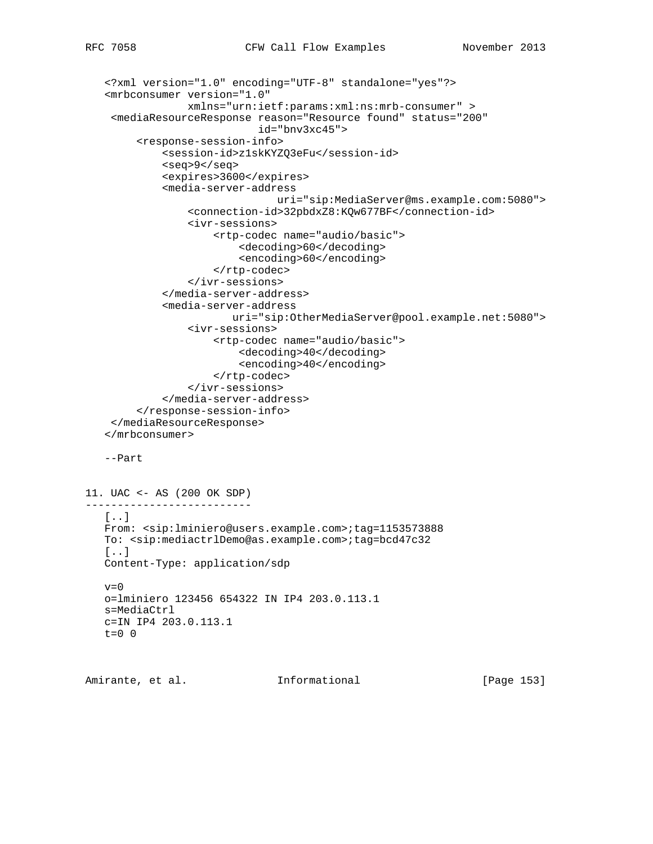```
 <?xml version="1.0" encoding="UTF-8" standalone="yes"?>
    <mrbconsumer version="1.0"
                 xmlns="urn:ietf:params:xml:ns:mrb-consumer" >
     <mediaResourceResponse reason="Resource found" status="200"
                             id="bnv3xc45">
         <response-session-info>
             <session-id>z1skKYZQ3eFu</session-id>
             <seq>9</seq>
             <expires>3600</expires>
             <media-server-address
                                uri="sip:MediaServer@ms.example.com:5080">
                 <connection-id>32pbdxZ8:KQw677BF</connection-id>
                 <ivr-sessions>
                      <rtp-codec name="audio/basic">
                          <decoding>60</decoding>
                          <encoding>60</encoding>
                     </rtp-codec>
                 </ivr-sessions>
             </media-server-address>
             <media-server-address
                        uri="sip:OtherMediaServer@pool.example.net:5080">
                 <ivr-sessions>
                      <rtp-codec name="audio/basic">
                          <decoding>40</decoding>
                          <encoding>40</encoding>
                      </rtp-codec>
                 </ivr-sessions>
             </media-server-address>
         </response-session-info>
     </mediaResourceResponse>
    </mrbconsumer>
    --Part
11. UAC <- AS (200 OK SDP)
--------------------------
    [..]
    From: <sip:lminiero@users.example.com>;tag=1153573888
    To: <sip:mediactrlDemo@as.example.com>;tag=bcd47c32
    [..]
   Content-Type: application/sdp
  v=0 o=lminiero 123456 654322 IN IP4 203.0.113.1
    s=MediaCtrl
   c=IN IP4 203.0.113.1
  t=0 0
```
Amirante, et al. 1nformational [Page 153]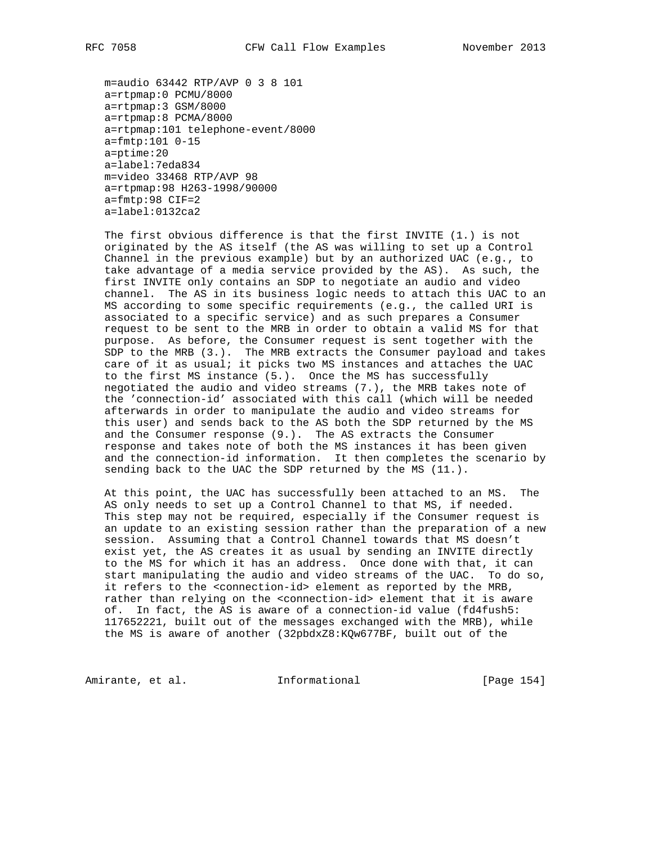m=audio 63442 RTP/AVP 0 3 8 101 a=rtpmap:0 PCMU/8000 a=rtpmap:3 GSM/8000 a=rtpmap:8 PCMA/8000 a=rtpmap:101 telephone-event/8000 a=fmtp:101 0-15 a=ptime:20 a=label:7eda834 m=video 33468 RTP/AVP 98 a=rtpmap:98 H263-1998/90000 a=fmtp:98 CIF=2 a=label:0132ca2

 The first obvious difference is that the first INVITE (1.) is not originated by the AS itself (the AS was willing to set up a Control Channel in the previous example) but by an authorized UAC (e.g., to take advantage of a media service provided by the AS). As such, the first INVITE only contains an SDP to negotiate an audio and video channel. The AS in its business logic needs to attach this UAC to an MS according to some specific requirements (e.g., the called URI is associated to a specific service) and as such prepares a Consumer request to be sent to the MRB in order to obtain a valid MS for that purpose. As before, the Consumer request is sent together with the SDP to the MRB (3.). The MRB extracts the Consumer payload and takes care of it as usual; it picks two MS instances and attaches the UAC to the first MS instance (5.). Once the MS has successfully negotiated the audio and video streams (7.), the MRB takes note of the 'connection-id' associated with this call (which will be needed afterwards in order to manipulate the audio and video streams for this user) and sends back to the AS both the SDP returned by the MS and the Consumer response (9.). The AS extracts the Consumer response and takes note of both the MS instances it has been given and the connection-id information. It then completes the scenario by sending back to the UAC the SDP returned by the MS (11.).

 At this point, the UAC has successfully been attached to an MS. The AS only needs to set up a Control Channel to that MS, if needed. This step may not be required, especially if the Consumer request is an update to an existing session rather than the preparation of a new session. Assuming that a Control Channel towards that MS doesn't exist yet, the AS creates it as usual by sending an INVITE directly to the MS for which it has an address. Once done with that, it can start manipulating the audio and video streams of the UAC. To do so, it refers to the <connection-id> element as reported by the MRB, rather than relying on the <connection-id> element that it is aware of. In fact, the AS is aware of a connection-id value (fd4fush5: 117652221, built out of the messages exchanged with the MRB), while the MS is aware of another (32pbdxZ8:KQw677BF, built out of the

Amirante, et al. 1nformational 1999 [Page 154]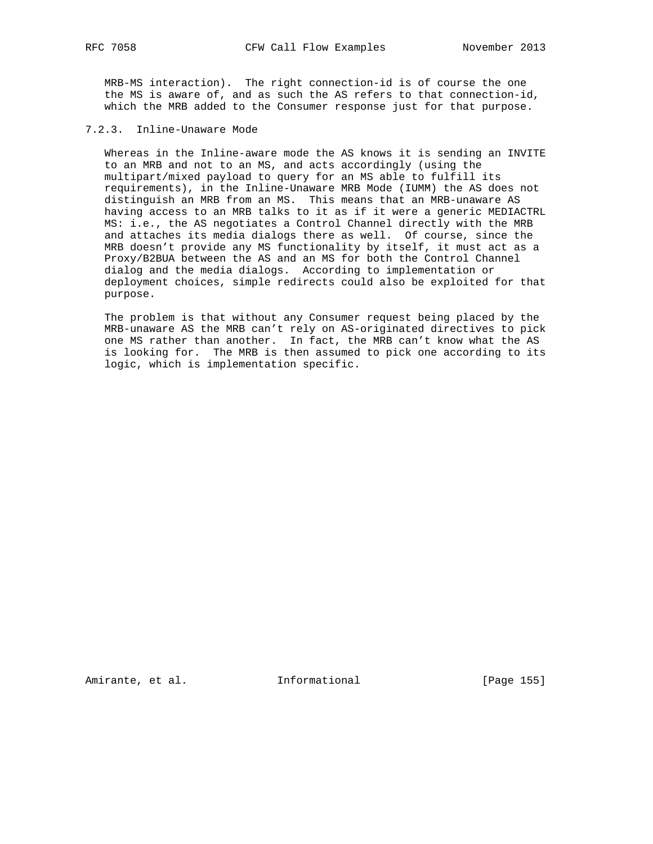MRB-MS interaction). The right connection-id is of course the one the MS is aware of, and as such the AS refers to that connection-id, which the MRB added to the Consumer response just for that purpose.

# 7.2.3. Inline-Unaware Mode

 Whereas in the Inline-aware mode the AS knows it is sending an INVITE to an MRB and not to an MS, and acts accordingly (using the multipart/mixed payload to query for an MS able to fulfill its requirements), in the Inline-Unaware MRB Mode (IUMM) the AS does not distinguish an MRB from an MS. This means that an MRB-unaware AS having access to an MRB talks to it as if it were a generic MEDIACTRL MS: i.e., the AS negotiates a Control Channel directly with the MRB and attaches its media dialogs there as well. Of course, since the MRB doesn't provide any MS functionality by itself, it must act as a Proxy/B2BUA between the AS and an MS for both the Control Channel dialog and the media dialogs. According to implementation or deployment choices, simple redirects could also be exploited for that purpose.

 The problem is that without any Consumer request being placed by the MRB-unaware AS the MRB can't rely on AS-originated directives to pick one MS rather than another. In fact, the MRB can't know what the AS is looking for. The MRB is then assumed to pick one according to its logic, which is implementation specific.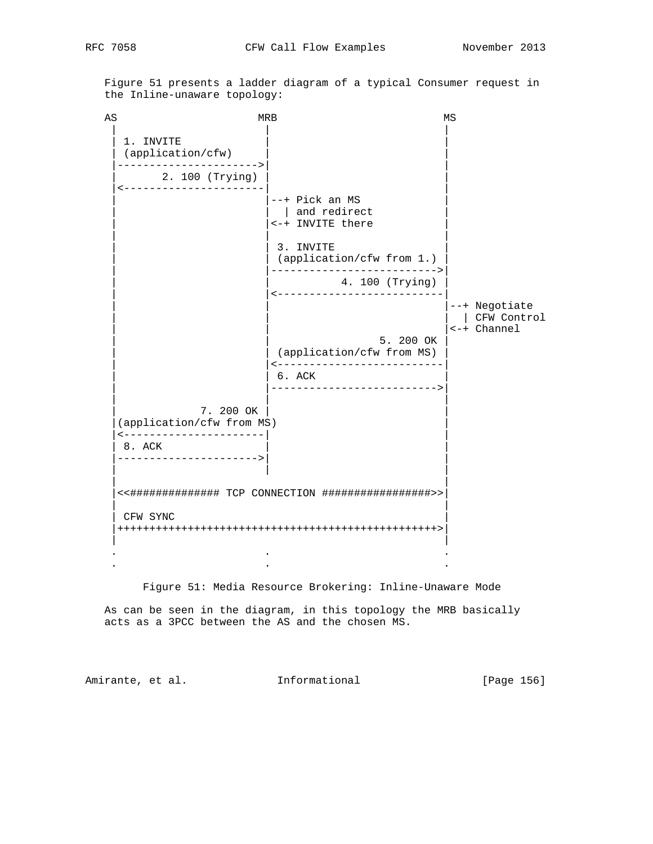Figure 51 presents a ladder diagram of a typical Consumer request in the Inline-unaware topology:



Figure 51: Media Resource Brokering: Inline-Unaware Mode

 As can be seen in the diagram, in this topology the MRB basically acts as a 3PCC between the AS and the chosen MS.

Amirante, et al. 1nformational [Page 156]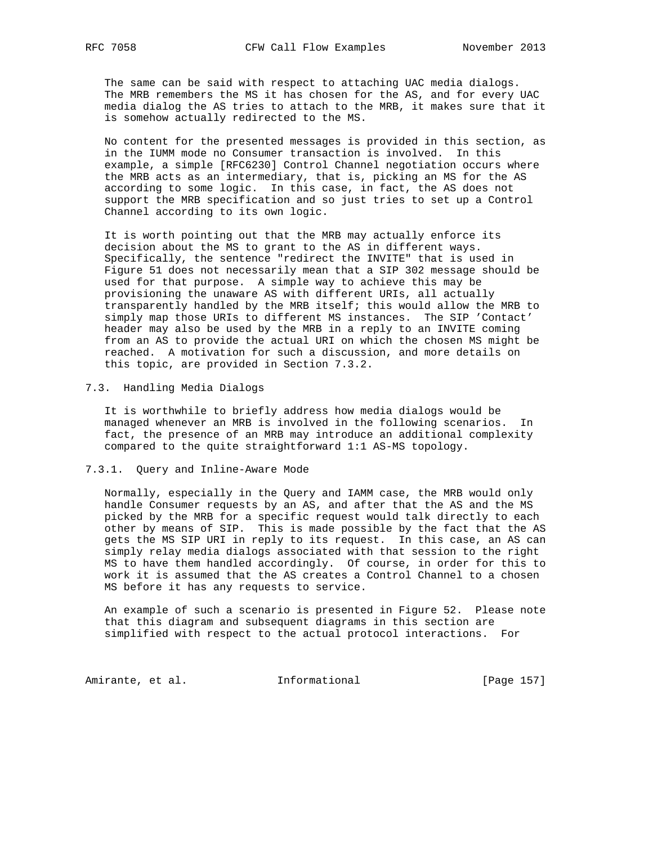The same can be said with respect to attaching UAC media dialogs. The MRB remembers the MS it has chosen for the AS, and for every UAC media dialog the AS tries to attach to the MRB, it makes sure that it is somehow actually redirected to the MS.

 No content for the presented messages is provided in this section, as in the IUMM mode no Consumer transaction is involved. In this example, a simple [RFC6230] Control Channel negotiation occurs where the MRB acts as an intermediary, that is, picking an MS for the AS according to some logic. In this case, in fact, the AS does not support the MRB specification and so just tries to set up a Control Channel according to its own logic.

 It is worth pointing out that the MRB may actually enforce its decision about the MS to grant to the AS in different ways. Specifically, the sentence "redirect the INVITE" that is used in Figure 51 does not necessarily mean that a SIP 302 message should be used for that purpose. A simple way to achieve this may be provisioning the unaware AS with different URIs, all actually transparently handled by the MRB itself; this would allow the MRB to simply map those URIs to different MS instances. The SIP 'Contact' header may also be used by the MRB in a reply to an INVITE coming from an AS to provide the actual URI on which the chosen MS might be reached. A motivation for such a discussion, and more details on this topic, are provided in Section 7.3.2.

# 7.3. Handling Media Dialogs

 It is worthwhile to briefly address how media dialogs would be managed whenever an MRB is involved in the following scenarios. In fact, the presence of an MRB may introduce an additional complexity compared to the quite straightforward 1:1 AS-MS topology.

### 7.3.1. Query and Inline-Aware Mode

 Normally, especially in the Query and IAMM case, the MRB would only handle Consumer requests by an AS, and after that the AS and the MS picked by the MRB for a specific request would talk directly to each other by means of SIP. This is made possible by the fact that the AS gets the MS SIP URI in reply to its request. In this case, an AS can simply relay media dialogs associated with that session to the right MS to have them handled accordingly. Of course, in order for this to work it is assumed that the AS creates a Control Channel to a chosen MS before it has any requests to service.

 An example of such a scenario is presented in Figure 52. Please note that this diagram and subsequent diagrams in this section are simplified with respect to the actual protocol interactions. For

Amirante, et al. 1nformational [Page 157]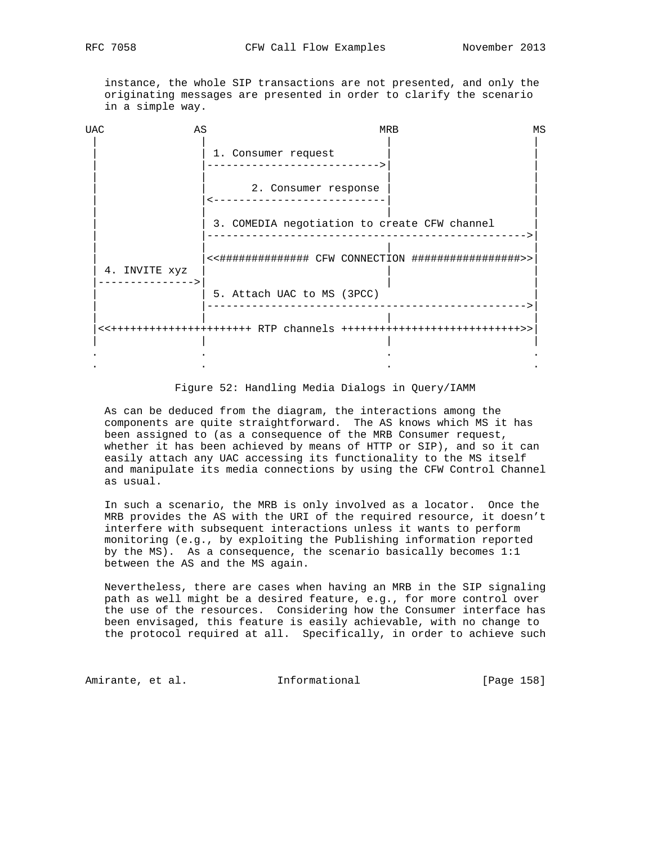instance, the whole SIP transactions are not presented, and only the originating messages are presented in order to clarify the scenario in a simple way.



#### Figure 52: Handling Media Dialogs in Query/IAMM

 As can be deduced from the diagram, the interactions among the components are quite straightforward. The AS knows which MS it has been assigned to (as a consequence of the MRB Consumer request, whether it has been achieved by means of HTTP or SIP), and so it can easily attach any UAC accessing its functionality to the MS itself and manipulate its media connections by using the CFW Control Channel as usual.

 In such a scenario, the MRB is only involved as a locator. Once the MRB provides the AS with the URI of the required resource, it doesn't interfere with subsequent interactions unless it wants to perform monitoring (e.g., by exploiting the Publishing information reported by the MS). As a consequence, the scenario basically becomes 1:1 between the AS and the MS again.

 Nevertheless, there are cases when having an MRB in the SIP signaling path as well might be a desired feature, e.g., for more control over the use of the resources. Considering how the Consumer interface has been envisaged, this feature is easily achievable, with no change to the protocol required at all. Specifically, in order to achieve such

Amirante, et al. 1nformational 1999 [Page 158]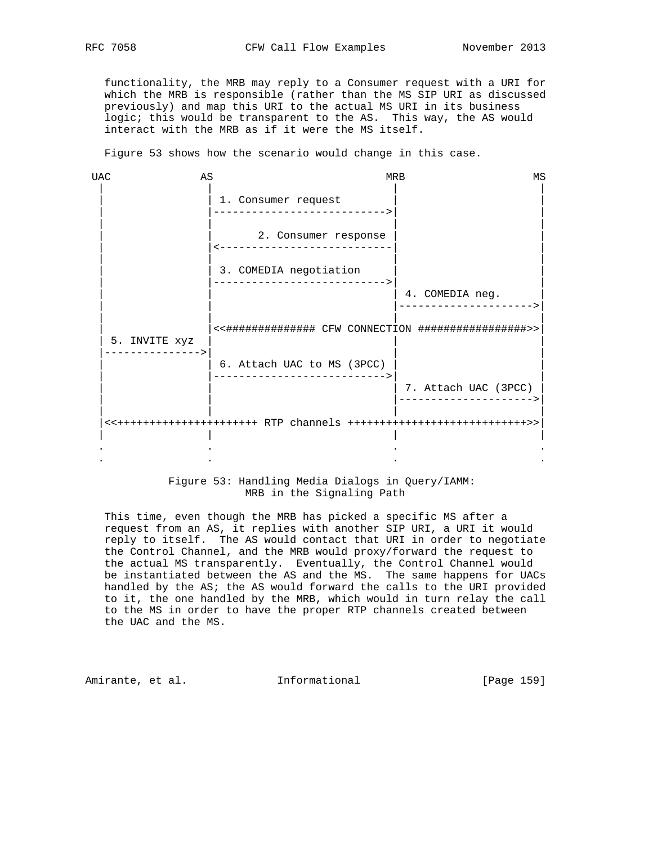functionality, the MRB may reply to a Consumer request with a URI for which the MRB is responsible (rather than the MS SIP URI as discussed previously) and map this URI to the actual MS URI in its business logic; this would be transparent to the AS. This way, the AS would interact with the MRB as if it were the MS itself.

Figure 53 shows how the scenario would change in this case.

| <b>UAC</b>    | AS                                                                  | <b>MRB</b><br>MS                                          |
|---------------|---------------------------------------------------------------------|-----------------------------------------------------------|
|               | 1. Consumer request                                                 |                                                           |
|               | 2. Consumer response                                                |                                                           |
|               | 3. COMEDIA negotiation<br>---------------------------               |                                                           |
|               |                                                                     | 4. COMEDIA neg.                                           |
| 5. INVITE xyz |                                                                     |                                                           |
|               | 6. Attach UAC to MS (3PCC)                                          |                                                           |
|               |                                                                     | 7. Attach UAC (3PCC)<br>. _ _ _ _ _ _ _ _ _ _ _ _ _ _ _ _ |
|               | <<++++++++++++++++++++++ RTP channels +++++++++++++++++++++++++++>> |                                                           |
|               |                                                                     |                                                           |

### Figure 53: Handling Media Dialogs in Query/IAMM: MRB in the Signaling Path

 This time, even though the MRB has picked a specific MS after a request from an AS, it replies with another SIP URI, a URI it would reply to itself. The AS would contact that URI in order to negotiate the Control Channel, and the MRB would proxy/forward the request to the actual MS transparently. Eventually, the Control Channel would be instantiated between the AS and the MS. The same happens for UACs handled by the AS; the AS would forward the calls to the URI provided to it, the one handled by the MRB, which would in turn relay the call to the MS in order to have the proper RTP channels created between the UAC and the MS.

Amirante, et al. 1nformational 1991 [Page 159]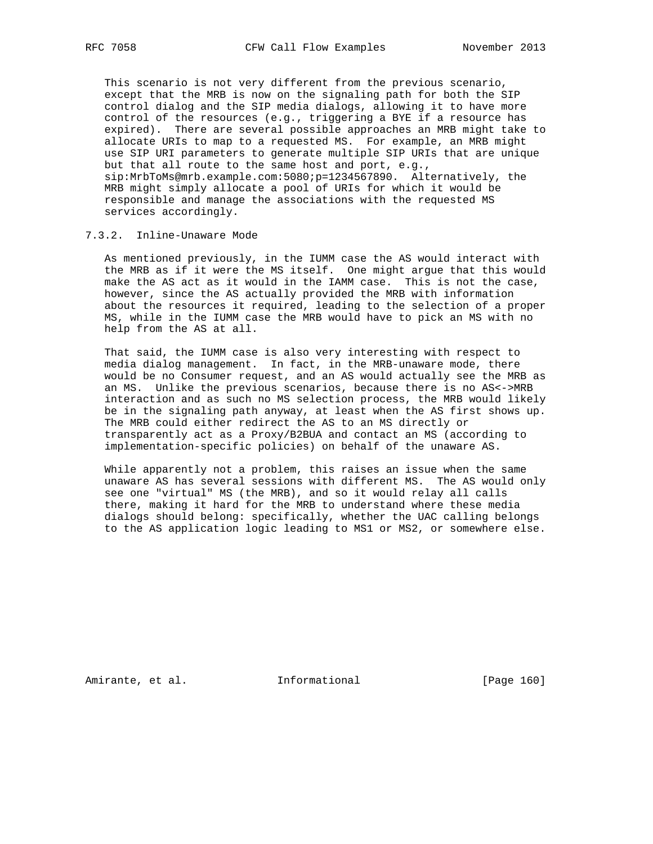This scenario is not very different from the previous scenario, except that the MRB is now on the signaling path for both the SIP control dialog and the SIP media dialogs, allowing it to have more control of the resources (e.g., triggering a BYE if a resource has expired). There are several possible approaches an MRB might take to allocate URIs to map to a requested MS. For example, an MRB might use SIP URI parameters to generate multiple SIP URIs that are unique but that all route to the same host and port, e.g., sip:MrbToMs@mrb.example.com:5080;p=1234567890. Alternatively, the MRB might simply allocate a pool of URIs for which it would be responsible and manage the associations with the requested MS services accordingly.

# 7.3.2. Inline-Unaware Mode

 As mentioned previously, in the IUMM case the AS would interact with the MRB as if it were the MS itself. One might argue that this would make the AS act as it would in the IAMM case. This is not the case, however, since the AS actually provided the MRB with information about the resources it required, leading to the selection of a proper MS, while in the IUMM case the MRB would have to pick an MS with no help from the AS at all.

 That said, the IUMM case is also very interesting with respect to media dialog management. In fact, in the MRB-unaware mode, there would be no Consumer request, and an AS would actually see the MRB as an MS. Unlike the previous scenarios, because there is no AS<->MRB interaction and as such no MS selection process, the MRB would likely be in the signaling path anyway, at least when the AS first shows up. The MRB could either redirect the AS to an MS directly or transparently act as a Proxy/B2BUA and contact an MS (according to implementation-specific policies) on behalf of the unaware AS.

 While apparently not a problem, this raises an issue when the same unaware AS has several sessions with different MS. The AS would only see one "virtual" MS (the MRB), and so it would relay all calls there, making it hard for the MRB to understand where these media dialogs should belong: specifically, whether the UAC calling belongs to the AS application logic leading to MS1 or MS2, or somewhere else.

Amirante, et al. 1nformational 1999 [Page 160]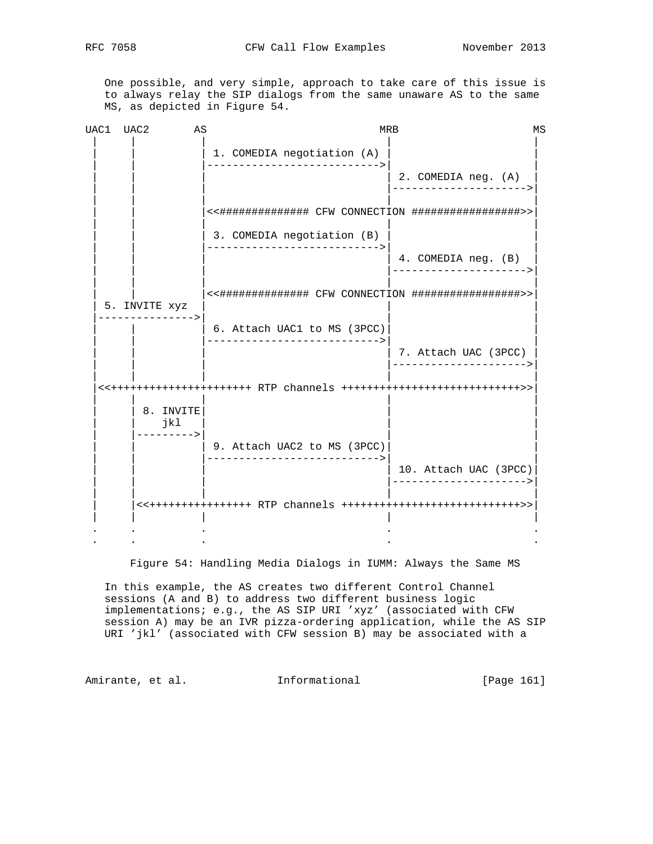One possible, and very simple, approach to take care of this issue is to always relay the SIP dialogs from the same unaware AS to the same MS, as depicted in Figure 54.

| UAC1 | UAC2                           | AS |                                                                      | <b>MRB</b>                                                               | MS |
|------|--------------------------------|----|----------------------------------------------------------------------|--------------------------------------------------------------------------|----|
|      |                                |    | 1. COMEDIA negotiation (A)<br>--------------------<br>$--- >$        |                                                                          |    |
|      |                                |    |                                                                      | 2. COMEDIA neg. (A)<br>. <u>_ _ _ _ _ _ _ _ _ _ _ _ _</u> .<br>$- - - >$ |    |
|      |                                |    | $<<$ ################ CFW CONNECTION ##################>>            |                                                                          |    |
|      |                                |    | 3. COMEDIA negotiation (B)<br>----------------------------->         |                                                                          |    |
|      |                                |    |                                                                      | 4. COMEDIA neg. (B)                                                      |    |
|      | 5. INVITE xyz                  |    |                                                                      |                                                                          |    |
|      |                                |    | 6. Attach UAC1 to MS (3PCC)                                          |                                                                          |    |
|      |                                |    |                                                                      | 7. Attach UAC (3PCC)                                                     |    |
|      |                                |    | <<++++++++++++++++++++++ RTP channels ++++++++++++++++++++++++++++>> |                                                                          |    |
|      | 8. INVITE<br>jkl<br>---------> |    |                                                                      |                                                                          |    |
|      |                                |    | 9. Attach UAC2 to MS (3PCC)<br>----------------------------->        |                                                                          |    |
|      |                                |    |                                                                      | 10. Attach UAC (3PCC)<br>----------------------                          |    |
|      |                                |    | <<++++++++++++++++ RTP channels ++++++++++++++++++++++++++++>>       |                                                                          |    |
|      |                                |    |                                                                      |                                                                          |    |

Figure 54: Handling Media Dialogs in IUMM: Always the Same MS

 In this example, the AS creates two different Control Channel sessions (A and B) to address two different business logic implementations; e.g., the AS SIP URI 'xyz' (associated with CFW session A) may be an IVR pizza-ordering application, while the AS SIP URI 'jkl' (associated with CFW session B) may be associated with a

Amirante, et al. 1nformational [Page 161]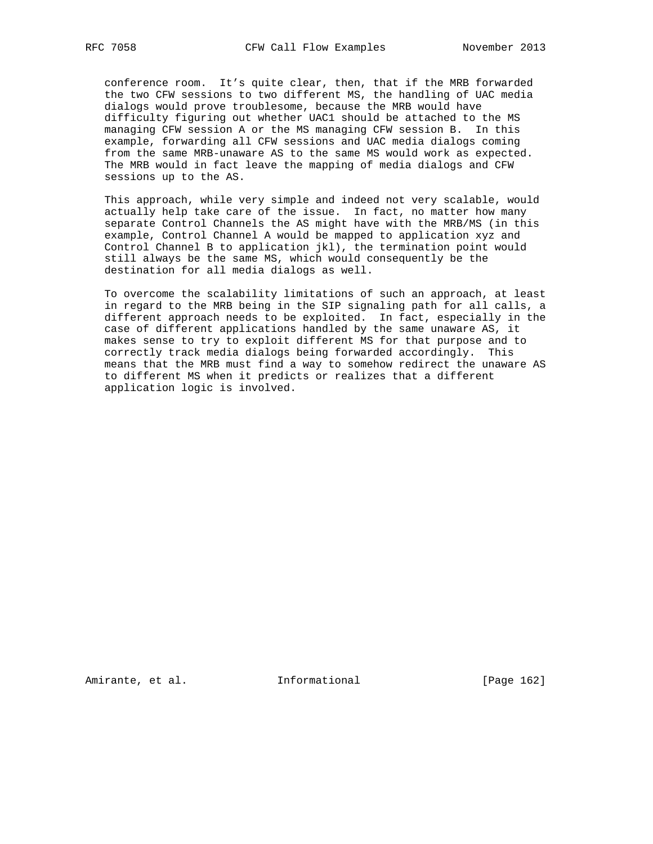conference room. It's quite clear, then, that if the MRB forwarded the two CFW sessions to two different MS, the handling of UAC media dialogs would prove troublesome, because the MRB would have difficulty figuring out whether UAC1 should be attached to the MS managing CFW session A or the MS managing CFW session B. In this example, forwarding all CFW sessions and UAC media dialogs coming from the same MRB-unaware AS to the same MS would work as expected. The MRB would in fact leave the mapping of media dialogs and CFW sessions up to the AS.

 This approach, while very simple and indeed not very scalable, would actually help take care of the issue. In fact, no matter how many separate Control Channels the AS might have with the MRB/MS (in this example, Control Channel A would be mapped to application xyz and Control Channel B to application jkl), the termination point would still always be the same MS, which would consequently be the destination for all media dialogs as well.

 To overcome the scalability limitations of such an approach, at least in regard to the MRB being in the SIP signaling path for all calls, a different approach needs to be exploited. In fact, especially in the case of different applications handled by the same unaware AS, it makes sense to try to exploit different MS for that purpose and to correctly track media dialogs being forwarded accordingly. This means that the MRB must find a way to somehow redirect the unaware AS to different MS when it predicts or realizes that a different application logic is involved.

Amirante, et al. 1nformational 1999 [Page 162]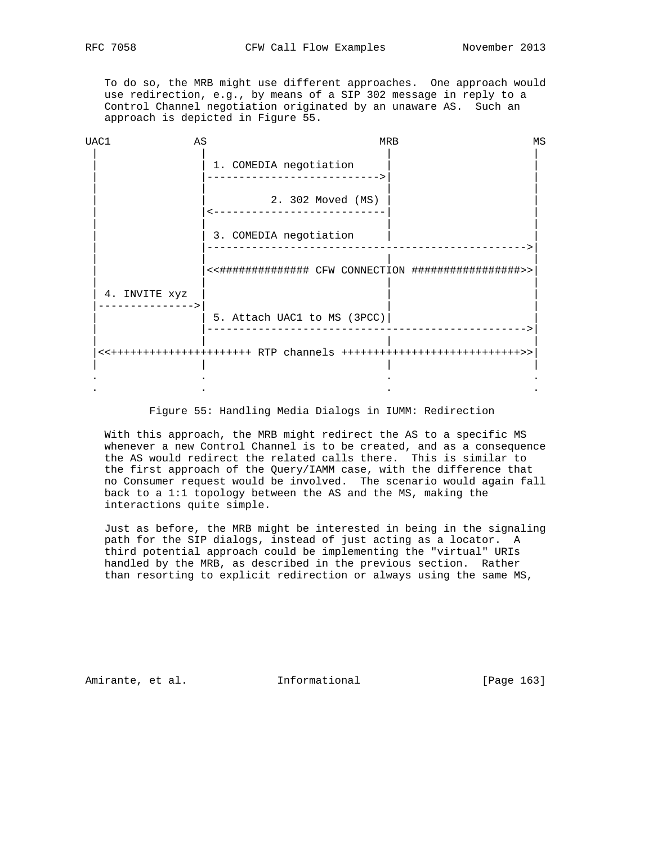To do so, the MRB might use different approaches. One approach would use redirection, e.g., by means of a SIP 302 message in reply to a Control Channel negotiation originated by an unaware AS. Such an approach is depicted in Figure 55.



### Figure 55: Handling Media Dialogs in IUMM: Redirection

 With this approach, the MRB might redirect the AS to a specific MS whenever a new Control Channel is to be created, and as a consequence the AS would redirect the related calls there. This is similar to the first approach of the Query/IAMM case, with the difference that no Consumer request would be involved. The scenario would again fall back to a 1:1 topology between the AS and the MS, making the interactions quite simple.

 Just as before, the MRB might be interested in being in the signaling path for the SIP dialogs, instead of just acting as a locator. A third potential approach could be implementing the "virtual" URIs handled by the MRB, as described in the previous section. Rather than resorting to explicit redirection or always using the same MS,

Amirante, et al. 1nformational 1999 [Page 163]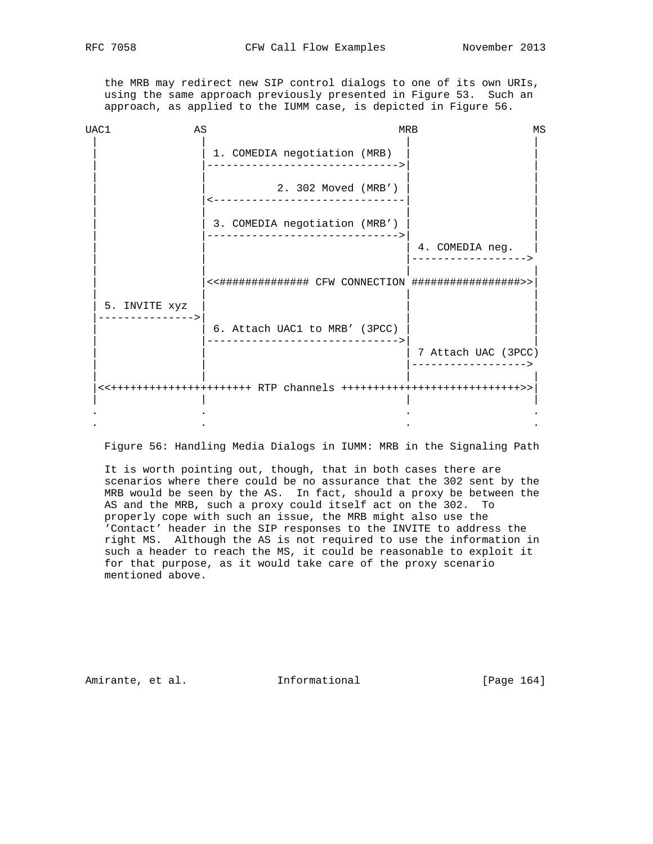the MRB may redirect new SIP control dialogs to one of its own URIs, using the same approach previously presented in Figure 53. Such an approach, as applied to the IUMM case, is depicted in Figure 56.

| UAC1          | AS | <b>MRB</b>                                                           |                     | MS |
|---------------|----|----------------------------------------------------------------------|---------------------|----|
|               |    | 1. COMEDIA negotiation (MRB)<br>-------------------------            |                     |    |
|               |    | 2. 302 Moved (MRB')                                                  |                     |    |
|               |    | 3. COMEDIA negotiation (MRB')                                        |                     |    |
|               |    |                                                                      | 4. COMEDIA neg.     |    |
|               |    |                                                                      |                     |    |
| 5. INVITE xyz |    |                                                                      |                     |    |
|               |    | 6. Attach UAC1 to MRB' (3PCC)<br>. _ _ _ _ _ _ _ _ _ _ _ _ _ _       |                     |    |
|               |    |                                                                      | 7 Attach UAC (3PCC) |    |
|               |    | <<++++++++++++++++++++++ RTP channels ++++++++++++++++++++++++++++>> |                     |    |
|               |    |                                                                      |                     |    |

Figure 56: Handling Media Dialogs in IUMM: MRB in the Signaling Path

 It is worth pointing out, though, that in both cases there are scenarios where there could be no assurance that the 302 sent by the MRB would be seen by the AS. In fact, should a proxy be between the AS and the MRB, such a proxy could itself act on the 302. To properly cope with such an issue, the MRB might also use the 'Contact' header in the SIP responses to the INVITE to address the right MS. Although the AS is not required to use the information in such a header to reach the MS, it could be reasonable to exploit it for that purpose, as it would take care of the proxy scenario mentioned above.

Amirante, et al. 1nformational 1999 [Page 164]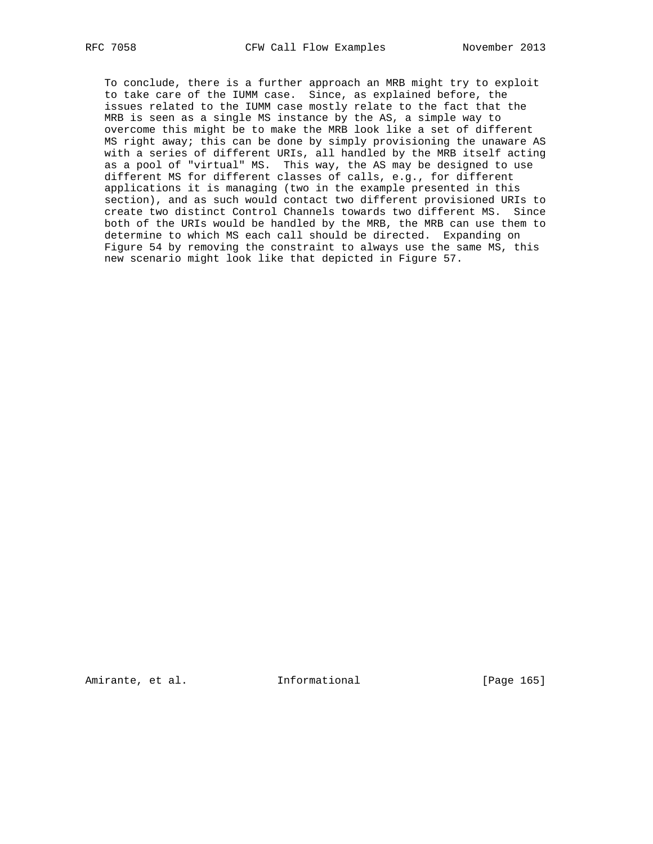To conclude, there is a further approach an MRB might try to exploit to take care of the IUMM case. Since, as explained before, the issues related to the IUMM case mostly relate to the fact that the MRB is seen as a single MS instance by the AS, a simple way to overcome this might be to make the MRB look like a set of different MS right away; this can be done by simply provisioning the unaware AS with a series of different URIs, all handled by the MRB itself acting as a pool of "virtual" MS. This way, the AS may be designed to use different MS for different classes of calls, e.g., for different applications it is managing (two in the example presented in this section), and as such would contact two different provisioned URIs to create two distinct Control Channels towards two different MS. Since both of the URIs would be handled by the MRB, the MRB can use them to determine to which MS each call should be directed. Expanding on Figure 54 by removing the constraint to always use the same MS, this new scenario might look like that depicted in Figure 57.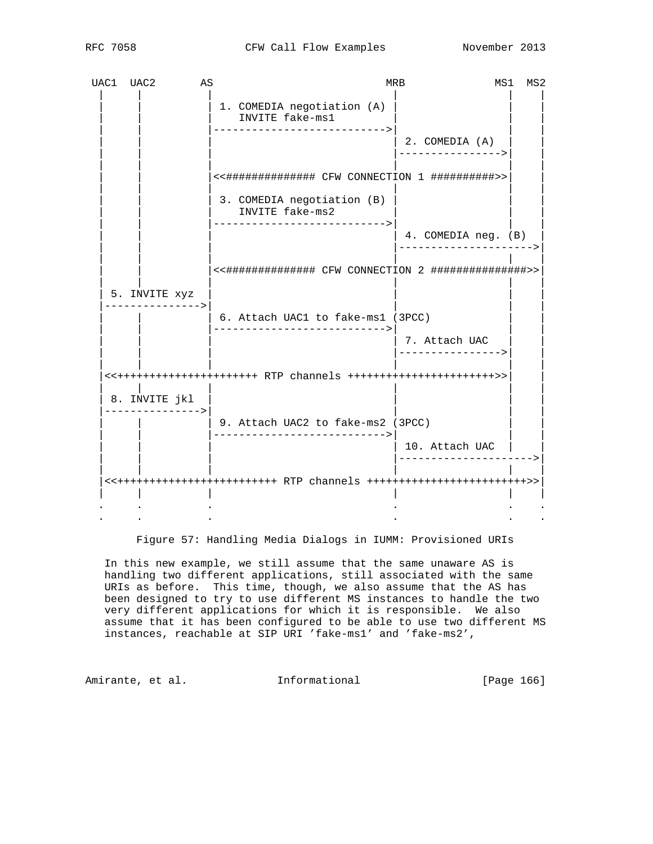| UAC1<br>UAC2<br>AS             |                                                                           | MRB<br>MS1<br>MS2                   |  |
|--------------------------------|---------------------------------------------------------------------------|-------------------------------------|--|
|                                | 1. COMEDIA negotiation (A)<br>INVITE fake-ms1<br>-------------------      |                                     |  |
|                                |                                                                           | 2. COMEDIA (A)<br>----------------> |  |
|                                | $<<\n#$                                                                   |                                     |  |
|                                | 3. COMEDIA negotiation (B)<br>INVITE fake-ms2<br>-----------------------> |                                     |  |
|                                |                                                                           | 4. COMEDIA neg. (B)                 |  |
|                                |                                                                           |                                     |  |
| 5. INVITE xyz<br>------------> |                                                                           |                                     |  |
|                                | 6. Attach UAC1 to fake-ms1 (3PCC)                                         | 7. Attach UAC                       |  |
|                                |                                                                           | ---------------->                   |  |
| 8. INVITE jkl                  |                                                                           |                                     |  |
| ------->                       | 9. Attach UAC2 to fake-ms2 (3PCC)                                         |                                     |  |
|                                | _____________________________                                             | 10. Attach UAC                      |  |
|                                | <<++++++++++++++++++++++++++ RTP channels +++++++++++++++++++++++++>>     |                                     |  |
|                                |                                                                           |                                     |  |

Figure 57: Handling Media Dialogs in IUMM: Provisioned URIs

 In this new example, we still assume that the same unaware AS is handling two different applications, still associated with the same URIs as before. This time, though, we also assume that the AS has been designed to try to use different MS instances to handle the two very different applications for which it is responsible. We also assume that it has been configured to be able to use two different MS instances, reachable at SIP URI 'fake-ms1' and 'fake-ms2',

Amirante, et al. 1nformational [Page 166]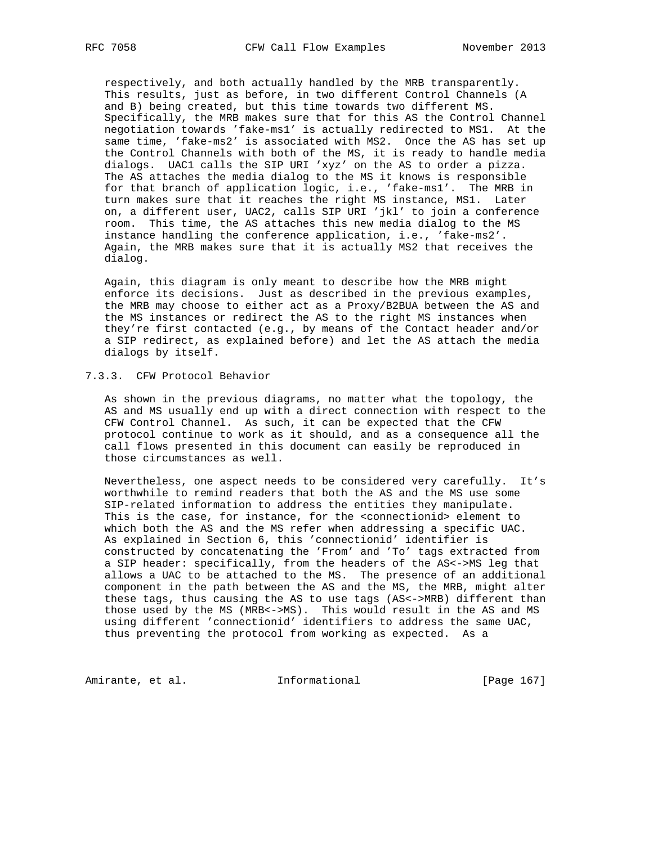respectively, and both actually handled by the MRB transparently. This results, just as before, in two different Control Channels (A and B) being created, but this time towards two different MS. Specifically, the MRB makes sure that for this AS the Control Channel negotiation towards 'fake-ms1' is actually redirected to MS1. At the same time, 'fake-ms2' is associated with MS2. Once the AS has set up the Control Channels with both of the MS, it is ready to handle media dialogs. UAC1 calls the SIP URI 'xyz' on the AS to order a pizza. The AS attaches the media dialog to the MS it knows is responsible for that branch of application logic, i.e., 'fake-ms1'. The MRB in turn makes sure that it reaches the right MS instance, MS1. Later on, a different user, UAC2, calls SIP URI 'jkl' to join a conference room. This time, the AS attaches this new media dialog to the MS instance handling the conference application, i.e., 'fake-ms2'. Again, the MRB makes sure that it is actually MS2 that receives the dialog.

 Again, this diagram is only meant to describe how the MRB might enforce its decisions. Just as described in the previous examples, the MRB may choose to either act as a Proxy/B2BUA between the AS and the MS instances or redirect the AS to the right MS instances when they're first contacted (e.g., by means of the Contact header and/or a SIP redirect, as explained before) and let the AS attach the media dialogs by itself.

# 7.3.3. CFW Protocol Behavior

 As shown in the previous diagrams, no matter what the topology, the AS and MS usually end up with a direct connection with respect to the CFW Control Channel. As such, it can be expected that the CFW protocol continue to work as it should, and as a consequence all the call flows presented in this document can easily be reproduced in those circumstances as well.

 Nevertheless, one aspect needs to be considered very carefully. It's worthwhile to remind readers that both the AS and the MS use some SIP-related information to address the entities they manipulate. This is the case, for instance, for the <connectionid> element to which both the AS and the MS refer when addressing a specific UAC. As explained in Section 6, this 'connectionid' identifier is constructed by concatenating the 'From' and 'To' tags extracted from a SIP header: specifically, from the headers of the AS<->MS leg that allows a UAC to be attached to the MS. The presence of an additional component in the path between the AS and the MS, the MRB, might alter these tags, thus causing the AS to use tags (AS<->MRB) different than those used by the MS (MRB<->MS). This would result in the AS and MS using different 'connectionid' identifiers to address the same UAC, thus preventing the protocol from working as expected. As a

Amirante, et al. 1nformational 1999 [Page 167]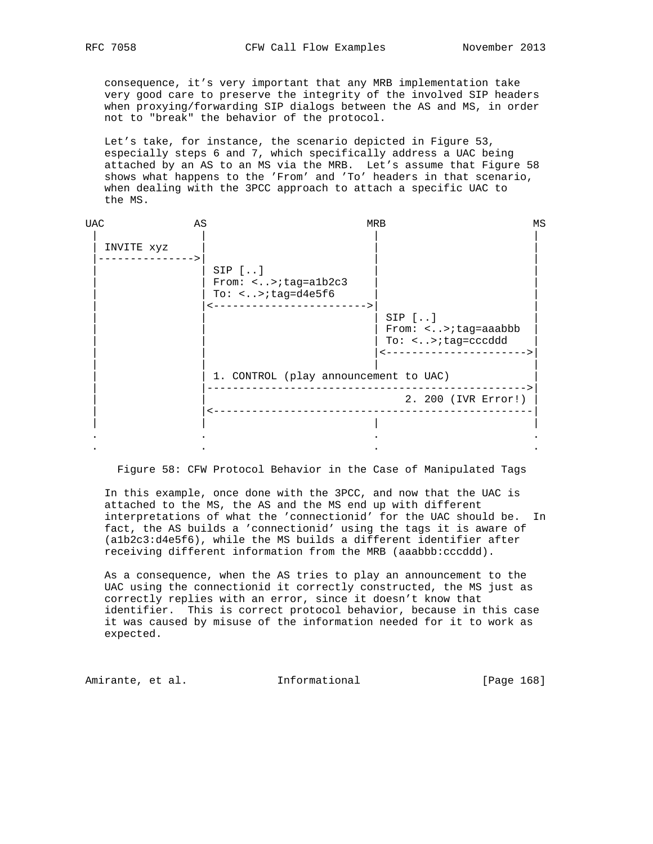consequence, it's very important that any MRB implementation take very good care to preserve the integrity of the involved SIP headers when proxying/forwarding SIP dialogs between the AS and MS, in order not to "break" the behavior of the protocol.

 Let's take, for instance, the scenario depicted in Figure 53, especially steps 6 and 7, which specifically address a UAC being attached by an AS to an MS via the MRB. Let's assume that Figure 58 shows what happens to the 'From' and 'To' headers in that scenario, when dealing with the 3PCC approach to attach a specific UAC to the MS.

| <b>UAC</b> | AS | <b>MRB</b>                                                                                    |                                                                   | МS |
|------------|----|-----------------------------------------------------------------------------------------------|-------------------------------------------------------------------|----|
| INVITE xyz |    | $SIP$ $[$ ]<br>From: $\langle$ >;taq=alb2c3<br>To: $\langle$ >;tag=d4e5f6<br>---------------> | $SIP$ $[]$<br>$From: < > itag = aabbb$<br>$To: <. : tag = cccddd$ |    |
|            |    | 1. CONTROL (play announcement to UAC)                                                         | 2. 200 (IVR Error!)                                               |    |

Figure 58: CFW Protocol Behavior in the Case of Manipulated Tags

 In this example, once done with the 3PCC, and now that the UAC is attached to the MS, the AS and the MS end up with different interpretations of what the 'connectionid' for the UAC should be. In fact, the AS builds a 'connectionid' using the tags it is aware of (a1b2c3:d4e5f6), while the MS builds a different identifier after receiving different information from the MRB (aaabbb:cccddd).

 As a consequence, when the AS tries to play an announcement to the UAC using the connectionid it correctly constructed, the MS just as correctly replies with an error, since it doesn't know that identifier. This is correct protocol behavior, because in this case it was caused by misuse of the information needed for it to work as expected.

Amirante, et al. 1nformational 1999 [Page 168]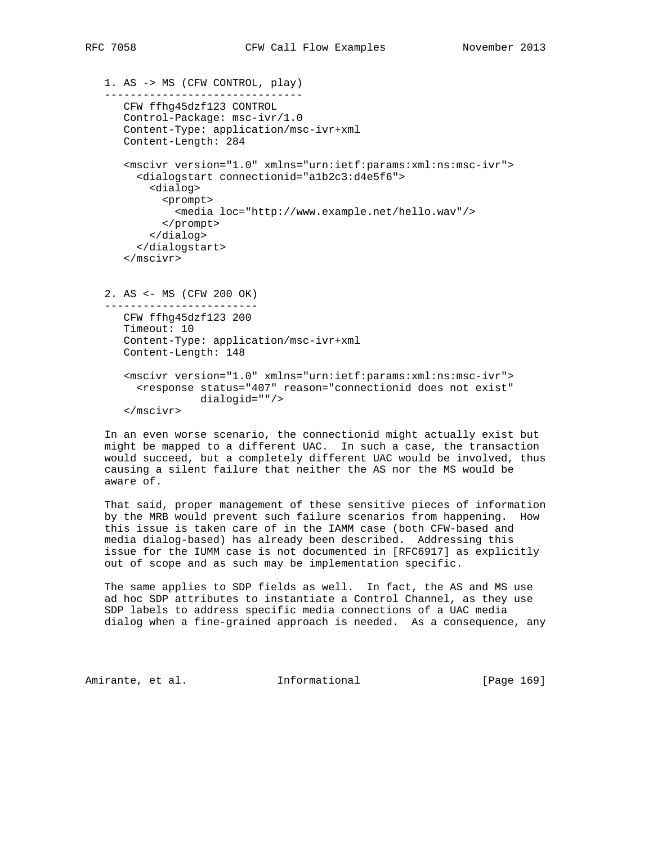```
 1. AS -> MS (CFW CONTROL, play)
 -------------------------------
    CFW ffhg45dzf123 CONTROL
   Control-Package: msc-ivr/1.0
    Content-Type: application/msc-ivr+xml
   Content-Length: 284
    <mscivr version="1.0" xmlns="urn:ietf:params:xml:ns:msc-ivr">
      <dialogstart connectionid="a1b2c3:d4e5f6">
        <dialog>
          <prompt>
            <media loc="http://www.example.net/hello.wav"/>
          </prompt>
        </dialog>
      </dialogstart>
    </mscivr>
 2. AS <- MS (CFW 200 OK)
 ------------------------
   CFW ffhg45dzf123 200
   Timeout: 10
    Content-Type: application/msc-ivr+xml
   Content-Length: 148
```
 <mscivr version="1.0" xmlns="urn:ietf:params:xml:ns:msc-ivr"> <response status="407" reason="connectionid does not exist" dialogid=""/> </mscivr>

 In an even worse scenario, the connectionid might actually exist but might be mapped to a different UAC. In such a case, the transaction would succeed, but a completely different UAC would be involved, thus causing a silent failure that neither the AS nor the MS would be aware of.

 That said, proper management of these sensitive pieces of information by the MRB would prevent such failure scenarios from happening. How this issue is taken care of in the IAMM case (both CFW-based and media dialog-based) has already been described. Addressing this issue for the IUMM case is not documented in [RFC6917] as explicitly out of scope and as such may be implementation specific.

 The same applies to SDP fields as well. In fact, the AS and MS use ad hoc SDP attributes to instantiate a Control Channel, as they use SDP labels to address specific media connections of a UAC media dialog when a fine-grained approach is needed. As a consequence, any

Amirante, et al. Informational [Page 169]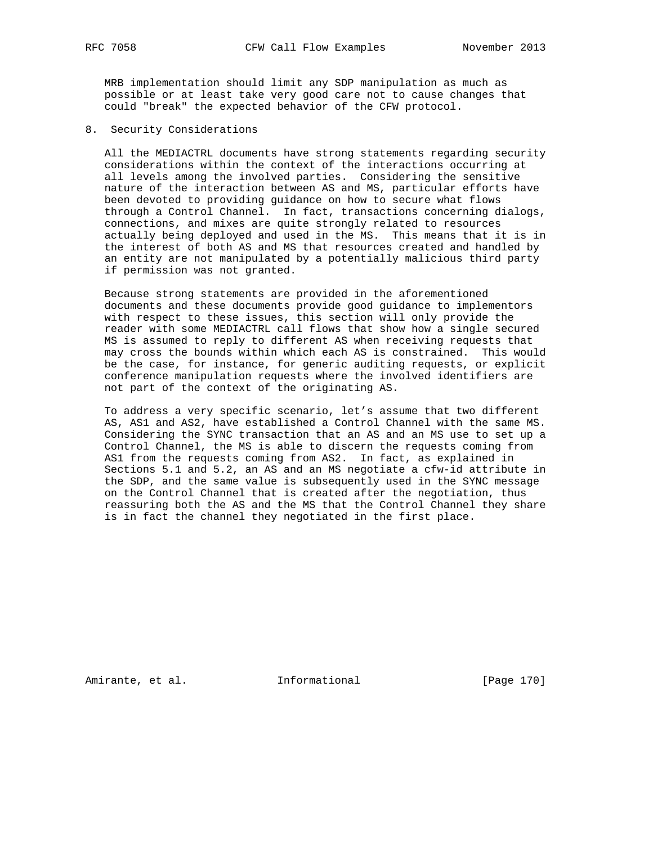MRB implementation should limit any SDP manipulation as much as possible or at least take very good care not to cause changes that could "break" the expected behavior of the CFW protocol.

8. Security Considerations

 All the MEDIACTRL documents have strong statements regarding security considerations within the context of the interactions occurring at all levels among the involved parties. Considering the sensitive nature of the interaction between AS and MS, particular efforts have been devoted to providing guidance on how to secure what flows through a Control Channel. In fact, transactions concerning dialogs, connections, and mixes are quite strongly related to resources actually being deployed and used in the MS. This means that it is in the interest of both AS and MS that resources created and handled by an entity are not manipulated by a potentially malicious third party if permission was not granted.

 Because strong statements are provided in the aforementioned documents and these documents provide good guidance to implementors with respect to these issues, this section will only provide the reader with some MEDIACTRL call flows that show how a single secured MS is assumed to reply to different AS when receiving requests that may cross the bounds within which each AS is constrained. This would be the case, for instance, for generic auditing requests, or explicit conference manipulation requests where the involved identifiers are not part of the context of the originating AS.

 To address a very specific scenario, let's assume that two different AS, AS1 and AS2, have established a Control Channel with the same MS. Considering the SYNC transaction that an AS and an MS use to set up a Control Channel, the MS is able to discern the requests coming from AS1 from the requests coming from AS2. In fact, as explained in Sections 5.1 and 5.2, an AS and an MS negotiate a cfw-id attribute in the SDP, and the same value is subsequently used in the SYNC message on the Control Channel that is created after the negotiation, thus reassuring both the AS and the MS that the Control Channel they share is in fact the channel they negotiated in the first place.

Amirante, et al. 1nformational [Page 170]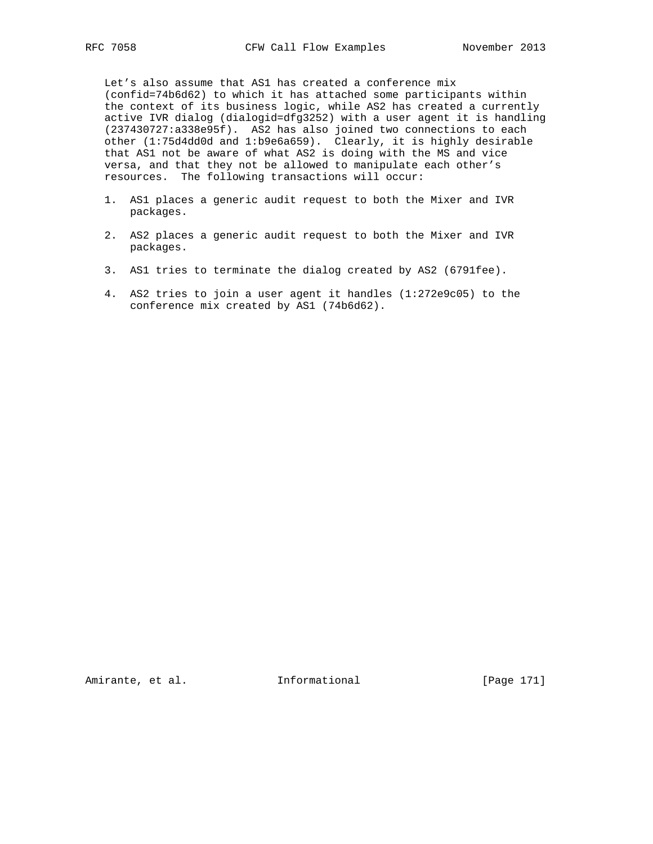Let's also assume that AS1 has created a conference mix (confid=74b6d62) to which it has attached some participants within the context of its business logic, while AS2 has created a currently active IVR dialog (dialogid=dfg3252) with a user agent it is handling (237430727:a338e95f). AS2 has also joined two connections to each other (1:75d4dd0d and 1:b9e6a659). Clearly, it is highly desirable that AS1 not be aware of what AS2 is doing with the MS and vice versa, and that they not be allowed to manipulate each other's resources. The following transactions will occur:

- 1. AS1 places a generic audit request to both the Mixer and IVR packages.
- 2. AS2 places a generic audit request to both the Mixer and IVR packages.
- 3. AS1 tries to terminate the dialog created by AS2 (6791fee).
- 4. AS2 tries to join a user agent it handles (1:272e9c05) to the conference mix created by AS1 (74b6d62).

Amirante, et al. 1nformational 1999 [Page 171]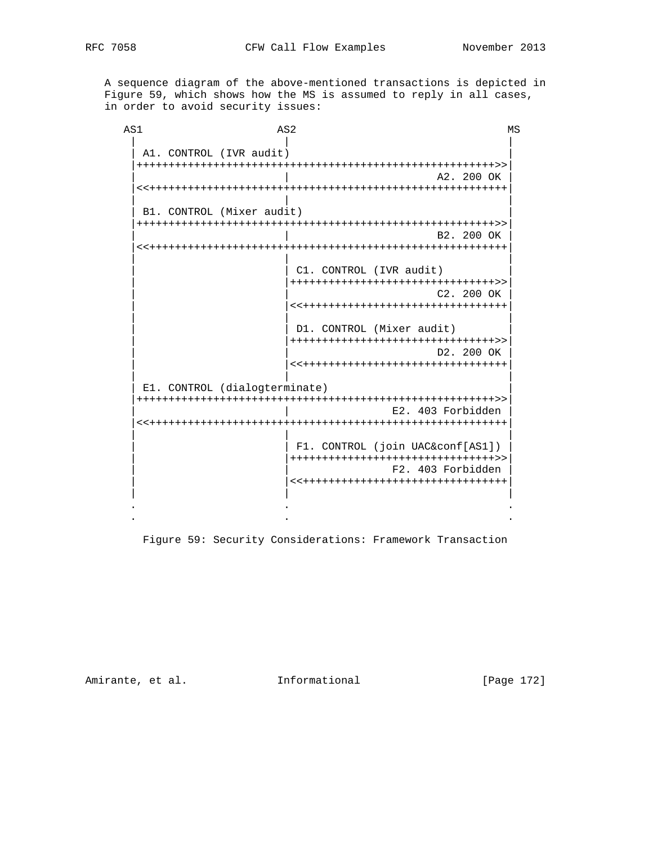A sequence diagram of the above-mentioned transactions is depicted in Figure 59, which shows how the MS is assumed to reply in all cases, in order to avoid security issues:

AS1 AS2 MS | | | A1. CONTROL (IVR audit) |++++++++++++++++++++++++++++++++++++++++++++++++++++++++>>| A2. 200 OK |<<++++++++++++++++++++++++++++++++++++++++++++++++++++++++| | | | B1. CONTROL (Mixer audit) |++++++++++++++++++++++++++++++++++++++++++++++++++++++++>>| B2. 200 OK |<<++++++++++++++++++++++++++++++++++++++++++++++++++++++++| | | | C1. CONTROL (IVR audit) | |++++++++++++++++++++++++++++++++>>| C2. 200 OK | |<<++++++++++++++++++++++++++++++++| | | | | D1. CONTROL (Mixer audit) | |++++++++++++++++++++++++++++++++>>| D2. 200 OK | |<<++++++++++++++++++++++++++++++++| | | | E1. CONTROL (dialogterminate) |++++++++++++++++++++++++++++++++++++++++++++++++++++++++>>| E2. 403 Forbidden |<<++++++++++++++++++++++++++++++++++++++++++++++++++++++++| | | | | F1. CONTROL (join UAC&conf[AS1]) | |++++++++++++++++++++++++++++++++>>| | | F2. 403 Forbidden | | |<<++++++++++++++++++++++++++++++++| | | | . . . . . .

Figure 59: Security Considerations: Framework Transaction

Amirante, et al. 1nformational [Page 172]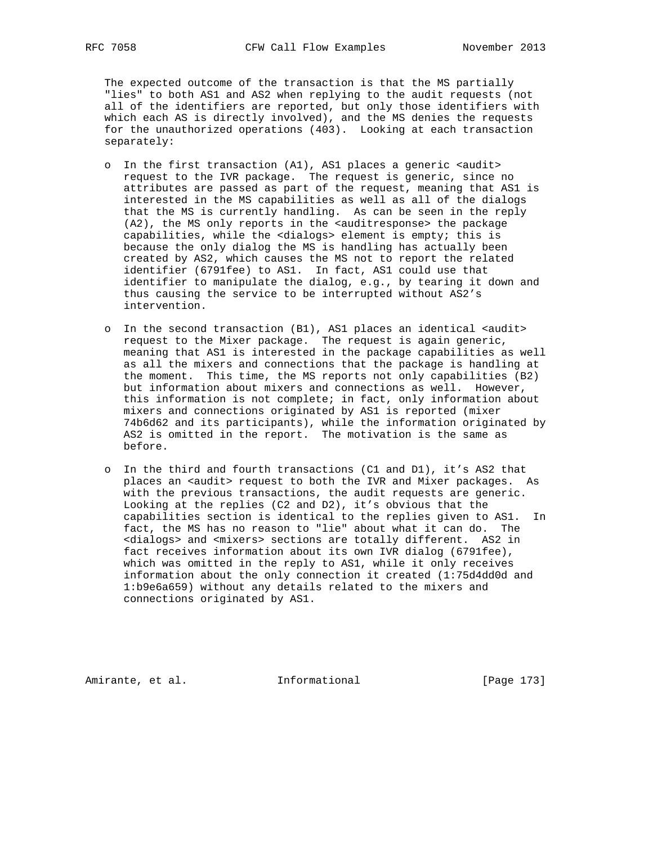The expected outcome of the transaction is that the MS partially "lies" to both AS1 and AS2 when replying to the audit requests (not all of the identifiers are reported, but only those identifiers with which each AS is directly involved), and the MS denies the requests for the unauthorized operations (403). Looking at each transaction separately:

- o In the first transaction (A1), AS1 places a generic <audit> request to the IVR package. The request is generic, since no attributes are passed as part of the request, meaning that AS1 is interested in the MS capabilities as well as all of the dialogs that the MS is currently handling. As can be seen in the reply (A2), the MS only reports in the <auditresponse> the package capabilities, while the <dialogs> element is empty; this is because the only dialog the MS is handling has actually been created by AS2, which causes the MS not to report the related identifier (6791fee) to AS1. In fact, AS1 could use that identifier to manipulate the dialog, e.g., by tearing it down and thus causing the service to be interrupted without AS2's intervention.
- o In the second transaction (B1), AS1 places an identical <audit> request to the Mixer package. The request is again generic, meaning that AS1 is interested in the package capabilities as well as all the mixers and connections that the package is handling at the moment. This time, the MS reports not only capabilities (B2) but information about mixers and connections as well. However, this information is not complete; in fact, only information about mixers and connections originated by AS1 is reported (mixer 74b6d62 and its participants), while the information originated by AS2 is omitted in the report. The motivation is the same as before.
- o In the third and fourth transactions (C1 and D1), it's AS2 that places an <audit> request to both the IVR and Mixer packages. As with the previous transactions, the audit requests are generic. Looking at the replies (C2 and D2), it's obvious that the capabilities section is identical to the replies given to AS1. In fact, the MS has no reason to "lie" about what it can do. The <dialogs> and <mixers> sections are totally different. AS2 in fact receives information about its own IVR dialog (6791fee), which was omitted in the reply to AS1, while it only receives information about the only connection it created (1:75d4dd0d and 1:b9e6a659) without any details related to the mixers and connections originated by AS1.

Amirante, et al. 1nformational [Page 173]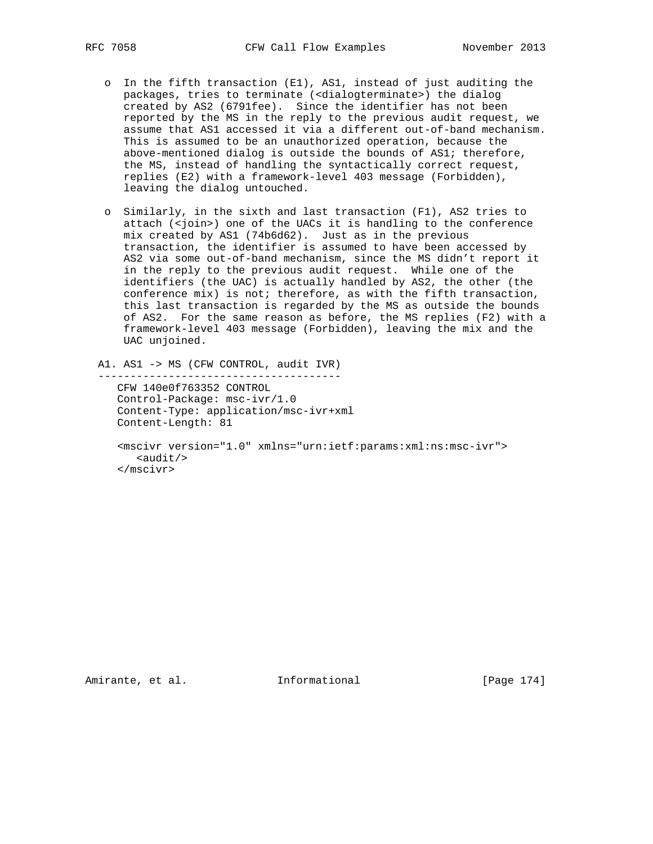- o In the fifth transaction (E1), AS1, instead of just auditing the packages, tries to terminate (<dialogterminate>) the dialog created by AS2 (6791fee). Since the identifier has not been reported by the MS in the reply to the previous audit request, we assume that AS1 accessed it via a different out-of-band mechanism. This is assumed to be an unauthorized operation, because the above-mentioned dialog is outside the bounds of AS1; therefore, the MS, instead of handling the syntactically correct request, replies (E2) with a framework-level 403 message (Forbidden), leaving the dialog untouched.
- o Similarly, in the sixth and last transaction (F1), AS2 tries to attach (<join>) one of the UACs it is handling to the conference mix created by AS1 (74b6d62). Just as in the previous transaction, the identifier is assumed to have been accessed by AS2 via some out-of-band mechanism, since the MS didn't report it in the reply to the previous audit request. While one of the identifiers (the UAC) is actually handled by AS2, the other (the conference mix) is not; therefore, as with the fifth transaction, this last transaction is regarded by the MS as outside the bounds of AS2. For the same reason as before, the MS replies (F2) with a framework-level 403 message (Forbidden), leaving the mix and the UAC unjoined.
- A1. AS1 -> MS (CFW CONTROL, audit IVR) -------------------------------------- CFW 140e0f763352 CONTROL Control-Package: msc-ivr/1.0 Content-Type: application/msc-ivr+xml Content-Length: 81 <mscivr version="1.0" xmlns="urn:ietf:params:xml:ns:msc-ivr"> <audit/> </mscivr>

Amirante, et al. 1nformational 1999 [Page 174]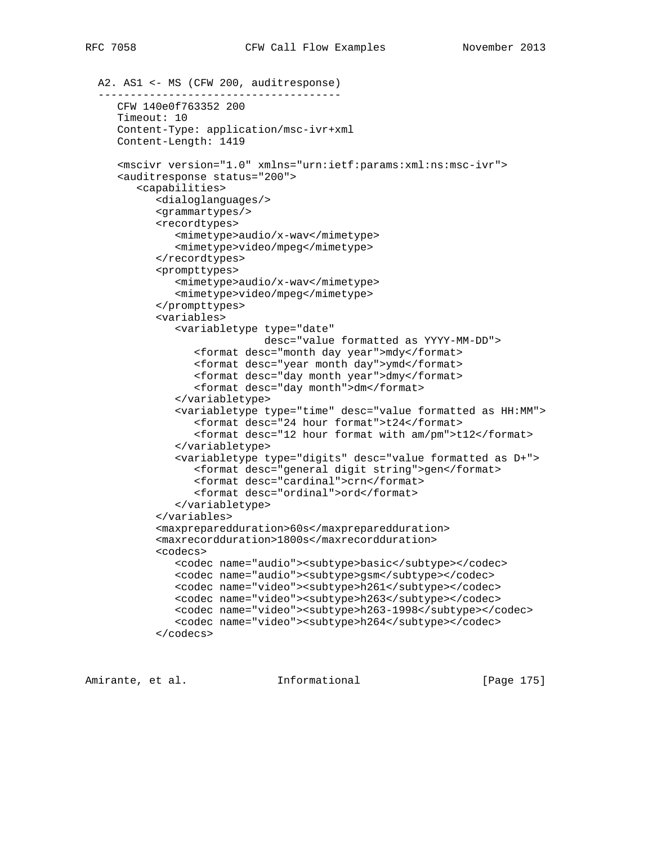```
 A2. AS1 <- MS (CFW 200, auditresponse)
 --------------------------------------
    CFW 140e0f763352 200
    Timeout: 10
    Content-Type: application/msc-ivr+xml
    Content-Length: 1419
    <mscivr version="1.0" xmlns="urn:ietf:params:xml:ns:msc-ivr">
    <auditresponse status="200">
       <capabilities>
          <dialoglanguages/>
          <grammartypes/>
          <recordtypes>
             <mimetype>audio/x-wav</mimetype>
             <mimetype>video/mpeg</mimetype>
          </recordtypes>
          <prompttypes>
             <mimetype>audio/x-wav</mimetype>
             <mimetype>video/mpeg</mimetype>
          </prompttypes>
          <variables>
             <variabletype type="date"
                            desc="value formatted as YYYY-MM-DD">
                <format desc="month day year">mdy</format>
                <format desc="year month day">ymd</format>
                <format desc="day month year">dmy</format>
                <format desc="day month">dm</format>
             </variabletype>
             <variabletype type="time" desc="value formatted as HH:MM">
                <format desc="24 hour format">t24</format>
                <format desc="12 hour format with am/pm">t12</format>
             </variabletype>
             <variabletype type="digits" desc="value formatted as D+">
                <format desc="general digit string">gen</format>
                <format desc="cardinal">crn</format>
                <format desc="ordinal">ord</format>
             </variabletype>
          </variables>
          <maxpreparedduration>60s</maxpreparedduration>
          <maxrecordduration>1800s</maxrecordduration>
          <codecs>
             <codec name="audio"><subtype>basic</subtype></codec>
             <codec name="audio"><subtype>gsm</subtype></codec>
             <codec name="video"><subtype>h261</subtype></codec>
             <codec name="video"><subtype>h263</subtype></codec>
             <codec name="video"><subtype>h263-1998</subtype></codec>
             <codec name="video"><subtype>h264</subtype></codec>
          </codecs>
```
Amirante, et al. Informational [Page 175]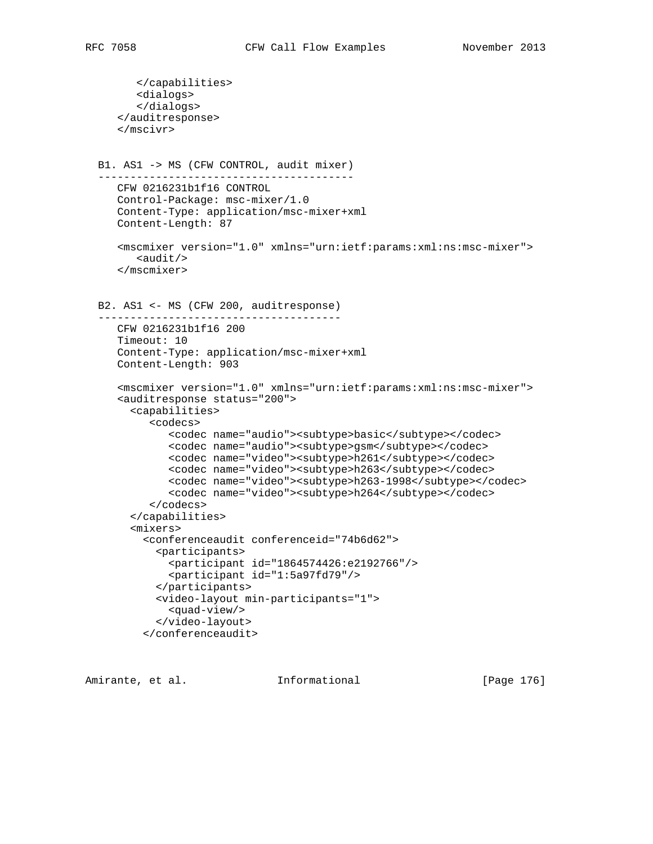```
 </capabilities>
       <dialogs>
       </dialogs>
    </auditresponse>
    </mscivr>
 B1. AS1 -> MS (CFW CONTROL, audit mixer)
 ----------------------------------------
   CFW 0216231b1f16 CONTROL
   Control-Package: msc-mixer/1.0
    Content-Type: application/msc-mixer+xml
    Content-Length: 87
    <mscmixer version="1.0" xmlns="urn:ietf:params:xml:ns:msc-mixer">
      <audit/> </mscmixer>
 B2. AS1 <- MS (CFW 200, auditresponse)
 --------------------------------------
   CFW 0216231b1f16 200
   Timeout: 10
   Content-Type: application/msc-mixer+xml
    Content-Length: 903
    <mscmixer version="1.0" xmlns="urn:ietf:params:xml:ns:msc-mixer">
    <auditresponse status="200">
      <capabilities>
         <codecs>
            <codec name="audio"><subtype>basic</subtype></codec>
            <codec name="audio"><subtype>gsm</subtype></codec>
            <codec name="video"><subtype>h261</subtype></codec>
            <codec name="video"><subtype>h263</subtype></codec>
            <codec name="video"><subtype>h263-1998</subtype></codec>
            <codec name="video"><subtype>h264</subtype></codec>
         </codecs>
      </capabilities>
      <mixers>
        <conferenceaudit conferenceid="74b6d62">
          <participants>
            <participant id="1864574426:e2192766"/>
            <participant id="1:5a97fd79"/>
          </participants>
          <video-layout min-participants="1">
            <quad-view/>
          </video-layout>
        </conferenceaudit>
```
Amirante, et al. 1nformational [Page 176]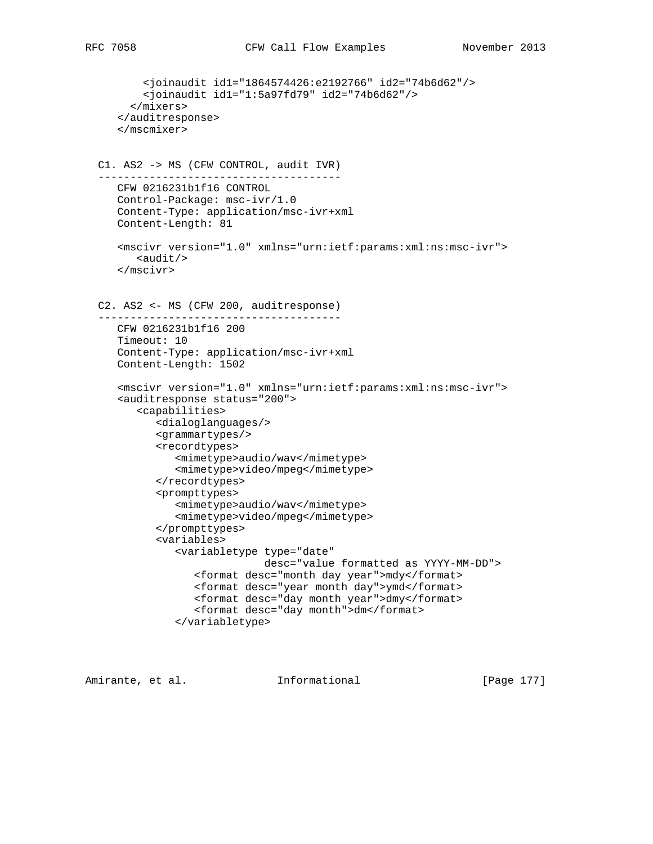```
 <joinaudit id1="1864574426:e2192766" id2="74b6d62"/>
        <joinaudit id1="1:5a97fd79" id2="74b6d62"/>
      </mixers>
    </auditresponse>
    </mscmixer>
 C1. AS2 -> MS (CFW CONTROL, audit IVR)
 --------------------------------------
   CFW 0216231b1f16 CONTROL
   Control-Package: msc-ivr/1.0
    Content-Type: application/msc-ivr+xml
    Content-Length: 81
    <mscivr version="1.0" xmlns="urn:ietf:params:xml:ns:msc-ivr">
      <audit/> </mscivr>
 C2. AS2 <- MS (CFW 200, auditresponse)
 --------------------------------------
   CFW 0216231b1f16 200
   Timeout: 10
   Content-Type: application/msc-ivr+xml
    Content-Length: 1502
    <mscivr version="1.0" xmlns="urn:ietf:params:xml:ns:msc-ivr">
    <auditresponse status="200">
       <capabilities>
          <dialoglanguages/>
          <grammartypes/>
          <recordtypes>
             <mimetype>audio/wav</mimetype>
             <mimetype>video/mpeg</mimetype>
          </recordtypes>
          <prompttypes>
             <mimetype>audio/wav</mimetype>
             <mimetype>video/mpeg</mimetype>
          </prompttypes>
          <variables>
             <variabletype type="date"
                           desc="value formatted as YYYY-MM-DD">
                <format desc="month day year">mdy</format>
                <format desc="year month day">ymd</format>
                <format desc="day month year">dmy</format>
                <format desc="day month">dm</format>
             </variabletype>
```
Amirante, et al. 1nformational [Page 177]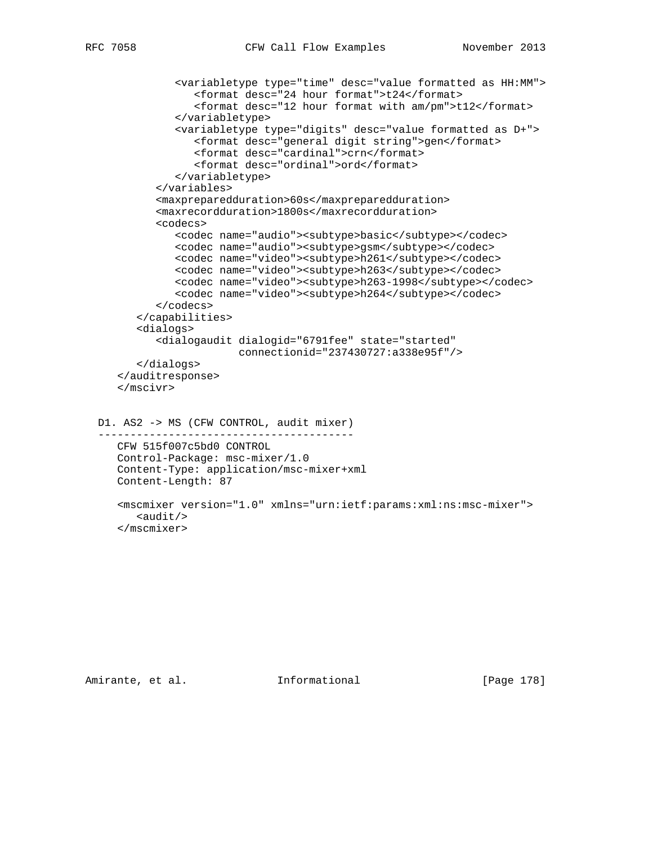```
 <variabletype type="time" desc="value formatted as HH:MM">
                <format desc="24 hour format">t24</format>
                <format desc="12 hour format with am/pm">t12</format>
             </variabletype>
             <variabletype type="digits" desc="value formatted as D+">
                <format desc="general digit string">gen</format>
                <format desc="cardinal">crn</format>
                <format desc="ordinal">ord</format>
             </variabletype>
          </variables>
          <maxpreparedduration>60s</maxpreparedduration>
          <maxrecordduration>1800s</maxrecordduration>
          <codecs>
             <codec name="audio"><subtype>basic</subtype></codec>
             <codec name="audio"><subtype>gsm</subtype></codec>
             <codec name="video"><subtype>h261</subtype></codec>
             <codec name="video"><subtype>h263</subtype></codec>
             <codec name="video"><subtype>h263-1998</subtype></codec>
             <codec name="video"><subtype>h264</subtype></codec>
          </codecs>
       </capabilities>
       <dialogs>
          <dialogaudit dialogid="6791fee" state="started"
                       connectionid="237430727:a338e95f"/>
       </dialogs>
    </auditresponse>
    </mscivr>
 D1. AS2 -> MS (CFW CONTROL, audit mixer)
 ----------------------------------------
    CFW 515f007c5bd0 CONTROL
    Control-Package: msc-mixer/1.0
    Content-Type: application/msc-mixer+xml
    Content-Length: 87
    <mscmixer version="1.0" xmlns="urn:ietf:params:xml:ns:msc-mixer">
      <audit/>
```

```
 </mscmixer>
```
Amirante, et al. 1nformational [Page 178]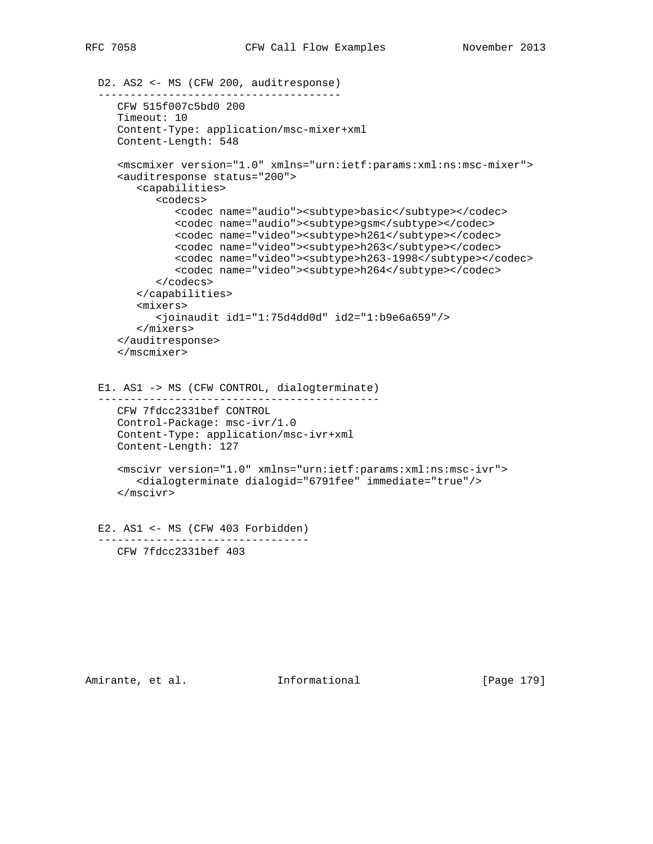```
D2. AS2 <- MS (CFW 200, auditresponse)
 --------------------------------------
    CFW 515f007c5bd0 200
    Timeout: 10
    Content-Type: application/msc-mixer+xml
    Content-Length: 548
    <mscmixer version="1.0" xmlns="urn:ietf:params:xml:ns:msc-mixer">
    <auditresponse status="200">
       <capabilities>
          <codecs>
             <codec name="audio"><subtype>basic</subtype></codec>
            <codec name="audio"><subtype>gsm</subtype></codec>
             <codec name="video"><subtype>h261</subtype></codec>
             <codec name="video"><subtype>h263</subtype></codec>
             <codec name="video"><subtype>h263-1998</subtype></codec>
             <codec name="video"><subtype>h264</subtype></codec>
          </codecs>
       </capabilities>
       <mixers>
          <joinaudit id1="1:75d4dd0d" id2="1:b9e6a659"/>
       </mixers>
    </auditresponse>
    </mscmixer>
 E1. AS1 -> MS (CFW CONTROL, dialogterminate)
    --------------------------------------------
    CFW 7fdcc2331bef CONTROL
    Control-Package: msc-ivr/1.0
    Content-Type: application/msc-ivr+xml
    Content-Length: 127
    <mscivr version="1.0" xmlns="urn:ietf:params:xml:ns:msc-ivr">
       <dialogterminate dialogid="6791fee" immediate="true"/>
    </mscivr>
 E2. AS1 <- MS (CFW 403 Forbidden)
    ---------------------------------
   CFW 7fdcc2331bef 403
```
Amirante, et al. 1nformational [Page 179]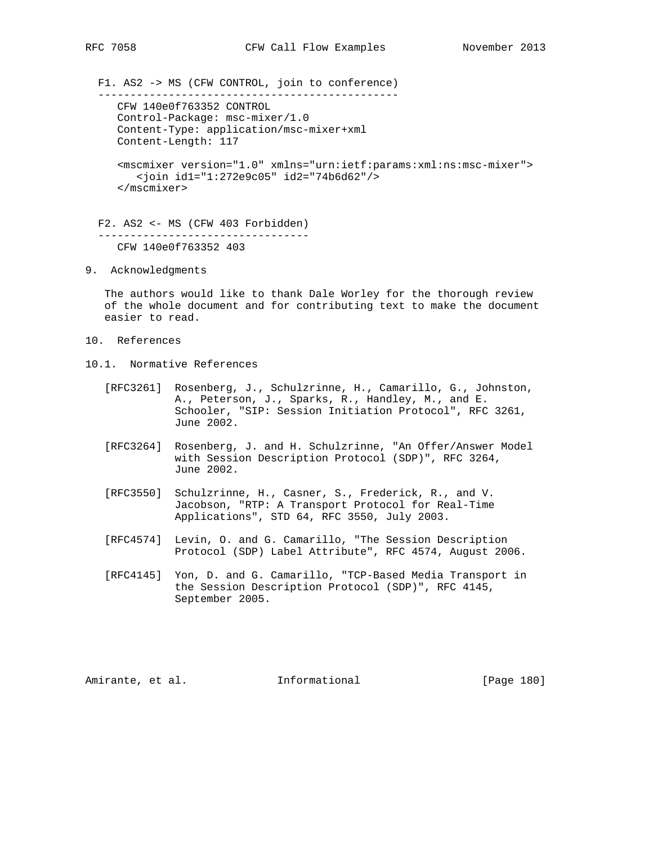F1. AS2 -> MS (CFW CONTROL, join to conference) ----------------------------------------------- CFW 140e0f763352 CONTROL Control-Package: msc-mixer/1.0 Content-Type: application/msc-mixer+xml Content-Length: 117 <mscmixer version="1.0" xmlns="urn:ietf:params:xml:ns:msc-mixer"> <join id1="1:272e9c05" id2="74b6d62"/> </mscmixer>

 F2. AS2 <- MS (CFW 403 Forbidden) --------------------------------- CFW 140e0f763352 403

9. Acknowledgments

 The authors would like to thank Dale Worley for the thorough review of the whole document and for contributing text to make the document easier to read.

- 10. References
- 10.1. Normative References
	- [RFC3261] Rosenberg, J., Schulzrinne, H., Camarillo, G., Johnston, A., Peterson, J., Sparks, R., Handley, M., and E. Schooler, "SIP: Session Initiation Protocol", RFC 3261, June 2002.
	- [RFC3264] Rosenberg, J. and H. Schulzrinne, "An Offer/Answer Model with Session Description Protocol (SDP)", RFC 3264, June 2002.
	- [RFC3550] Schulzrinne, H., Casner, S., Frederick, R., and V. Jacobson, "RTP: A Transport Protocol for Real-Time Applications", STD 64, RFC 3550, July 2003.
	- [RFC4574] Levin, O. and G. Camarillo, "The Session Description Protocol (SDP) Label Attribute", RFC 4574, August 2006.
	- [RFC4145] Yon, D. and G. Camarillo, "TCP-Based Media Transport in the Session Description Protocol (SDP)", RFC 4145, September 2005.

Amirante, et al. 1nformational [Page 180]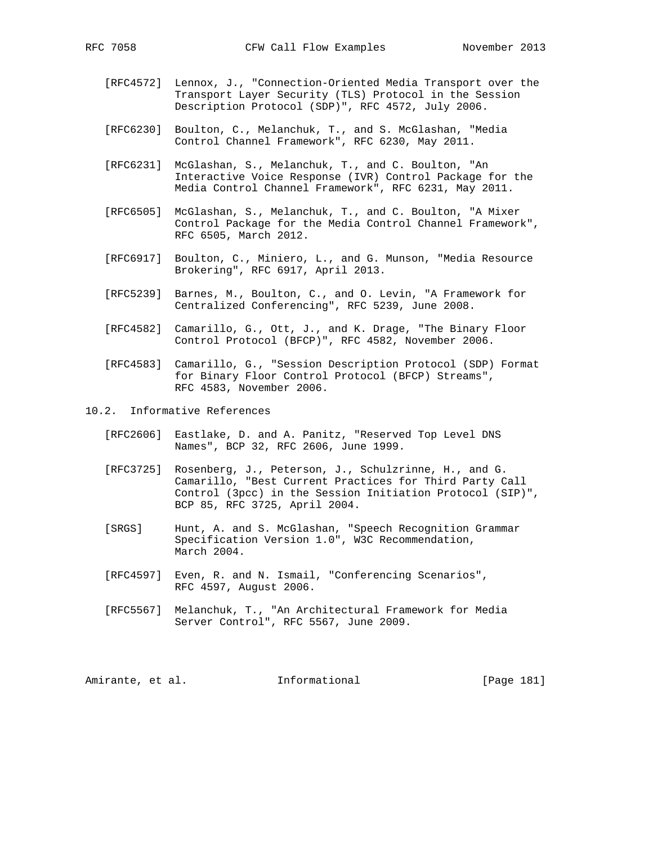- [RFC4572] Lennox, J., "Connection-Oriented Media Transport over the Transport Layer Security (TLS) Protocol in the Session Description Protocol (SDP)", RFC 4572, July 2006.
- [RFC6230] Boulton, C., Melanchuk, T., and S. McGlashan, "Media Control Channel Framework", RFC 6230, May 2011.
- [RFC6231] McGlashan, S., Melanchuk, T., and C. Boulton, "An Interactive Voice Response (IVR) Control Package for the Media Control Channel Framework", RFC 6231, May 2011.
- [RFC6505] McGlashan, S., Melanchuk, T., and C. Boulton, "A Mixer Control Package for the Media Control Channel Framework", RFC 6505, March 2012.
- [RFC6917] Boulton, C., Miniero, L., and G. Munson, "Media Resource Brokering", RFC 6917, April 2013.
- [RFC5239] Barnes, M., Boulton, C., and O. Levin, "A Framework for Centralized Conferencing", RFC 5239, June 2008.
- [RFC4582] Camarillo, G., Ott, J., and K. Drage, "The Binary Floor Control Protocol (BFCP)", RFC 4582, November 2006.
- [RFC4583] Camarillo, G., "Session Description Protocol (SDP) Format for Binary Floor Control Protocol (BFCP) Streams", RFC 4583, November 2006.
- 10.2. Informative References
	- [RFC2606] Eastlake, D. and A. Panitz, "Reserved Top Level DNS Names", BCP 32, RFC 2606, June 1999.
	- [RFC3725] Rosenberg, J., Peterson, J., Schulzrinne, H., and G. Camarillo, "Best Current Practices for Third Party Call Control (3pcc) in the Session Initiation Protocol (SIP)", BCP 85, RFC 3725, April 2004.
- [SRGS] Hunt, A. and S. McGlashan, "Speech Recognition Grammar Specification Version 1.0", W3C Recommendation, March 2004.
	- [RFC4597] Even, R. and N. Ismail, "Conferencing Scenarios", RFC 4597, August 2006.
	- [RFC5567] Melanchuk, T., "An Architectural Framework for Media Server Control", RFC 5567, June 2009.

Amirante, et al. 1nformational 1999 [Page 181]